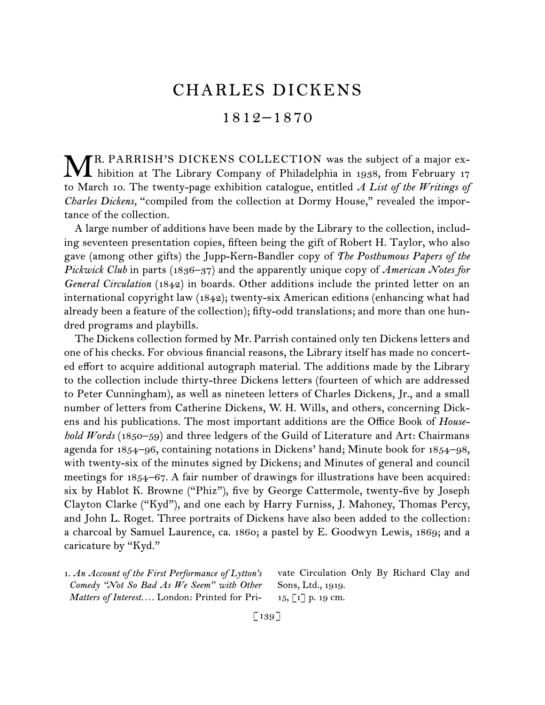# CHARLES DICKENS

## 1812–1870

R. PARRISH'S DICKENS COLLECTION was the subject of a major ex-MR. PARRISH'S DICKENS COLLECTION was the subject of a major ex-<br>hibition at The Library Company of Philadelphia in 1938, from February 17 to March 10. The twenty-page exhibition catalogue, entitled *A List of the Writings of Charles Dickens,* "compiled from the collection at Dormy House," revealed the importance of the collection.

A large number of additions have been made by the Library to the collection, including seventeen presentation copies, fifteen being the gift of Robert H. Taylor, who also gave (among other gifts) the Jupp-Kern-Bandler copy of *The Posthumous Papers of the Pickwick Club* in parts (1836–37) and the apparently unique copy of *American Notes for General Circulation* (1842) in boards. Other additions include the printed letter on an international copyright law (1842); twenty-six American editions (enhancing what had already been a feature of the collection); fifty-odd translations; and more than one hundred programs and playbills.

The Dickens collection formed by Mr. Parrish contained only ten Dickens letters and one of his checks. For obvious financial reasons, the Library itself has made no concerted effort to acquire additional autograph material. The additions made by the Library to the collection include thirty-three Dickens letters (fourteen of which are addressed to Peter Cunningham), as well as nineteen letters of Charles Dickens, Jr., and a small number of letters from Catherine Dickens, W. H. Wills, and others, concerning Dickens and his publications. The most important additions are the Office Book of *Household Words* (1850–59) and three ledgers of the Guild of Literature and Art: Chairmans agenda for 1854–96, containing notations in Dickens' hand; Minute book for 1854–98, with twenty-six of the minutes signed by Dickens; and Minutes of general and council meetings for 1854–67. A fair number of drawings for illustrations have been acquired: six by Hablot K. Browne ("Phiz"), five by George Cattermole, twenty-five by Joseph Clayton Clarke ("Kyd"), and one each by Harry Furniss, J. Mahoney, Thomas Percy, and John L. Roget. Three portraits of Dickens have also been added to the collection: a charcoal by Samuel Laurence, ca. 1860; a pastel by E. Goodwyn Lewis, 1869; and a caricature by "Kyd."

1.  *An Account of the First Performance of Lytton's Comedy "Not So Bad As We Seem" with Other Matters of Interest. . . .* London: Printed for Private Circulation Only By Richard Clay and Sons, Ltd., 1919. 15, [1] p. 19 cm.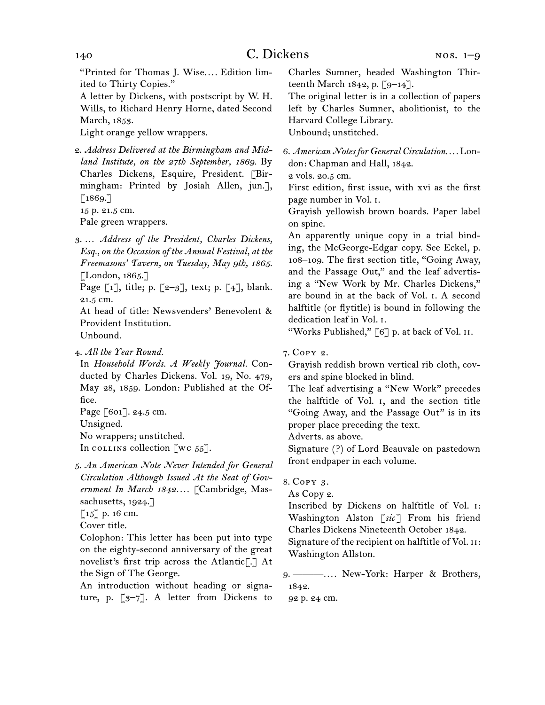"Printed for Thomas J. Wise*. . . .* Edition limited to Thirty Copies."

A letter by Dickens, with postscript by W. H. Wills, to Richard Henry Horne, dated Second March, 1853.

Light orange yellow wrappers.

2.  *Address Delivered at the Birmingham and Midland Institute, on the 27th September, 1869.* By Charles Dickens, Esquire, President. [Birmingham: Printed by Josiah Allen, jun.],  $[1869.7]$ 

15 p. 21.5 cm.

Pale green wrappers.

3.  … *Address of the President, Charles Dickens, Esq., on the Occasion of the Annual Festival, at the Freemasons' Tavern, on Tuesday, May 9th, 1865.* [London, 1865.]

Page  $\lceil 1 \rceil$ , title; p.  $\lceil 2-3 \rceil$ , text; p.  $\lceil 4 \rceil$ , blank. 21.5 cm.

At head of title: Newsvenders' Benevolent & Provident Institution. Unbound.

4.  *All the Year Round.*

In *Household Words. A Weekly Journal.* Conducted by Charles Dickens. Vol. 19, No. 479, May 28, 1859. London: Published at the Office.

Page [601]. 24.5 cm.

Unsigned.

No wrappers; unstitched.

In collins collection [wc  $55$ ].

5.  *An American Note Never Intended for General Circulation Although Issued At the Seat of Government In March 1842. . . .* [Cambridge, Massachusetts, 1924.]

 $\lceil 15 \rceil$  p. 16 cm.

Cover title.

Colophon: This letter has been put into type on the eighty-second anniversary of the great novelist's first trip across the Atlantic[.] At the Sign of The George.

An introduction without heading or signature, p.  $\lceil 3-7 \rceil$ . A letter from Dickens to Charles Sumner, headed Washington Thirteenth March 1842, p.  $\lceil 9^{-14} \rceil$ .

The original letter is in a collection of papers left by Charles Sumner, abolitionist, to the Harvard College Library. Unbound; unstitched.

6.  *American Notes for General Circulation. . . .* London: Chapman and Hall, 1842.

2 vols. 20.5 cm.

First edition, first issue, with xvi as the first page number in Vol. i.

Grayish yellowish brown boards. Paper label on spine.

An apparently unique copy in a trial binding, the McGeorge-Edgar copy. See Eckel, p. 108–109. The first section title, "Going Away, and the Passage Out," and the leaf advertising a "New Work by Mr. Charles Dickens," are bound in at the back of Vol. i. A second halftitle (or flytitle) is bound in following the dedication leaf in Vol. i.

"Works Published," [6] p. at back of Vol. II.

## 7.  Copy 2.

Grayish reddish brown vertical rib cloth, covers and spine blocked in blind.

The leaf advertising a "New Work" precedes the halftitle of Vol. i, and the section title "Going Away, and the Passage Out" is in its proper place preceding the text.

Adverts. as above.

Signature (?) of Lord Beauvale on pastedown front endpaper in each volume.

8. COPY 3.

As Copy 2.

Inscribed by Dickens on halftitle of Vol. i: Washington Alston [*sic* ] From his friend Charles Dickens Nineteenth October 1842.

Signature of the recipient on halftitle of Vol. II: Washington Allston.

9.  ———*. . . .* New-York: Harper & Brothers, 1842.

92 p. 24 cm.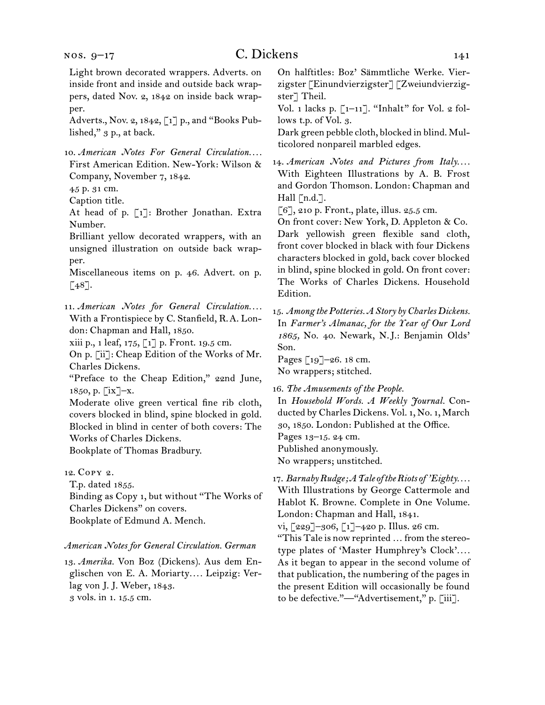nos. 9–17

Light brown decorated wrappers. Adverts. on inside front and inside and outside back wrappers, dated Nov. 2, 1842 on inside back wrapper.

Adverts., Nov. 2, 1842, [1] p., and "Books Published," 3 p., at back.

10.  *American Notes For General Circulation. . . .* First American Edition. New-York: Wilson & Company, November 7, 1842.

45 p. 31 cm.

Caption title.

At head of p. [1]: Brother Jonathan. Extra Number.

Brilliant yellow decorated wrappers, with an unsigned illustration on outside back wrapper.

Miscellaneous items on p. 46. Advert. on p.  $[48]$ .

11.  *American Notes for General Circulation. . . .* With a Frontispiece by C. Stanfield, R. A. London: Chapman and Hall, 1850.

xiii p., 1 leaf, 175, [1] p. Front. 19.5 cm.

On p. [ii]: Cheap Edition of the Works of Mr. Charles Dickens.

"Preface to the Cheap Edition," 22nd June, 1850, p. [ix]–x.

Moderate olive green vertical fine rib cloth, covers blocked in blind, spine blocked in gold. Blocked in blind in center of both covers: The Works of Charles Dickens.

Bookplate of Thomas Bradbury.

12.  Copy 2.

T.p. dated 1855.

Binding as Copy 1, but without "The Works of Charles Dickens" on covers. Bookplate of Edmund A. Mench.

#### *American Notes for General Circulation. German*

13.  *Amerika.* Von Boz (Dickens). Aus dem Englischen von E. A. Moriarty*. . . .* Leipzig: Verlag von J. J. Weber, 1843. 3 vols. in 1. 15.5 cm.

On halftitles: Boz' Sämmtliche Werke. Vierzigster [Einundvierzigster] [Zweiundvierzigster] Theil.

Vol. 1 lacks p.  $\lceil 1-11 \rceil$ . "Inhalt" for Vol. 2 follows t.p. of Vol. 3.

Dark green pebble cloth, blocked in blind. Multicolored nonpareil marbled edges.

14.  *American Notes and Pictures from Italy. . . .* With Eighteen Illustrations by A. B. Frost and Gordon Thomson. London: Chapman and Hall [n.d.].

[6], 210 p. Front., plate, illus. 25.5 cm.

On front cover: New York, D. Appleton & Co. Dark yellowish green flexible sand cloth, front cover blocked in black with four Dickens characters blocked in gold, back cover blocked in blind, spine blocked in gold. On front cover: The Works of Charles Dickens. Household Edition.

15.  *Among the Potteries. A Story by Charles Dickens.* In *Farmer's Almanac, for the Year of Our Lord 1865,* No. 40. Newark, N. J.: Benjamin Olds' Son.

Pages [19]–26. 18 cm. No wrappers; stitched.

16.  *The Amusements of the People.*

In *Household Words. A Weekly Journal.* Conducted by Charles Dickens. Vol. 1, No. 1, March 30, 1850. London: Published at the Office. Pages 13–15. 24 cm. Published anonymously. No wrappers; unstitched.

17.  *Barnaby Rudge; A Tale of the Riots of 'Eighty. . . .* With Illustrations by George Cattermole and Hablot K. Browne. Complete in One Volume. London: Chapman and Hall, 1841.

vi, [229]–306, [1]–420 p. Illus. 26 cm.

"This Tale is now reprinted … from the stereotype plates of 'Master Humphrey's Clock'*. . . .* As it began to appear in the second volume of that publication, the numbering of the pages in the present Edition will occasionally be found to be defective."—"Advertisement," p. [iii].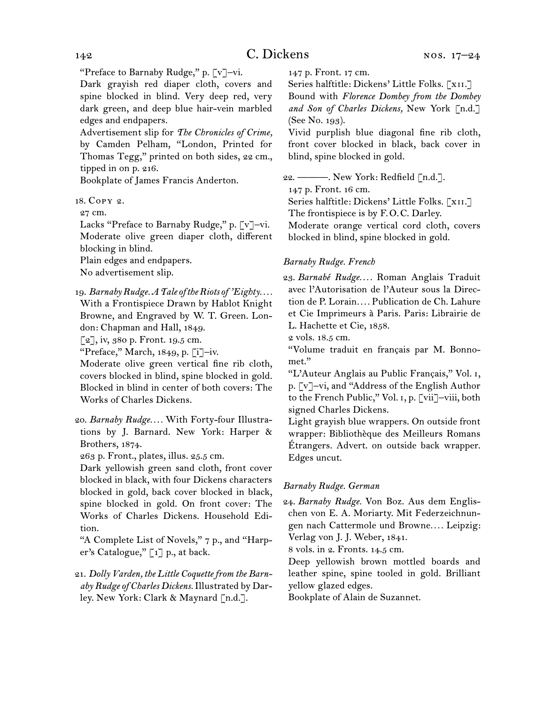"Preface to Barnaby Rudge," p. [v]-vi.

Dark grayish red diaper cloth, covers and spine blocked in blind. Very deep red, very dark green, and deep blue hair-vein marbled edges and endpapers.

Advertisement slip for *The Chronicles of Crime,*  by Camden Pelham, "London, Printed for Thomas Tegg," printed on both sides, 22 cm., tipped in on p. 216.

Bookplate of James Francis Anderton.

#### 18.  Copy 2.

27 cm.

Lacks "Preface to Barnaby Rudge," p. [v]-vi. Moderate olive green diaper cloth, different blocking in blind.

Plain edges and endpapers.

No advertisement slip.

#### 19.  *Barnaby Rudge. A Tale of the Riots of 'Eighty. . . .*

With a Frontispiece Drawn by Hablot Knight Browne, and Engraved by W. T. Green. London: Chapman and Hall, 1849.

[2], iv, 380 p. Front. 19.5 cm.

"Preface," March, 1849, p. [i]–iv.

Moderate olive green vertical fine rib cloth, covers blocked in blind, spine blocked in gold. Blocked in blind in center of both covers: The Works of Charles Dickens.

263 p. Front., plates, illus. 25.5 cm.

Dark yellowish green sand cloth, front cover blocked in black, with four Dickens characters blocked in gold, back cover blocked in black, spine blocked in gold. On front cover: The Works of Charles Dickens. Household Edition.

"A Complete List of Novels," 7 p., and "Harper's Catalogue," [1] p., at back.

21.  *Dolly Varden, the Little Coquette from the Barnaby Rudge of Charles Dickens.*Illustrated by Darley. New York: Clark & Maynard [n.d.].

147 p. Front. 17 cm.

Series halftitle: Dickens' Little Folks. [XII.] Bound with *Florence Dombey from the Dombey*  and Son of Charles Dickens, New York [n.d.] (See No. 193).

Vivid purplish blue diagonal fine rib cloth, front cover blocked in black, back cover in blind, spine blocked in gold.

22.  ———. New York: Redfield [n.d.]. 147 p. Front. 16 cm. Series halftitle: Dickens' Little Folks. [XII.] The frontispiece is by F.O.C. Darley.

Moderate orange vertical cord cloth, covers blocked in blind, spine blocked in gold.

#### *Barnaby Rudge. French*

23.  *Barnabé Rudge. . . .* Roman Anglais Traduit avec l'Autorisation de l'Auteur sous la Direction de P. Lorain*. . . .* Publication de Ch. Lahure et Cie Imprimeurs à Paris. Paris: Librairie de L. Hachette et Cie, 1858.

2 vols. 18.5 cm.

"Volume traduit en français par M. Bonnomet."

"L'Auteur Anglais au Public Français," Vol. i, p. [v]–vi, and "Address of the English Author to the French Public," Vol. i, p. [vii]–viii, both signed Charles Dickens.

Light grayish blue wrappers. On outside front wrapper: Bibliothèque des Meilleurs Romans Étrangers. Advert. on outside back wrapper. Edges uncut.

#### *Barnaby Rudge. German*

24.  *Barnaby Rudge.* Von Boz. Aus dem Englischen von E. A. Moriarty. Mit Federzeichnungen nach Cattermole und Browne*. . . .* Leipzig: Verlag von J. J. Weber, 1841.

8 vols. in 2. Fronts. 14.5 cm.

Deep yellowish brown mottled boards and leather spine, spine tooled in gold. Brilliant yellow glazed edges.

Bookplate of Alain de Suzannet.

<sup>20.</sup>*Barnaby Rudge. . . .* With Forty-four Illustrations by J. Barnard. New York: Harper & Brothers, 1874.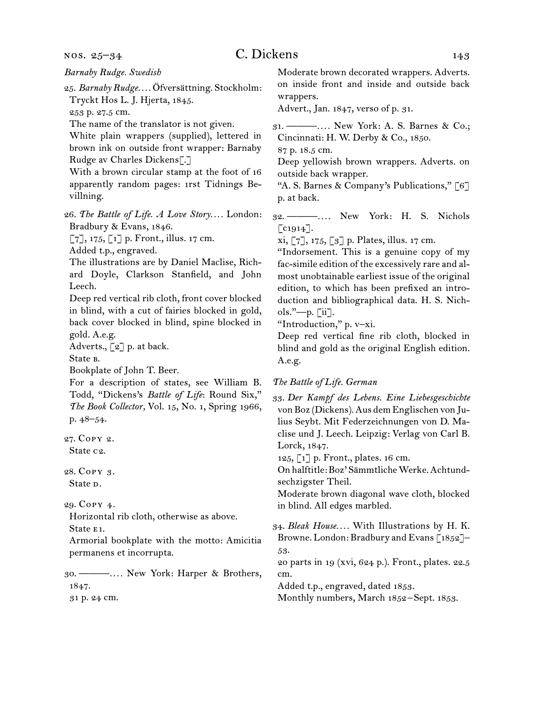nos. 25–34

25.  *Barnaby Rudge. . . .* Öfversättning. Stockholm: Tryckt Hos L. J. Hjerta, 1845.

253 p. 27.5 cm.

The name of the translator is not given.

White plain wrappers (supplied), lettered in brown ink on outside front wrapper: Barnaby Rudge av Charles Dickens[.]

With a brown circular stamp at the foot of 16 apparently random pages: 1rst Tidnings Bevillning.

26.  *The Battle of Life. A Love Story. . . .* London: Bradbury & Evans, 1846.

 $[7]$ , 175,  $[1]$  p. Front., illus. 17 cm.

Added t.p., engraved.

The illustrations are by Daniel Maclise, Richard Doyle, Clarkson Stanfield, and John Leech.

Deep red vertical rib cloth, front cover blocked in blind, with a cut of fairies blocked in gold, back cover blocked in blind, spine blocked in gold. A.e.g.

Adverts., [2] p. at back.

State b.

Bookplate of John T. Beer.

For a description of states, see William B. Todd, "Dickens's *Battle of Life*: Round Six," *The Book Collector,* Vol. 15, No. 1, Spring 1966, p. 48–54.

27.  Copy 2. State c2.

28.  Copy 3. State <sub>D</sub>.

29.  Copy 4.

Horizontal rib cloth, otherwise as above. State E<sub>1</sub>.

Armorial bookplate with the motto: Amicitia permanens et incorrupta.

30.  ———*. . . .* New York: Harper & Brothers, 1847.

31 p. 24 cm.

Moderate brown decorated wrappers. Adverts. on inside front and inside and outside back wrappers.

Advert., Jan. 1847, verso of p. 31.

31.  ———*. . . .* New York: A. S. Barnes & Co.; Cincinnati: H. W. Derby & Co., 1850.

87 p. 18.5 cm.

Deep yellowish brown wrappers. Adverts. on outside back wrapper.

"A. S. Barnes & Company's Publications," [6] p. at back.

32.  ———*. . . .* New York: H. S. Nichols  $\lceil$  c1914 $\rceil$ .

xi, [7], 175, [3] p. Plates, illus. 17 cm.

"Indorsement. This is a genuine copy of my fac-simile edition of the excessively rare and almost unobtainable earliest issue of the original edition, to which has been prefixed an introduction and bibliographical data. H. S. Nichols."—p. [ii].

"Introduction," p. v–xi.

Deep red vertical fine rib cloth, blocked in blind and gold as the original English edition. A.e.g.

*The Battle of Life. German*

33.  *Der Kampf des Lebens. Eine Liebesgeschichte*  vonBoz (Dickens).Aus demEnglischen von Julius Seybt. Mit Federzeichnungen von D. Maclise und J. Leech. Leipzig: Verlag von Carl B. Lorck, 1847.

125, [1] p. Front., plates. 16 cm.

On halftitle:Boz' SämmtlicheWerke.Achtundsechzigster Theil.

Moderate brown diagonal wave cloth, blocked in blind. All edges marbled.

34.  *Bleak House. . . .* With Illustrations by H. K. Browne. London: Bradbury and Evans [1852]-53.

20 parts in 19 (xvi, 624 p.). Front., plates. 22.5 cm.

Added t.p., engraved, dated 1853.

Monthly numbers, March 1852-Sept. 1853.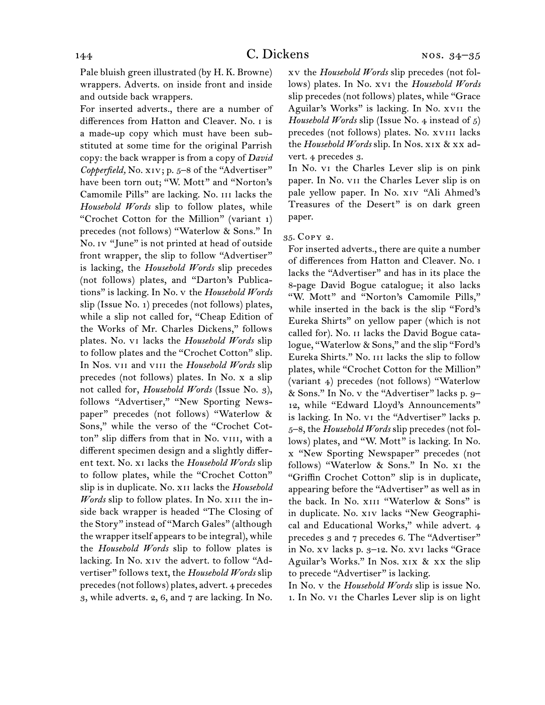Pale bluish green illustrated (by H. K. Browne) wrappers. Adverts. on inside front and inside and outside back wrappers.

For inserted adverts., there are a number of differences from Hatton and Cleaver. No. i is a made-up copy which must have been substituted at some time for the original Parrish copy: the back wrapper is from a copy of *David*  Copperfield, No. xiv; p. 5–8 of the "Advertiser" have been torn out; "W. Mott" and "Norton's Camomile Pills" are lacking. No. iii lacks the *Household Words* slip to follow plates, while "Crochet Cotton for the Million" (variant 1) precedes (not follows) "Waterlow & Sons." In No. IV "June" is not printed at head of outside front wrapper, the slip to follow "Advertiser" is lacking, the *Household Words* slip precedes (not follows) plates, and "Darton's Publications" is lacking. In No. v the *Household Words*  slip (Issue No. 1) precedes (not follows) plates, while a slip not called for, "Cheap Edition of the Works of Mr. Charles Dickens," follows plates. No. vi lacks the *Household Words* slip to follow plates and the "Crochet Cotton" slip. In Nos. vii and viii the *Household Words* slip precedes (not follows) plates. In No. x a slip not called for, *Household Words* (Issue No. 3), follows "Advertiser," "New Sporting Newspaper" precedes (not follows) "Waterlow & Sons," while the verso of the "Crochet Cotton" slip differs from that in No. VIII, with a different specimen design and a slightly different text. No. xi lacks the *Household Words* slip to follow plates, while the "Crochet Cotton" slip is in duplicate. No. xii lacks the *Household Words* slip to follow plates. In No. xiii the inside back wrapper is headed "The Closing of the Story" instead of "March Gales" (although the wrapper itself appears to be integral), while the *Household Words* slip to follow plates is lacking. In No. xiv the advert. to follow "Advertiser" follows text, the *Household Words* slip precedes(notfollows) plates, advert. 4 precedes 3, while adverts. 2, 6, and 7 are lacking. In No.

xv the *Household Words* slip precedes (not follows) plates. In No. xvi the *Household Words*  slip precedes (not follows) plates, while "Grace Aguilar's Works" is lacking. In No. xvii the *Household Words* slip (Issue No. 4 instead of 5) precedes (not follows) plates. No. xviii lacks the *Household Words* slip. In Nos. xix & xx advert. 4 precedes 3.

In No. vi the Charles Lever slip is on pink paper. In No. vii the Charles Lever slip is on pale yellow paper. In No. xiv "Ali Ahmed's Treasures of the Desert" is on dark green paper.

#### 35.  Copy 2.

For inserted adverts., there are quite a number of differences from Hatton and Cleaver. No. i lacks the "Advertiser" and has in its place the 8-page David Bogue catalogue; it also lacks "W. Mott" and "Norton's Camomile Pills," while inserted in the back is the slip "Ford's Eureka Shirts" on yellow paper (which is not called for). No. ii lacks the David Bogue catalogue, "Waterlow & Sons," and the slip "Ford's Eureka Shirts." No. iii lacks the slip to follow plates, while "Crochet Cotton for the Million" (variant 4) precedes (not follows) "Waterlow & Sons." In No. v the "Advertiser" lacks p. 9– 12, while "Edward Lloyd's Announcements" is lacking. In No. vi the "Advertiser" lacks p. 5–8, the *Household Words* slip precedes (not follows) plates, and "W. Mott" is lacking. In No. x "New Sporting Newspaper" precedes (not follows) "Waterlow & Sons." In No. xi the "Griffin Crochet Cotton" slip is in duplicate, appearing before the "Advertiser" as well as in the back. In No. XIII "Waterlow & Sons" is in duplicate. No. xiv lacks "New Geographical and Educational Works," while advert. 4 precedes 3 and 7 precedes 6. The "Advertiser" in No. xv lacks p. 3–12. No. xvi lacks "Grace Aguilar's Works." In Nos. xix & xx the slip to precede "Advertiser" is lacking.

In No. v the *Household Words* slip is issue No. 1. In No. vi the Charles Lever slip is on light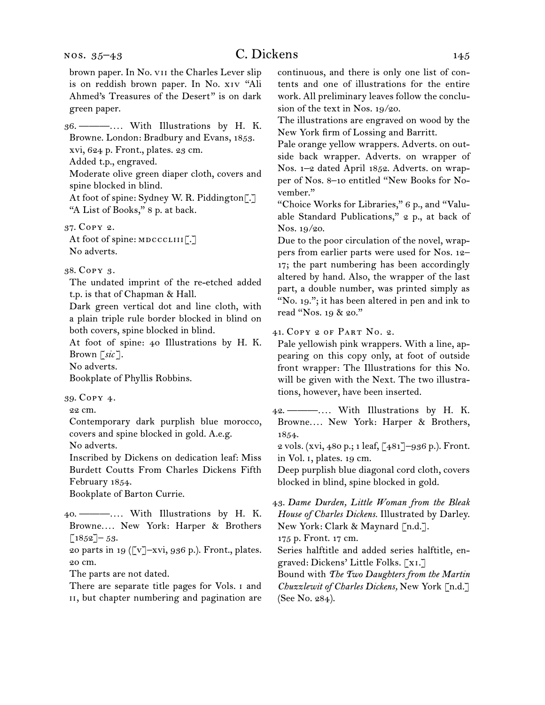## C. Dickens 145

brown paper. In No. vii the Charles Lever slip is on reddish brown paper. In No. xiv "Ali Ahmed's Treasures of the Desert" is on dark green paper.

36.  ———*. . . .* With Illustrations by H. K. Browne. London: Bradbury and Evans, 1853. xvi, 624 p. Front., plates. 23 cm. Added t.p., engraved.

Moderate olive green diaper cloth, covers and spine blocked in blind.

At foot of spine: Sydney W. R. Piddington[.] "A List of Books," 8 p. at back.

37.  Copy 2.

At foot of spine: MDCCCLIII[.] No adverts.

## 38.  Copy 3.

The undated imprint of the re-etched added t.p. is that of Chapman & Hall.

Dark green vertical dot and line cloth, with a plain triple rule border blocked in blind on both covers, spine blocked in blind.

At foot of spine: 40 Illustrations by H. K. Brown [*sic* ].

No adverts.

Bookplate of Phyllis Robbins.

39.  Copy 4.

22 cm.

Contemporary dark purplish blue morocco, covers and spine blocked in gold. A.e.g.

No adverts.

Inscribed by Dickens on dedication leaf: Miss Burdett Coutts From Charles Dickens Fifth February 1854.

Bookplate of Barton Currie.

40.  ———*. . . .* With Illustrations by H. K. Browne*. . . .* New York: Harper & Brothers  $\lceil 1852 \rceil - 53.$ 

20 parts in 19 ( $\lbrack v \rbrack - xvi$ , 936 p.). Front., plates. 20 cm.

The parts are not dated.

There are separate title pages for Vols. i and ii, but chapter numbering and pagination are

continuous, and there is only one list of contents and one of illustrations for the entire work. All preliminary leaves follow the conclusion of the text in Nos. 19/20.

The illustrations are engraved on wood by the New York firm of Lossing and Barritt.

Pale orange yellow wrappers. Adverts. on outside back wrapper. Adverts. on wrapper of Nos. 1–2 dated April 1852. Adverts. on wrapper of Nos. 8–10 entitled "New Books for November."

"Choice Works for Libraries," 6 p., and "Valuable Standard Publications," 2 p., at back of Nos. 19/20.

Due to the poor circulation of the novel, wrappers from earlier parts were used for Nos. 12– 17; the part numbering has been accordingly altered by hand. Also, the wrapper of the last part, a double number, was printed simply as "No. 19."; it has been altered in pen and ink to read "Nos. 19 & 20."

41.  Copy 2 of part No. 2.

Pale yellowish pink wrappers. With a line, appearing on this copy only, at foot of outside front wrapper: The Illustrations for this No. will be given with the Next. The two illustrations, however, have been inserted.

42.  ———*. . . .* With Illustrations by H. K. Browne*. . . .* New York: Harper & Brothers, 1854.

2 vols. (xvi, 480 p.; 1 leaf, [481]–936 p.). Front. in Vol. i, plates. 19 cm.

Deep purplish blue diagonal cord cloth, covers blocked in blind, spine blocked in gold.

43.  *Dame Durden, Little Woman from the Bleak House of Charles Dickens.* Illustrated by Darley. New York: Clark & Maynard [n.d.].

175 p. Front. 17 cm.

Series halftitle and added series halftitle, engraved: Dickens' Little Folks. [xi.]

Bound with *The Two Daughters from the Martin Chuzzlewit of Charles Dickens,* New York [n.d.] (See No. 284).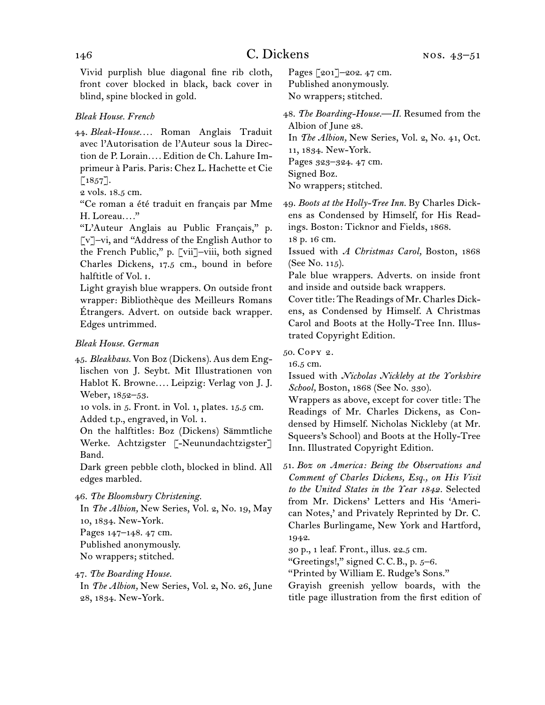Vivid purplish blue diagonal fine rib cloth, front cover blocked in black, back cover in blind, spine blocked in gold.

## *Bleak House. French*

44.  *Bleak-House. . . .* Roman Anglais Traduit avec l'Autorisation de l'Auteur sous la Direction de P. Lorain*. . . .* Edition de Ch. Lahure Imprimeur à Paris. Paris: Chez L. Hachette et Cie  $[1857]$ .

"Ce roman a été traduit en français par Mme H. Loreau*. . . .*"

"L'Auteur Anglais au Public Français," p. [v]–vi, and "Address of the English Author to the French Public," p. [vii]–viii, both signed Charles Dickens, 17.5 cm., bound in before halftitle of Vol. i.

Light grayish blue wrappers. On outside front wrapper: Bibliothèque des Meilleurs Romans Étrangers. Advert. on outside back wrapper. Edges untrimmed.

#### *Bleak House. German*

45.  *Bleakhaus.* Von Boz (Dickens). Aus dem Englischen von J. Seybt. Mit Illustrationen von Hablot K. Browne*. . . .* Leipzig: Verlag von J. J. Weber, 1852–53.

10 vols. in 5. Front. in Vol. 1, plates. 15.5 cm. Added t.p., engraved, in Vol. 1.

On the halftitles: Boz (Dickens) Sämmtliche Werke. Achtzigster [-Neunundachtzigster] Band.

Dark green pebble cloth, blocked in blind. All edges marbled.

46.  *The Bloomsbury Christening.*

In *The Albion,* New Series, Vol. 2, No. 19, May 10, 1834. New-York.

Pages 147–148. 47 cm.

Published anonymously.

- No wrappers; stitched.
- 47.  *The Boarding House.* In *The Albion,* New Series, Vol. 2, No. 26, June 28, 1834. New-York.

Pages [201]–202. 47 cm. Published anonymously. No wrappers; stitched.

48.  *The Boarding-House.—II.* Resumed from the Albion of June 28. In *The Albion,* New Series, Vol. 2, No. 41, Oct. 11, 1834. New-York. Pages 323–324. 47 cm.

Signed Boz. No wrappers; stitched.

49.  *Boots at the Holly-Tree Inn.* By Charles Dickens as Condensed by Himself, for His Readings. Boston: Ticknor and Fields, 1868.

18 p. 16 cm.

Issued with *A Christmas Carol,* Boston, 1868 (See No. 115).

Pale blue wrappers. Adverts. on inside front and inside and outside back wrappers.

Cover title: The Readings of Mr. Charles Dickens, as Condensed by Himself. A Christmas Carol and Boots at the Holly-Tree Inn. Illustrated Copyright Edition.

## 50.  Copy 2.

16.5 cm.

Issued with *Nicholas Nickleby at the Yorkshire School,* Boston, 1868 (See No. 330).

Wrappers as above, except for cover title: The Readings of Mr. Charles Dickens, as Condensed by Himself. Nicholas Nickleby (at Mr. Squeers's School) and Boots at the Holly-Tree Inn. Illustrated Copyright Edition.

51.  *Boz on America: Being the Observations and Comment of Charles Dickens, Esq., on His Visit to the United States in the Year 1842.* Selected from Mr. Dickens' Letters and His 'American Notes,' and Privately Reprinted by Dr. C. Charles Burlingame, New York and Hartford, 1942.

30 p., 1 leaf. Front., illus. 22.5 cm.

"Greetings!," signed C.C.B., p.  $5-6$ .

"Printed by William E. Rudge's Sons."

Grayish greenish yellow boards, with the title page illustration from the first edition of

<sup>2</sup> vols. 18.5 cm.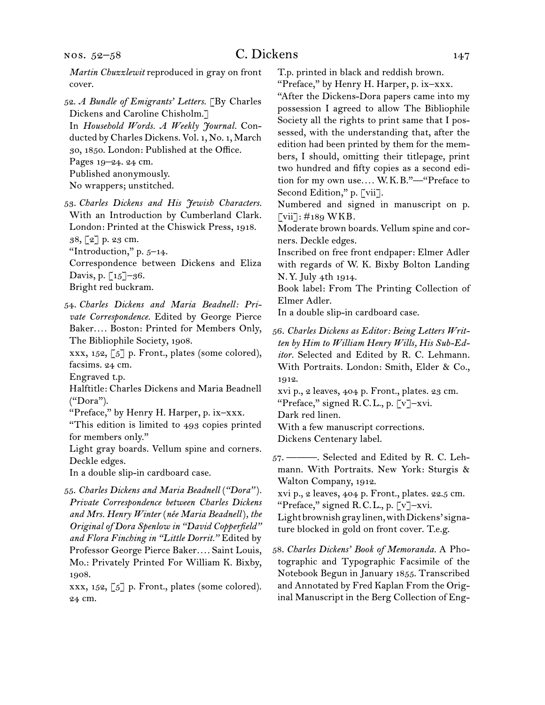52.  *A Bundle of Emigrants' Letters.* [By Charles Dickens and Caroline Chisholm.] In *Household Words. A Weekly Journal.* Conducted by Charles Dickens. Vol. 1, No. 1, March 30, 1850. London: Published at the Office. Pages 19–24. 24 cm. Published anonymously.

No wrappers; unstitched.

- 53.  *Charles Dickens and His Jewish Characters.*  With an Introduction by Cumberland Clark. London: Printed at the Chiswick Press, 1918. 38, [2] p. 23 cm. "Introduction," p. 5–14.
- Correspondence between Dickens and Eliza Davis, p.  $\lceil 15 \rceil - 36$ . Bright red buckram.
- 54.  *Charles Dickens and Maria Beadnell: Private Correspondence.* Edited by George Pierce Baker*. . . .* Boston: Printed for Members Only, The Bibliophile Society, 1908.
- xxx,  $152$ ,  $\lceil 5 \rceil$  p. Front., plates (some colored), facsims. 24 cm.

Engraved t.p.

- Halftitle: Charles Dickens and Maria Beadnell ("Dora").
- "Preface," by Henry H. Harper, p. ix–xxx.

"This edition is limited to 493 copies printed for members only."

Light gray boards. Vellum spine and corners. Deckle edges.

In a double slip-in cardboard case.

55.  *Charles Dickens and Maria Beadnell* (*"Dora"* )*. Private Correspondence between Charles Dickens and Mrs. Henry Winter* (*née Maria Beadnell*)*, the Original of Dora Spenlow in "David Copperfield" and Flora Finching in "Little Dorrit."* Edited by Professor George Pierce Baker*. . . .* Saint Louis, Mo.: Privately Printed For William K. Bixby, 1908.

xxx, 152, [5] p. Front., plates (some colored). 24 cm.

T.p. printed in black and reddish brown.

- "Preface," by Henry H. Harper, p. ix–xxx.
- "After the Dickens-Dora papers came into my possession I agreed to allow The Bibliophile Society all the rights to print same that I possessed, with the understanding that, after the edition had been printed by them for the members, I should, omitting their titlepage, print two hundred and fifty copies as a second edition for my own use*. . . .* W. K. B."—"Preface to Second Edition," p. [vii].

Numbered and signed in manuscript on p.  $\lceil \overline{\text{vii}} \rceil$ : #189 WKB.

Moderate brown boards. Vellum spine and corners. Deckle edges.

Inscribed on free front endpaper: Elmer Adler with regards of W. K. Bixby Bolton Landing N. Y. July 4th 1914.

Book label: From The Printing Collection of Elmer Adler.

In a double slip-in cardboard case.

56.  *Charles Dickens as Editor: Being Letters Written by Him to William Henry Wills, His Sub-Editor.* Selected and Edited by R. C. Lehmann. With Portraits. London: Smith, Elder & Co., 1912.

xvi p., 2 leaves, 404 p. Front., plates. 23 cm.

"Preface," signed R.C.L., p. [v]-xvi.

Dark red linen.

With a few manuscript corrections.

Dickens Centenary label.

57.  ———. Selected and Edited by R. C. Lehmann. With Portraits. New York: Sturgis & Walton Company, 1912.

xvi p., 2 leaves, 404 p. Front., plates. 22.5 cm. "Preface," signed R. C. L., p. [v]–xvi.

Light brownish gray linen, with Dickens' signa-

- ture blocked in gold on front cover. T.e.g.
- 58.  *Charles Dickens' Book of Memoranda.* A Photographic and Typographic Facsimile of the Notebook Begun in January 1855. Transcribed and Annotated by Fred Kaplan From the Original Manuscript in the Berg Collection of Eng-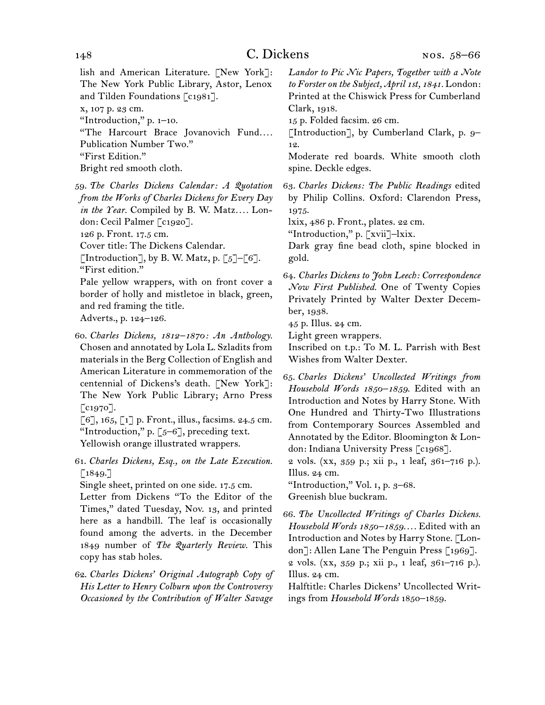lish and American Literature. [New York]: The New York Public Library, Astor, Lenox and Tilden Foundations [c1981]. x, 107 p. 23 cm. "Introduction," p. 1–10.

"The Harcourt Brace Jovanovich Fund.... Publication Number Two."

"First Edition."

Bright red smooth cloth.

59.  *The Charles Dickens Calendar: A Quotation from the Works of Charles Dickens for Every Day in the Year.* Compiled by B. W. Matz*. . . .* London: Cecil Palmer [c1920].

126 p. Front. 17.5 cm.

Cover title: The Dickens Calendar.

[Introduction], by B. W. Matz, p.  $[5]-[6]$ . "First edition."

Pale yellow wrappers, with on front cover a border of holly and mistletoe in black, green, and red framing the title. Adverts., p. 124–126.

60.  *Charles Dickens, 1812–1870: An Anthology.*  Chosen and annotated by Lola L. Szladits from materials in the Berg Collection of English and American Literature in commemoration of the centennial of Dickens's death. [New York]: The New York Public Library; Arno Press  $\lceil$  c1970].

 $[6]$ , 165,  $[1]$  p. Front., illus., facsims. 24.5 cm. "Introduction," p.  $[5-6]$ , preceding text. Yellowish orange illustrated wrappers.

61.  *Charles Dickens, Esq., on the Late Execution.*  $\lceil 1849. \rceil$ 

Single sheet, printed on one side. 17.5 cm.

Letter from Dickens "To the Editor of the Times," dated Tuesday, Nov. 13, and printed here as a handbill. The leaf is occasionally found among the adverts. in the December 1849 number of *The Quarterly Review.* This copy has stab holes.

62.  *Charles Dickens' Original Autograph Copy of His Letter to Henry Colburn upon the Controversy Occasioned by the Contribution of Walter Savage* 

*Landor to Pic Nic Papers, Together with a Note to Forster on the Subject, April 1st, 1841.* London: Printed at the Chiswick Press for Cumberland Clark, 1918.

15 p. Folded facsim. 26 cm.

[Introduction], by Cumberland Clark, p. 9– 12.

Moderate red boards. White smooth cloth spine. Deckle edges.

63.  *Charles Dickens: The Public Readings* edited by Philip Collins. Oxford: Clarendon Press, 1975.

lxix, 486 p. Front., plates. 22 cm.

"Introduction," p. [xvii]–lxix.

Dark gray fine bead cloth, spine blocked in gold.

64.  *Charles Dickens to John Leech: Correspondence Now First Published.* One of Twenty Copies Privately Printed by Walter Dexter December, 1938.

45 p. Illus. 24 cm.

Light green wrappers.

Inscribed on t.p.: To M. L. Parrish with Best Wishes from Walter Dexter.

65.  *Charles Dickens' Uncollected Writings from Household Words 1850–1859.* Edited with an Introduction and Notes by Harry Stone. With One Hundred and Thirty-Two Illustrations from Contemporary Sources Assembled and Annotated by the Editor. Bloomington & London: Indiana University Press [c1968].

2 vols. (xx, 359 p.; xii p., 1 leaf, 361–716 p.). Illus. 24 cm.

"Introduction," Vol. i, p. 3–68.

Greenish blue buckram.

66.  *The Uncollected Writings of Charles Dickens. Household Words 1850–1859. . . .* Edited with an Introduction and Notes by Harry Stone. [London]: Allen Lane The Penguin Press [1969]. 2 vols. (xx, 359 p.; xii p., 1 leaf, 361–716 p.). Illus. 24 cm.

Halftitle: Charles Dickens' Uncollected Writings from *Household Words* 1850–1859.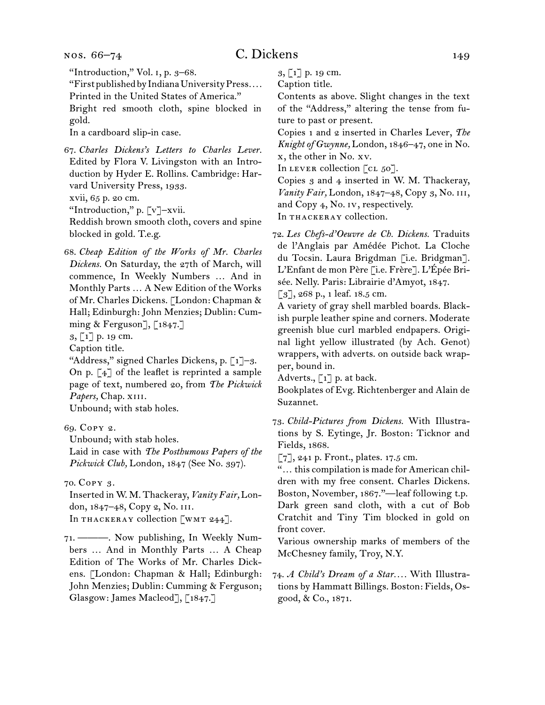#### nos. 66–74

"Introduction," Vol. i, p. 3–68.

"FirstpublishedbyIndianaUniversityPress*. . . .* Printed in the United States of America."

Bright red smooth cloth, spine blocked in gold.

In a cardboard slip-in case.

67.  *Charles Dickens's Letters to Charles Lever.* Edited by Flora V. Livingston with an Introduction by Hyder E. Rollins. Cambridge: Harvard University Press, 1933. xvii, 65 p. 20 cm.

"Introduction," p. [v]–xvii.

Reddish brown smooth cloth, covers and spine blocked in gold. T.e.g.

68.  *Cheap Edition of the Works of Mr. Charles Dickens.* On Saturday, the 27th of March, will commence, In Weekly Numbers … And in Monthly Parts … A New Edition of the Works of Mr. Charles Dickens. [London: Chapman & Hall; Edinburgh: John Menzies; Dublin: Cumming & Ferguson],  $\lceil 1847 \rceil$ 

3, [1] p. 19 cm.

Caption title.

"Address," signed Charles Dickens, p.  $\lceil 1 \rceil - 3$ . On p.  $\lceil 4 \rceil$  of the leaflet is reprinted a sample page of text, numbered 20, from *The Pickwick Papers,* Chap. xiii.

Unbound; with stab holes.

69.  Copy 2.

Unbound; with stab holes.

Laid in case with *The Posthumous Papers of the Pickwick Club,* London, 1847 (See No. 397).

70.  Copy 3.

Inserted in W. M. Thackeray, *Vanity Fair,* London, 1847–48, Copy 2, No. iii. In THACKERAY collection [WMT 244].

71.  ———. Now publishing, In Weekly Numbers … And in Monthly Parts … A Cheap Edition of The Works of Mr. Charles Dickens. [London: Chapman & Hall; Edinburgh: John Menzies; Dublin: Cumming & Ferguson; Glasgow: James Macleod], [1847.]

3, [1] p. 19 cm.

Caption title.

Contents as above. Slight changes in the text of the "Address," altering the tense from future to past or present.

Copies 1 and 2 inserted in Charles Lever, *The Knight of Gwynne,* London, 1846–47, one in No. x, the other in No. xv.

In LEVER collection  $\lceil$  cL 50].

Copies 3 and 4 inserted in W. M. Thackeray, *Vanity Fair,* London, 1847–48, Copy 3, No. iii, and Copy 4, No. iv, respectively. In THACKERAY collection.

72.  *Les Chefs-d'Oeuvre de Ch. Dickens.* Traduits de l'Anglais par Amédée Pichot. La Cloche du Tocsin. Laura Brigdman [i.e. Bridgman]. L'Enfant de mon Père [i.e. Frère]. L'Épée Brisée. Nelly. Paris: Librairie d'Amyot, 1847.

[3], 268 p., 1 leaf. 18.5 cm.

A variety of gray shell marbled boards. Blackish purple leather spine and corners. Moderate greenish blue curl marbled endpapers. Original light yellow illustrated (by Ach. Genot) wrappers, with adverts. on outside back wrapper, bound in.

Adverts.,  $\lceil 1 \rceil$  p. at back.

Bookplates of Evg. Richtenberger and Alain de Suzannet.

73.  *Child-Pictures from Dickens.* With Illustrations by S. Eytinge, Jr. Boston: Ticknor and Fields, 1868.

 $\lbrack 7 \rbrack, 241$  p. Front., plates. 17.5 cm.

"… this compilation is made for American children with my free consent. Charles Dickens. Boston, November, 1867."—leaf following t.p. Dark green sand cloth, with a cut of Bob Cratchit and Tiny Tim blocked in gold on front cover.

Various ownership marks of members of the McChesney family, Troy, N.Y.

74.  *A Child's Dream of a Star. . . .* With Illustrations by Hammatt Billings. Boston: Fields, Osgood, & Co., 1871.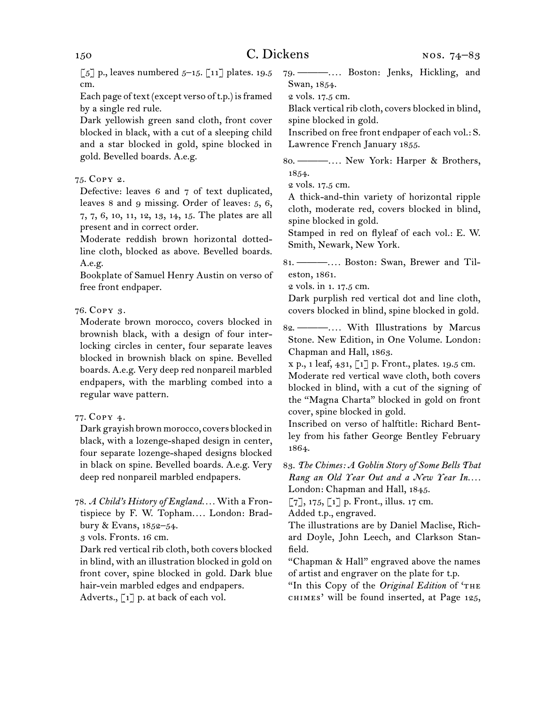$\lbrack 5 \rbrack$  p., leaves numbered 5–15.  $\lbrack 11 \rbrack$  plates. 19.5 cm.

Each page of text (except verso of t.p.) is framed by a single red rule.

Dark yellowish green sand cloth, front cover blocked in black, with a cut of a sleeping child and a star blocked in gold, spine blocked in gold. Bevelled boards. A.e.g.

## 75.  Copy 2.

Defective: leaves 6 and 7 of text duplicated, leaves 8 and 9 missing. Order of leaves: 5, 6, 7, 7, 6, 10, 11, 12, 13, 14, 15. The plates are all present and in correct order.

Moderate reddish brown horizontal dottedline cloth, blocked as above. Bevelled boards. A.e.g.

Bookplate of Samuel Henry Austin on verso of free front endpaper.

## 76.  Copy 3.

Moderate brown morocco, covers blocked in brownish black, with a design of four interlocking circles in center, four separate leaves blocked in brownish black on spine. Bevelled boards. A.e.g. Very deep red nonpareil marbled endpapers, with the marbling combed into a regular wave pattern.

## 77.  Copy 4.

Dark grayish brown morocco, covers blocked in black, with a lozenge-shaped design in center, four separate lozenge-shaped designs blocked in black on spine. Bevelled boards. A.e.g. Very deep red nonpareil marbled endpapers.

78.  *A Child's History of England. . . .* With a Frontispiece by F. W. Topham*. . . .* London: Bradbury & Evans, 1852–54.

3 vols. Fronts. 16 cm.

Dark red vertical rib cloth, both covers blocked in blind, with an illustration blocked in gold on front cover, spine blocked in gold. Dark blue hair-vein marbled edges and endpapers. Adverts., [1] p. at back of each vol.

79.  ———*. . . .* Boston: Jenks, Hickling, and Swan, 1854.

2 vols. 17.5 cm.

Black vertical rib cloth, covers blocked in blind, spine blocked in gold.

Inscribed on free front endpaper of each vol.: S. Lawrence French January 1855.

- 80.  ———*. . . .* New York: Harper & Brothers, 1854.
- 2 vols. 17.5 cm.

A thick-and-thin variety of horizontal ripple cloth, moderate red, covers blocked in blind, spine blocked in gold.

Stamped in red on flyleaf of each vol.: E. W. Smith, Newark, New York.

81.  ———*. . . .* Boston: Swan, Brewer and Tileston, 1861.

2 vols. in 1. 17.5 cm.

Dark purplish red vertical dot and line cloth, covers blocked in blind, spine blocked in gold.

82.  ———*. . . .* With Illustrations by Marcus Stone. New Edition, in One Volume. London: Chapman and Hall, 1863.

x p., 1 leaf, 431, [1] p. Front., plates. 19.5 cm. Moderate red vertical wave cloth, both covers blocked in blind, with a cut of the signing of the "Magna Charta" blocked in gold on front cover, spine blocked in gold.

Inscribed on verso of halftitle: Richard Bentley from his father George Bentley February 1864.

83.  *The Chimes: A Goblin Story of Some Bells That Rang an Old Year Out and a New Year In....* London: Chapman and Hall, 1845.

 $[7]$ , 175,  $[1]$  p. Front., illus. 17 cm.

Added t.p., engraved.

The illustrations are by Daniel Maclise, Richard Doyle, John Leech, and Clarkson Stanfield.

"Chapman & Hall" engraved above the names of artist and engraver on the plate for t.p.

"In this Copy of the *Original Edition* of 'THE CHIMES' will be found inserted, at Page 125,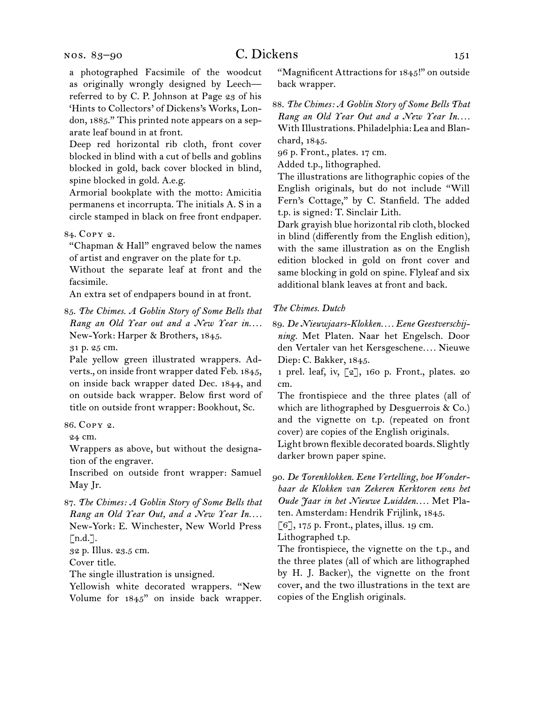#### nos. 83–90

a photographed Facsimile of the woodcut as originally wrongly designed by Leech referred to by C. P. Johnson at Page 23 of his 'Hints to Collectors' of Dickens's Works, London, 1885." This printed note appears on a separate leaf bound in at front.

Deep red horizontal rib cloth, front cover blocked in blind with a cut of bells and goblins blocked in gold, back cover blocked in blind, spine blocked in gold. A.e.g.

Armorial bookplate with the motto: Amicitia permanens et incorrupta. The initials A. S in a circle stamped in black on free front endpaper.

#### 84.  Copy 2.

"Chapman & Hall" engraved below the names of artist and engraver on the plate for t.p.

Without the separate leaf at front and the facsimile.

An extra set of endpapers bound in at front.

85.  *The Chimes. A Goblin Story of Some Bells that Rang an Old Year out and a New Year in....* New-York: Harper & Brothers, 1845.

31 p. 25 cm.

Pale yellow green illustrated wrappers. Adverts., on inside front wrapper dated Feb. 1845, on inside back wrapper dated Dec. 1844, and on outside back wrapper. Below first word of title on outside front wrapper: Bookhout, Sc.

#### 86.  Copy 2.

24 cm.

Wrappers as above, but without the designation of the engraver.

Inscribed on outside front wrapper: Samuel May Jr.

87.  *The Chimes: A Goblin Story of Some Bells that Rang an Old Year Out, and a New Year In....* New-York: E. Winchester, New World Press  $\lceil n.d.\rceil$ .

32 p. Illus. 23.5 cm.

Cover title.

The single illustration is unsigned.

Yellowish white decorated wrappers. "New Volume for 1845" on inside back wrapper. "Magnificent Attractions for 1845!" on outside back wrapper.

88.  *The Chimes: A Goblin Story of Some Bells That Rang an Old Year Out and a New Year In....* With Illustrations. Philadelphia: Lea and Blanchard, 1845.

96 p. Front., plates. 17 cm.

Added t.p., lithographed.

The illustrations are lithographic copies of the English originals, but do not include "Will Fern's Cottage," by C. Stanfield. The added t.p. is signed: T. Sinclair Lith.

Dark grayish blue horizontal rib cloth, blocked in blind (differently from the English edition), with the same illustration as on the English edition blocked in gold on front cover and same blocking in gold on spine. Flyleaf and six additional blank leaves at front and back.

#### *The Chimes. Dutch*

89.  *De Nieuwjaars-Klokken. . . . Eene Geestverschijning.* Met Platen. Naar het Engelsch. Door den Vertaler van het Kersgeschene*. . . .* Nieuwe Diep: C. Bakker, 1845.

1 prel. leaf, iv, [2], 160 p. Front., plates. 20 cm.

The frontispiece and the three plates (all of which are lithographed by Desguerrois & Co.) and the vignette on t.p. (repeated on front cover) are copies of the English originals.

Light brown flexible decorated boards. Slightly darker brown paper spine.

90.  *De Torenklokken. Eene Vertelling, hoe Wonderbaar de Klokken van Zekeren Kerktoren eens het Oude Jaar in het Nieuwe Luidden. . . .* Met Platen. Amsterdam: Hendrik Frijlink, 1845.

 $[6]$ , 175 p. Front., plates, illus. 19 cm.

Lithographed t.p.

The frontispiece, the vignette on the t.p., and the three plates (all of which are lithographed by H. J. Backer), the vignette on the front cover, and the two illustrations in the text are copies of the English originals.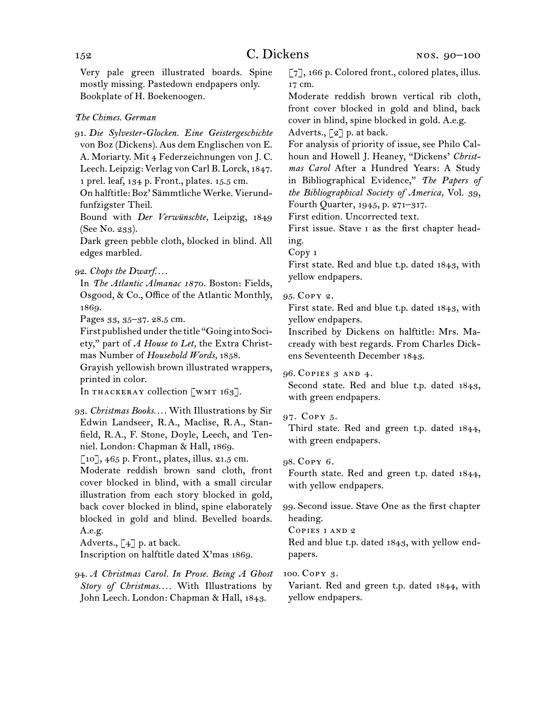Very pale green illustrated boards. Spine mostly missing. Pastedown endpapers only. Bookplate of H. Boekenoogen.

#### *The Chimes. German*

91.  *Die Sylvester-Glocken. Eine Geistergeschichte* von Boz (Dickens). Aus dem Englischen von E. A. Moriarty. Mit 4 Federzeichnungen von J. C. Leech. Leipzig: Verlag von Carl B. Lorck, 1847.

1 prel. leaf, 134 p. Front., plates. 15.5 cm.

On halftitle: Boz' Sämmtliche Werke. Vierundfunfzigster Theil.

Bound with *Der Verwünschte,* Leipzig, 1849 (See No. 233).

Dark green pebble cloth, blocked in blind. All edges marbled.

#### 92.  *Chops the Dwarf. . . .*

In *The Atlantic Almanac 1870.* Boston: Fields, Osgood, & Co., Office of the Atlantic Monthly, 1869.

Pages 33, 35–37. 28.5 cm.

First published under the title "Going into Society," part of *A House to Let,* the Extra Christmas Number of *Household Words,* 1858.

Grayish yellowish brown illustrated wrappers, printed in color.

In THACKERAY collection [WMT 163].

## 93.  *Christmas Books. . . .* With Illustrations by Sir Edwin Landseer, R. A., Maclise, R. A., Stanfield, R. A., F. Stone, Doyle, Leech, and Tenniel. London: Chapman & Hall, 1869.

[10], 465 p. Front., plates, illus. 21.5 cm.

Moderate reddish brown sand cloth, front cover blocked in blind, with a small circular illustration from each story blocked in gold, back cover blocked in blind, spine elaborately blocked in gold and blind. Bevelled boards. A.e.g.

Adverts.,  $\left[\begin{smallmatrix} 4 \end{smallmatrix}\right]$  p. at back.

Inscription on halftitle dated X'mas 1869.

94.  *A Christmas Carol. In Prose. Being A Ghost Story of Christmas. . . .* With Illustrations by John Leech. London: Chapman & Hall, 1843.

[7], 166 p. Colored front., colored plates, illus. 17 cm.

Moderate reddish brown vertical rib cloth, front cover blocked in gold and blind, back cover in blind, spine blocked in gold. A.e.g. Adverts.,  $\lceil 2 \rceil$  p. at back.

For analysis of priority of issue, see Philo Calhoun and Howell J. Heaney, "Dickens' *Christmas Carol* After a Hundred Years: A Study in Bibliographical Evidence," *The Papers of the Bibliographical Society of America,* Vol. 39, Fourth Quarter, 1945, p. 271–317.

First edition. Uncorrected text.

First issue. Stave i as the first chapter heading.

Copy 1

First state. Red and blue t.p. dated 1843, with yellow endpapers.

#### 95.  Copy 2.

First state. Red and blue t.p. dated 1843, with yellow endpapers.

Inscribed by Dickens on halftitle: Mrs. Macready with best regards. From Charles Dickens Seventeenth December 1843.

#### 96.  Copies 3 and 4.

Second state. Red and blue t.p. dated 1843, with green endpapers.

## 97.  Copy 5.

Third state. Red and green t.p. dated 1844, with green endpapers.

### 98.  Copy 6.

Fourth state. Red and green t.p. dated 1844, with yellow endpapers.

99.  Second issue. Stave One as the first chapter heading.

Copies 1 and 2

Red and blue t.p. dated 1843, with yellow endpapers.

#### 100.  Copy 3.

Variant. Red and green t.p. dated 1844, with yellow endpapers.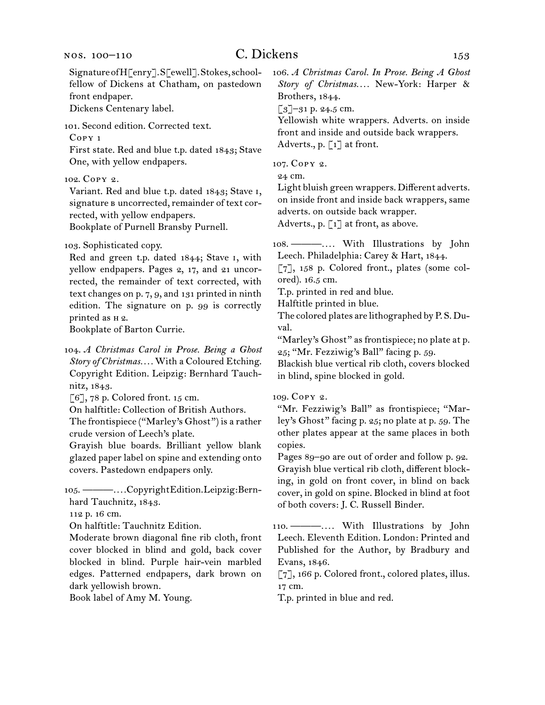#### nos. 100–110

## C. Dickens 153

SignatureofH[enry].S[ewell].Stokes,schoolfellow of Dickens at Chatham, on pastedown front endpaper.

Dickens Centenary label.

101.  Second edition. Corrected text.

Copy 1

First state. Red and blue t.p. dated 1843; Stave One, with yellow endpapers.

102.  Copy 2.

Variant. Red and blue t.p. dated 1843; Stave i, signature B uncorrected, remainder of text corrected, with yellow endpapers.

Bookplate of Purnell Bransby Purnell.

103.  Sophisticated copy.

Red and green t.p. dated 1844; Stave i, with yellow endpapers. Pages 2, 17, and 21 uncorrected, the remainder of text corrected, with text changes on p. 7, 9, and 131 printed in ninth edition. The signature on p. 99 is correctly printed as h 2.

Bookplate of Barton Currie.

104.  *A Christmas Carol in Prose. Being a Ghost Story of Christmas. . . .* With a Coloured Etching. Copyright Edition. Leipzig: Bernhard Tauchnitz, 1843.

 $[6]$ , 78 p. Colored front. 15 cm.

On halftitle: Collection of British Authors.

The frontispiece ("Marley's Ghost") is a rather crude version of Leech's plate.

Grayish blue boards. Brilliant yellow blank glazed paper label on spine and extending onto covers. Pastedown endpapers only.

105.  ———*. . . .*CopyrightEdition.Leipzig:Bern-hard Tauchnitz, 1843.

112 p. 16 cm.

On halftitle: Tauchnitz Edition.

Moderate brown diagonal fine rib cloth, front cover blocked in blind and gold, back cover blocked in blind. Purple hair-vein marbled edges. Patterned endpapers, dark brown on dark yellowish brown.

Book label of Amy M. Young.

106.  *A Christmas Carol. In Prose. Being A Ghost Story of Christmas. . . .* New-York: Harper & Brothers, 1844.

[3]-31 p. 24.5 cm.

Yellowish white wrappers. Adverts. on inside front and inside and outside back wrappers. Adverts., p. [1] at front.

107.  Copy 2.

24 cm.

Light bluish green wrappers. Different adverts. on inside front and inside back wrappers, same adverts. on outside back wrapper. Adverts., p. [1] at front, as above.

108.  ———*. . . .* With Illustrations by John Leech. Philadelphia: Carey & Hart, 1844.

[7], 158 p. Colored front., plates (some colored). 16.5 cm.

T.p. printed in red and blue.

Halftitle printed in blue.

The colored plates are lithographed by P. S. Duval.

"Marley's Ghost" as frontispiece; no plate at p. 25; "Mr. Fezziwig's Ball" facing p. 59.

Blackish blue vertical rib cloth, covers blocked in blind, spine blocked in gold.

109.  Copy 2.

"Mr. Fezziwig's Ball" as frontispiece; "Marley's Ghost" facing p. 25; no plate at p. 59. The other plates appear at the same places in both copies.

Pages 89–90 are out of order and follow p. 92. Grayish blue vertical rib cloth, different blocking, in gold on front cover, in blind on back cover, in gold on spine. Blocked in blind at foot of both covers: J. C. Russell Binder.

110.  ———*. . . .* With Illustrations by John Leech. Eleventh Edition. London: Printed and Published for the Author, by Bradbury and Evans, 1846.

[7], 166 p. Colored front., colored plates, illus. 17 cm.

T.p. printed in blue and red.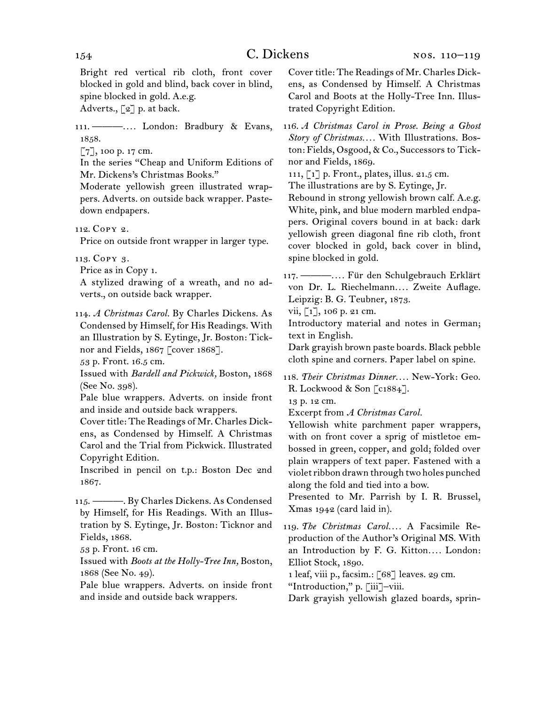Bright red vertical rib cloth, front cover blocked in gold and blind, back cover in blind, spine blocked in gold. A.e.g.

Adverts.,  $\lceil 2 \rceil$  p. at back.

111.  ———*. . . .* London: Bradbury & Evans, 1858.

[7], 100 p. 17 cm.

In the series "Cheap and Uniform Editions of Mr. Dickens's Christmas Books."

Moderate yellowish green illustrated wrappers. Adverts. on outside back wrapper. Pastedown endpapers.

112.  Copy 2.

Price on outside front wrapper in larger type.

113.  Copy 3.

Price as in Copy 1.

A stylized drawing of a wreath, and no adverts., on outside back wrapper.

114.  *A Christmas Carol.* By Charles Dickens. As Condensed by Himself, for His Readings. With an Illustration by S. Eytinge, Jr. Boston: Ticknor and Fields, 1867 [cover 1868].

53 p. Front. 16.5 cm.

Issued with *Bardell and Pickwick,* Boston, 1868 (See No. 398).

Pale blue wrappers. Adverts. on inside front and inside and outside back wrappers.

Cover title: The Readings of Mr. Charles Dickens, as Condensed by Himself. A Christmas Carol and the Trial from Pickwick. Illustrated Copyright Edition.

Inscribed in pencil on t.p.: Boston Dec 2nd 1867.

115.  ———. By Charles Dickens. As Condensed by Himself, for His Readings. With an Illustration by S. Eytinge, Jr. Boston: Ticknor and Fields, 1868.

53 p. Front. 16 cm.

Issued with *Boots at the Holly-Tree Inn,* Boston, 1868 (See No. 49).

Pale blue wrappers. Adverts. on inside front and inside and outside back wrappers.

Cover title: The Readings of Mr. Charles Dickens, as Condensed by Himself. A Christmas Carol and Boots at the Holly-Tree Inn. Illustrated Copyright Edition.

116.  *A Christmas Carol in Prose. Being a Ghost Story of Christmas. . . .* With Illustrations. Boston: Fields, Osgood, & Co., Successors to Ticknor and Fields, 1869.

111, [1] p. Front., plates, illus. 21.5 cm.

The illustrations are by S. Eytinge, Jr.

Rebound in strong yellowish brown calf. A.e.g. White, pink, and blue modern marbled endpapers. Original covers bound in at back: dark yellowish green diagonal fine rib cloth, front cover blocked in gold, back cover in blind, spine blocked in gold.

117.  ———*. . . .* Für den Schulgebrauch Erklärt von Dr. L. Riechelmann*. . . .* Zweite Auflage. Leipzig: B. G. Teubner, 1873.

vii,  $\lceil 1 \rceil$ , 106 p. 21 cm.

Introductory material and notes in German; text in English.

Dark grayish brown paste boards. Black pebble cloth spine and corners. Paper label on spine.

118.  *Their Christmas Dinner. . . .* New-York: Geo. R. Lockwood & Son [c1884].

13 p. 12 cm.

Excerpt from *A Christmas Carol.* 

Yellowish white parchment paper wrappers, with on front cover a sprig of mistletoe embossed in green, copper, and gold; folded over plain wrappers of text paper. Fastened with a violetribbon drawn through two holes punched along the fold and tied into a bow.

Presented to Mr. Parrish by I. R. Brussel, Xmas 1942 (card laid in).

119.  *The Christmas Carol. . . .* A Facsimile Reproduction of the Author's Original MS. With an Introduction by F. G. Kitton.... London: Elliot Stock, 1890.

1 leaf, viii p., facsim.: [68] leaves. 29 cm.

"Introduction," p. [iii]–viii.

Dark grayish yellowish glazed boards, sprin-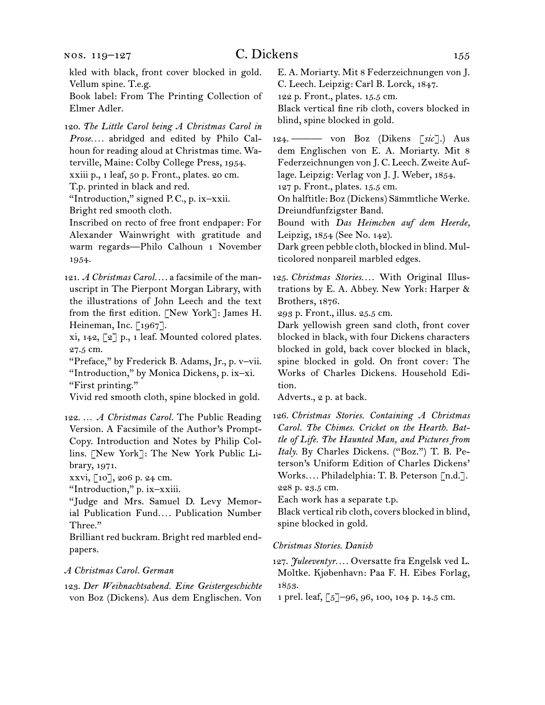nos. 119–127

kled with black, front cover blocked in gold. Vellum spine. T.e.g.

Book label: From The Printing Collection of Elmer Adler.

120.  *The Little Carol being A Christmas Carol in Prose. . . .* abridged and edited by Philo Calhoun for reading aloud at Christmas time. Waterville, Maine: Colby College Press, 1954. xxiii p., 1 leaf, 50 p. Front., plates. 20 cm.

T.p. printed in black and red.

"Introduction," signed P.C., p. ix-xxii. Bright red smooth cloth.

Inscribed on recto of free front endpaper: For Alexander Wainwright with gratitude and warm regards—Philo Calhoun 1 November 1954.

121.  *A Christmas Carol. . . .* a facsimile of the manuscript in The Pierpont Morgan Library, with the illustrations of John Leech and the text from the first edition. [New York]: James H. Heineman, Inc. [1967].

xi, 142, [2] p., 1 leaf. Mounted colored plates. 27.5 cm.

"Preface," by Frederick B. Adams, Jr., p. v–vii. "Introduction," by Monica Dickens, p. ix–xi. "First printing."

Vivid red smooth cloth, spine blocked in gold.

122.  … *A Christmas Carol.* The Public Reading Version. A Facsimile of the Author's Prompt-Copy. Introduction and Notes by Philip Collins. [New York]: The New York Public Library, 1971.

xxvi, [10], 206 p. 24 cm.

"Introduction," p. ix–xxiii.

"Judge and Mrs. Samuel D. Levy Memorial Publication Fund*. . . .* Publication Number Three."

Brilliant red buckram. Bright red marbled endpapers.

#### *A Christmas Carol. German*

123.  *Der Weihnachtsabend. Eine Geistergeschichte* von Boz (Dickens). Aus dem Englischen. Von

E. A. Moriarty. Mit 8 Federzeichnungen von J. C. Leech. Leipzig: Carl B. Lorck, 1847.

122 p. Front., plates. 15.5 cm.

Black vertical fine rib cloth, covers blocked in blind, spine blocked in gold.

124.  ——— von Boz (Dikens [*sic* ].) Aus dem Englischen von E. A. Moriarty. Mit 8 Federzeichnungen von J. C. Leech. Zweite Auflage. Leipzig: Verlag von J. J. Weber, 1854. 127 p. Front., plates. 15.5 cm.

On halftitle: Boz (Dickens) Sämmtliche Werke. Dreiundfunfzigster Band.

Bound with *Das Heimchen auf dem Heerde,* Leipzig, 1854 (See No. 142).

Dark green pebble cloth, blocked in blind. Multicolored nonpareil marbled edges.

125.  *Christmas Stories. . . .* With Original Illustrations by E. A. Abbey. New York: Harper & Brothers, 1876.

293 p. Front., illus. 25.5 cm.

Dark yellowish green sand cloth, front cover blocked in black, with four Dickens characters blocked in gold, back cover blocked in black, spine blocked in gold. On front cover: The Works of Charles Dickens. Household Edition.

Adverts., 2 p. at back.

126.  *Christmas Stories. Containing A Christmas Carol. The Chimes. Cricket on the Hearth. Battle of Life. The Haunted Man, and Pictures from Italy.* By Charles Dickens. ("Boz.") T. B. Peterson's Uniform Edition of Charles Dickens' Works*. . . .* Philadelphia: T. B. Peterson [n.d.]. 228 p. 23.5 cm.

Each work has a separate t.p.

Black vertical rib cloth, covers blocked in blind, spine blocked in gold.

*Christmas Stories. Danish*

127.  *Juleeventyr. . . .* Oversatte fra Engelsk ved L. Moltke. Kjøbenhavn: Paa F. H. Eibes Forlag, 1853.

1 prel. leaf, [5]–96, 96, 100, 104 p. 14.5 cm.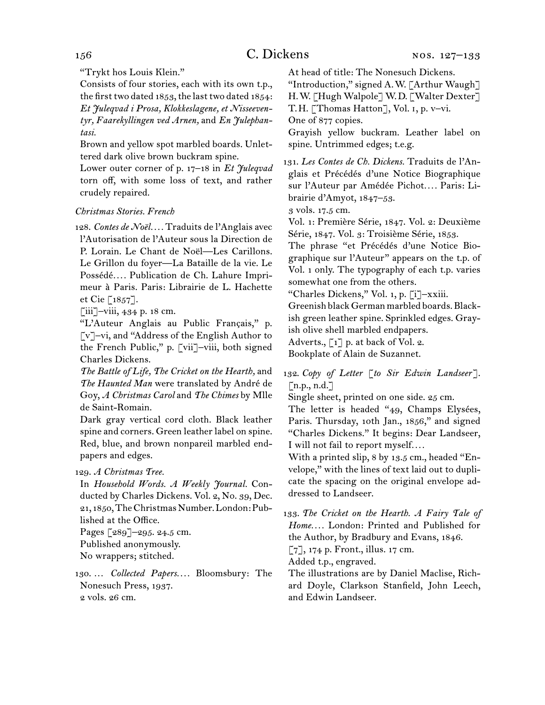"Trykt hos Louis Klein."

Consists of four stories, each with its own t.p., the first two dated  $1853$ , the last two dated  $1854$ : *Et Juleqvad i Prosa, Klokkeslagene, et Nisseeventyr, Faarekyllingen ved Arnen,* and *En Julephantasi.*

Brown and yellow spot marbled boards. Unlettered dark olive brown buckram spine.

Lower outer corner of p. 17–18 in *Et Juleqvad* torn off, with some loss of text, and rather crudely repaired.

## *Christmas Stories. French*

128.  *Contes de Noël. . . .* Traduits de l'Anglais avec l'Autorisation de l'Auteur sous la Direction de P. Lorain. Le Chant de Noël—Les Carillons. Le Grillon du foyer—La Bataille de la vie. Le Possédé*. . . .* Publication de Ch. Lahure Imprimeur à Paris. Paris: Librairie de L. Hachette et Cie [1857].

[iii]–viii, 434 p. 18 cm.

"L'Auteur Anglais au Public Français," p. [v]–vi, and "Address of the English Author to the French Public," p. [vii]–viii, both signed Charles Dickens.

*The Battle of Life, The Cricket on the Hearth,* and *The Haunted Man* were translated by André de Goy, *A Christmas Carol* and *The Chimes* by Mlle de Saint-Romain.

Dark gray vertical cord cloth. Black leather spine and corners. Green leather label on spine. Red, blue, and brown nonpareil marbled endpapers and edges.

#### 129.  *A Christmas Tree.*

In *Household Words. A Weekly Journal.* Conducted by Charles Dickens. Vol. 2, No. 39, Dec. 21, 1850, The Christmas Number. London: Published at the Office.

Pages [289]–295. 24.5 cm. Published anonymously.

No wrappers; stitched.

130.  … *Collected Papers. . . .* Bloomsbury: The Nonesuch Press, 1937. 2 vols. 26 cm.

At head of title: The Nonesuch Dickens.

"Introduction," signed A. W. [Arthur Waugh] H. W. [Hugh Walpole] W. D. [Walter Dexter]

T. H. [Thomas Hatton], Vol. i, p. v–vi.

One of 877 copies.

Grayish yellow buckram. Leather label on spine. Untrimmed edges; t.e.g.

131.  *Les Contes de Ch. Dickens.* Traduits de l'Anglais et Précédés d'une Notice Biographique sur l'Auteur par Amédée Pichot*. . . .* Paris: Librairie d'Amyot, 1847–53.

3 vols. 17.5 cm.

Vol. 1: Première Série, 1847. Vol. 2: Deuxième Série, 1847. Vol. 3: Troisième Série, 1853.

The phrase "et Précédés d'une Notice Biographique sur l'Auteur" appears on the t.p. of Vol. 1 only. The typography of each t.p. varies somewhat one from the others.

"Charles Dickens," Vol. 1, p. [i]–xxiii.

Greenish black German marbled boards. Blackish green leather spine. Sprinkled edges. Grayish olive shell marbled endpapers.

Adverts., [1] p. at back of Vol. 2.

Bookplate of Alain de Suzannet.

132.  *Copy of Letter* [*to Sir Edwin Landseer*].  $[n.p., n.d.]$ 

Single sheet, printed on one side. 25 cm.

The letter is headed "49, Champs Elysées, Paris. Thursday, 10th Jan., 1856," and signed "Charles Dickens." It begins: Dear Landseer, I will not fail to report myself*. . . .*

With a printed slip, 8 by 13.5 cm., headed "Envelope," with the lines of text laid out to duplicate the spacing on the original envelope addressed to Landseer.

133.  *The Cricket on the Hearth. A Fairy Tale of Home. . . .* London: Printed and Published for the Author, by Bradbury and Evans, 1846.

[7], 174 p. Front., illus. 17 cm.

Added t.p., engraved.

The illustrations are by Daniel Maclise, Richard Doyle, Clarkson Stanfield, John Leech, and Edwin Landseer.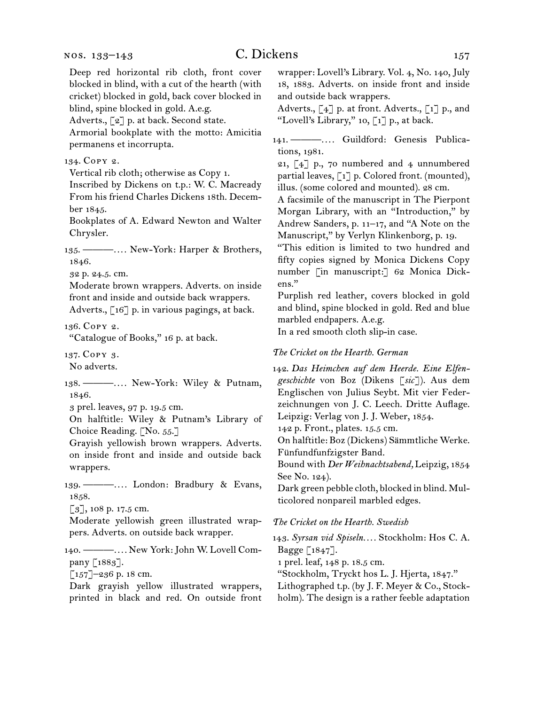Deep red horizontal rib cloth, front cover blocked in blind, with a cut of the hearth (with cricket) blocked in gold, back cover blocked in blind, spine blocked in gold. A.e.g.

Adverts., [2] p. at back. Second state.

Armorial bookplate with the motto: Amicitia permanens et incorrupta.

134.  Copy 2.

Vertical rib cloth; otherwise as Copy 1.

Inscribed by Dickens on t.p.: W. C. Macready From his friend Charles Dickens 18th. December 1845.

Bookplates of A. Edward Newton and Walter Chrysler.

135.  ———*. . . .* New-York: Harper & Brothers, 1846.

32 p. 24.5. cm.

Moderate brown wrappers. Adverts. on inside front and inside and outside back wrappers. Adverts.,  $\lceil 16 \rceil$  p. in various pagings, at back.

136.  Copy 2.

"Catalogue of Books," 16 p. at back.

137.  Copy 3.

No adverts.

138.  ———*. . . .* New-York: Wiley & Putnam, 1846.

3 prel. leaves, 97 p. 19.5 cm.

On halftitle: Wiley & Putnam's Library of Choice Reading. [No. 55.]

Grayish yellowish brown wrappers. Adverts. on inside front and inside and outside back wrappers.

139.  ———*. . . .* London: Bradbury & Evans, 1858.

[3], 108 p. 17.5 cm.

Moderate yellowish green illustrated wrappers. Adverts. on outside back wrapper.

140.  ———*. . . .* New York:John W. Lovell Company [1883].

 $\lceil 157 \rceil$ –236 p. 18 cm.

Dark grayish yellow illustrated wrappers, printed in black and red. On outside front wrapper: Lovell's Library. Vol. 4, No. 140, July 18, 1883. Adverts. on inside front and inside and outside back wrappers.

Adverts., [4] p. at front. Adverts., [1] p., and "Lovell's Library," 10, [1] p., at back.

141.  ———*. . . .* Guildford: Genesis Publications, 1981.

21, [4] p., 70 numbered and 4 unnumbered partial leaves, [1] p. Colored front. (mounted), illus. (some colored and mounted). 28 cm.

A facsimile of the manuscript in The Pierpont Morgan Library, with an "Introduction," by Andrew Sanders, p. 11–17, and "A Note on the Manuscript," by Verlyn Klinkenborg, p. 19.

"This edition is limited to two hundred and fifty copies signed by Monica Dickens Copy number [in manuscript:] 62 Monica Dickens."

Purplish red leather, covers blocked in gold and blind, spine blocked in gold. Red and blue marbled endpapers. A.e.g.

In a red smooth cloth slip-in case.

#### *The Cricket on the Hearth. German*

142.  *Das Heimchen auf dem Heerde. Eine Elfengeschichte* von Boz (Dikens [*sic* ]). Aus dem Englischen von Julius Seybt. Mit vier Federzeichnungen von J. C. Leech. Dritte Auflage. Leipzig: Verlag von J. J. Weber, 1854.

142 p. Front., plates. 15.5 cm.

On halftitle: Boz (Dickens) Sämmtliche Werke. Fünfundfunfzigster Band.

Bound with *Der Weihnachtsabend,* Leipzig, 1854 See No. 124).

Dark green pebble cloth, blocked in blind. Multicolored nonpareil marbled edges.

#### *The Cricket on the Hearth. Swedish*

143.  *Syrsan vid Spiseln. . . .* Stockholm: Hos C. A. Bagge [1847].

1 prel. leaf, 148 p. 18.5 cm.

"Stockholm, Tryckt hos L. J. Hjerta, 1847."

Lithographed t.p. (by J. F. Meyer & Co., Stockholm). The design is a rather feeble adaptation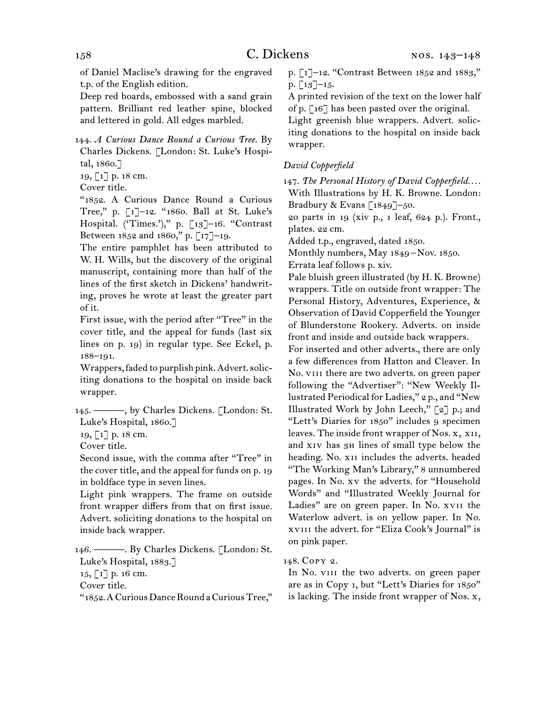of Daniel Maclise's drawing for the engraved t.p. of the English edition.

Deep red boards, embossed with a sand grain pattern. Brilliant red leather spine, blocked and lettered in gold. All edges marbled.

144.  *A Curious Dance Round a Curious Tree.* By Charles Dickens. [London: St. Luke's Hospital, 1860.]

19, [1] p. 18 cm.

Cover title.

"1852. A Curious Dance Round a Curious Tree," p. [1]–12. "1860. Ball at St. Luke's Hospital. ('Times.')," p. [13]–16. "Contrast Between 1852 and 1860," p. [17]–19.

The entire pamphlet has been attributed to W. H. Wills, but the discovery of the original manuscript, containing more than half of the lines of the first sketch in Dickens' handwriting, proves he wrote at least the greater part of it.

First issue, with the period after "Tree" in the cover title, and the appeal for funds (last six lines on p. 19) in regular type. See Eckel, p. 188–191.

Wrappers, faded to purplish pink.Advert.soliciting donations to the hospital on inside back wrapper.

145.  ———, by Charles Dickens. [London: St. Luke's Hospital, 1860.]

19, [1] p. 18 cm.

Cover title.

Second issue, with the comma after "Tree" in the cover title, and the appeal for funds on p. 19 in boldface type in seven lines.

Light pink wrappers. The frame on outside front wrapper differs from that on first issue. Advert. soliciting donations to the hospital on inside back wrapper.

146.  ———. By Charles Dickens. [London: St. Luke's Hospital, 1883.] 15, [1] p. 16 cm.

Cover title.

"1852.ACuriousDanceRound aCuriousTree,"

p. [1]–12. "Contrast Between 1852 and 1883," p.  $\lceil 13 \rceil - 15$ .

A printed revision of the text on the lower half of p. [16] has been pasted over the original.

Light greenish blue wrappers. Advert. soliciting donations to the hospital on inside back wrapper.

## *David Copperfield*

147.  *The Personal History of David Copperfield. . . .* With Illustrations by H. K. Browne. London: Bradbury & Evans [1849]–50.

20 parts in 19 (xiv p., 1 leaf, 624 p.). Front., plates. 22 cm.

Added t.p., engraved, dated 1850.

Monthly numbers, May 1849 – Nov. 1850.

Errata leaf follows p. xiv.

Pale bluish green illustrated (by H. K. Browne) wrappers. Title on outside front wrapper: The Personal History, Adventures, Experience, & Observation of David Copperfield the Younger of Blunderstone Rookery. Adverts. on inside front and inside and outside back wrappers.

For inserted and other adverts., there are only a few differences from Hatton and Cleaver. In No. viii there are two adverts. on green paper following the "Advertiser": "New Weekly Illustrated Periodical for Ladies," 2 p., and "New Illustrated Work by John Leech," [2] p.; and "Lett's Diaries for 1850" includes 9 specimen leaves. The inside front wrapper of Nos. x, xii, and xiv has 3h lines of small type below the heading. No. xii includes the adverts. headed "The Working Man's Library," 8 unnumbered pages. In No. xv the adverts. for "Household Words" and "Illustrated Weekly Journal for Ladies" are on green paper. In No. xvii the Waterlow advert. is on yellow paper. In No. xviii the advert. for "Eliza Cook's Journal" is on pink paper.

148.  Copy 2.

In No. viii the two adverts. on green paper are as in Copy 1, but "Lett's Diaries for 1850" is lacking. The inside front wrapper of Nos. x,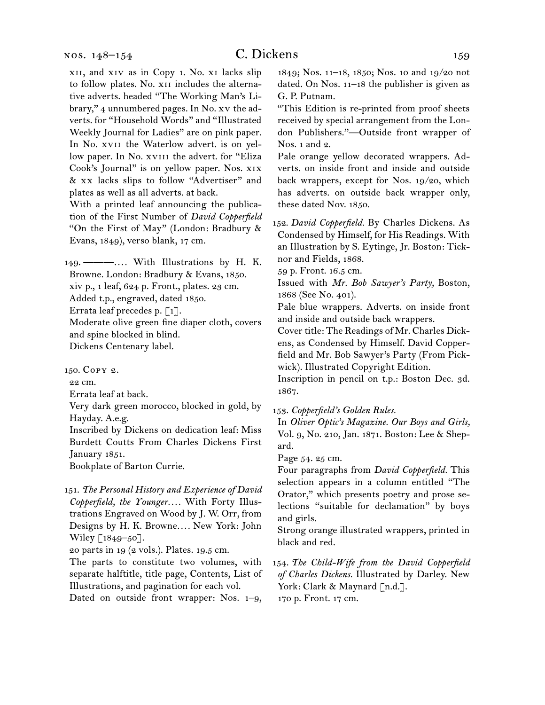xii, and xiv as in Copy 1. No. xi lacks slip to follow plates. No. XII includes the alternative adverts. headed "The Working Man's Library," 4 unnumbered pages. In No. xv the adverts. for "Household Words" and "Illustrated Weekly Journal for Ladies" are on pink paper. In No. xvii the Waterlow advert. is on yellow paper. In No. xviii the advert. for "Eliza Cook's Journal" is on yellow paper. Nos. xix & xx lacks slips to follow "Advertiser" and plates as well as all adverts. at back.

With a printed leaf announcing the publication of the First Number of *David Copperfield*  "On the First of May" (London: Bradbury & Evans, 1849), verso blank, 17 cm.

149.  ———*. . . .* With Illustrations by H. K. Browne. London: Bradbury & Evans, 1850. xiv p., 1 leaf, 624 p. Front., plates. 23 cm. Added t.p., engraved, dated 1850. Errata leaf precedes p. [1]. Moderate olive green fine diaper cloth, covers and spine blocked in blind. Dickens Centenary label.

150.  Copy 2.

22 cm.

Errata leaf at back.

Very dark green morocco, blocked in gold, by Hayday. A.e.g.

Inscribed by Dickens on dedication leaf: Miss Burdett Coutts From Charles Dickens First January 1851.

Bookplate of Barton Currie.

151.  *The Personal History and Experience of David Copperfield, the Younger. . . .* With Forty Illustrations Engraved on Wood by J. W. Orr, from Designs by H. K. Browne*. . . .* New York: John Wiley [1849-50].

20 parts in 19 (2 vols.). Plates. 19.5 cm.

The parts to constitute two volumes, with separate halftitle, title page, Contents, List of Illustrations, and pagination for each vol.

Dated on outside front wrapper: Nos. 1–9,

1849; Nos. 11–18, 1850; Nos. 10 and 19/20 not dated. On Nos. 11–18 the publisher is given as G. P. Putnam.

"This Edition is re-printed from proof sheets received by special arrangement from the London Publishers."—Outside front wrapper of Nos. 1 and 2.

Pale orange yellow decorated wrappers. Adverts. on inside front and inside and outside back wrappers, except for Nos. 19/20, which has adverts. on outside back wrapper only, these dated Nov. 1850.

152.  *David Copperfield.* By Charles Dickens. As Condensed by Himself, for His Readings. With an Illustration by S. Eytinge, Jr. Boston: Ticknor and Fields, 1868.

59 p. Front. 16.5 cm.

Issued with *Mr. Bob Sawyer's Party,* Boston, 1868 (See No. 401).

Pale blue wrappers. Adverts. on inside front and inside and outside back wrappers.

Cover title: The Readings of Mr. Charles Dickens, as Condensed by Himself. David Copperfield and Mr. Bob Sawyer's Party (From Pickwick). Illustrated Copyright Edition.

Inscription in pencil on t.p.: Boston Dec. 3d. 1867.

153.  *Copperfield's Golden Rules.*

In *Oliver Optic's Magazine. Our Boys and Girls,* Vol. 9, No. 210, Jan. 1871. Boston: Lee & Shepard.

Page 54. 25 cm.

Four paragraphs from *David Copperfield.* This selection appears in a column entitled "The Orator," which presents poetry and prose selections "suitable for declamation" by boys and girls.

Strong orange illustrated wrappers, printed in black and red.

154.  *The Child-Wife from the David Copperfield of Charles Dickens.* Illustrated by Darley. New York: Clark & Maynard [n.d.]. 170 p. Front. 17 cm.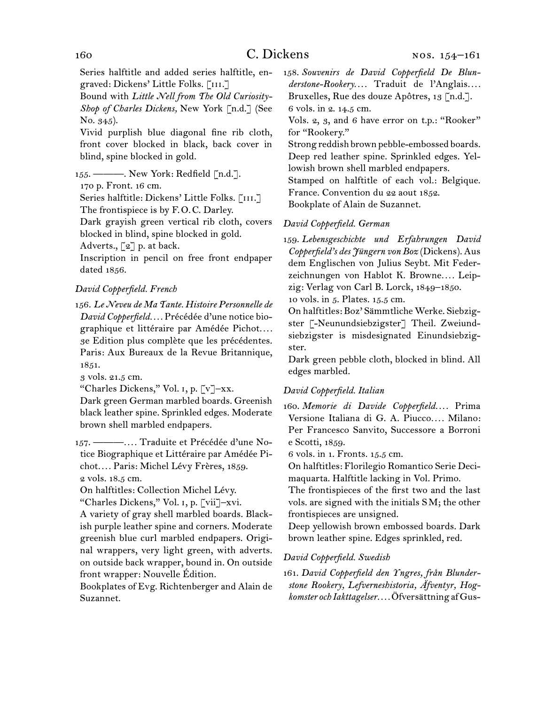Series halftitle and added series halftitle, engraved: Dickens' Little Folks. [iii.]

Bound with *Little Nell from The Old Curiosity-Shop of Charles Dickens,* New York [n.d.] (See No. 345).

Vivid purplish blue diagonal fine rib cloth, front cover blocked in black, back cover in blind, spine blocked in gold.

155.  ———. New York: Redfield [n.d.].

170 p. Front. 16 cm.

Series halftitle: Dickens' Little Folks. [III.] The frontispiece is by F. O. C. Darley.

Dark grayish green vertical rib cloth, covers blocked in blind, spine blocked in gold.

Adverts., [2] p. at back.

Inscription in pencil on free front endpaper dated 1856.

## *David Copperfield. French*

156.  *Le Neveu de Ma Tante. Histoire Personnelle de David Copperfield. . . .* Précédée d'une notice biographique et littéraire par Amédée Pichot*. . . .* 3e Edition plus complète que les précédentes. Paris: Aux Bureaux de la Revue Britannique, 1851.

3 vols. 21.5 cm.

"Charles Dickens," Vol. i, p. [v]–xx.

Dark green German marbled boards. Greenish black leather spine. Sprinkled edges. Moderate brown shell marbled endpapers.

157.  ———*. . . .* Traduite et Précédée d'une Notice Biographique et Littéraire par Amédée Pichot*. . . .* Paris: Michel Lévy Frères, 1859. 2 vols. 18.5 cm.

On halftitles: Collection Michel Lévy.

"Charles Dickens," Vol. i, p. [vii]–xvi.

A variety of gray shell marbled boards. Blackish purple leather spine and corners. Moderate greenish blue curl marbled endpapers. Original wrappers, very light green, with adverts. on outside back wrapper, bound in. On outside front wrapper: Nouvelle Édition.

Bookplates of Evg. Richtenberger and Alain de Suzannet.

158.  *Souvenirs de David Copperfield De Blunderstone-Rookery. . . .* Traduit de l'Anglais*. . . .* Bruxelles, Rue des douze Apôtres, 13 [n.d.]. 6 vols. in 2. 14.5 cm.

Vols. 2, 3, and 6 have error on t.p.: "Rooker" for "Rookery."

Strong reddish brown pebble-embossed boards. Deep red leather spine. Sprinkled edges. Yellowish brown shell marbled endpapers.

Stamped on halftitle of each vol.: Belgique. France. Convention du 22 aout 1852.

Bookplate of Alain de Suzannet.

## *David Copperfield. German*

159.  *Lebensgeschichte und Erfahrungen David Copperfield's des Jüngern von Boz* (Dickens). Aus dem Englischen von Julius Seybt. Mit Federzeichnungen von Hablot K. Browne.... Leipzig: Verlag von Carl B. Lorck, 1849–1850.

10 vols. in 5. Plates. 15.5 cm.

On halftitles: Boz' Sämmtliche Werke. Siebzigster [-Neunundsiebzigster] Theil. Zweiundsiebzigster is misdesignated Einundsiebzigster.

Dark green pebble cloth, blocked in blind. All edges marbled.

#### *David Copperfield. Italian*

160.  *Memorie di Davide Copperfield. . . .* Prima Versione Italiana di G. A. Piucco*. . . .* Milano: Per Francesco Sanvito, Successore a Borroni e Scotti, 1859.

6 vols. in 1. Fronts. 15.5 cm.

On halftitles: Florilegio Romantico Serie Decimaquarta. Halftitle lacking in Vol. Primo.

The frontispieces of the first two and the last vols. are signed with the initials S M; the other frontispieces are unsigned.

Deep yellowish brown embossed boards. Dark brown leather spine. Edges sprinkled, red.

## *David Copperfield. Swedish*

161.  *David Copperfield den Yngres, från Blunderstone Rookery, Lefverneshistoria, Äfventyr, Hogkomster och Iakttagelser. . . .*Öfversättning afGus-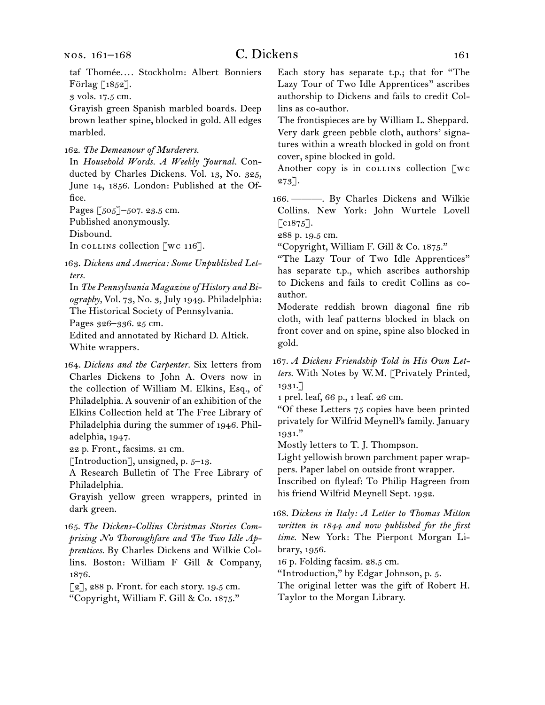taf Thomée*. . . .* Stockholm: Albert Bonniers Förlag [1852].

3 vols. 17.5 cm.

Grayish green Spanish marbled boards. Deep brown leather spine, blocked in gold. All edges marbled.

162.  *The Demeanour of Murderers.*

In *Household Words. A Weekly Journal.* Conducted by Charles Dickens. Vol. 13, No. 325, June 14, 1856. London: Published at the Office.

Pages [505]–507. 23.5 cm.

Published anonymously.

Disbound.

In collection  $\lceil$  wc 116].

163.  *Dickens and America: Some Unpublished Letters.*

In *The Pennsylvania Magazine of History and Biography,* Vol. 73, No. 3, July 1949. Philadelphia: The Historical Society of Pennsylvania.

Pages 326–336. 25 cm.

Edited and annotated by Richard D. Altick. White wrappers.

164.  *Dickens and the Carpenter.* Six letters from Charles Dickens to John A. Overs now in the collection of William M. Elkins, Esq., of Philadelphia. A souvenir of an exhibition of the Elkins Collection held at The Free Library of Philadelphia during the summer of 1946. Philadelphia, 1947.

22 p. Front., facsims. 21 cm.

[Introduction], unsigned, p.  $5-13$ .

A Research Bulletin of The Free Library of Philadelphia.

Grayish yellow green wrappers, printed in dark green.

165.  *The Dickens-Collins Christmas Stories Comprising No Thoroughfare and The Two Idle Apprentices.* By Charles Dickens and Wilkie Collins. Boston: William F Gill & Company, 1876.

[2], 288 p. Front. for each story. 19.5 cm. "Copyright, William F. Gill & Co. 1875."

Each story has separate t.p.; that for "The Lazy Tour of Two Idle Apprentices" ascribes authorship to Dickens and fails to credit Collins as co-author.

The frontispieces are by William L. Sheppard. Very dark green pebble cloth, authors' signatures within a wreath blocked in gold on front cover, spine blocked in gold.

Another copy is in collection  $\lceil wc \rceil$ 273].

166.  ———. By Charles Dickens and Wilkie Collins. New York: John Wurtele Lovell  $\lceil \cos 75 \rceil$ .

288 p. 19.5 cm.

"Copyright, William F. Gill & Co. 1875."

"The Lazy Tour of Two Idle Apprentices" has separate t.p., which ascribes authorship to Dickens and fails to credit Collins as coauthor.

Moderate reddish brown diagonal fine rib cloth, with leaf patterns blocked in black on front cover and on spine, spine also blocked in gold.

167.  *A Dickens Friendship Told in His Own Letters.* With Notes by W. M. [Privately Printed, 1931.]

1 prel. leaf, 66 p., 1 leaf. 26 cm.

"Of these Letters 75 copies have been printed privately for Wilfrid Meynell's family. January 1931."

Mostly letters to T. J. Thompson.

Light yellowish brown parchment paper wrappers. Paper label on outside front wrapper.

Inscribed on flyleaf: To Philip Hagreen from his friend Wilfrid Meynell Sept. 1932.

168.  *Dickens in Italy: A Letter to Thomas Mitton written in 1844 and now published for the first time.* New York: The Pierpont Morgan Library, 1956.

16 p. Folding facsim. 28.5 cm.

"Introduction," by Edgar Johnson, p. 5.

The original letter was the gift of Robert H. Taylor to the Morgan Library.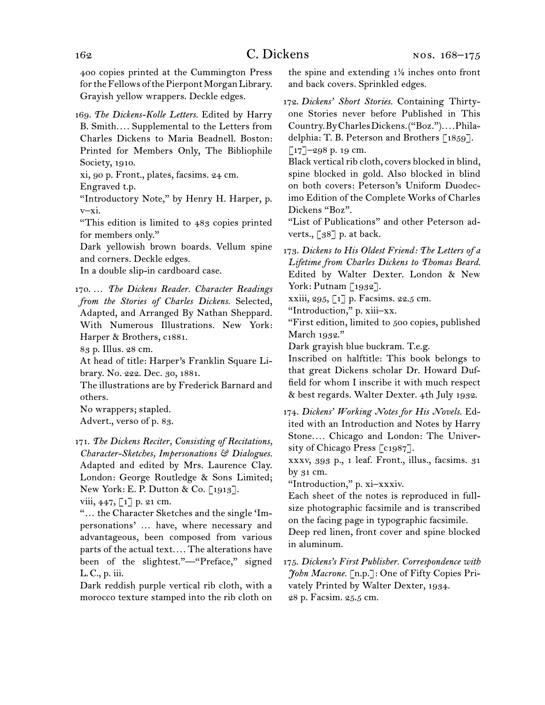400 copies printed at the Cummington Press for the Fellows of the Pierpont Morgan Library. Grayish yellow wrappers. Deckle edges.

169.  *The Dickens-Kolle Letters.* Edited by Harry B. Smith*. . . .* Supplemental to the Letters from Charles Dickens to Maria Beadnell. Boston: Printed for Members Only, The Bibliophile Society, 1910.

xi, 90 p. Front., plates, facsims. 24 cm.

Engraved t.p.

"Introductory Note," by Henry H. Harper, p. v–xi.

"This edition is limited to 483 copies printed for members only."

Dark yellowish brown boards. Vellum spine and corners. Deckle edges.

In a double slip-in cardboard case.

170.  … *The Dickens Reader. Character Readings from the Stories of Charles Dickens.* Selected, Adapted, and Arranged By Nathan Sheppard. With Numerous Illustrations. New York: Harper & Brothers, c1881.

83 p. Illus. 28 cm.

At head of title: Harper's Franklin Square Library. No. 222. Dec. 30, 1881.

The illustrations are by Frederick Barnard and others.

No wrappers; stapled.

Advert., verso of p. 83.

171.  *The Dickens Reciter, Consisting of Recitations, Character-Sketches, Impersonations & Dialogues.* Adapted and edited by Mrs. Laurence Clay. London: George Routledge & Sons Limited; New York: E. P. Dutton & Co. [1913].

viii, 447, [1] p. 21 cm.

"… the Character Sketches and the single 'Impersonations' … have, where necessary and advantageous, been composed from various parts of the actual text*. . . .* The alterations have been of the slightest."-"Preface," signed L. C., p. iii.

Dark reddish purple vertical rib cloth, with a morocco texture stamped into the rib cloth on the spine and extending  $1\frac{1}{2}$  inches onto front and back covers. Sprinkled edges.

172.  *Dickens' Short Stories.* Containing Thirtyone Stories never before Published in This Country.ByCharlesDickens.("Boz.")*. . . .*Philadelphia: T. B. Peterson and Brothers [1859].  $\lceil 17 \rceil$ –298 p. 19 cm.

Black vertical rib cloth, covers blocked in blind, spine blocked in gold. Also blocked in blind on both covers: Peterson's Uniform Duodecimo Edition of the Complete Works of Charles Dickens "Boz".

"List of Publications" and other Peterson adverts.,  $\lceil 38 \rceil$  p. at back.

173.  *Dickens to His Oldest Friend: The Letters of a Lifetime from Charles Dickens to Thomas Beard.* Edited by Walter Dexter. London & New York: Putnam [1932].

xxiii, 295, [1] p. Facsims. 22.5 cm.

"Introduction," p. xiii–xx.

"First edition, limited to 500 copies, published March 1932."

Dark grayish blue buckram. T.e.g.

Inscribed on halftitle: This book belongs to that great Dickens scholar Dr. Howard Duffield for whom I inscribe it with much respect & best regards. Walter Dexter. 4th July 1932.

174.  *Dickens' Working Notes for His Novels.* Edited with an Introduction and Notes by Harry Stone*. . . .* Chicago and London: The University of Chicago Press [c1987].

xxxv, 393 p., 1 leaf. Front., illus., facsims. 31 by 31 cm.

"Introduction," p. xi–xxxiv.

Each sheet of the notes is reproduced in fullsize photographic facsimile and is transcribed on the facing page in typographic facsimile.

Deep red linen, front cover and spine blocked in aluminum.

175.  *Dickens's First Publisher. Correspondence with John Macrone.* [n.p.]: One of Fifty Copies Privately Printed by Walter Dexter, 1934. 28 p. Facsim. 25.5 cm.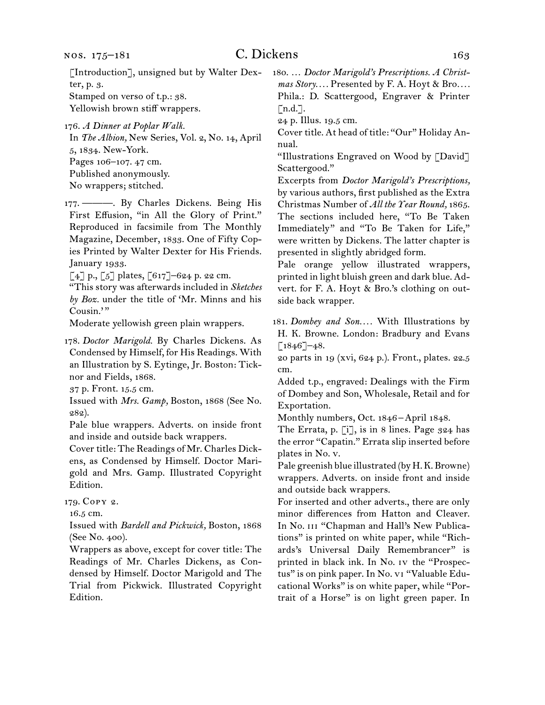[Introduction], unsigned but by Walter Dexter, p. 3. Stamped on verso of t.p.: 38.

Yellowish brown stiff wrappers.

In *The Albion,* New Series, Vol. 2, No. 14, April 5, 1834. New-York. Pages 106–107. 47 cm. Published anonymously.

No wrappers; stitched.

177.  ———. By Charles Dickens. Being His First Effusion, "in All the Glory of Print." Reproduced in facsimile from The Monthly Magazine, December, 1833. One of Fifty Copies Printed by Walter Dexter for His Friends. January 1933.

 $[4]$  p.,  $[5]$  plates,  $[617]$ –624 p. 22 cm.

"This story was afterwards included in *Sketches by Boz.* under the title of 'Mr. Minns and his Cousin."

Moderate yellowish green plain wrappers.

178.  *Doctor Marigold.* By Charles Dickens. As Condensed by Himself, for His Readings. With an Illustration by S. Eytinge, Jr. Boston: Ticknor and Fields, 1868.

37 p. Front. 15.5 cm.

Issued with *Mrs. Gamp,* Boston, 1868 (See No. 282).

Pale blue wrappers. Adverts. on inside front and inside and outside back wrappers.

Cover title: The Readings of Mr. Charles Dickens, as Condensed by Himself. Doctor Marigold and Mrs. Gamp. Illustrated Copyright Edition.

179.  Copy 2.

16.5 cm.

Issued with *Bardell and Pickwick,* Boston, 1868 (See No. 400).

Wrappers as above, except for cover title: The Readings of Mr. Charles Dickens, as Condensed by Himself. Doctor Marigold and The Trial from Pickwick. Illustrated Copyright Edition.

180.  … *Doctor Marigold's Prescriptions. A Christmas Story. . . .* Presented by F. A. Hoyt & Bro*. . . .* Phila.: D. Scattergood, Engraver & Printer  $\lceil$ n.d.].

24 p. Illus. 19.5 cm.

Cover title. At head of title: "Our" Holiday Annual.

"Illustrations Engraved on Wood by [David] Scattergood."

Excerpts from *Doctor Marigold's Prescriptions,*  by various authors, first published as the Extra Christmas Number of *All the Year Round,* 1865. The sections included here, "To Be Taken Immediately" and "To Be Taken for Life," were written by Dickens. The latter chapter is presented in slightly abridged form.

Pale orange yellow illustrated wrappers, printed in light bluish green and dark blue. Advert. for F. A. Hoyt & Bro.'s clothing on outside back wrapper.

181.  *Dombey and Son. . . .* With Illustrations by H. K. Browne. London: Bradbury and Evans  $[1846]$ –48.

20 parts in 19 (xvi, 624 p.). Front., plates. 22.5 cm.

Added t.p., engraved: Dealings with the Firm of Dombey and Son, Wholesale, Retail and for Exportation.

Monthly numbers, Oct. 1846-April 1848.

The Errata, p. [i], is in 8 lines. Page 324 has the error "Capatin." Errata slip inserted before plates in No. v.

Pale greenish blue illustrated (by H.K. Browne) wrappers. Adverts. on inside front and inside and outside back wrappers.

For inserted and other adverts., there are only minor differences from Hatton and Cleaver. In No. III "Chapman and Hall's New Publications" is printed on white paper, while "Richards's Universal Daily Remembrancer" is printed in black ink. In No. iv the "Prospectus" is on pink paper. In No. vi "Valuable Educational Works" is on white paper, while "Portrait of a Horse" is on light green paper. In

<sup>176.</sup>*A Dinner at Poplar Walk.*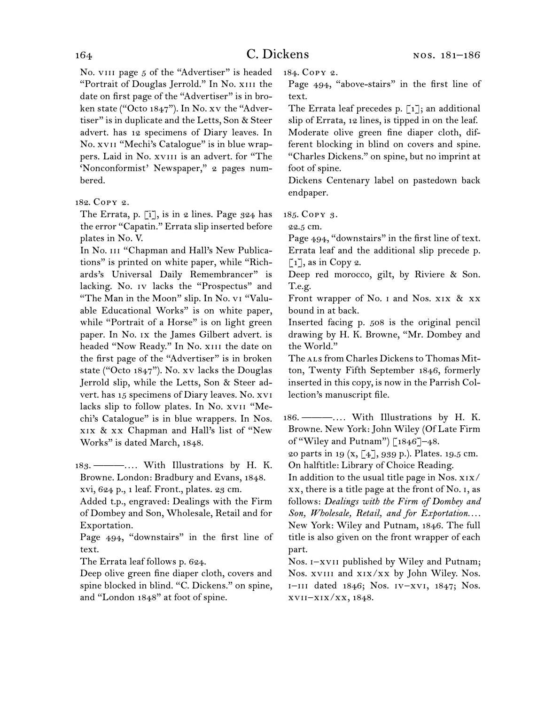No. VIII page 5 of the "Advertiser" is headed "Portrait of Douglas Jerrold." In No. xiii the date on first page of the "Advertiser" is in broken state ("Octo 1847"). In No. xv the "Advertiser" is in duplicate and the Letts, Son & Steer advert. has 12 specimens of Diary leaves. In No. xvii "Mechi's Catalogue" is in blue wrappers. Laid in No. xvIII is an advert. for "The 'Nonconformist' Newspaper," 2 pages numbered.

The Errata, p. [i], is in 2 lines. Page 324 has the error "Capatin." Errata slip inserted before plates in No. V.

In No. III "Chapman and Hall's New Publications" is printed on white paper, while "Richards's Universal Daily Remembrancer" is lacking. No. Iv lacks the "Prospectus" and "The Man in the Moon" slip. In No. vi "Valuable Educational Works" is on white paper, while "Portrait of a Horse" is on light green paper. In No. ix the James Gilbert advert. is headed "Now Ready." In No. XIII the date on the first page of the "Advertiser" is in broken state ("Octo 1847"). No. xv lacks the Douglas Jerrold slip, while the Letts, Son & Steer advert. has 15 specimens of Diary leaves. No. xvi lacks slip to follow plates. In No. xvii "Mechi's Catalogue" is in blue wrappers. In Nos. xix & xx Chapman and Hall's list of "New Works" is dated March, 1848.

183.  ———*. . . .* With Illustrations by H. K. Browne. London: Bradbury and Evans, 1848. xvi, 624 p., 1 leaf. Front., plates. 23 cm.

Added t.p., engraved: Dealings with the Firm of Dombey and Son, Wholesale, Retail and for Exportation.

Page 494, "downstairs" in the first line of text.

The Errata leaf follows p. 624.

Deep olive green fine diaper cloth, covers and spine blocked in blind. "C. Dickens." on spine, and "London 1848" at foot of spine.

184.  Copy 2.

Page 494, "above-stairs" in the first line of text.

The Errata leaf precedes p.  $\lceil 1 \rceil$ ; an additional slip of Errata, 12 lines, is tipped in on the leaf. Moderate olive green fine diaper cloth, different blocking in blind on covers and spine. "Charles Dickens." on spine, but no imprint at foot of spine.

Dickens Centenary label on pastedown back endpaper.

185.  Copy 3.

22.5 cm.

Page 494, "downstairs" in the first line of text. Errata leaf and the additional slip precede p.  $\lceil 1 \rceil$ , as in Copy 2.

Deep red morocco, gilt, by Riviere & Son. T.e.g.

Front wrapper of No. I and Nos. XIX & XX bound in at back.

Inserted facing p. 508 is the original pencil drawing by H. K. Browne, "Mr. Dombey and the World."

The ALS from Charles Dickens to Thomas Mitton, Twenty Fifth September 1846, formerly inserted in this copy, is now in the Parrish Collection's manuscript file.

186.  ———*. . . .* With Illustrations by H. K. Browne. New York: John Wiley (Of Late Firm of "Wiley and Putnam") [1846]–48.

20 parts in 19  $(x, [4], 939 \text{ p.})$ . Plates. 19.5 cm. On halftitle: Library of Choice Reading.

In addition to the usual title page in Nos. xix/ xx, there is a title page at the front of No. i, as follows: *Dealings with the Firm of Dombey and Son, Wholesale, Retail, and for Exportation. . . .* New York: Wiley and Putnam, 1846. The full title is also given on the front wrapper of each part.

Nos. i–xvii published by Wiley and Putnam; Nos. xviii and xix/xx by John Wiley. Nos. i–iii dated 1846; Nos. iv–xvi, 1847; Nos. xvii–xix/xx, 1848.

<sup>182.</sup>Copy 2.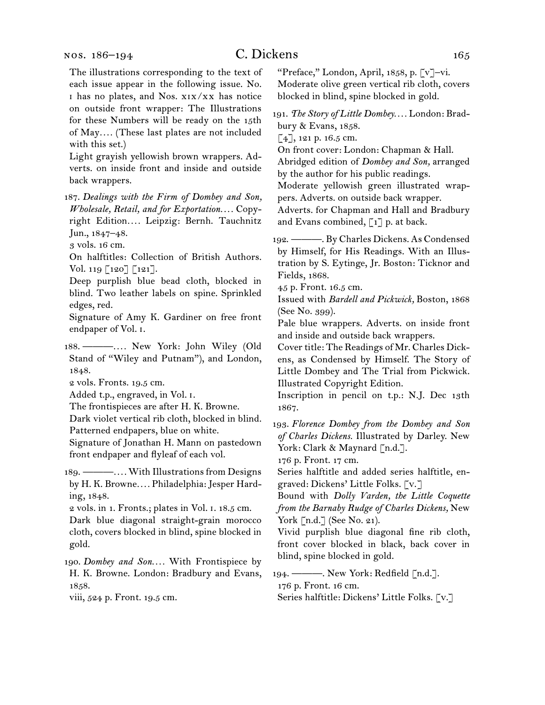nos. 186–194

The illustrations corresponding to the text of each issue appear in the following issue. No. i has no plates, and Nos. xix/xx has notice on outside front wrapper: The Illustrations for these Numbers will be ready on the 15th of May*. . . .* (These last plates are not included with this set.)

Light grayish yellowish brown wrappers. Adverts. on inside front and inside and outside back wrappers.

187.  *Dealings with the Firm of Dombey and Son, Wholesale, Retail, and for Exportation. . . .* Copyright Edition*. . . .* Leipzig: Bernh. Tauchnitz Jun., 1847–48.

3 vols. 16 cm.

On halftitles: Collection of British Authors. Vol. 119 [120] [121].

Deep purplish blue bead cloth, blocked in blind. Two leather labels on spine. Sprinkled edges, red.

Signature of Amy K. Gardiner on free front endpaper of Vol. i.

188.  ———*. . . .* New York: John Wiley (Old Stand of "Wiley and Putnam"), and London, 1848.

2 vols. Fronts. 19.5 cm.

Added t.p., engraved, in Vol. i.

The frontispieces are after H. K. Browne.

Dark violet vertical rib cloth, blocked in blind.

Patterned endpapers, blue on white.

Signature of Jonathan H. Mann on pastedown front endpaper and flyleaf of each vol.

189.  ———*. . . .* With Illustrationsfrom Designs by H. K. Browne*. . . .* Philadelphia: Jesper Harding, 1848.

2 vols. in 1. Fronts.; plates in Vol. i. 18.5 cm.

Dark blue diagonal straight-grain morocco cloth, covers blocked in blind, spine blocked in gold.

190.  *Dombey and Son. . . .* With Frontispiece by H. K. Browne. London: Bradbury and Evans, 1858.

viii, 524 p. Front. 19.5 cm.

"Preface," London, April, 1858, p. [v]–vi. Moderate olive green vertical rib cloth, covers blocked in blind, spine blocked in gold.

191.  *The Story of Little Dombey. . . .* London: Bradbury & Evans, 1858.

 $[4]$ , 121 p. 16.5 cm.

On front cover: London: Chapman & Hall.

Abridged edition of *Dombey and Son,* arranged by the author for his public readings.

Moderate yellowish green illustrated wrappers. Adverts. on outside back wrapper.

Adverts. for Chapman and Hall and Bradbury and Evans combined,  $\lceil 1 \rceil$  p. at back.

192.  ———. By Charles Dickens. As Condensed by Himself, for His Readings. With an Illustration by S. Eytinge, Jr. Boston: Ticknor and Fields, 1868.

45 p. Front. 16.5 cm.

Issued with *Bardell and Pickwick,* Boston, 1868 (See No. 399).

Pale blue wrappers. Adverts. on inside front and inside and outside back wrappers.

Cover title: The Readings of Mr. Charles Dickens, as Condensed by Himself. The Story of Little Dombey and The Trial from Pickwick. Illustrated Copyright Edition.

Inscription in pencil on t.p.: N.J. Dec 13th 1867.

193.  *Florence Dombey from the Dombey and Son of Charles Dickens.* Illustrated by Darley. New York: Clark & Maynard [n.d.].

176 p. Front. 17 cm.

Series halftitle and added series halftitle, engraved: Dickens' Little Folks. [v.]

Bound with *Dolly Varden, the Little Coquette from the Barnaby Rudge of Charles Dickens,* New York [n.d.] (See No. 21).

Vivid purplish blue diagonal fine rib cloth, front cover blocked in black, back cover in blind, spine blocked in gold.

194.  ———. New York: Redfield [n.d.]. 176 p. Front. 16 cm.

Series halftitle: Dickens' Little Folks. [v.]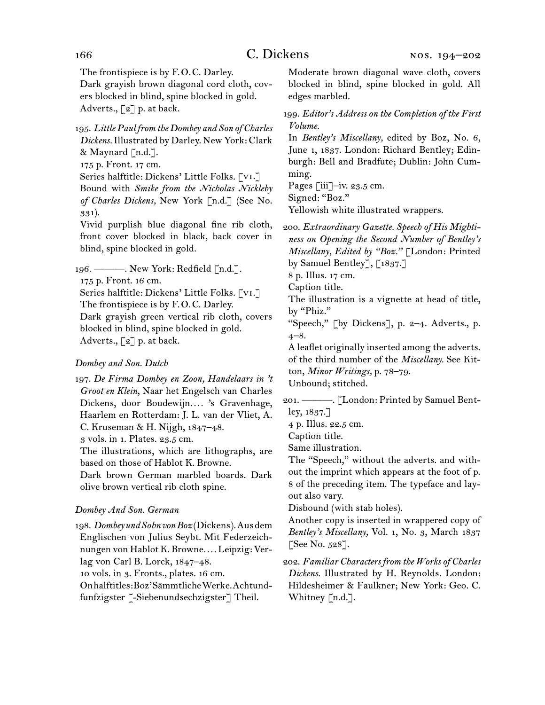The frontispiece is by F.O.C. Darley.

Dark grayish brown diagonal cord cloth, covers blocked in blind, spine blocked in gold. Adverts., [2] p. at back.

## 195.  *Little Paul from the Dombey and Son of Charles Dickens.*Illustrated by Darley. New York: Clark & Maynard [n.d.].

175 p. Front. 17 cm.

Series halftitle: Dickens' Little Folks. [vi.] Bound with *Smike from the Nicholas Nickleby of Charles Dickens,* New York [n.d.] (See No. 331).

Vivid purplish blue diagonal fine rib cloth, front cover blocked in black, back cover in blind, spine blocked in gold.

196.  ———. New York: Redfield [n.d.].

175 p. Front. 16 cm.

Series halftitle: Dickens' Little Folks. [vi.] The frontispiece is by F.O.C. Darley. Dark grayish green vertical rib cloth, covers blocked in blind, spine blocked in gold. Adverts., [2] p. at back.

## *Dombey and Son. Dutch*

197.  *De Firma Dombey en Zoon, Handelaars in 't Groot en Klein*, Naar het Engelsch van Charles Dickens, door Boudewijn.... 's Gravenhage, Haarlem en Rotterdam: J. L. van der Vliet, A. C. Kruseman & H. Nijgh, 1847–48. 3 vols. in 1. Plates. 23.5 cm. The illustrations, which are lithographs, are based on those of Hablot K. Browne.

Dark brown German marbled boards. Dark olive brown vertical rib cloth spine.

## *Dombey And Son. German*

198.  *Dombey und Sohn von Boz*(Dickens).Ausdem Englischen von Julius Seybt. Mit Federzeichnungen von Hablot K. Browne*. . . .* Leipzig: Verlag von Carl B. Lorck, 1847–48.

10 vols. in 3. Fronts., plates. 16 cm.

Onhalftitles:Boz'SämmtlicheWerke.Achtundfunfzigster [-Siebenundsechzigster] Theil.

Moderate brown diagonal wave cloth, covers blocked in blind, spine blocked in gold. All edges marbled.

199.  *Editor's Address on the Completion of the First Volume.*

In *Bentley's Miscellany,* edited by Boz, No. 6, June 1, 1837. London: Richard Bentley; Edinburgh: Bell and Bradfute; Dublin: John Cumming.

Pages [iii]-iv. 23.5 cm.

Signed: "Boz."

Yellowish white illustrated wrappers.

200.  *Extraordinary Gazette. Speech of His Mightiness on Opening the Second Number of Bentley's Miscellany, Edited by "Boz."* [London: Printed by Samuel Bentley], [1837.]

8 p. Illus. 17 cm.

Caption title.

The illustration is a vignette at head of title, by "Phiz."

"Speech," [by Dickens], p.  $2-4$ . Adverts., p. 4–8.

A leaflet originally inserted among the adverts. of the third number of the *Miscellany.* See Kitton, *Minor Writings,* p. 78–79. Unbound; stitched.

201.  ———. [London: Printed by Samuel Bentley, 1837.]

4 p. Illus. 22.5 cm.

Caption title.

Same illustration.

The "Speech," without the adverts. and without the imprint which appears at the foot of p. 8 of the preceding item. The typeface and layout also vary.

Disbound (with stab holes).

Another copy is inserted in wrappered copy of *Bentley's Miscellany,* Vol. 1, No. 3, March 1837 [See No. 528].

202.  *Familiar Characters from the Works of Charles Dickens.* Illustrated by H. Reynolds. London: Hildesheimer & Faulkner; New York: Geo. C. Whitney [n.d.].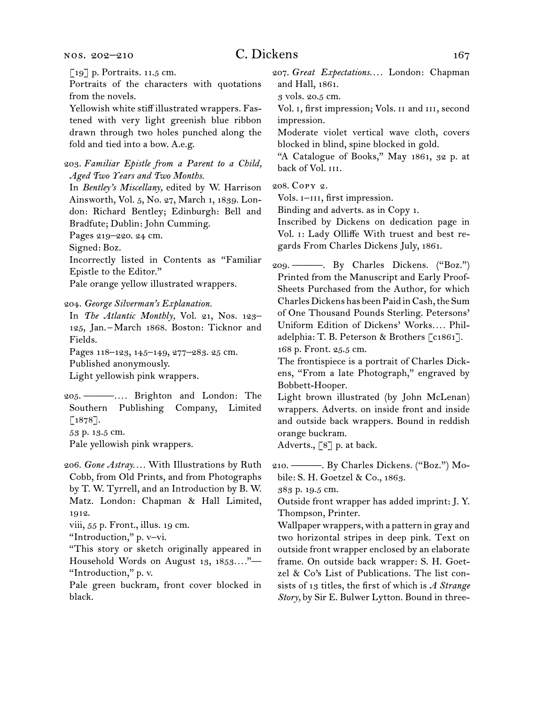#### nos. 202–210

## C. Dickens 167

[19] p. Portraits. 11.5 cm.

Portraits of the characters with quotations from the novels.

Yellowish white stiff illustrated wrappers. Fastened with very light greenish blue ribbon drawn through two holes punched along the fold and tied into a bow. A.e.g.

203.  *Familiar Epistle from a Parent to a Child, Aged Two Years and Two Months.*

In *Bentley's Miscellany,* edited by W. Harrison Ainsworth, Vol. 5, No. 27, March 1, 1839. London: Richard Bentley; Edinburgh: Bell and Bradfute; Dublin: John Cumming.

Pages 219–220. 24 cm.

Signed: Boz.

Incorrectly listed in Contents as "Familiar Epistle to the Editor."

Pale orange yellow illustrated wrappers.

204.  *George Silverman's Explanation.*

In *The Atlantic Monthly,* Vol. 21, Nos. 123– 125, Jan. – March 1868. Boston: Ticknor and Fields.

Pages 118–123, 145–149, 277–283. 25 cm. Published anonymously.

Light yellowish pink wrappers.

205.  ———*. . . .* Brighton and London: The Southern Publishing Company, Limited  $\left[1878\right]$ . 53 p. 13.5 cm.

Pale yellowish pink wrappers.

206.  *Gone Astray. . . .* With Illustrations by Ruth Cobb, from Old Prints, and from Photographs by T. W. Tyrrell, and an Introduction by B. W. Matz. London: Chapman & Hall Limited, 1912.

viii, 55 p. Front., illus. 19 cm.

"Introduction," p. v–vi.

"This story or sketch originally appeared in Household Words on August 13, 1853*. . . .*"— "Introduction," p. v.

Pale green buckram, front cover blocked in black.

207.  *Great Expectations. . . .* London: Chapman and Hall, 1861.

3 vols. 20.5 cm.

Vol. i, first impression; Vols. ii and iii, second impression.

Moderate violet vertical wave cloth, covers blocked in blind, spine blocked in gold.

"A Catalogue of Books," May 1861, 32 p. at back of Vol. III.

208.  Copy 2.

Vols.  $I$ -III, first impression.

Binding and adverts. as in Copy 1.

Inscribed by Dickens on dedication page in Vol. i: Lady Olliffe With truest and best regards From Charles Dickens July, 1861.

209.  ———. By Charles Dickens. ("Boz.") Printed from the Manuscript and Early Proof-Sheets Purchased from the Author, for which Charles Dickens has been Paid in Cash, the Sum of One Thousand Pounds Sterling. Petersons' Uniform Edition of Dickens' Works*. . . .* Philadelphia: T. B. Peterson & Brothers [c1861]. 168 p. Front. 25.5 cm.

The frontispiece is a portrait of Charles Dickens, "From a late Photograph," engraved by Bobbett-Hooper.

Light brown illustrated (by John McLenan) wrappers. Adverts. on inside front and inside and outside back wrappers. Bound in reddish orange buckram.

Adverts., [8] p. at back.

210.  ———. By Charles Dickens. ("Boz.") Mobile: S. H. Goetzel & Co., 1863.

383 p. 19.5 cm.

Outside front wrapper has added imprint: J. Y. Thompson, Printer.

Wallpaper wrappers, with a pattern in gray and two horizontal stripes in deep pink. Text on outside front wrapper enclosed by an elaborate frame. On outside back wrapper: S. H. Goetzel & Co's List of Publications. The list consists of 13 titles, the first of which is *A Strange Story,* by Sir E. Bulwer Lytton. Bound in three-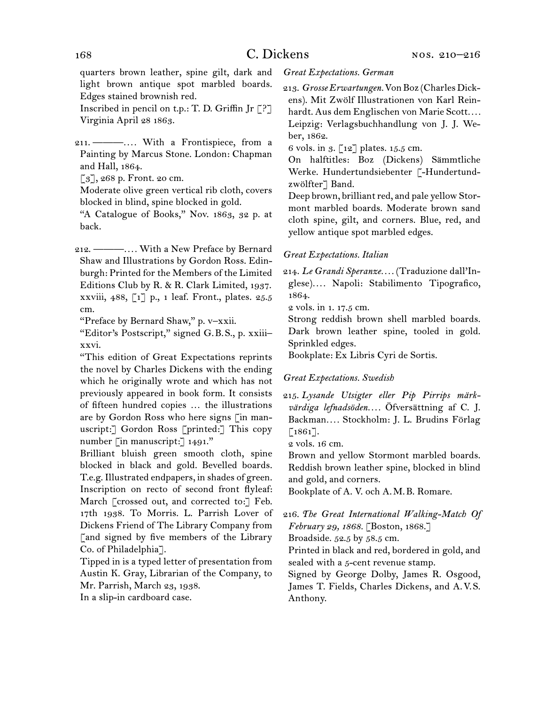## 168 C. Dickens

quarters brown leather, spine gilt, dark and light brown antique spot marbled boards. Edges stained brownish red.

Inscribed in pencil on t.p.: T. D. Griffin Jr  $[?]$ Virginia April 28 1863.

211.  ———*. . . .* With a Frontispiece, from a Painting by Marcus Stone. London: Chapman and Hall, 1864.

[3], 268 p. Front. 20 cm.

Moderate olive green vertical rib cloth, covers blocked in blind, spine blocked in gold.

"A Catalogue of Books," Nov. 1863, 32 p. at back.

212.  ———*. . . .* With a New Preface by Bernard Shaw and Illustrations by Gordon Ross. Edinburgh: Printed for the Members of the Limited Editions Club by R. & R. Clark Limited, 1937. xxviii, 488, [1] p., 1 leaf. Front., plates. 25.5 cm.

"Preface by Bernard Shaw," p. v–xxii.

"Editor's Postscript," signed G. B. S., p. xxiii– xxvi.

"This edition of Great Expectations reprints the novel by Charles Dickens with the ending which he originally wrote and which has not previously appeared in book form. It consists of fifteen hundred copies … the illustrations are by Gordon Ross who here signs [in manuscript:] Gordon Ross [printed:] This copy number [in manuscript:] 1491."

Brilliant bluish green smooth cloth, spine blocked in black and gold. Bevelled boards. T.e.g.Illustrated endpapers, in shades of green. Inscription on recto of second front flyleaf: March [crossed out, and corrected to:] Feb. 17th 1938. To Morris. L. Parrish Lover of Dickens Friend of The Library Company from [and signed by five members of the Library Co. of Philadelphia].

Tipped in is a typed letter of presentation from Austin K. Gray, Librarian of the Company, to Mr. Parrish, March 23, 1938.

In a slip-in cardboard case.

#### *Great Expectations. German*

213.  *Grosse Erwartungen.*VonBoz (CharlesDickens). Mit Zwölf Illustrationen von Karl Reinhardt. Aus dem Englischen von Marie Scott*. . . .* Leipzig: Verlagsbuchhandlung von J. J. Weber, 1862.

6 vols. in 3. [12] plates. 15.5 cm.

On halftitles: Boz (Dickens) Sämmtliche Werke. Hundertundsiebenter [-Hundertundzwölfter] Band.

Deep brown, brilliant red, and pale yellow Stormont marbled boards. Moderate brown sand cloth spine, gilt, and corners. Blue, red, and yellow antique spot marbled edges.

#### *Great Expectations. Italian*

214.  *Le Grandi Speranze. . . .* (Traduzione dall'Inglese)*. . . .* Napoli: Stabilimento Tipografico, 1864.

2 vols. in 1. 17.5 cm.

Strong reddish brown shell marbled boards. Dark brown leather spine, tooled in gold. Sprinkled edges.

Bookplate: Ex Libris Cyri de Sortis.

#### *Great Expectations. Swedish*

215.  *Lysande Utsigter eller Pip Pirrips märkvärdiga lefnadsöden. . . .* Öfversättning af C. J. Backman*. . . .* Stockholm: J. L. Brudins Förlag  $[1861]$ .

2 vols. 16 cm.

Brown and yellow Stormont marbled boards. Reddish brown leather spine, blocked in blind and gold, and corners.

Bookplate of A. V. och A. M. B. Romare.

216.  *The Great International Walking-Match Of February 29, 1868.* [Boston, 1868.]

Broadside. 52.5 by 58.5 cm.

Printed in black and red, bordered in gold, and sealed with a 5-cent revenue stamp.

Signed by George Dolby, James R. Osgood, James T. Fields, Charles Dickens, and A. V. S. Anthony.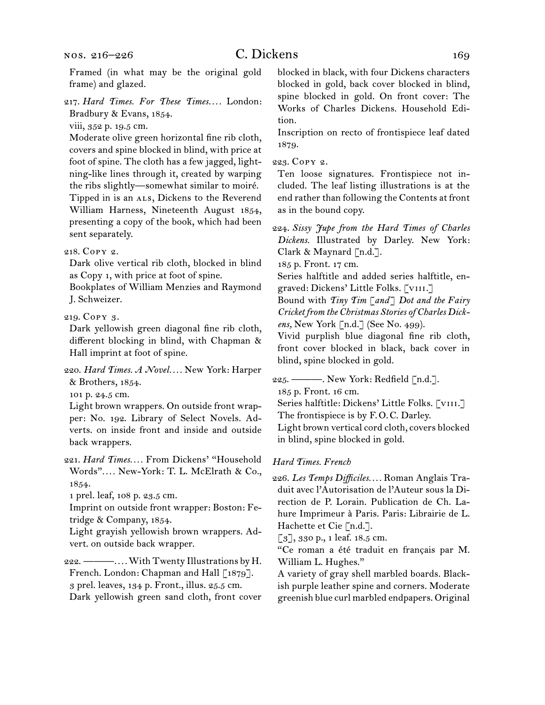Framed (in what may be the original gold frame) and glazed.

217.  *Hard Times. For These Times. . . .* London: Bradbury & Evans, 1854.

viii, 352 p. 19.5 cm.

Moderate olive green horizontal fine rib cloth, covers and spine blocked in blind, with price at foot of spine. The cloth has a few jagged, lightning-like lines through it, created by warping the ribs slightly—somewhat similar to moiré. Tipped in is an ALS, Dickens to the Reverend William Harness, Nineteenth August 1854, presenting a copy of the book, which had been sent separately.

#### 218.  Copy 2.

Dark olive vertical rib cloth, blocked in blind as Copy 1, with price at foot of spine.

Bookplates of William Menzies and Raymond J. Schweizer.

219.  Copy 3.

Dark yellowish green diagonal fine rib cloth, different blocking in blind, with Chapman & Hall imprint at foot of spine.

220.  *Hard Times. A Novel. . . .* New York: Harper & Brothers, 1854.

101 p. 24.5 cm.

Light brown wrappers. On outside front wrapper: No. 192. Library of Select Novels. Adverts. on inside front and inside and outside back wrappers.

221.  *Hard Times. . . .* From Dickens' "Household Words"*. . . .* New-York: T. L. McElrath & Co., 1854.

1 prel. leaf, 108 p. 23.5 cm.

Imprint on outside front wrapper: Boston: Fetridge & Company, 1854.

Light grayish yellowish brown wrappers. Advert. on outside back wrapper.

222.  ———*. . . .*With Twenty Illustrations by H. French. London: Chapman and Hall [1879]. 3 prel. leaves, 134 p. Front., illus. 25.5 cm. Dark yellowish green sand cloth, front cover blocked in black, with four Dickens characters blocked in gold, back cover blocked in blind, spine blocked in gold. On front cover: The Works of Charles Dickens. Household Edition.

Inscription on recto of frontispiece leaf dated 1879.

223.  Copy 2.

Ten loose signatures. Frontispiece not included. The leaf listing illustrations is at the end rather than following the Contents at front as in the bound copy.

224.  *Sissy Jupe from the Hard Times of Charles Dickens.* Illustrated by Darley. New York: Clark & Maynard [n.d.].

185 p. Front. 17 cm.

Series halftitle and added series halftitle, engraved: Dickens' Little Folks. [viii.]

Bound with *Tiny Tim* [*and*] *Dot and the Fairy Cricket from the Christmas Stories of Charles Dickens,* New York [n.d.] (See No. 499).

Vivid purplish blue diagonal fine rib cloth, front cover blocked in black, back cover in blind, spine blocked in gold.

225.  ———. New York: Redfield [n.d.].

185 p. Front. 16 cm.

Series halftitle: Dickens' Little Folks. [VIII.]

The frontispiece is by F. O. C. Darley.

Light brown vertical cord cloth, covers blocked in blind, spine blocked in gold.

#### *Hard Times. French*

226. *Les Temps Difficiles. . . .* Roman Anglais Traduit avec l'Autorisation de l'Auteur sous la Direction de P. Lorain. Publication de Ch. Lahure Imprimeur à Paris. Paris: Librairie de L. Hachette et Cie [n.d.].

[3], 330 p., 1 leaf. 18.5 cm.

"Ce roman a été traduit en français par M. William L. Hughes."

A variety of gray shell marbled boards. Blackish purple leather spine and corners. Moderate greenish blue curl marbled endpapers. Original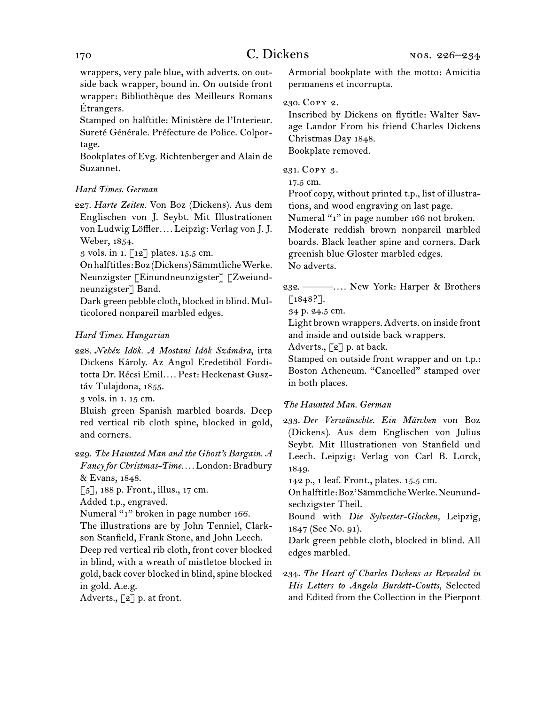wrappers, very pale blue, with adverts. on outside back wrapper, bound in. On outside front wrapper: Bibliothèque des Meilleurs Romans Étrangers.

Stamped on halftitle: Ministère de l'Interieur. Sureté Générale. Préfecture de Police. Colportage.

Bookplates of Evg. Richtenberger and Alain de Suzannet.

## *Hard Times. German*

227.  *Harte Zeiten.* Von Boz (Dickens). Aus dem Englischen von J. Seybt. Mit Illustrationen von Ludwig Löffler*. . . .* Leipzig: Verlag von J. J. Weber, 1854.

3 vols. in 1. [12] plates. 15.5 cm.

Onhalftitles:Boz(Dickens)SämmtlicheWerke. Neunzigster [Einundneunzigster] [Zweiundneunzigster] Band.

Dark green pebble cloth, blocked in blind. Multicolored nonpareil marbled edges.

## *Hard Times. Hungarian*

228.  *Nehéz Idök. A Mostani Idök Számára*, irta Dickens Károly. Az Angol Eredetiböl Forditotta Dr. Récsi Emil*. . . .* Pest: Heckenast Gusztáv Tulajdona, 1855.

3 vols. in 1. 15 cm.

Bluish green Spanish marbled boards. Deep red vertical rib cloth spine, blocked in gold, and corners.

229.  *The Haunted Man and the Ghost's Bargain. A Fancy for Christmas-Time. . . .* London: Bradbury & Evans, 1848.

 $\lceil 5 \rceil$ , 188 p. Front., illus., 17 cm.

Added t.p., engraved.

Numeral "1" broken in page number 166.

The illustrations are by John Tenniel, Clarkson Stanfield, Frank Stone, and John Leech. Deep red vertical rib cloth, front cover blocked in blind, with a wreath of mistletoe blocked in gold, back cover blocked in blind,spine blocked

in gold. A.e.g.

Adverts., [2] p. at front.

Armorial bookplate with the motto: Amicitia permanens et incorrupta.

## 230.  Copy 2.

Inscribed by Dickens on flytitle: Walter Savage Landor From his friend Charles Dickens Christmas Day 1848. Bookplate removed.

231.  Copy 3.

17.5 cm.

Proof copy, without printed t.p., list of illustrations, and wood engraving on last page.

Numeral "1" in page number 166 not broken.

Moderate reddish brown nonpareil marbled boards. Black leather spine and corners. Dark greenish blue Gloster marbled edges. No adverts.

232.  ———*. . . .* New York: Harper & Brothers  $[1848$ ?].

34 p. 24.5 cm.

Light brown wrappers. Adverts. on inside front and inside and outside back wrappers.

Adverts., [2] p. at back.

Stamped on outside front wrapper and on t.p.: Boston Atheneum. "Cancelled" stamped over in both places.

## *The Haunted Man. German*

233.  *Der Verwünschte. Ein Märchen* von Boz (Dickens). Aus dem Englischen von Julius Seybt. Mit Illustrationen von Stanfield und Leech. Leipzig: Verlag von Carl B. Lorck, 1849.

142 p., 1 leaf. Front., plates. 15.5 cm.

Onhalftitle:Boz'SämmtlicheWerke.Neunundsechzigster Theil.

Bound with *Die Sylvester-Glocken,* Leipzig, 1847 (See No. 91).

Dark green pebble cloth, blocked in blind. All edges marbled.

234.  *The Heart of Charles Dickens as Revealed in His Letters to Angela Burdett-Coutts*, Selected and Edited from the Collection in the Pierpont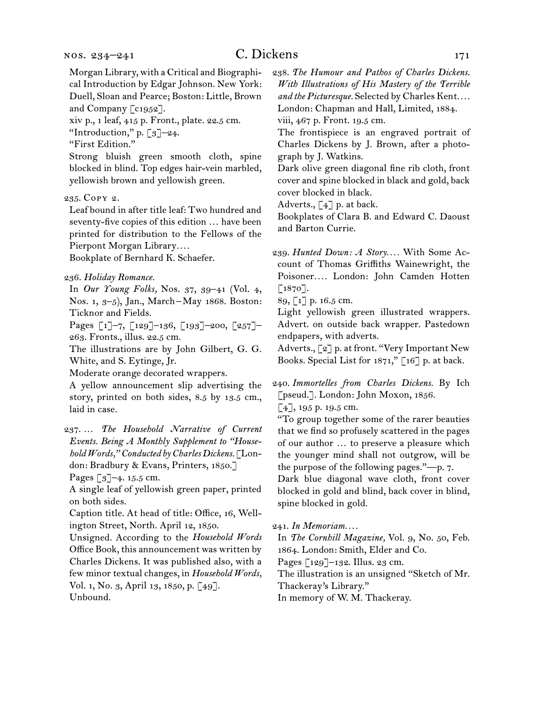Morgan Library, with a Critical and Biographical Introduction by Edgar Johnson. New York: Duell, Sloan and Pearce; Boston: Little, Brown and Company [c1952].

xiv p., 1 leaf, 415 p. Front., plate. 22.5 cm.

"Introduction," p. [3]–24.

"First Edition."

Strong bluish green smooth cloth, spine blocked in blind. Top edges hair-vein marbled, yellowish brown and yellowish green.

235.  Copy 2.

Leaf bound in after title leaf: Two hundred and seventy-five copies of this edition … have been printed for distribution to the Fellows of the Pierpont Morgan Library*. . . .*

Bookplate of Bernhard K. Schaefer.

236.  *Holiday Romance.*

In *Our Young Folks,* Nos. 37, 39–41 (Vol. 4, Nos. 1, 3–5), Jan., March – May 1868. Boston: Ticknor and Fields.

Pages [1]–7, [129]–136, [193]–200, [257]– 263. Fronts., illus. 22.5 cm.

The illustrations are by John Gilbert, G. G. White, and S. Eytinge, Jr.

Moderate orange decorated wrappers.

A yellow announcement slip advertising the story, printed on both sides, 8.5 by 13.5 cm., laid in case.

237.  … *The Household Narrative of Current Events. Being A Monthly Supplement to "Household Words," Conducted by Charles Dickens.* [London: Bradbury & Evans, Printers, 1850.]

Pages [3]–4. 15.5 cm.

A single leaf of yellowish green paper, printed on both sides.

Caption title. At head of title: Office, 16, Wellington Street, North. April 12, 1850.

Unsigned. According to the *Household Words*  Office Book, this announcement was written by Charles Dickens. It was published also, with a few minor textual changes, in *Household Words*, Vol. 1, No. 3, April 13, 1850, p. [49]. Unbound.

238.  *The Humour and Pathos of Charles Dickens. With Illustrations of His Mastery of the Terrible and the Picturesque.* Selected by Charles Kent*. . . .* London: Chapman and Hall, Limited, 1884. viii, 467 p. Front. 19.5 cm.

The frontispiece is an engraved portrait of Charles Dickens by J. Brown, after a photograph by J. Watkins.

Dark olive green diagonal fine rib cloth, front cover and spine blocked in black and gold, back cover blocked in black.

Adverts., [4] p. at back.

Bookplates of Clara B. and Edward C. Daoust and Barton Currie.

239.  *Hunted Down: A Story. . . .* With Some Account of Thomas Griffiths Wainewright, the Poisoner*. . . .* London: John Camden Hotten  $\lceil 1870 \rceil$ .

89, [1] p. 16.5 cm.

Light yellowish green illustrated wrappers. Advert. on outside back wrapper. Pastedown endpapers, with adverts.

Adverts., [2] p. at front. "Very Important New Books. Special List for  $1871$ ," [ $16$ ] p. at back.

240.  *Immortelles from Charles Dickens.* By Ich [pseud.]. London: John Moxon, 1856. [4], 195 p. 19.5 cm.

"To group together some of the rarer beauties that we find so profusely scattered in the pages of our author … to preserve a pleasure which the younger mind shall not outgrow, will be the purpose of the following pages."—p. 7.

Dark blue diagonal wave cloth, front cover blocked in gold and blind, back cover in blind, spine blocked in gold.

#### 241.  *In Memoriam. . . .*

In *The Cornhill Magazine,* Vol. 9, No. 50, Feb. 1864. London: Smith, Elder and Co.

Pages [129]–132. Illus. 23 cm.

The illustration is an unsigned "Sketch of Mr.

Thackeray's Library."

In memory of W. M. Thackeray.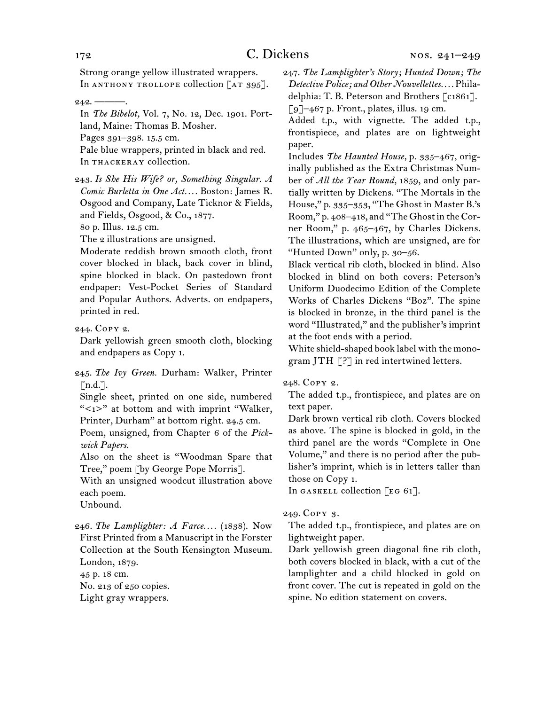Strong orange yellow illustrated wrappers. In ANTHONY TROLLOPE collection [AT 395].

In *The Bibelot,* Vol. 7, No. 12, Dec. 1901. Portland, Maine: Thomas B. Mosher.

Pages 391–398. 15.5 cm.

Pale blue wrappers, printed in black and red. In THACKERAY collection.

243.  *Is She His Wife? or, Something Singular. A Comic Burletta in One Act. . . .* Boston: James R. Osgood and Company, Late Ticknor & Fields, and Fields, Osgood, & Co., 1877.

80 p. Illus. 12.5 cm.

The 2 illustrations are unsigned.

Moderate reddish brown smooth cloth, front cover blocked in black, back cover in blind, spine blocked in black. On pastedown front endpaper: Vest-Pocket Series of Standard and Popular Authors. Adverts. on endpapers, printed in red.

244.  Copy 2.

Dark yellowish green smooth cloth, blocking and endpapers as Copy 1.

245.  *The Ivy Green.* Durham: Walker, Printer  $\lceil n.d.\rceil$ .

Single sheet, printed on one side, numbered "<1>" at bottom and with imprint "Walker, Printer, Durham" at bottom right. 24.5 cm.

Poem, unsigned, from Chapter 6 of the *Pickwick Papers.*

Also on the sheet is "Woodman Spare that Tree," poem [by George Pope Morris].

With an unsigned woodcut illustration above each poem.

Unbound.

246.  *The Lamplighter: A Farce. . . .* (1838). Now First Printed from a Manuscript in the Forster Collection at the South Kensington Museum. London, 1879.

45 p. 18 cm.

No. 213 of 250 copies. Light gray wrappers.

247.  *The Lamplighter's Story; Hunted Down; The Detective Police; and Other Nouvellettes. . . .* Philadelphia: T. B. Peterson and Brothers [c1861].  $\lceil 9 \rceil$ –467 p. Front., plates, illus. 19 cm.

Added t.p., with vignette. The added t.p., frontispiece, and plates are on lightweight paper.

Includes *The Haunted House,* p. 335–467, originally published as the Extra Christmas Number of *All the Year Round,* 1859, and only partially written by Dickens. "The Mortals in the House," p. 335–353, "The Ghost in Master B.'s Room," p. 408-418, and "The Ghost in the Corner Room," p. 465–467, by Charles Dickens. The illustrations, which are unsigned, are for "Hunted Down" only, p. 30–56.

Black vertical rib cloth, blocked in blind. Also blocked in blind on both covers: Peterson's Uniform Duodecimo Edition of the Complete Works of Charles Dickens "Boz". The spine is blocked in bronze, in the third panel is the word "Illustrated," and the publisher's imprint at the foot ends with a period.

White shield-shaped book label with the monogram JTH [?] in red intertwined letters.

#### 248.  Copy 2.

The added t.p., frontispiece, and plates are on text paper.

Dark brown vertical rib cloth. Covers blocked as above. The spine is blocked in gold, in the third panel are the words "Complete in One Volume," and there is no period after the publisher's imprint, which is in letters taller than those on Copy 1.

In GASKELL collection  $[EG 61]$ .

#### 249.  Copy 3.

The added t.p., frontispiece, and plates are on lightweight paper.

Dark yellowish green diagonal fine rib cloth, both covers blocked in black, with a cut of the lamplighter and a child blocked in gold on front cover. The cut is repeated in gold on the spine. No edition statement on covers.

 $242. -$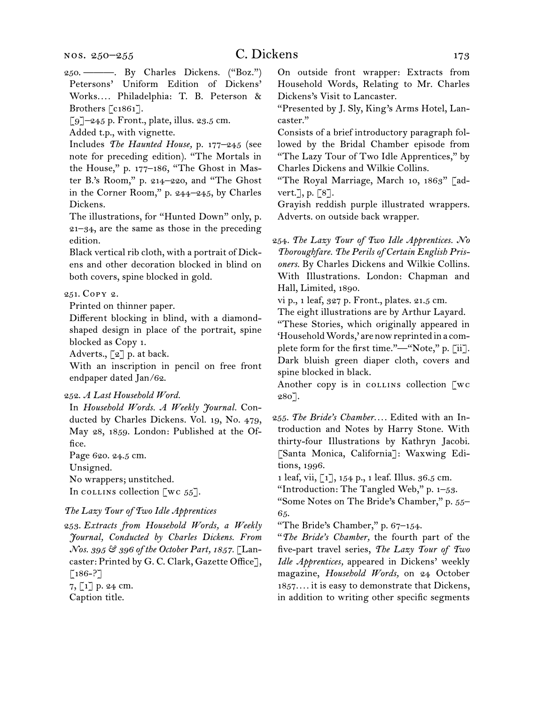250.  ———. By Charles Dickens. ("Boz.") Petersons' Uniform Edition of Dickens' Works*. . . .* Philadelphia: T. B. Peterson & Brothers [c1861].

[9]–245 p. Front., plate, illus. 23.5 cm.

Added t.p., with vignette.

Includes *The Haunted House,* p. 177–245 (see note for preceding edition). "The Mortals in the House," p. 177–186, "The Ghost in Master B.'s Room," p. 214–220, and "The Ghost in the Corner Room," p. 244–245, by Charles Dickens.

The illustrations, for "Hunted Down" only, p. 21–34, are the same as those in the preceding edition.

Black vertical rib cloth, with a portrait of Dickens and other decoration blocked in blind on both covers, spine blocked in gold.

## 251.  Copy 2.

Printed on thinner paper.

Different blocking in blind, with a diamondshaped design in place of the portrait, spine blocked as Copy 1.

Adverts., [2] p. at back.

With an inscription in pencil on free front endpaper dated Jan/62.

#### 252.  *A Last Household Word.*

In *Household Words. A Weekly Journal.* Conducted by Charles Dickens. Vol. 19, No. 479, May 28, 1859. London: Published at the Office.

Page 620. 24.5 cm. Unsigned. No wrappers; unstitched.

In collins collection  $\lbrack \text{wc } 55 \rbrack$ .

*The Lazy Tour of Two Idle Apprentices*

253.  *Extracts from Household Words, a Weekly Journal, Conducted by Charles Dickens. From Nos. 395 & 396 of the October Part, 1857.* [Lancaster: Printed by G. C. Clark, Gazette Office],  $\lceil 186 - ? \rceil$ 7, [1] p. 24 cm. Caption title.

On outside front wrapper: Extracts from Household Words, Relating to Mr. Charles Dickens's Visit to Lancaster.

"Presented by J. Sly, King's Arms Hotel, Lancaster."

Consists of a brief introductory paragraph followed by the Bridal Chamber episode from "The Lazy Tour of Two Idle Apprentices," by Charles Dickens and Wilkie Collins.

"The Royal Marriage, March 10, 1863" [advert.], p. [8].

Grayish reddish purple illustrated wrappers. Adverts. on outside back wrapper.

254.  *The Lazy Tour of Two Idle Apprentices. No Thoroughfare. The Perils of Certain English Prisoners.* By Charles Dickens and Wilkie Collins. With Illustrations. London: Chapman and Hall, Limited, 1890.

vi p., 1 leaf, 327 p. Front., plates. 21.5 cm.

The eight illustrations are by Arthur Layard.

"These Stories, which originally appeared in 'Household Words,' are now reprinted in a complete form for the first time."—"Note," p. [ii]. Dark bluish green diaper cloth, covers and spine blocked in black.

Another copy is in collection [wc 280].

255.  *The Bride's Chamber. . . .* Edited with an Introduction and Notes by Harry Stone. With thirty-four Illustrations by Kathryn Jacobi. [Santa Monica, California]: Waxwing Editions, 1996.

1 leaf, vii, [1], 154 p., 1 leaf. Illus. 36.5 cm.

"Introduction: The Tangled Web," p. 1-53.

"Some Notes on The Bride's Chamber," p. 55– 65.

"The Bride's Chamber," p. 67–154.

"*The Bride's Chamber,* the fourth part of the five-part travel series, *The Lazy Tour of Two Idle Apprentices,* appeared in Dickens' weekly magazine, *Household Words,* on 24 October 1857*. . . .* it is easy to demonstrate that Dickens, in addition to writing other specific segments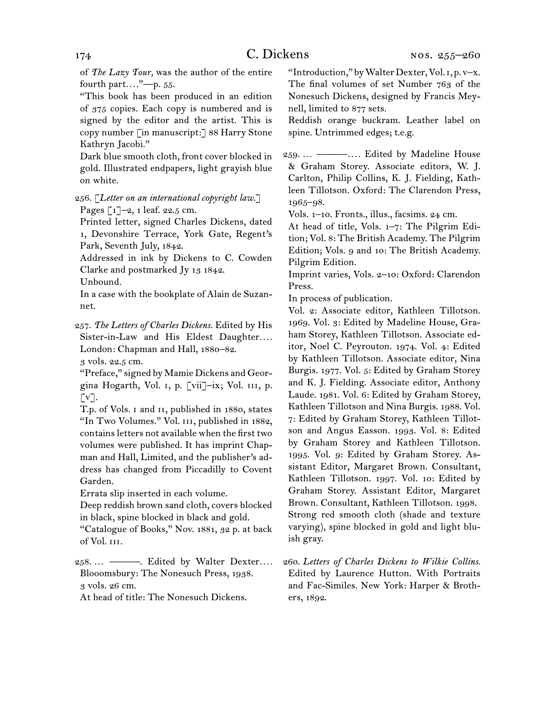of *The Lazy Tour,* was the author of the entire fourth part*. . . .*"—p. 55.

"This book has been produced in an edition of 375 copies. Each copy is numbered and is signed by the editor and the artist. This is copy number [in manuscript:] 88 Harry Stone Kathryn Jacobi."

Dark blue smooth cloth, front cover blocked in gold. Illustrated endpapers, light grayish blue on white.

256.  [*Letter on an international copyright law.*] Pages [1]-2, 1 leaf. 22.5 cm.

Printed letter, signed Charles Dickens, dated 1, Devonshire Terrace, York Gate, Regent's Park, Seventh July, 1842.

Addressed in ink by Dickens to C. Cowden Clarke and postmarked Jy 13 1842.

Unbound.

In a case with the bookplate of Alain de Suzannet.

257.  *The Letters of Charles Dickens.* Edited by His Sister-in-Law and His Eldest Daughter.... London: Chapman and Hall, 1880–82.

3 vols. 22.5 cm.

"Preface," signed by Mamie Dickens and Georgina Hogarth, Vol. i, p. [vii]–ix; Vol. iii, p.  $\lceil v \rceil$ .

T.p. of Vols. i and ii, published in 1880, states "In Two Volumes." Vol. III, published in 1882, containsletters not available when the first two volumes were published. It has imprint Chapman and Hall, Limited, and the publisher's address has changed from Piccadilly to Covent Garden.

Errata slip inserted in each volume.

Deep reddish brown sand cloth, covers blocked in black, spine blocked in black and gold.

"Catalogue of Books," Nov. 1881, 32 p. at back of Vol. iii.

258.  … ———. Edited by Walter Dexter*. . . .* Blooomsbury: The Nonesuch Press, 1938. 3 vols. 26 cm.

At head of title: The Nonesuch Dickens.

"Introduction," byWalterDexter,Vol.i, p. v–x. The final volumes of set Number 763 of the Nonesuch Dickens, designed by Francis Meynell, limited to 877 sets.

Reddish orange buckram. Leather label on spine. Untrimmed edges; t.e.g.

259.  … ———*. . . .* Edited by Madeline House & Graham Storey. Associate editors, W. J. Carlton, Philip Collins, K. J. Fielding, Kathleen Tillotson. Oxford: The Clarendon Press, 1965–98.

Vols. 1–10. Fronts., illus., facsims. 24 cm.

At head of title, Vols. 1–7: The Pilgrim Edition; Vol. 8: The British Academy. The Pilgrim Edition; Vols. 9 and 10: The British Academy. Pilgrim Edition.

Imprint varies, Vols. 2–10: Oxford: Clarendon Press.

In process of publication.

Vol. 2: Associate editor, Kathleen Tillotson. 1969. Vol. 3: Edited by Madeline House, Graham Storey, Kathleen Tillotson. Associate editor, Noel C. Peyrouton. 1974. Vol. 4: Edited by Kathleen Tillotson. Associate editor, Nina Burgis. 1977. Vol. 5: Edited by Graham Storey and K. J. Fielding. Associate editor, Anthony Laude. 1981. Vol. 6: Edited by Graham Storey, Kathleen Tillotson and Nina Burgis. 1988. Vol. 7: Edited by Graham Storey, Kathleen Tillotson and Angus Easson. 1993. Vol. 8: Edited by Graham Storey and Kathleen Tillotson. 1995. Vol. 9: Edited by Graham Storey. Assistant Editor, Margaret Brown. Consultant, Kathleen Tillotson. 1997. Vol. 10: Edited by Graham Storey. Assistant Editor, Margaret Brown. Consultant, Kathleen Tillotson. 1998. Strong red smooth cloth (shade and texture varying), spine blocked in gold and light bluish gray.

260.  *Letters of Charles Dickens to Wilkie Collins.* Edited by Laurence Hutton. With Portraits and Fac-Similes. New York: Harper & Brothers, 1892.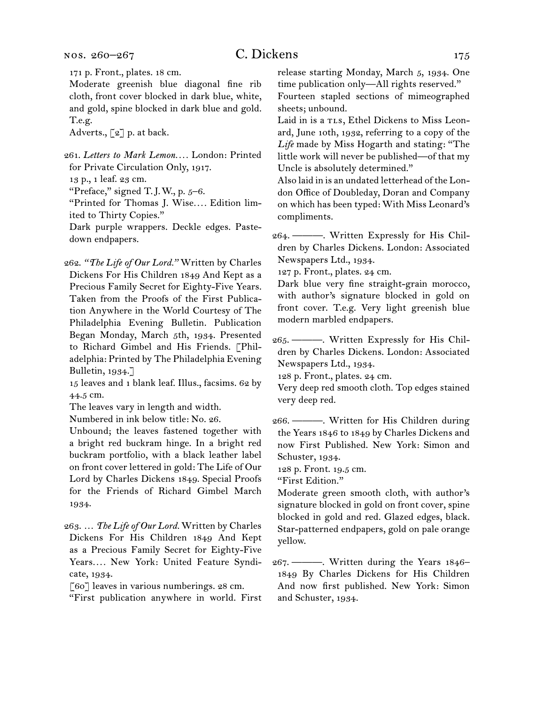nos. 260–267

# C. Dickens 175

171 p. Front., plates. 18 cm.

Moderate greenish blue diagonal fine rib cloth, front cover blocked in dark blue, white, and gold, spine blocked in dark blue and gold. T.e.g.

Adverts., [2] p. at back.

261.  *Letters to Mark Lemon. . . .* London: Printed for Private Circulation Only, 1917.

13 p., 1 leaf. 23 cm.

"Preface," signed T.J.W., p.  $5-6$ .

"Printed for Thomas J. Wise*. . . .* Edition limited to Thirty Copies."

Dark purple wrappers. Deckle edges. Pastedown endpapers.

262.  *"The Life of Our Lord."* Written by Charles Dickens For His Children 1849 And Kept as a Precious Family Secret for Eighty-Five Years. Taken from the Proofs of the First Publication Anywhere in the World Courtesy of The Philadelphia Evening Bulletin. Publication Began Monday, March 5th, 1934. Presented to Richard Gimbel and His Friends. [Philadelphia: Printed by The Philadelphia Evening Bulletin, 1934.]

15 leaves and 1 blank leaf. Illus., facsims. 62 by 44.5 cm.

The leaves vary in length and width.

Numbered in ink below title: No. 26.

Unbound; the leaves fastened together with a bright red buckram hinge. In a bright red buckram portfolio, with a black leather label on front cover lettered in gold: The Life of Our Lord by Charles Dickens 1849. Special Proofs for the Friends of Richard Gimbel March 1934.

263.  … *The Life of Our Lord.* Written by Charles Dickens For His Children 1849 And Kept as a Precious Family Secret for Eighty-Five Years*. . . .* New York: United Feature Syndicate, 1934.

[60] leaves in various numberings. 28 cm.

"First publication anywhere in world. First

release starting Monday, March 5, 1934. One time publication only—All rights reserved." Fourteen stapled sections of mimeographed

sheets; unbound. Laid in is a TLs, Ethel Dickens to Miss Leon-

ard, June 10th, 1932, referring to a copy of the *Life* made by Miss Hogarth and stating: "The little work will never be published—of that my Uncle is absolutely determined."

Also laid in is an undated letterhead of the London Office of Doubleday, Doran and Company on which has been typed: With Miss Leonard's compliments.

264.  ———. Written Expressly for His Children by Charles Dickens. London: Associated Newspapers Ltd., 1934.

127 p. Front., plates. 24 cm.

Dark blue very fine straight-grain morocco, with author's signature blocked in gold on front cover. T.e.g. Very light greenish blue modern marbled endpapers.

265.  ———. Written Expressly for His Children by Charles Dickens. London: Associated Newspapers Ltd., 1934.

128 p. Front., plates. 24 cm.

Very deep red smooth cloth. Top edges stained very deep red.

266.  ———. Written for His Children during the Years 1846 to 1849 by Charles Dickens and now First Published. New York: Simon and Schuster, 1934.

128 p. Front. 19.5 cm.

"First Edition."

Moderate green smooth cloth, with author's signature blocked in gold on front cover, spine blocked in gold and red. Glazed edges, black. Star-patterned endpapers, gold on pale orange yellow.

267.  ———. Written during the Years 1846– 1849 By Charles Dickens for His Children And now first published. New York: Simon and Schuster, 1934.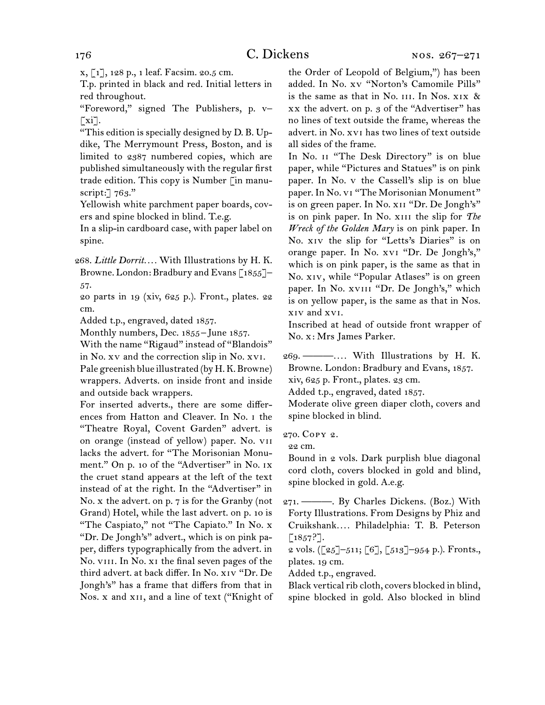x, [1], 128 p., 1 leaf. Facsim. 20.5 cm.

T.p. printed in black and red. Initial letters in red throughout.

"Foreword," signed The Publishers, p. v–  $\lceil x_i \rceil$ .

"This edition is specially designed by D. B. Updike, The Merrymount Press, Boston, and is limited to 2387 numbered copies, which are published simultaneously with the regular first trade edition. This copy is Number [in manuscript: 763."

Yellowish white parchment paper boards, covers and spine blocked in blind. T.e.g.

In a slip-in cardboard case, with paper label on spine.

268.  *Little Dorrit. . . .* With Illustrations by H. K. Browne. London: Bradbury and Evans [1855]-57.

20 parts in 19 (xiv, 625 p.). Front., plates. 22 cm.

Added t.p., engraved, dated 1857.

Monthly numbers, Dec. 1855 – June 1857.

With the name "Rigaud" instead of "Blandois" in No. xv and the correction slip in No. xvi.

Pale greenish blue illustrated (by H.K.Browne) wrappers. Adverts. on inside front and inside and outside back wrappers.

For inserted adverts., there are some differences from Hatton and Cleaver. In No. i the "Theatre Royal, Covent Garden" advert. is on orange (instead of yellow) paper. No. vii lacks the advert. for "The Morisonian Monument." On p. 10 of the "Advertiser" in No. IX the cruet stand appears at the left of the text instead of at the right. In the "Advertiser" in No. x the advert. on p. 7 is for the Granby (not Grand) Hotel, while the last advert. on p. 10 is "The Caspiato," not "The Capiato." In No. x "Dr. De Jongh's" advert., which is on pink paper, differs typographically from the advert. in No. VIII. In No. XI the final seven pages of the third advert. at back differ. In No. xiv "Dr. De Jongh's" has a frame that differs from that in Nos. x and xii, and a line of text ("Knight of the Order of Leopold of Belgium,") has been added. In No. xv "Norton's Camomile Pills" is the same as that in No.  $III$ . In Nos.  $XIX$  & xx the advert. on p. 3 of the "Advertiser" has no lines of text outside the frame, whereas the advert. in No. xvi has two lines of text outside all sides of the frame.

In No. ii "The Desk Directory" is on blue paper, while "Pictures and Statues" is on pink paper. In No. v the Cassell's slip is on blue paper. In No. vi "The Morisonian Monument" is on green paper. In No. xii "Dr. De Jongh's" is on pink paper. In No. xiii the slip for *The Wreck of the Golden Mary* is on pink paper. In No. xiv the slip for "Letts's Diaries" is on orange paper. In No. xvi "Dr. De Jongh's," which is on pink paper, is the same as that in No. xiv, while "Popular Atlases" is on green paper. In No. xvIII "Dr. De Jongh's," which is on yellow paper, is the same as that in Nos. xiv and xvi.

Inscribed at head of outside front wrapper of No. x: Mrs James Parker.

269.  ———*. . . .* With Illustrations by H. K. Browne. London: Bradbury and Evans, 1857. xiv, 625 p. Front., plates. 23 cm.

Added t.p., engraved, dated 1857.

Moderate olive green diaper cloth, covers and spine blocked in blind.

270.  Copy 2.

22 cm.

Bound in 2 vols. Dark purplish blue diagonal cord cloth, covers blocked in gold and blind, spine blocked in gold. A.e.g.

271.  ———. By Charles Dickens. (Boz.) With Forty Illustrations. From Designs by Phiz and Cruikshank*. . . .* Philadelphia: T. B. Peterson  $[1857?].$ 

2 vols. ([25]–511; [6], [513]–954 p.). Fronts., plates. 19 cm.

Added t.p., engraved.

Black vertical rib cloth, covers blocked in blind, spine blocked in gold. Also blocked in blind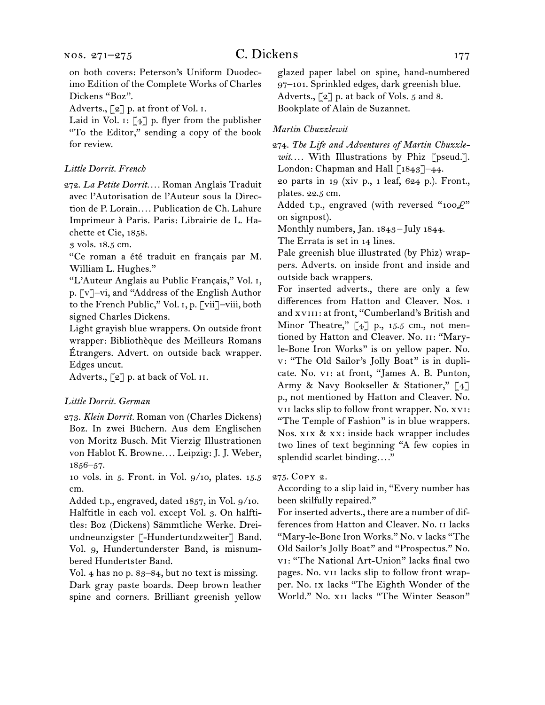Adverts., [2] p. at front of Vol. I.

Laid in Vol.  $i: [4]$  p. flyer from the publisher "To the Editor," sending a copy of the book for review.

#### *Little Dorrit. French*

272.  *La Petite Dorrit. . . .* Roman Anglais Traduit avec l'Autorisation de l'Auteur sous la Direction de P. Lorain*. . . .* Publication de Ch. Lahure Imprimeur à Paris. Paris: Librairie de L. Hachette et Cie, 1858.

3 vols. 18.5 cm.

"Ce roman a été traduit en français par M. William L. Hughes."

"L'Auteur Anglais au Public Français," Vol. i, p. [v]–vi, and "Address of the English Author to the French Public," Vol. i, p. [vii]–viii, both signed Charles Dickens.

Light grayish blue wrappers. On outside front wrapper: Bibliothèque des Meilleurs Romans Étrangers. Advert. on outside back wrapper. Edges uncut.

Adverts., [2] p. at back of Vol. II.

#### *Little Dorrit. German*

273.  *Klein Dorrit.* Roman von (Charles Dickens) Boz. In zwei Büchern. Aus dem Englischen von Moritz Busch. Mit Vierzig Illustrationen von Hablot K. Browne*. . . .* Leipzig: J. J. Weber, 1856–57.

10 vols. in 5. Front. in Vol. 9/10, plates. 15.5 cm.

Added t.p., engraved, dated 1857, in Vol. 9/10. Halftitle in each vol. except Vol. 3. On halftitles: Boz (Dickens) Sämmtliche Werke. Dreiundneunzigster [-Hundertundzweiter] Band. Vol. 9, Hundertunderster Band, is misnumbered Hundertster Band.

Vol. 4 has no p. 83–84, but no text is missing. Dark gray paste boards. Deep brown leather spine and corners. Brilliant greenish yellow glazed paper label on spine, hand-numbered 97–101. Sprinkled edges, dark greenish blue. Adverts., [2] p. at back of Vols. 5 and 8. Bookplate of Alain de Suzannet.

### *Martin Chuzzlewit*

274.  *The Life and Adventures of Martin Chuzzlewit. . . .* With Illustrations by Phiz [pseud.]. London: Chapman and Hall [1843]-44.

20 parts in 19 (xiv p., 1 leaf, 624 p.). Front., plates. 22.5 cm.

Added t.p., engraved (with reversed "100 $\mathcal{L}$ " on signpost).

Monthly numbers, Jan. 1843 – July 1844.

The Errata is set in 14 lines.

Pale greenish blue illustrated (by Phiz) wrappers. Adverts. on inside front and inside and outside back wrappers.

For inserted adverts., there are only a few differences from Hatton and Cleaver. Nos. i and xvIII: at front, "Cumberland's British and Minor Theatre,"  $\left[\right.4\right]$  p., 15.5 cm., not mentioned by Hatton and Cleaver. No. II: "Maryle-Bone Iron Works" is on yellow paper. No. v: "The Old Sailor's Jolly Boat" is in duplicate. No. vi: at front, "James A. B. Punton, Army & Navy Bookseller & Stationer," [4] p., not mentioned by Hatton and Cleaver. No. vii lacks slip to follow front wrapper. No. xvi: "The Temple of Fashion" is in blue wrappers. Nos. xix & xx: inside back wrapper includes two lines of text beginning "A few copies in splendid scarlet binding*. . . .*"

#### 275.  Copy 2.

According to a slip laid in, "Every number has been skilfully repaired."

For inserted adverts., there are a number of differences from Hatton and Cleaver. No. ii lacks "Mary-le-Bone Iron Works." No. v lacks "The Old Sailor's Jolly Boat" and "Prospectus." No. vi: "The National Art-Union" lacks final two pages. No. vii lacks slip to follow front wrapper. No. ix lacks "The Eighth Wonder of the World." No. xii lacks "The Winter Season"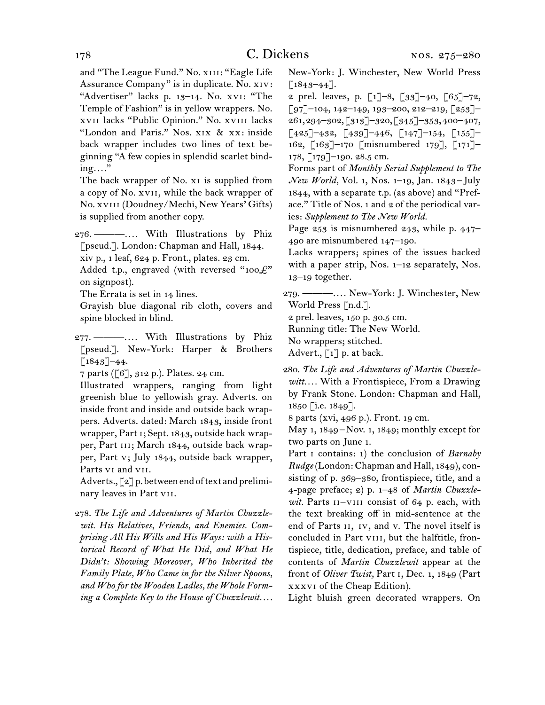and "The League Fund." No. XIII: "Eagle Life Assurance Company" is in duplicate. No. xiv: "Advertiser" lacks p. 13–14. No. xvi: "The Temple of Fashion" is in yellow wrappers. No. xvii lacks "Public Opinion." No. xviii lacks "London and Paris." Nos. xix & xx: inside back wrapper includes two lines of text beginning "A few copies in splendid scarlet binding*. . . .*"

The back wrapper of No. XI is supplied from a copy of No. xvii, while the back wrapper of No. xviii (Doudney/Mechi, New Years' Gifts) is supplied from another copy.

276.  ———*. . . .* With Illustrations by Phiz [pseud.]. London: Chapman and Hall, 1844. xiv p., 1 leaf, 624 p. Front., plates. 23 cm.

Added t.p., engraved (with reversed "100 $\mathcal{L}$ " on signpost).

The Errata is set in 14 lines.

Grayish blue diagonal rib cloth, covers and spine blocked in blind.

277.  ———*. . . .* With Illustrations by Phiz [pseud.]. New-York: Harper & Brothers  $[1843]$ –44.

7 parts ([6], 312 p.). Plates. 24 cm.

Illustrated wrappers, ranging from light greenish blue to yellowish gray. Adverts. on inside front and inside and outside back wrappers. Adverts. dated: March 1843, inside front wrapper, Part i; Sept. 1843, outside back wrapper, Part III; March 1844, outside back wrapper, Part v; July 1844, outside back wrapper, Parts vi and vii.

Adverts., [2] p. between end of text and preliminary leaves in Part vii.

278.  *The Life and Adventures of Martin Chuzzlewit. His Relatives, Friends, and Enemies. Comprising All His Wills and His Ways: with a Historical Record of What He Did, and What He Didn't: Showing Moreover, Who Inherited the Family Plate, Who Came in for the Silver Spoons, and Who for the Wooden Ladles, the Whole Forming a Complete Key to the House of Chuzzlewit. . . .*

New-York: J. Winchester, New World Press  $[1843 - 44]$ .

2 prel. leaves, p.  $\lceil 1 \rceil - 8$ ,  $\lceil 33 \rceil - 40$ ,  $\lceil 65 \rceil - 72$ ,  $\lceil 97 \rceil$ –104, 142–149, 193–200, 212–219,  $\lceil 253 \rceil$ – 261,294–302,[313]–320,[345]–353,400–407,  $\lceil 425\rceil$ –432,  $\lceil 439\rceil$ –446,  $\lceil 147\rceil$ –154,  $\lceil 155\rceil$ – 162, [163]–170 [misnumbered 179], [171]– 178, [179]–190. 28.5 cm.

Forms part of *Monthly Serial Supplement to The New World,* Vol. 1, Nos. 1–19, Jan. 1843 – July 1844, with a separate t.p. (as above) and "Preface." Title of Nos. 1 and 2 of the periodical varies: *Supplement to The New World.*

Page 253 is misnumbered 243, while p. 447– 490 are misnumbered 147–190.

Lacks wrappers; spines of the issues backed with a paper strip, Nos. 1–12 separately, Nos. 13–19 together.

279.  ———*. . . .* New-York: J. Winchester, New World Press [n.d.].

2 prel. leaves, 150 p. 30.5 cm.

Running title: The New World.

No wrappers; stitched.

Advert.,  $\begin{bmatrix} 1 \end{bmatrix}$  p. at back.

280.  *The Life and Adventures of Martin Chuzzlewitt. . . .* With a Frontispiece, From a Drawing by Frank Stone. London: Chapman and Hall, 1850 [i.e. 1849].

8 parts (xvi, 496 p.). Front. 19 cm.

May 1, 1849 – Nov. 1, 1849; monthly except for two parts on June 1.

Part i contains: 1) the conclusion of *Barnaby Rudge* (London: Chapman and Hall, 1849), consisting of p. 369–380, frontispiece, title, and a 4-page preface; 2) p. 1–48 of *Martin Chuzzle*wit. Parts II-VIII consist of 64 p. each, with the text breaking off in mid-sentence at the end of Parts ii, iv, and v. The novel itself is concluded in Part vIII, but the halftitle, frontispiece, title, dedication, preface, and table of contents of *Martin Chuzzlewit* appear at the front of *Oliver Twist,* Part i, Dec. 1, 1849 (Part xxxvi of the Cheap Edition).

Light bluish green decorated wrappers. On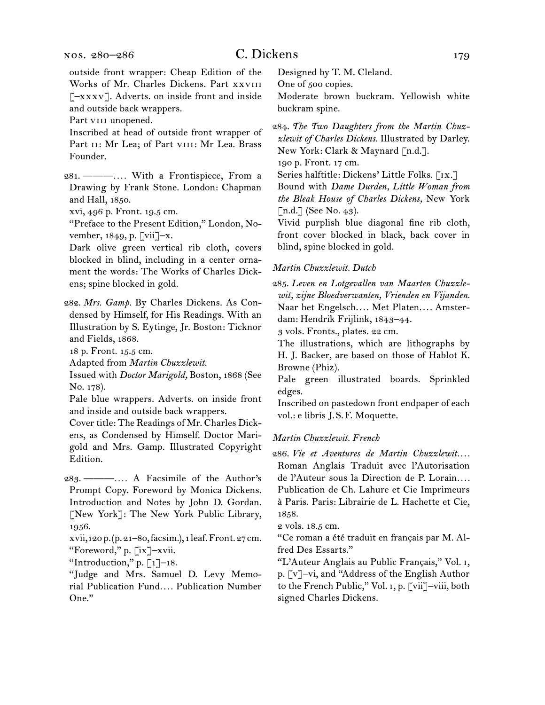outside front wrapper: Cheap Edition of the Works of Mr. Charles Dickens. Part xxviii [–xxxv]. Adverts. on inside front and inside and outside back wrappers.

Part viii unopened.

Inscribed at head of outside front wrapper of Part II: Mr Lea; of Part VIII: Mr Lea. Brass Founder.

281.  ———*. . . .* With a Frontispiece, From a Drawing by Frank Stone. London: Chapman and Hall, 1850.

xvi, 496 p. Front. 19.5 cm.

"Preface to the Present Edition," London, November, 1849, p. [vii]–x.

Dark olive green vertical rib cloth, covers blocked in blind, including in a center ornament the words: The Works of Charles Dickens; spine blocked in gold.

282.  *Mrs. Gamp.* By Charles Dickens. As Condensed by Himself, for His Readings. With an Illustration by S. Eytinge, Jr. Boston: Ticknor and Fields, 1868.

18 p. Front. 15.5 cm.

Adapted from *Martin Chuzzlewit.*

Issued with *Doctor Marigold,* Boston, 1868 (See No. 178).

Pale blue wrappers. Adverts. on inside front and inside and outside back wrappers.

Cover title: The Readings of Mr. Charles Dickens, as Condensed by Himself. Doctor Marigold and Mrs. Gamp. Illustrated Copyright Edition.

283.  ———*. . . .* A Facsimile of the Author's Prompt Copy. Foreword by Monica Dickens. Introduction and Notes by John D. Gordan. [New York]: The New York Public Library, 1956.

xvii,120 p.(p.21–80,facsim.), 1 leaf.Front.27cm. "Foreword," p. [ix]–xvii.

"Introduction," p.  $\lbrack 1 \rbrack - 18$ .

"Judge and Mrs. Samuel D. Levy Memorial Publication Fund*. . . .* Publication Number One."

Designed by T. M. Cleland.

One of 500 copies.

Moderate brown buckram. Yellowish white buckram spine.

284.  *The Two Daughters from the Martin Chuzzlewit of Charles Dickens.* Illustrated by Darley. New York: Clark & Maynard [n.d.].

190 p. Front. 17 cm.

Series halftitle: Dickens' Little Folks. [IX.]

Bound with *Dame Durden, Little Woman from the Bleak House of Charles Dickens,* New York [n.d.] (See No. 43).

Vivid purplish blue diagonal fine rib cloth, front cover blocked in black, back cover in blind, spine blocked in gold.

#### *Martin Chuzzlewit. Dutch*

285.  *Leven en Lotgevallen van Maarten Chuzzlewit, zijne Bloedverwanten, Vrienden en Vijanden.* Naar het Engelsch*. . . .* Met Platen*. . . .* Amsterdam: Hendrik Frijlink, 1843–44.

3 vols. Fronts., plates. 22 cm.

The illustrations, which are lithographs by H. J. Backer, are based on those of Hablot K. Browne (Phiz).

Pale green illustrated boards. Sprinkled edges.

Inscribed on pastedown front endpaper of each vol.: e libris J. S. F. Moquette.

#### *Martin Chuzzlewit. French*

286.  *Vie et Aventures de Martin Chuzzlewit. . . .* Roman Anglais Traduit avec l'Autorisation de l'Auteur sous la Direction de P. Lorain*. . . .* Publication de Ch. Lahure et Cie Imprimeurs à Paris. Paris: Librairie de L. Hachette et Cie, 1858.

2 vols. 18.5 cm.

"Ce roman a été traduit en français par M. Alfred Des Essarts."

"L'Auteur Anglais au Public Français," Vol. i, p. [v]–vi, and "Address of the English Author to the French Public," Vol. i, p. [vii]–viii, both signed Charles Dickens.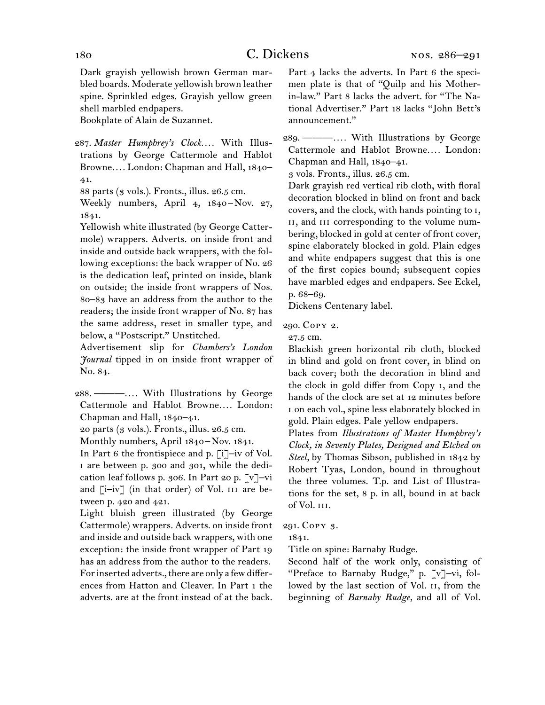Dark grayish yellowish brown German marbled boards. Moderate yellowish brown leather spine. Sprinkled edges. Grayish yellow green shell marbled endpapers.

Bookplate of Alain de Suzannet.

- 287.  *Master Humphrey's Clock. . . .* With Illustrations by George Cattermole and Hablot Browne*. . . .* London: Chapman and Hall, 1840– 41.
	- 88 parts (3 vols.). Fronts., illus. 26.5 cm.
	- Weekly numbers, April 4, 1840-Nov. 27, 1841.

Yellowish white illustrated (by George Cattermole) wrappers. Adverts. on inside front and inside and outside back wrappers, with the following exceptions: the back wrapper of No. 26 is the dedication leaf, printed on inside, blank on outside; the inside front wrappers of Nos. 80–83 have an address from the author to the readers; the inside front wrapper of No. 87 has the same address, reset in smaller type, and below, a "Postscript." Unstitched.

Advertisement slip for *Chambers's London Journal* tipped in on inside front wrapper of No. 84.

288.  ———*. . . .* With Illustrations by George Cattermole and Hablot Browne*. . . .* London: Chapman and Hall, 1840–41.

20 parts (3 vols.). Fronts., illus. 26.5 cm.

Monthly numbers, April 1840-Nov. 1841.

In Part 6 the frontispiece and p. [i]–iv of Vol. i are between p. 300 and 301, while the dedication leaf follows p. 306. In Part 20 p. [v]–vi and  $[i-iv]$  (in that order) of Vol. III are between p. 420 and 421.

Light bluish green illustrated (by George Cattermole) wrappers. Adverts. on inside front and inside and outside back wrappers, with one exception: the inside front wrapper of Part 19 has an address from the author to the readers. For inserted adverts., there are only a few differences from Hatton and Cleaver. In Part 1 the adverts. are at the front instead of at the back.

Part 4 lacks the adverts. In Part 6 the specimen plate is that of "Quilp and his Motherin-law." Part 8 lacks the advert. for "The National Advertiser." Part 18 lacks "John Bett's announcement."

289.  ———*. . . .* With Illustrations by George Cattermole and Hablot Browne*. . . .* London: Chapman and Hall, 1840–41.

3 vols. Fronts., illus. 26.5 cm.

Dark grayish red vertical rib cloth, with floral decoration blocked in blind on front and back covers, and the clock, with hands pointing to i, ii, and iii corresponding to the volume numbering, blocked in gold at center of front cover, spine elaborately blocked in gold. Plain edges and white endpapers suggest that this is one of the first copies bound; subsequent copies have marbled edges and endpapers. See Eckel, p. 68–69.

Dickens Centenary label.

290.  Copy 2.

27.5 cm.

Blackish green horizontal rib cloth, blocked in blind and gold on front cover, in blind on back cover; both the decoration in blind and the clock in gold differ from Copy 1, and the hands of the clock are set at 12 minutes before i on each vol., spine less elaborately blocked in gold. Plain edges. Pale yellow endpapers.

Plates from *Illustrations of Master Humphrey's Clock, in Seventy Plates, Designed and Etched on Steel,* by Thomas Sibson, published in 1842 by Robert Tyas, London, bound in throughout the three volumes. T.p. and List of Illustrations for the set, 8 p. in all, bound in at back of Vol. iii.

291.  Copy 3.

1841.

Title on spine: Barnaby Rudge.

Second half of the work only, consisting of "Preface to Barnaby Rudge," p. [v]–vi, followed by the last section of Vol. 11, from the beginning of *Barnaby Rudge,* and all of Vol.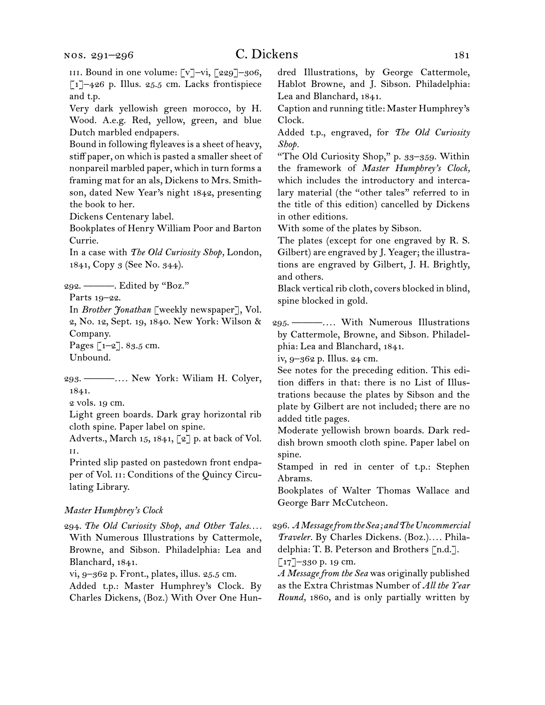# C. Dickens 181

Very dark yellowish green morocco, by H. Wood. A.e.g. Red, yellow, green, and blue Dutch marbled endpapers.

Bound in following flyleaves is a sheet of heavy, stiff paper, on which is pasted a smaller sheet of nonpareil marbled paper, which in turn forms a framing mat for an als, Dickens to Mrs. Smithson, dated New Year's night 1842, presenting the book to her.

Dickens Centenary label.

Bookplates of Henry William Poor and Barton Currie.

In a case with *The Old Curiosity Shop,* London, 1841, Copy 3 (See No. 344).

292.  ———. Edited by "Boz."

Parts 19–22.

In *Brother Jonathan* [weekly newspaper], Vol. 2, No. 12, Sept. 19, 1840. New York: Wilson & Company.

Pages [1–2]. 83.5 cm.

Unbound.

293.  ———*. . . .* New York: Wiliam H. Colyer, 1841.

2 vols. 19 cm.

Light green boards. Dark gray horizontal rib cloth spine. Paper label on spine.

Adverts., March 15, 1841, [2] p. at back of Vol. ii.

Printed slip pasted on pastedown front endpaper of Vol. II: Conditions of the Quincy Circulating Library.

#### *Master Humphrey's Clock*

294.  *The Old Curiosity Shop, and Other Tales. . . .* With Numerous Illustrations by Cattermole, Browne, and Sibson. Philadelphia: Lea and Blanchard, 1841.

vi, 9–362 p. Front., plates, illus. 25.5 cm.

Added t.p.: Master Humphrey's Clock. By Charles Dickens, (Boz.) With Over One Hundred Illustrations, by George Cattermole, Hablot Browne, and J. Sibson. Philadelphia: Lea and Blanchard, 1841.

Caption and running title: Master Humphrey's Clock.

Added t.p., engraved, for *The Old Curiosity Shop.*

"The Old Curiosity Shop," p. 33–359. Within the framework of *Master Humphrey's Clock,*  which includes the introductory and intercalary material (the "other tales" referred to in the title of this edition) cancelled by Dickens in other editions.

With some of the plates by Sibson.

The plates (except for one engraved by R. S. Gilbert) are engraved by J. Yeager; the illustrations are engraved by Gilbert, J. H. Brightly, and others.

Black vertical rib cloth, covers blocked in blind, spine blocked in gold.

295.  ———*. . . .* With Numerous Illustrations by Cattermole, Browne, and Sibson. Philadelphia: Lea and Blanchard, 1841.

iv, 9–362 p. Illus. 24 cm.

See notes for the preceding edition. This edition differs in that: there is no List of Illustrations because the plates by Sibson and the plate by Gilbert are not included; there are no added title pages.

Moderate yellowish brown boards. Dark reddish brown smooth cloth spine. Paper label on spine.

Stamped in red in center of t.p.: Stephen Abrams.

Bookplates of Walter Thomas Wallace and George Barr McCutcheon.

296.  *A Message from the Sea; and The Uncommercial Traveler.* By Charles Dickens. (Boz.)*. . . .* Philadelphia: T. B. Peterson and Brothers [n.d.]. [17]–330 p. 19 cm.

*A Message from the Sea* was originally published as the Extra Christmas Number of *All the Year Round,* 1860, and is only partially written by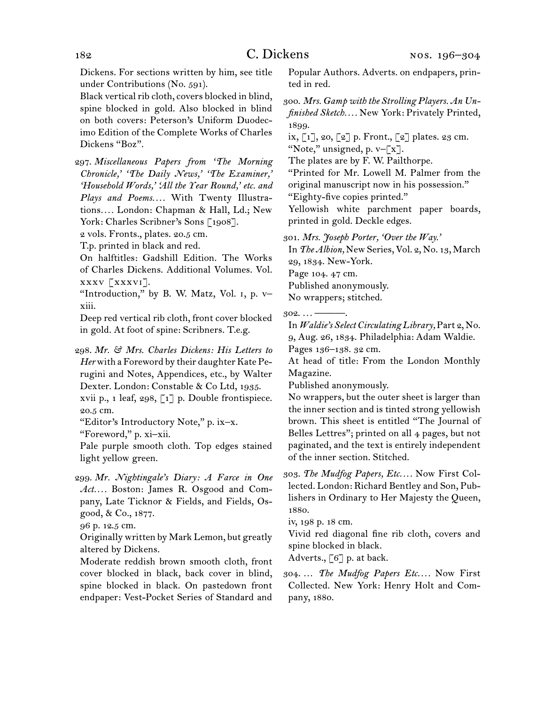Dickens. For sections written by him, see title under Contributions (No. 591).

Black vertical rib cloth, covers blocked in blind, spine blocked in gold. Also blocked in blind on both covers: Peterson's Uniform Duodecimo Edition of the Complete Works of Charles Dickens "Boz".

297.  *Miscellaneous Papers from 'The Morning Chronicle,' 'The Daily News,' 'The Examiner,' 'Household Words,' 'All the Year Round,' etc. and Plays and Poems. . . .* With Twenty Illustrations*. . . .* London: Chapman & Hall, Ld.; New York: Charles Scribner's Sons [1908].

2 vols. Fronts., plates. 20.5 cm.

T.p. printed in black and red.

On halftitles: Gadshill Edition. The Works of Charles Dickens. Additional Volumes. Vol. xxxv [xxxvi].

"Introduction," by B. W. Matz, Vol. i, p. v– xiii.

Deep red vertical rib cloth, front cover blocked in gold. At foot of spine: Scribners. T.e.g.

298.  *Mr. & Mrs. Charles Dickens: His Letters to*  Her with a Foreword by their daughter Kate Perugini and Notes, Appendices, etc., by Walter Dexter. London: Constable & Co Ltd, 1935.

xvii p., 1 leaf, 298, [1] p. Double frontispiece. 20.5 cm.

"Editor's Introductory Note," p. ix–x.

"Foreword," p. xi–xii.

Pale purple smooth cloth. Top edges stained light yellow green.

299.  *Mr. Nightingale's Diary: A Farce in One Act. . . .* Boston: James R. Osgood and Company, Late Ticknor & Fields, and Fields, Osgood, & Co., 1877.

96 p. 12.5 cm.

Originally written by Mark Lemon, but greatly altered by Dickens.

Moderate reddish brown smooth cloth, front cover blocked in black, back cover in blind, spine blocked in black. On pastedown front endpaper: Vest-Pocket Series of Standard and Popular Authors. Adverts. on endpapers, printed in red.

300.  *Mrs. Gamp with the Strolling Players. An Unfinished Sketch. . . .* New York: Privately Printed, 1899.

ix, [1], 20, [2] p. Front., [2] plates. 23 cm. "Note," unsigned, p.  $v-[x]$ .

The plates are by F. W. Pailthorpe.

"Printed for Mr. Lowell M. Palmer from the original manuscript now in his possession." "Eighty-five copies printed."

Yellowish white parchment paper boards,

printed in gold. Deckle edges.

301.  *Mrs. Joseph Porter, 'Over the Way.'* 

In *The Albion*, New Series, Vol. 2, No. 13, March 29, 1834. New-York.

Page 104. 47 cm.

Published anonymously.

No wrappers; stitched.

302.  *. . .* ———.

In *Waldie's Select Circulating Library,* Part 2, No. 9, Aug. 26, 1834. Philadelphia: Adam Waldie.

Pages 136–138. 32 cm.

At head of title: From the London Monthly Magazine.

Published anonymously.

No wrappers, but the outer sheet is larger than the inner section and is tinted strong yellowish brown. This sheet is entitled "The Journal of Belles Lettres"; printed on all 4 pages, but not paginated, and the text is entirely independent of the inner section. Stitched.

303.  *The Mudfog Papers, Etc. . . .* Now First Collected. London: Richard Bentley and Son, Publishers in Ordinary to Her Majesty the Queen, 1880.

iv, 198 p. 18 cm.

Vivid red diagonal fine rib cloth, covers and spine blocked in black.

Adverts., [6] p. at back.

304.  … *The Mudfog Papers Etc. . . .* Now First Collected. New York: Henry Holt and Company, 1880.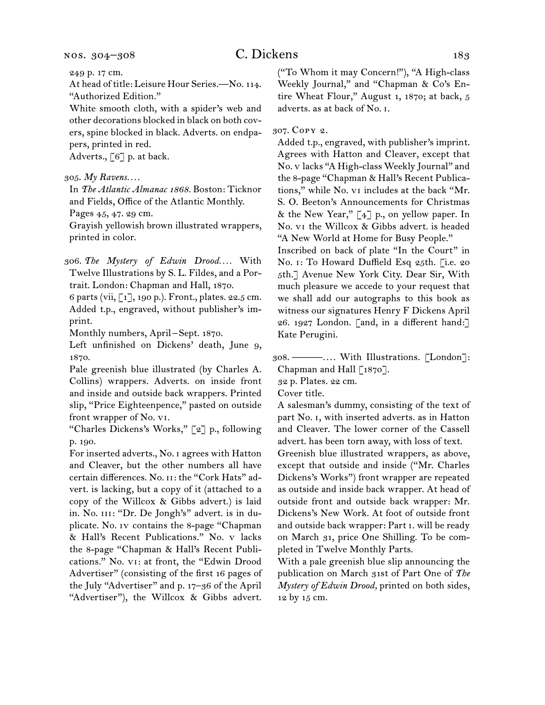249 p. 17 cm.

At head of title: Leisure Hour Series.—No. 114. "Authorized Edition."

White smooth cloth, with a spider's web and other decorations blocked in black on both covers, spine blocked in black. Adverts. on endpapers, printed in red.

Adverts., [6] p. at back.

#### 305.  *My Ravens. . . .*

In *The Atlantic Almanac 1868.* Boston: Ticknor and Fields, Office of the Atlantic Monthly.

Pages 45, 47. 29 cm.

Grayish yellowish brown illustrated wrappers, printed in color.

306.  *The Mystery of Edwin Drood. . . .* With Twelve Illustrations by S. L. Fildes, and a Portrait. London: Chapman and Hall, 1870.

6 parts (vii, [1], 190 p.). Front., plates. 22.5 cm. Added t.p., engraved, without publisher's imprint.

Monthly numbers, April – Sept. 1870.

Left unfinished on Dickens' death, June 9, 1870.

Pale greenish blue illustrated (by Charles A. Collins) wrappers. Adverts. on inside front and inside and outside back wrappers. Printed slip, "Price Eighteenpence," pasted on outside front wrapper of No. vi.

"Charles Dickens's Works," [2] p., following p. 190.

For inserted adverts., No. i agrees with Hatton and Cleaver, but the other numbers all have certain differences. No. II: the "Cork Hats" advert. is lacking, but a copy of it (attached to a copy of the Willcox & Gibbs advert.) is laid in. No. iii: "Dr. De Jongh's" advert. is in duplicate. No. iv contains the 8-page "Chapman & Hall's Recent Publications." No. v lacks the 8-page "Chapman & Hall's Recent Publications." No. vi: at front, the "Edwin Drood Advertiser" (consisting of the first 16 pages of the July "Advertiser" and p. 17–36 of the April "Advertiser"), the Willcox & Gibbs advert.

("To Whom it may Concern!"), "A High-class Weekly Journal," and "Chapman & Co's Entire Wheat Flour," August 1, 1870; at back, 5 adverts. as at back of No. i.

307.  Copy 2.

Added t.p., engraved, with publisher's imprint. Agrees with Hatton and Cleaver, except that No. v lacks "A High-class Weekly Journal" and the 8-page "Chapman & Hall's Recent Publications," while No. vi includes at the back "Mr. S. O. Beeton's Announcements for Christmas & the New Year," [4] p., on yellow paper. In No. vi the Willcox & Gibbs advert. is headed "A New World at Home for Busy People."

Inscribed on back of plate "In the Court" in No. i: To Howard Duffield Esq 25th. [i.e. 20 5th.] Avenue New York City. Dear Sir, With much pleasure we accede to your request that we shall add our autographs to this book as witness our signatures Henry F Dickens April 26. 1927 London. [and, in a different hand:] Kate Perugini.

308.  ———*. . . .* With Illustrations. [London]: Chapman and Hall [1870].

32 p. Plates. 22 cm.

Cover title.

A salesman's dummy, consisting of the text of part No. i, with inserted adverts. as in Hatton and Cleaver. The lower corner of the Cassell advert. has been torn away, with loss of text.

Greenish blue illustrated wrappers, as above, except that outside and inside ("Mr. Charles Dickens's Works") front wrapper are repeated as outside and inside back wrapper. At head of outside front and outside back wrapper: Mr. Dickens's New Work. At foot of outside front and outside back wrapper: Part i. will be ready on March 31, price One Shilling. To be completed in Twelve Monthly Parts.

With a pale greenish blue slip announcing the publication on March 31st of Part One of *The Mystery of Edwin Drood,* printed on both sides, 12 by 15 cm.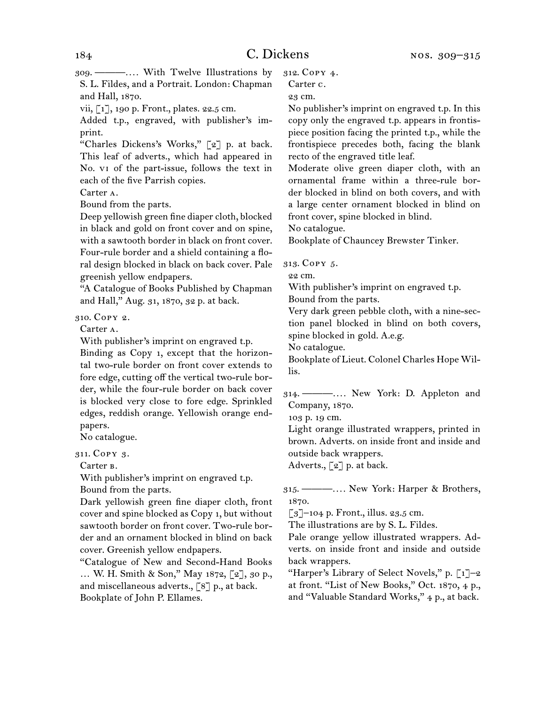309.  ———*. . . .* With Twelve Illustrations by S. L. Fildes, and a Portrait. London: Chapman and Hall, 1870.

vii, [1], 190 p. Front., plates. 22.5 cm.

Added t.p., engraved, with publisher's imprint.

"Charles Dickens's Works," [2] p. at back. This leaf of adverts., which had appeared in No. vi of the part-issue, follows the text in each of the five Parrish copies.

Carter a.

Bound from the parts.

Deep yellowish green fine diaper cloth, blocked in black and gold on front cover and on spine, with a sawtooth border in black on front cover. Four-rule border and a shield containing a floral design blocked in black on back cover. Pale greenish yellow endpapers.

"A Catalogue of Books Published by Chapman and Hall," Aug. 31, 1870, 32 p. at back.

310.  Copy 2.

Carter a.

With publisher's imprint on engraved t.p.

Binding as Copy 1, except that the horizontal two-rule border on front cover extends to fore edge, cutting off the vertical two-rule border, while the four-rule border on back cover is blocked very close to fore edge. Sprinkled edges, reddish orange. Yellowish orange endpapers.

No catalogue.

311.  Copy 3.

Carter b.

With publisher's imprint on engraved t.p.

Bound from the parts.

Dark yellowish green fine diaper cloth, front cover and spine blocked as Copy 1, but without sawtooth border on front cover. Two-rule border and an ornament blocked in blind on back cover. Greenish yellow endpapers.

"Catalogue of New and Second-Hand Books … W. H. Smith & Son," May 1872, [2], 30 p., and miscellaneous adverts., [8] p., at back. Bookplate of John P. Ellames.

312.  Copy 4.

Carter c.

23 cm.

No publisher's imprint on engraved t.p. In this copy only the engraved t.p. appears in frontispiece position facing the printed t.p., while the frontispiece precedes both, facing the blank recto of the engraved title leaf.

Moderate olive green diaper cloth, with an ornamental frame within a three-rule border blocked in blind on both covers, and with a large center ornament blocked in blind on front cover, spine blocked in blind.

No catalogue.

Bookplate of Chauncey Brewster Tinker.

313.  Copy 5.

22 cm.

With publisher's imprint on engraved t.p.

Bound from the parts.

Very dark green pebble cloth, with a nine-section panel blocked in blind on both covers, spine blocked in gold. A.e.g.

No catalogue.

Bookplate of Lieut. Colonel Charles Hope Willis.

314.  ———*. . . .* New York: D. Appleton and Company, 1870.

103 p. 19 cm.

Light orange illustrated wrappers, printed in brown. Adverts. on inside front and inside and outside back wrappers.

Adverts., [2] p. at back.

315.  ———*. . . .* New York: Harper & Brothers, 1870.

 $\lceil 3 \rceil$ –104 p. Front., illus. 23.5 cm.

The illustrations are by S. L. Fildes.

Pale orange yellow illustrated wrappers. Adverts. on inside front and inside and outside back wrappers.

"Harper's Library of Select Novels," p.  $\lceil 1 \rceil$ -2 at front. "List of New Books," Oct. 1870, 4 p., and "Valuable Standard Works," 4 p., at back.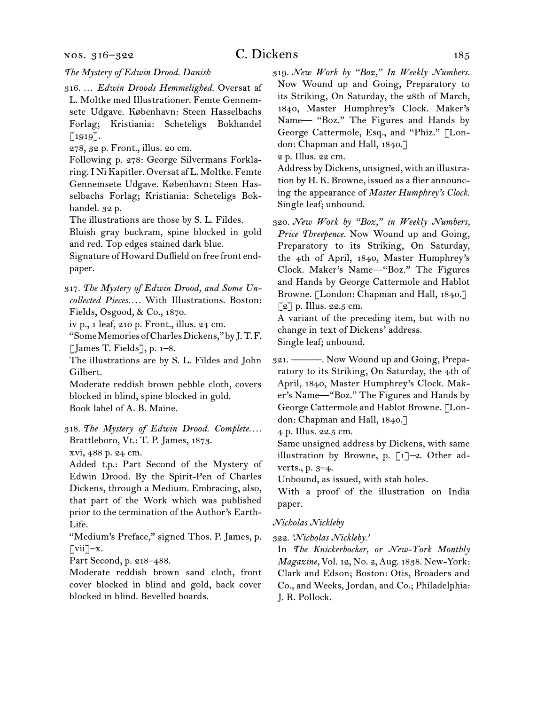#### nos. 316–322

#### *The Mystery of Edwin Drood. Danish*

316.  … *Edwin Droods Hemmelighed.* Oversat af L. Moltke med Illustrationer. Femte Gennemsete Udgave. København: Steen Hasselbachs Forlag; Kristiania: Scheteligs Bokhandel [1919].

278, 32 p. Front., illus. 20 cm.

Following p. 278: George Silvermans Forklaring.I Ni Kapitler. Oversat af L. Moltke. Femte Gennemsete Udgave. København: Steen Hasselbachs Forlag; Kristiania: Scheteligs Bokhandel. 32 p.

The illustrations are those by S. L. Fildes.

Bluish gray buckram, spine blocked in gold and red. Top edges stained dark blue.

Signature of Howard Duffield on free front endpaper.

317.  *The Mystery of Edwin Drood, and Some Uncollected Pieces. . . .* With Illustrations. Boston: Fields, Osgood, & Co., 1870.

iv p., 1 leaf, 210 p. Front., illus. 24 cm.

"SomeMemoriesofCharlesDickens,"byJ. T. F. [James T. Fields], p. 1–8.

The illustrations are by S. L. Fildes and John Gilbert.

Moderate reddish brown pebble cloth, covers blocked in blind, spine blocked in gold. Book label of A. B. Maine.

318.  *The Mystery of Edwin Drood. Complete. . . .* Brattleboro, Vt.: T. P. James, 1873.

xvi, 488 p. 24 cm.

Added t.p.: Part Second of the Mystery of Edwin Drood. By the Spirit-Pen of Charles Dickens, through a Medium. Embracing, also, that part of the Work which was published prior to the termination of the Author's Earth-Life.

"Medium's Preface," signed Thos. P. James, p.  $\lceil \nabla \text{iii} \rceil - x.$ 

Part Second, p. 218–488.

Moderate reddish brown sand cloth, front cover blocked in blind and gold, back cover blocked in blind. Bevelled boards.

319.  *New Work by "Boz," In Weekly Numbers.*  Now Wound up and Going, Preparatory to its Striking, On Saturday, the 28th of March, 1840, Master Humphrey's Clock. Maker's Name— "Boz." The Figures and Hands by George Cattermole, Esq., and "Phiz." [London: Chapman and Hall, 1840.]

2 p. Illus. 22 cm.

Address by Dickens, unsigned, with an illustration by H. K. Browne, issued as a flier announcing the appearance of *Master Humphrey's Clock.* Single leaf; unbound.

320.  *New Work by "Boz," in Weekly Numbers, Price Threepence.* Now Wound up and Going, Preparatory to its Striking, On Saturday, the 4th of April, 1840, Master Humphrey's Clock. Maker's Name—"Boz." The Figures and Hands by George Cattermole and Hablot Browne. [London: Chapman and Hall, 1840.]  $\lceil 2 \rceil$  p. Illus. 22.5 cm.

A variant of the preceding item, but with no change in text of Dickens' address.

Single leaf; unbound.

321.  ———. Now Wound up and Going, Preparatory to its Striking, On Saturday, the 4th of April, 1840, Master Humphrey's Clock. Maker's Name—"Boz." The Figures and Hands by George Cattermole and Hablot Browne. [London: Chapman and Hall, 1840.]

4 p. Illus. 22.5 cm.

Same unsigned address by Dickens, with same illustration by Browne, p.  $\lceil 1 \rceil$ -2. Other adverts., p. 3–4.

Unbound, as issued, with stab holes.

With a proof of the illustration on India paper.

#### *Nicholas Nickleby*

322.  *'Nicholas Nickleby.'*

In *The Knickerbocker, or New-York Monthly Magazine,* Vol. 12, No. 2, Aug. 1838. New-York: Clark and Edson; Boston: Otis, Broaders and Co., and Weeks, Jordan, and Co.; Philadelphia: J. R. Pollock.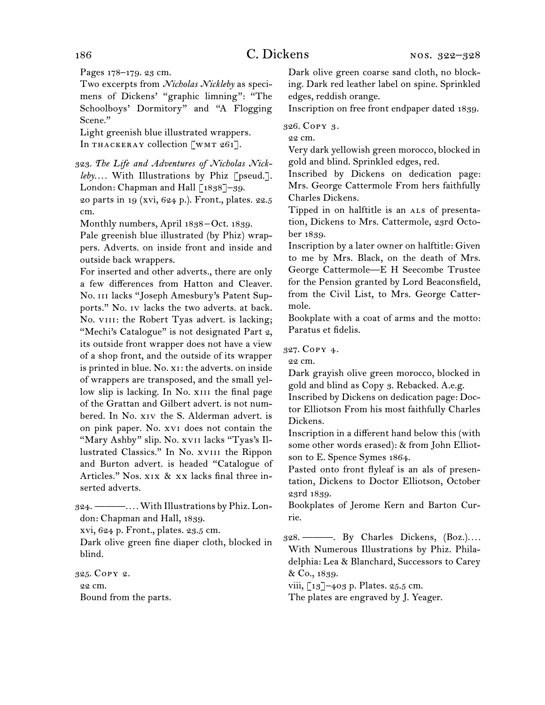Pages 178–179. 23 cm.

Two excerpts from *Nicholas Nickleby* as specimens of Dickens' "graphic limning": "The Schoolboys' Dormitory" and "A Flogging Scene."

Light greenish blue illustrated wrappers. In THACKERAY collection [WMT 261].

323.  *The Life and Adventures of Nicholas Nickleby. . . .* With Illustrations by Phiz [pseud.]. London: Chapman and Hall [1838]-39. 20 parts in 19 (xvi, 624 p.). Front., plates. 22.5 cm.

Monthly numbers, April 1838–Oct. 1839.

Pale greenish blue illustrated (by Phiz) wrappers. Adverts. on inside front and inside and outside back wrappers.

For inserted and other adverts., there are only a few differences from Hatton and Cleaver. No. iii lacks "Joseph Amesbury's Patent Supports." No. iv lacks the two adverts. at back. No. VIII: the Robert Tyas advert. is lacking; "Mechi's Catalogue" is not designated Part 2, its outside front wrapper does not have a view of a shop front, and the outside of its wrapper is printed in blue. No. xi: the adverts. on inside of wrappers are transposed, and the small yellow slip is lacking. In No. XIII the final page of the Grattan and Gilbert advert. is not numbered. In No. xiv the S. Alderman advert. is on pink paper. No. xvi does not contain the "Mary Ashby" slip. No. xvii lacks "Tyas's Illustrated Classics." In No. xviii the Rippon and Burton advert. is headed "Catalogue of Articles." Nos. xix & xx lacks final three inserted adverts.

324.  ———*. . . .* With Illustrations by Phiz. London: Chapman and Hall, 1839.

xvi, 624 p. Front., plates. 23.5 cm.

Dark olive green fine diaper cloth, blocked in blind.

325.  Copy 2. 22 cm. Bound from the parts. Dark olive green coarse sand cloth, no blocking. Dark red leather label on spine. Sprinkled edges, reddish orange.

Inscription on free front endpaper dated 1839.

326.  Copy 3.

22 cm.

Very dark yellowish green morocco, blocked in gold and blind. Sprinkled edges, red.

Inscribed by Dickens on dedication page: Mrs. George Cattermole From hers faithfully Charles Dickens.

Tipped in on halftitle is an ALS of presentation, Dickens to Mrs. Cattermole, 23rd October 1839.

Inscription by a later owner on halftitle: Given to me by Mrs. Black, on the death of Mrs. George Cattermole—E H Seecombe Trustee for the Pension granted by Lord Beaconsfield, from the Civil List, to Mrs. George Cattermole.

Bookplate with a coat of arms and the motto: Paratus et fidelis.

327.  Copy 4.

22 cm.

Dark grayish olive green morocco, blocked in gold and blind as Copy 3. Rebacked. A.e.g.

Inscribed by Dickens on dedication page: Doctor Elliotson From his most faithfully Charles Dickens.

Inscription in a different hand below this (with some other words erased): & from John Elliotson to E. Spence Symes 1864.

Pasted onto front flyleaf is an als of presentation, Dickens to Doctor Elliotson, October 23rd 1839.

Bookplates of Jerome Kern and Barton Currie.

328.  ———. By Charles Dickens, (Boz.)*. . . .* With Numerous Illustrations by Phiz. Philadelphia: Lea & Blanchard, Successors to Carey & Co., 1839.

viii, [13]–403 p. Plates. 25.5 cm.

The plates are engraved by J. Yeager.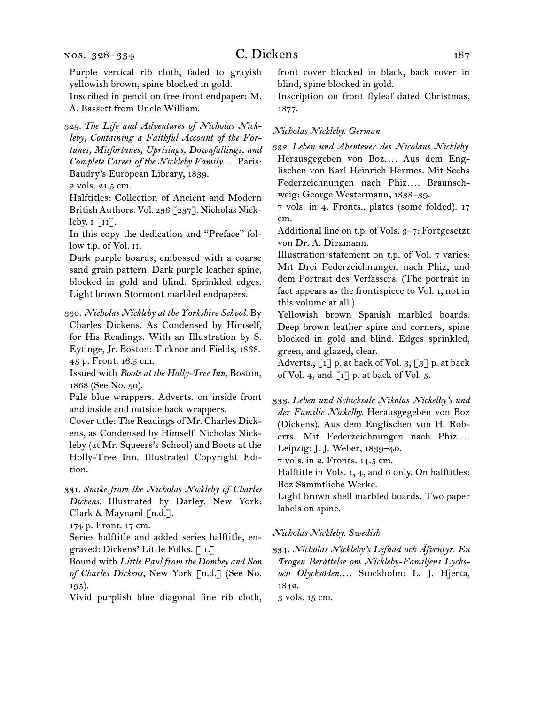Purple vertical rib cloth, faded to grayish yellowish brown, spine blocked in gold.

Inscribed in pencil on free front endpaper: M. A. Bassett from Uncle William.

329.  *The Life and Adventures of Nicholas Nickleby, Containing a Faithful Account of the Fortunes, Misfortunes, Uprisings, Downfallings, and Complete Career of the Nickleby Family. . . .* Paris: Baudry's European Library, 1839.

2 vols. 21.5 cm.

Halftitles: Collection of Ancient and Modern British Authors. Vol. 236 [237]. Nicholas Nickleby.  $\mathbf{I}$  [ $\mathbf{II}$ ].

In this copy the dedication and "Preface" follow t.p. of Vol. ii.

Dark purple boards, embossed with a coarse sand grain pattern. Dark purple leather spine, blocked in gold and blind. Sprinkled edges. Light brown Stormont marbled endpapers.

330.  *Nicholas Nickleby at the Yorkshire School.* By Charles Dickens. As Condensed by Himself, for His Readings. With an Illustration by S. Eytinge, Jr. Boston: Ticknor and Fields, 1868. 45 p. Front. 16.5 cm.

Issued with *Boots at the Holly-Tree Inn,* Boston, 1868 (See No. 50).

Pale blue wrappers. Adverts. on inside front and inside and outside back wrappers.

Cover title: The Readings of Mr. Charles Dickens, as Condensed by Himself. Nicholas Nickleby (at Mr. Squeers's School) and Boots at the Holly-Tree Inn. Illustrated Copyright Edition.

331.  *Smike from the Nicholas Nickleby of Charles Dickens.* Illustrated by Darley. New York: Clark & Maynard [n.d.].

174 p. Front. 17 cm.

Series halftitle and added series halftitle, engraved: Dickens' Little Folks. [ii.]

Bound with *Little Paul from the Dombey and Son of Charles Dickens,* New York [n.d.] (See No. 195).

Vivid purplish blue diagonal fine rib cloth,

front cover blocked in black, back cover in blind, spine blocked in gold.

Inscription on front flyleaf dated Christmas, 1877.

#### *Nicholas Nickleby. German*

332.  *Leben und Abenteuer des Nicolaus Nickleby.* Herausgegeben von Boz*. . . .* Aus dem Englischen von Karl Heinrich Hermes. Mit Sechs Federzeichnungen nach Phiz*. . . .* Braunschweig: George Westermann, 1838–39.

7 vols. in 4. Fronts., plates (some folded). 17 cm.

Additional line on t.p. of Vols. 3–7: Fortgesetzt von Dr. A. Diezmann.

Illustration statement on t.p. of Vol. 7 varies: Mit Drei Federzeichnungen nach Phiz, und dem Portrait des Verfassers. (The portrait in fact appears as the frontispiece to Vol. 1, not in this volume at all.)

Yellowish brown Spanish marbled boards. Deep brown leather spine and corners, spine blocked in gold and blind. Edges sprinkled, green, and glazed, clear.

Adverts.,  $\lceil 1 \rceil$  p. at back of Vol. 3,  $\lceil 3 \rceil$  p. at back of Vol. 4, and  $\lceil 1 \rceil$  p. at back of Vol. 5.

333.  *Leben und Schicksale Nikolas Nickelby's und der Familie Nickelby.* Herausgegeben von Boz (Dickens). Aus dem Englischen von H. Roberts. Mit Federzeichnungen nach Phiz*. . . .* Leipzig: J. J. Weber, 1839–40.

7 vols. in 2. Fronts. 14.5 cm.

Halftitle in Vols. 1, 4, and 6 only. On halftitles: Boz Sämmtliche Werke.

Light brown shell marbled boards. Two paper labels on spine.

#### *Nicholas Nickleby. Swedish*

334.  *Nicholas Nickleby's Lefnad och Äfventyr. En Trogen Berättelse om Nickleby-Familjens Lycksoch Olycksöden. . . .* Stockholm: L. J. Hjerta, 1842.

3 vols. 15 cm.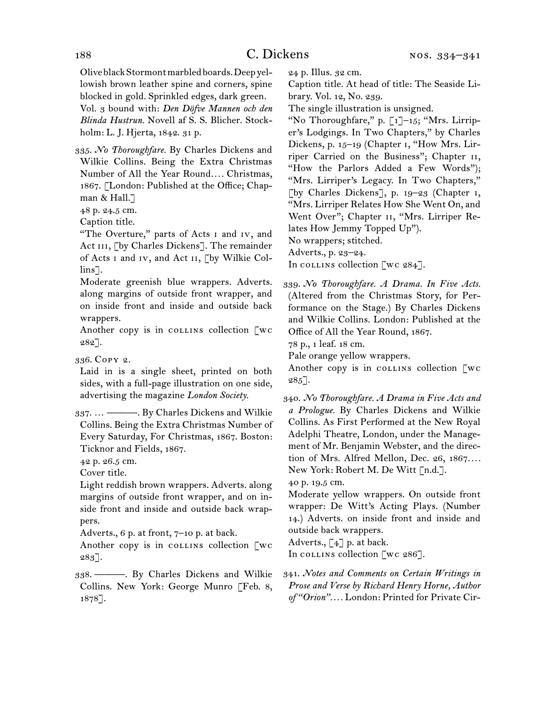OliveblackStormontmarbledboards.Deepyellowish brown leather spine and corners, spine blocked in gold. Sprinkled edges, dark green.

Vol. 3 bound with: *Den Döfve Mannen och den Blinda Hustrun.* Novell af S. S. Blicher. Stockholm: L. J. Hjerta, 1842. 31 p.

335.  *No Thoroughfare.* By Charles Dickens and Wilkie Collins. Being the Extra Christmas Number of All the Year Round*. . . .* Christmas, 1867. [London: Published at the Office; Chapman & Hall.]

48 p. 24.5 cm.

Caption title.

"The Overture," parts of Acts i and iv, and Act III, [by Charles Dickens]. The remainder of Acts i and iv, and Act ii, [by Wilkie Collins<sup>-</sup>1.

Moderate greenish blue wrappers. Adverts. along margins of outside front wrapper, and on inside front and inside and outside back wrappers.

Another copy is in collection  $\alpha$ 282].

336.  Copy 2.

Laid in is a single sheet, printed on both sides, with a full-page illustration on one side, advertising the magazine *London Society.*

337.  … ———. By Charles Dickens and Wilkie Collins. Being the Extra Christmas Number of Every Saturday, For Christmas, 1867. Boston: Ticknor and Fields, 1867.

42 p. 26.5 cm.

Cover title.

Light reddish brown wrappers. Adverts. along margins of outside front wrapper, and on inside front and inside and outside back wrappers.

Adverts., 6 p. at front, 7–10 p. at back.

Another copy is in collection  $\lceil wc \rceil$ 283].

338.  ———. By Charles Dickens and Wilkie Collins. New York: George Munro [Feb. 8, 1878].

24 p. Illus. 32 cm.

Caption title. At head of title: The Seaside Library. Vol. 12, No. 239.

The single illustration is unsigned.

"No Thoroughfare," p. [1]–15; "Mrs. Lirriper's Lodgings. In Two Chapters," by Charles Dickens, p. 15–19 (Chapter i, "How Mrs. Lirriper Carried on the Business"; Chapter ii, "How the Parlors Added a Few Words"); "Mrs. Lirriper's Legacy. In Two Chapters," [by Charles Dickens], p. 19–23 (Chapter i, "Mrs. Lirriper Relates How She Went On, and Went Over"; Chapter II, "Mrs. Lirriper Relates How Jemmy Topped Up").

No wrappers; stitched.

Adverts., p. 23–24.

In collection [wc  $284$ ].

339.  *No Thoroughfare. A Drama. In Five Acts.*  (Altered from the Christmas Story, for Performance on the Stage.) By Charles Dickens and Wilkie Collins. London: Published at the Office of All the Year Round, 1867.

78 p., 1 leaf. 18 cm.

Pale orange yellow wrappers.

Another copy is in collection [wc  $285$ ].

340.  *No Thoroughfare. A Drama in Five Acts and a Prologue.* By Charles Dickens and Wilkie Collins. As First Performed at the New Royal Adelphi Theatre, London, under the Management of Mr. Benjamin Webster, and the direction of Mrs. Alfred Mellon, Dec. 26, 1867*. . . .*  New York: Robert M. De Witt [n.d.].

40 p. 19.5 cm.

Moderate yellow wrappers. On outside front wrapper: De Witt's Acting Plays. (Number 14.) Adverts. on inside front and inside and outside back wrappers.

Adverts., [4] p. at back.

In collins collection [wc 286].

341.  *Notes and Comments on Certain Writings in Prose and Verse by Richard Henry Horne, Author of "Orion". . . .* London: Printed for Private Cir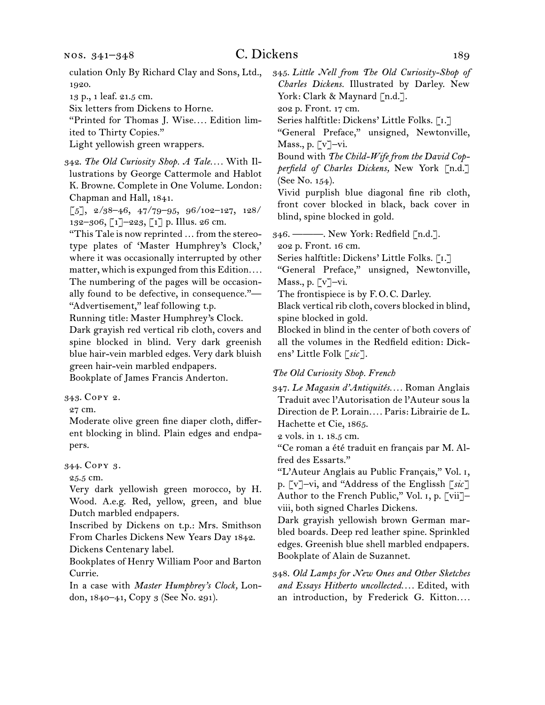culation Only By Richard Clay and Sons, Ltd., 1920.

13 p., 1 leaf. 21.5 cm.

Six letters from Dickens to Horne.

"Printed for Thomas J. Wise*. . . .* Edition limited to Thirty Copies."

Light yellowish green wrappers.

342.  *The Old Curiosity Shop. A Tale. . . .* With Illustrations by George Cattermole and Hablot K. Browne. Complete in One Volume. London: Chapman and Hall, 1841.

 $\begin{bmatrix} 5 \end{bmatrix}$ , 2/38-46, 47/79-95, 96/102-127, 128/ 132–306, [1]–223, [1] p. Illus. 26 cm.

"This Tale is now reprinted … from the stereotype plates of 'Master Humphrey's Clock,' where it was occasionally interrupted by other matter, which is expunged from this Edition.... The numbering of the pages will be occasionally found to be defective, in consequence."—

"Advertisement," leaf following t.p.

Running title: Master Humphrey's Clock.

Dark grayish red vertical rib cloth, covers and spine blocked in blind. Very dark greenish blue hair-vein marbled edges. Very dark bluish green hair-vein marbled endpapers.

Bookplate of James Francis Anderton.

343.  Copy 2.

27 cm.

Moderate olive green fine diaper cloth, different blocking in blind. Plain edges and endpapers.

344.  Copy 3.

25.5 cm.

Very dark yellowish green morocco, by H. Wood. A.e.g. Red, yellow, green, and blue Dutch marbled endpapers.

Inscribed by Dickens on t.p.: Mrs. Smithson From Charles Dickens New Years Day 1842.

Dickens Centenary label.

Bookplates of Henry William Poor and Barton Currie.

In a case with *Master Humphrey's Clock,* London, 1840–41, Copy 3 (See No. 291).

345.  *Little Nell from The Old Curiosity-Shop of Charles Dickens.* Illustrated by Darley. New York: Clark & Maynard [n.d.].

202 p. Front. 17 cm.

Series halftitle: Dickens' Little Folks. [I.]

"General Preface," unsigned, Newtonville, Mass., p. [v]–vi.

Bound with *The Child-Wife from the David Copperfield of Charles Dickens,* New York [n.d.] (See No. 154).

Vivid purplish blue diagonal fine rib cloth, front cover blocked in black, back cover in blind, spine blocked in gold.

346.  ———. New York: Redfield [n.d.].

202 p. Front. 16 cm.

Series halftitle: Dickens' Little Folks. [i.]

"General Preface," unsigned, Newtonville, Mass., p.  $\lceil v \rceil$ –vi.

The frontispiece is by F.O.C. Darley.

Black vertical rib cloth, covers blocked in blind, spine blocked in gold.

Blocked in blind in the center of both covers of all the volumes in the Redfield edition: Dickens' Little Folk [*sic*].

#### *The Old Curiosity Shop. French*

347.  *Le Magasin d'Antiquités. . . .* Roman Anglais Traduit avec l'Autorisation de l'Auteur sous la Direction de P. Lorain*. . . .* Paris: Librairie de L. Hachette et Cie, 1865.

2 vols. in 1. 18.5 cm.

"Ce roman a été traduit en français par M. Alfred des Essarts."

"L'Auteur Anglais au Public Français," Vol. i, p. [v]–vi, and "Address of the Englissh [*sic*] Author to the French Public," Vol. i, p. [vii]– viii, both signed Charles Dickens.

Dark grayish yellowish brown German marbled boards. Deep red leather spine. Sprinkled edges. Greenish blue shell marbled endpapers. Bookplate of Alain de Suzannet.

348.  *Old Lamps for New Ones and Other Sketches and Essays Hitherto uncollected. . . .* Edited, with an introduction, by Frederick G. Kitton....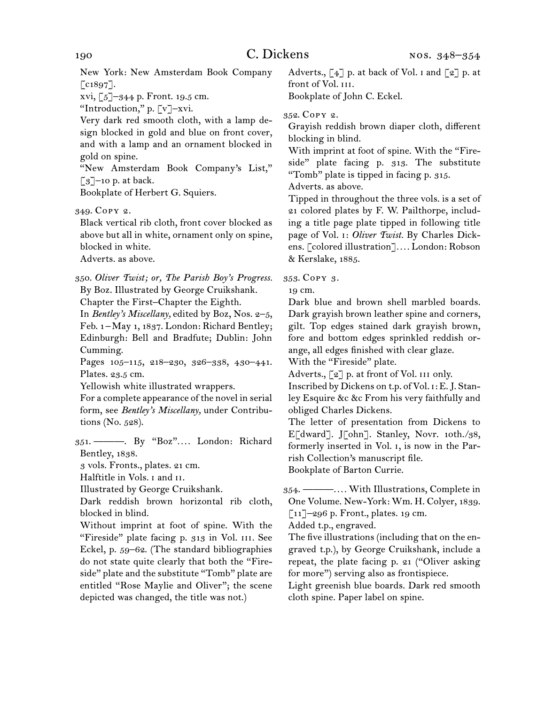New York: New Amsterdam Book Company  $\lceil$  c1897].

xvi, [5]–344 p. Front. 19.5 cm.

"Introduction," p. [v]–xvi.

Very dark red smooth cloth, with a lamp design blocked in gold and blue on front cover, and with a lamp and an ornament blocked in gold on spine.

"New Amsterdam Book Company's List,"  $\lceil 3 \rceil$ –10 p. at back.

Bookplate of Herbert G. Squiers.

349.  Copy 2.

Black vertical rib cloth, front cover blocked as above but all in white, ornament only on spine, blocked in white.

Adverts. as above.

350.  *Oliver Twist; or, The Parish Boy's Progress.* By Boz. Illustrated by George Cruikshank.

Chapter the First–Chapter the Eighth.

In *Bentley's Miscellany,* edited by Boz, Nos. 2–5, Feb. 1 – May 1, 1837. London: Richard Bentley; Edinburgh: Bell and Bradfute; Dublin: John Cumming.

Pages 105-115, 218-230, 326-338, 430-441. Plates. 23.5 cm.

Yellowish white illustrated wrappers.

For a complete appearance of the novel in serial form, see *Bentley's Miscellany,* under Contributions (No. 528).

351.  ———. By "Boz"*. . . .* London: Richard Bentley, 1838.

3 vols. Fronts., plates. 21 cm.

Halftitle in Vols. i and ii.

Illustrated by George Cruikshank.

Dark reddish brown horizontal rib cloth, blocked in blind.

Without imprint at foot of spine. With the "Fireside" plate facing p. 313 in Vol. iii. See Eckel, p. 59–62. (The standard bibliographies do not state quite clearly that both the "Fireside" plate and the substitute "Tomb" plate are entitled "Rose Maylie and Oliver"; the scene depicted was changed, the title was not.)

Adverts.,  $\begin{bmatrix} 4 \end{bmatrix}$  p. at back of Vol. I and  $\begin{bmatrix} 2 \end{bmatrix}$  p. at front of Vol. III. Bookplate of John C. Eckel.

352.  Copy 2.

Grayish reddish brown diaper cloth, different blocking in blind.

With imprint at foot of spine. With the "Fireside" plate facing p. 313. The substitute "Tomb" plate is tipped in facing p. 315.

Adverts. as above.

Tipped in throughout the three vols. is a set of 21 colored plates by F. W. Pailthorpe, including a title page plate tipped in following title page of Vol. i: *Oliver Twist.* By Charles Dickens. [colored illustration]*. . . .* London: Robson & Kerslake, 1885.

353.  Copy 3.

19 cm.

Dark blue and brown shell marbled boards. Dark grayish brown leather spine and corners, gilt. Top edges stained dark grayish brown, fore and bottom edges sprinkled reddish orange, all edges finished with clear glaze.

With the "Fireside" plate.

Adverts.,  $\lceil 2 \rceil$  p. at front of Vol. III only.

Inscribed by Dickens on t.p. of Vol. i: E.J. Stanley Esquire &c &c From his very faithfully and obliged Charles Dickens.

The letter of presentation from Dickens to E[dward]. J[ohn]. Stanley, Novr. 10th./38, formerly inserted in Vol. i, is now in the Parrish Collection's manuscript file. Bookplate of Barton Currie.

354.  ———*. . . .* With Illustrations, Complete in One Volume. New-York: Wm. H. Colyer, 1839. [11]–296 p. Front., plates. 19 cm.

Added t.p., engraved.

The five illustrations(including that on the engraved t.p.), by George Cruikshank, include a repeat, the plate facing p. 21 ("Oliver asking for more") serving also as frontispiece.

Light greenish blue boards. Dark red smooth cloth spine. Paper label on spine.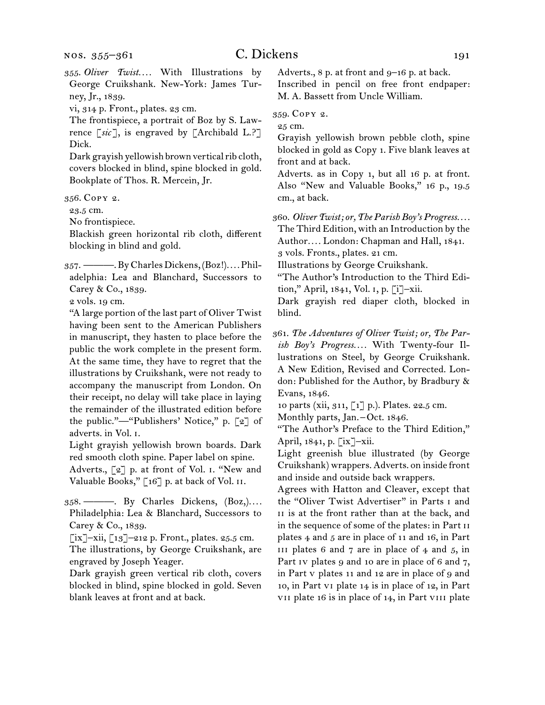355.  *Oliver Twist. . . .* With Illustrations by George Cruikshank. New-York: James Turney, Jr., 1839.

vi, 314 p. Front., plates. 23 cm.

The frontispiece, a portrait of Boz by S. Lawrence [*sic* ], is engraved by [Archibald L.?] Dick.

Dark grayish yellowish brown vertical rib cloth, covers blocked in blind, spine blocked in gold. Bookplate of Thos. R. Mercein, Jr.

356.  Copy 2.

23.5 cm.

No frontispiece.

Blackish green horizontal rib cloth, different blocking in blind and gold.

357.  ———.ByCharlesDickens,(Boz!)*. . . .*Philadelphia: Lea and Blanchard, Successors to Carey & Co., 1839.

2 vols. 19 cm.

"A large portion of the last part of Oliver Twist having been sent to the American Publishers in manuscript, they hasten to place before the public the work complete in the present form. At the same time, they have to regret that the illustrations by Cruikshank, were not ready to accompany the manuscript from London. On their receipt, no delay will take place in laying the remainder of the illustrated edition before the public."—"Publishers' Notice," p. [2] of adverts. in Vol. i.

Light grayish yellowish brown boards. Dark red smooth cloth spine. Paper label on spine.

Adverts., [2] p. at front of Vol. i. "New and Valuable Books," [16] p. at back of Vol. ii.

358.  ———. By Charles Dickens, (Boz,)*. . . .* Philadelphia: Lea & Blanchard, Successors to Carey & Co., 1839.

[ix]–xii, [13]–212 p. Front., plates. 25.5 cm.

The illustrations, by George Cruikshank, are engraved by Joseph Yeager.

Dark grayish green vertical rib cloth, covers blocked in blind, spine blocked in gold. Seven blank leaves at front and at back.

Adverts., 8 p. at front and 9–16 p. at back.

Inscribed in pencil on free front endpaper: M. A. Bassett from Uncle William.

359.  Copy 2.

25 cm.

Grayish yellowish brown pebble cloth, spine blocked in gold as Copy 1. Five blank leaves at front and at back.

Adverts. as in Copy 1, but all 16 p. at front. Also "New and Valuable Books," 16 p., 19.5 cm., at back.

360.  *Oliver Twist; or, The Parish Boy's Progress. . . .*

The Third Edition, with an Introduction by the Author*. . . .* London: Chapman and Hall, 1841. 3 vols. Fronts., plates. 21 cm.

Illustrations by George Cruikshank.

"The Author's Introduction to the Third Edition," April, 1841, Vol. i, p. [i]–xii.

Dark grayish red diaper cloth, blocked in blind.

361.  *The Adventures of Oliver Twist; or, The Parish Boy's Progress. . . .* With Twenty-four Illustrations on Steel, by George Cruikshank. A New Edition, Revised and Corrected. London: Published for the Author, by Bradbury & Evans, 1846.

10 parts (xii, 311, [1] p.). Plates. 22.5 cm.

Monthly parts, Jan.-Oct. 1846.

"The Author's Preface to the Third Edition," April, 1841, p. [ix]–xii.

Light greenish blue illustrated (by George Cruikshank) wrappers. Adverts. on inside front and inside and outside back wrappers.

Agrees with Hatton and Cleaver, except that the "Oliver Twist Advertiser" in Parts i and II is at the front rather than at the back, and in the sequence of some of the plates: in Part ii plates 4 and 5 are in place of 11 and 16, in Part III plates 6 and 7 are in place of  $4$  and  $5$ , in Part iv plates 9 and 10 are in place of 6 and 7, in Part v plates 11 and 12 are in place of 9 and 10, in Part vi plate 14 is in place of 12, in Part vii plate 16 is in place of 14, in Part viii plate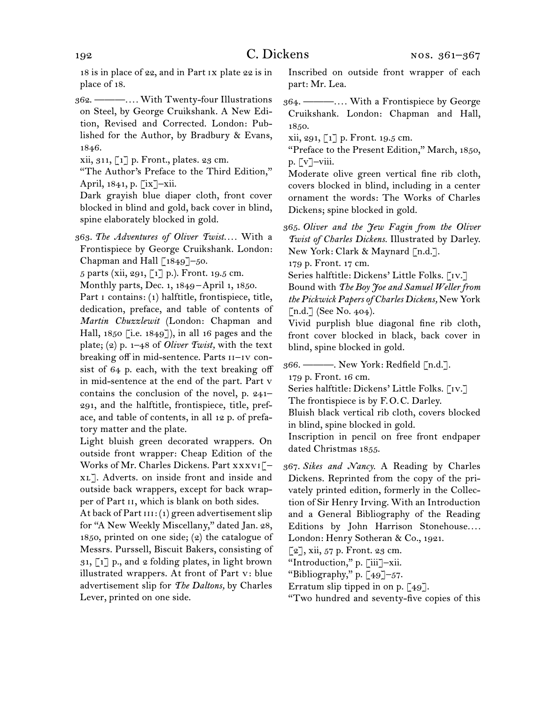18 is in place of 22, and in Part ix plate 22 is in place of 18.

362.  ———*. . . .* With Twenty-four Illustrations on Steel, by George Cruikshank. A New Edition, Revised and Corrected. London: Published for the Author, by Bradbury & Evans, 1846.

xii, 311, [1] p. Front., plates. 23 cm.

"The Author's Preface to the Third Edition," April, 1841, p. [ix]–xii.

Dark grayish blue diaper cloth, front cover blocked in blind and gold, back cover in blind, spine elaborately blocked in gold.

363.  *The Adventures of Oliver Twist. . . .* With a Frontispiece by George Cruikshank. London: Chapman and Hall [1849]–50.

5 parts (xii, 291, [1] p.). Front. 19.5 cm.

Monthly parts, Dec. 1, 1849 – April 1, 1850.

Part I contains: (1) halftitle, frontispiece, title, dedication, preface, and table of contents of *Martin Chuzzlewit* (London: Chapman and Hall, 1850 [i.e. 1849]), in all 16 pages and the plate; (2) p. 1–48 of *Oliver Twist,* with the text breaking off in mid-sentence. Parts II-IV consist of 64 p. each, with the text breaking off in mid-sentence at the end of the part. Part v contains the conclusion of the novel, p. 241– 291, and the halftitle, frontispiece, title, preface, and table of contents, in all 12 p. of prefatory matter and the plate.

Light bluish green decorated wrappers. On outside front wrapper: Cheap Edition of the Works of Mr. Charles Dickens. Part xxxvi[– xl]. Adverts. on inside front and inside and outside back wrappers, except for back wrapper of Part ii, which is blank on both sides.

At back of Part  $III$ : (1) green advertisement slip for "A New Weekly Miscellany," dated Jan. 28, 1850, printed on one side; (2) the catalogue of Messrs. Purssell, Biscuit Bakers, consisting of  $31,$  [1] p., and  $2$  folding plates, in light brown illustrated wrappers. At front of Part v: blue advertisement slip for *The Daltons,* by Charles Lever, printed on one side.

Inscribed on outside front wrapper of each part: Mr. Lea.

364.  ———*. . . .* With a Frontispiece by George Cruikshank. London: Chapman and Hall, 1850.

xii, 291,  $\lceil 1 \rceil$  p. Front. 19.5 cm.

"Preface to the Present Edition," March, 1850, p. [v]–viii.

Moderate olive green vertical fine rib cloth, covers blocked in blind, including in a center ornament the words: The Works of Charles Dickens; spine blocked in gold.

365.  *Oliver and the Jew Fagin from the Oliver Twist of Charles Dickens.* Illustrated by Darley. New York: Clark & Maynard [n.d.].

179 p. Front. 17 cm.

Series halftitle: Dickens' Little Folks. [IV.] Bound with *The Boy Joe and Samuel Weller from the Pickwick Papers of Charles Dickens,* New York [n.d.] (See No. 404).

Vivid purplish blue diagonal fine rib cloth, front cover blocked in black, back cover in blind, spine blocked in gold.

366.  ———. New York: Redfield [n.d.].

179 p. Front. 16 cm.

Series halftitle: Dickens' Little Folks. [IV.]

The frontispiece is by F.O.C. Darley.

Bluish black vertical rib cloth, covers blocked in blind, spine blocked in gold.

Inscription in pencil on free front endpaper dated Christmas 1855.

367.  *Sikes and Nancy.* A Reading by Charles Dickens. Reprinted from the copy of the privately printed edition, formerly in the Collection of Sir Henry Irving. With an Introduction and a General Bibliography of the Reading Editions by John Harrison Stonehouse*. . . .* London: Henry Sotheran & Co., 1921.

 $\lceil 2 \rceil$ , xii, 57 p. Front. 23 cm.

"Introduction," p. [iii]–xii.

"Bibliography," p.  $\lceil 49 \rceil - 57$ .

Erratum slip tipped in on p. [49].

"Two hundred and seventy-five copies of this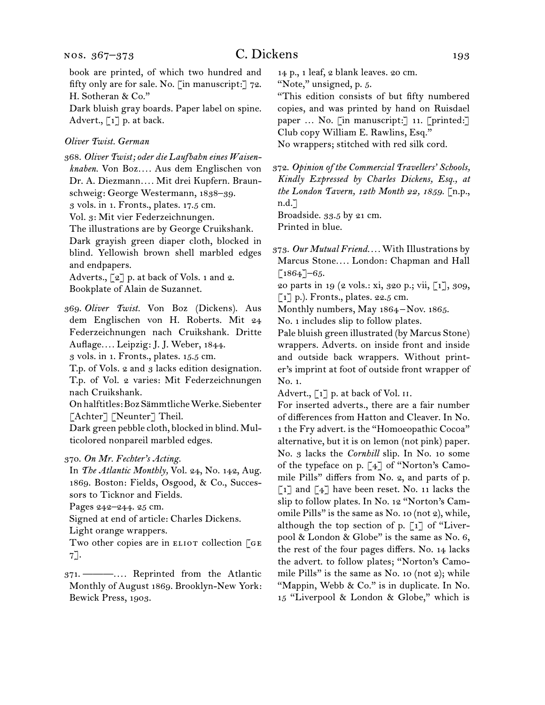book are printed, of which two hundred and fifty only are for sale. No. [in manuscript:] 72. H. Sotheran & Co."

Dark bluish gray boards. Paper label on spine. Advert.,  $\lceil 1 \rceil$  p. at back.

#### *Oliver Twist. German*

368.  *Oliver Twist; oder die Laufbahn eines Waisenknaben.* Von Boz*. . . .* Aus dem Englischen von Dr. A. Diezmann*. . . .* Mit drei Kupfern. Braunschweig: George Westermann, 1838–39.

3 vols. in 1. Fronts., plates. 17.5 cm.

Vol. 3: Mit vier Federzeichnungen.

The illustrations are by George Cruikshank.

Dark grayish green diaper cloth, blocked in blind. Yellowish brown shell marbled edges and endpapers.

Adverts.,  $\lbrack 2 \rbrack$  p. at back of Vols. 1 and 2. Bookplate of Alain de Suzannet.

369.  *Oliver Twist.* Von Boz (Dickens). Aus dem Englischen von H. Roberts. Mit 24 Federzeichnungen nach Cruikshank. Dritte Auflage*. . . .* Leipzig: J. J. Weber, 1844.

3 vols. in 1. Fronts., plates. 15.5 cm.

T.p. of Vols. 2 and 3 lacks edition designation. T.p. of Vol. 2 varies: Mit Federzeichnungen nach Cruikshank.

Onhalftitles:BozSämmtlicheWerke.Siebenter [Achter] [Neunter] Theil.

Dark green pebble cloth, blocked in blind. Multicolored nonpareil marbled edges.

#### 370.  *On Mr. Fechter's Acting.*

In *The Atlantic Monthly,* Vol. 24, No. 142, Aug. 1869. Boston: Fields, Osgood, & Co., Successors to Ticknor and Fields.

Pages 242–244. 25 cm.

Signed at end of article: Charles Dickens.

Light orange wrappers.

Two other copies are in ELIOT collection  $[GE]$ 7].

371.  ———*. . . .* Reprinted from the Atlantic Monthly of August 1869. Brooklyn-New York: Bewick Press, 1903.

14 p., 1 leaf, 2 blank leaves. 20 cm. "Note," unsigned, p. 5.

"This edition consists of but fifty numbered copies, and was printed by hand on Ruisdael paper ... No. [in manuscript:] 11. [printed:] Club copy William E. Rawlins, Esq." No wrappers; stitched with red silk cord.

372.  *Opinion of the Commercial Travellers' Schools, Kindly Expressed by Charles Dickens, Esq., at the London Tavern, 12th Month 22, 1859.* [n.p., n.d.]

Broadside. 33.5 by 21 cm.

Printed in blue.

20 parts in 19 (2 vols.: xi, 320 p.; vii, [1], 309,  $\lceil 1 \rceil$  p.). Fronts., plates. 22.5 cm.

Monthly numbers, May 1864 – Nov. 1865.

No. 1 includes slip to follow plates.

Pale bluish green illustrated (by Marcus Stone) wrappers. Adverts. on inside front and inside and outside back wrappers. Without printer's imprint at foot of outside front wrapper of No. 1.

Advert., [1] p. at back of Vol. II.

For inserted adverts., there are a fair number of differences from Hatton and Cleaver. In No. 1 the Fry advert. is the "Homoeopathic Cocoa" alternative, but it is on lemon (not pink) paper. No. 3 lacks the *Cornhill* slip. In No. 10 some of the typeface on p. [4] of "Norton's Camomile Pills" differs from No. 2, and parts of p.  $\lceil 1 \rceil$  and  $\lceil 4 \rceil$  have been reset. No. 11 lacks the slip to follow plates. In No. 12 "Norton's Camomile Pills" is the same as No. 10 (not 2), while, although the top section of p.  $\lceil 1 \rceil$  of "Liverpool & London & Globe" is the same as No. 6, the rest of the four pages differs. No. 14 lacks the advert. to follow plates; "Norton's Camomile Pills" is the same as No. 10 (not 2); while "Mappin, Webb & Co." is in duplicate. In No. 15 "Liverpool & London & Globe," which is

<sup>373.</sup>*Our Mutual Friend. . . .* With Illustrations by Marcus Stone*. . . .* London: Chapman and Hall  $[1864]$ –65.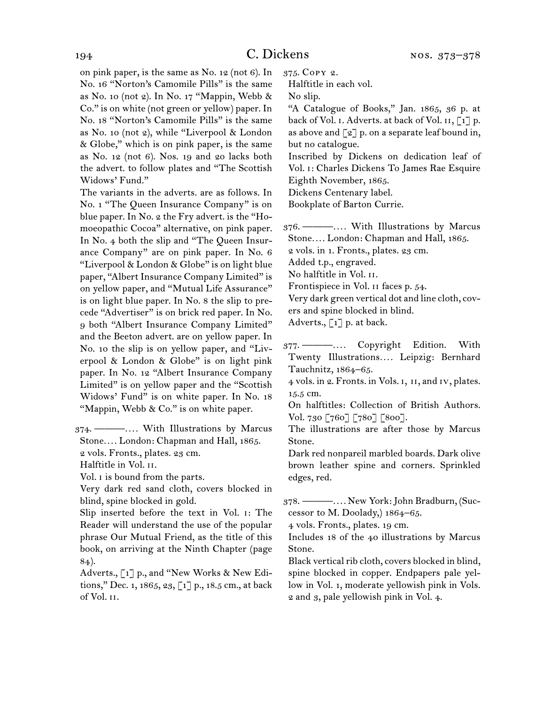on pink paper, is the same as No. 12 (not 6). In No. 16 "Norton's Camomile Pills" is the same as No. 10 (not 2). In No. 17 "Mappin, Webb & Co." is on white (not green or yellow) paper. In No. 18 "Norton's Camomile Pills" is the same as No. 10 (not 2), while "Liverpool & London & Globe," which is on pink paper, is the same as No. 12 (not 6). Nos. 19 and 20 lacks both the advert. to follow plates and "The Scottish Widows' Fund."

The variants in the adverts. are as follows. In No. 1 "The Queen Insurance Company" is on blue paper. In No. 2 the Fry advert. is the "Homoeopathic Cocoa" alternative, on pink paper. In No. 4 both the slip and "The Queen Insurance Company" are on pink paper. In No. 6 "Liverpool & London & Globe" is on light blue paper, "Albert Insurance Company Limited" is on yellow paper, and "Mutual Life Assurance" is on light blue paper. In No. 8 the slip to precede "Advertiser" is on brick red paper. In No. 9 both "Albert Insurance Company Limited" and the Beeton advert. are on yellow paper. In No. 10 the slip is on yellow paper, and "Liverpool & London & Globe" is on light pink paper. In No. 12 "Albert Insurance Company Limited" is on yellow paper and the "Scottish Widows' Fund" is on white paper. In No. 18 "Mappin, Webb & Co." is on white paper.

374.  ———*. . . .* With Illustrations by Marcus Stone*. . . .* London: Chapman and Hall, 1865. 2 vols. Fronts., plates. 23 cm.

Halftitle in Vol. ii.

Vol. i is bound from the parts.

Very dark red sand cloth, covers blocked in blind, spine blocked in gold.

Slip inserted before the text in Vol. i: The Reader will understand the use of the popular phrase Our Mutual Friend, as the title of this book, on arriving at the Ninth Chapter (page 84).

Adverts., [1] p., and "New Works & New Editions," Dec. 1, 1865, 23, [1] p., 18.5 cm., at back of Vol. ii.

375.  Copy 2.

Halftitle in each vol.

No slip.

"A Catalogue of Books," Jan. 1865, 36 p. at back of Vol. I. Adverts. at back of Vol. II,  $\lceil 1 \rceil$  p. as above and  $\lceil 2 \rceil$  p. on a separate leaf bound in, but no catalogue.

Inscribed by Dickens on dedication leaf of Vol. i: Charles Dickens To James Rae Esquire Eighth November, 1865.

Dickens Centenary label.

Bookplate of Barton Currie.

376.  ———*. . . .* With Illustrations by Marcus Stone*. . . .* London: Chapman and Hall, 1865.

2 vols. in 1. Fronts., plates. 23 cm.

Added t.p., engraved.

No halftitle in Vol. ii.

Frontispiece in Vol. ii faces p. 54.

Very dark green vertical dot and line cloth, covers and spine blocked in blind.

Adverts., [1] p. at back.

377.  ———*. . . .* Copyright Edition. With Twenty Illustrations*. . . .* Leipzig: Bernhard Tauchnitz, 1864–65.

4 vols. in 2. Fronts. in Vols. i, ii, and iv, plates. 15.5 cm.

On halftitles: Collection of British Authors. Vol. 730 [760] [780] [800].

The illustrations are after those by Marcus Stone.

Dark red nonpareil marbled boards. Dark olive brown leather spine and corners. Sprinkled edges, red.

378.  ———*. . . .* New York:John Bradburn, (Successor to M. Doolady,)  $1864-65$ .

4 vols. Fronts., plates. 19 cm.

Includes 18 of the 40 illustrations by Marcus Stone.

Black vertical rib cloth, covers blocked in blind, spine blocked in copper. Endpapers pale yellow in Vol. 1, moderate yellowish pink in Vols. 2 and 3, pale yellowish pink in Vol. 4.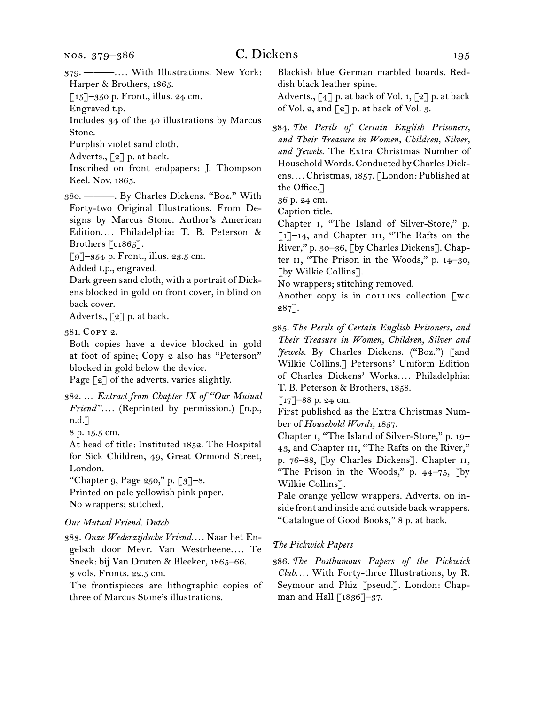$\lceil 15 \rceil$ –350 p. Front., illus. 24 cm.

Engraved t.p.

Includes 34 of the 40 illustrations by Marcus Stone.

Purplish violet sand cloth.

Adverts., [2] p. at back.

Inscribed on front endpapers: J. Thompson Keel. Nov. 1865.

380.  ———. By Charles Dickens. "Boz." With Forty-two Original Illustrations. From Designs by Marcus Stone. Author's American Edition*. . . .* Philadelphia: T. B. Peterson & Brothers [c1865].

 $\lceil 9 \rceil$ –354 p. Front., illus. 23.5 cm.

Added t.p., engraved.

Dark green sand cloth, with a portrait of Dickens blocked in gold on front cover, in blind on back cover.

Adverts.,  $\lceil 2 \rceil$  p. at back.

381.  Copy 2.

Both copies have a device blocked in gold at foot of spine; Copy 2 also has "Peterson" blocked in gold below the device.

Page [2] of the adverts. varies slightly.

382.  … *Extract from Chapter IX of "Our Mutual Friend"....* (Reprinted by permission.) [n.p., n.d.]

8 p. 15.5 cm.

At head of title: Instituted 1852. The Hospital for Sick Children, 49, Great Ormond Street, London.

"Chapter 9, Page  $250$ ," p.  $\lceil 3 \rceil$ -8.

Printed on pale yellowish pink paper.

# No wrappers; stitched.

### *Our Mutual Friend. Dutch*

383.  *Onze Wederzijdsche Vriend. . . .* Naar het Engelsch door Mevr. Van Westrheene*. . . .* Te Sneek: bij Van Druten & Bleeker, 1865–66.

3 vols. Fronts. 22.5 cm.

The frontispieces are lithographic copies of three of Marcus Stone's illustrations.

Blackish blue German marbled boards. Reddish black leather spine.

Adverts.,  $\lbrack 4 \rbrack$  p. at back of Vol. 1,  $\lbrack 2 \rbrack$  p. at back of Vol. 2, and  $\lceil 2 \rceil$  p. at back of Vol. 3.

384.  *The Perils of Certain English Prisoners, and Their Treasure in Women, Children, Silver, and Jewels.* The Extra Christmas Number of Household Words. Conducted by Charles Dickens*. . . .* Christmas, 1857. [London: Published at the Office.]

36 p. 24 cm.

Caption title.

Chapter i, "The Island of Silver-Store," p.  $\lceil 1 \rceil$ –14, and Chapter III, "The Rafts on the River," p. 30–36, [by Charles Dickens]. Chapter II, "The Prison in the Woods," p. 14-30, [by Wilkie Collins].

No wrappers; stitching removed.

Another copy is in collined collection  $\lceil \text{wc} \rceil$ 287].

385.  *The Perils of Certain English Prisoners, and Their Treasure in Women, Children, Silver and Jewels.* By Charles Dickens. ("Boz.") [and Wilkie Collins.] Petersons' Uniform Edition of Charles Dickens' Works*. . . .* Philadelphia: T. B. Peterson & Brothers, 1858.

 $[17]$ –88 p. 24 cm.

First published as the Extra Christmas Number of *Household Words,* 1857.

Chapter i, "The Island of Silver-Store," p. 19– 43, and Chapter III, "The Rafts on the River," p. 76–88, [by Charles Dickens]. Chapter ii, "The Prison in the Woods," p. 44–75, [by Wilkie Collins].

Pale orange yellow wrappers. Adverts. on inside front and inside and outside back wrappers. "Catalogue of Good Books," 8 p. at back.

#### *The Pickwick Papers*

386.  *The Posthumous Papers of the Pickwick Club. . . .* With Forty-three Illustrations, by R. Seymour and Phiz [pseud.]. London: Chapman and Hall [1836]-37.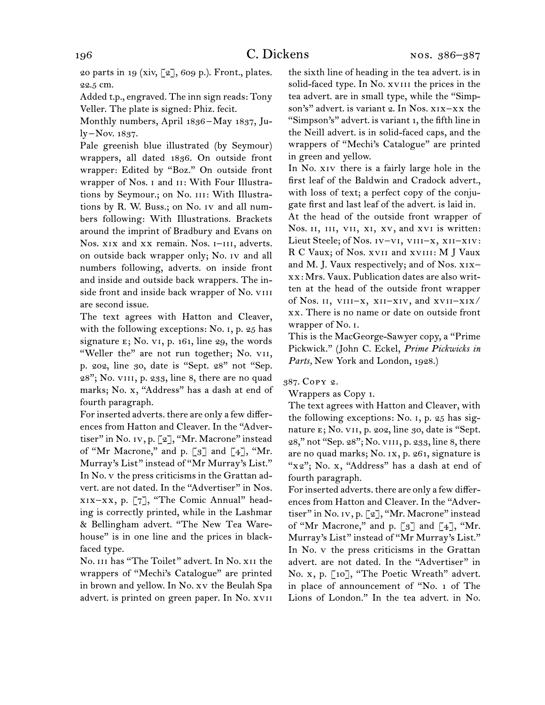20 parts in 19 (xiv,  $[2]$ , 609 p.). Front., plates. 22.5 cm.

Added t.p., engraved. The inn sign reads: Tony Veller. The plate is signed: Phiz. fecit.

Monthly numbers, April 1836 – May 1837, July – Nov. 1837.

Pale greenish blue illustrated (by Seymour) wrappers, all dated 1836. On outside front wrapper: Edited by "Boz." On outside front wrapper of Nos. i and ii: With Four Illustrations by Seymour.; on No. III: With Illustrations by R. W. Buss.; on No. iv and all numbers following: With Illustrations. Brackets around the imprint of Bradbury and Evans on Nos. xix and xx remain. Nos. I-III, adverts. on outside back wrapper only; No. iv and all numbers following, adverts. on inside front and inside and outside back wrappers. The inside front and inside back wrapper of No. VIII are second issue.

The text agrees with Hatton and Cleaver, with the following exceptions: No. i, p. 25 has signature  $E$ ; No. v1, p. 161, line 29, the words "Weller the" are not run together; No. vii, p. 202, line 30, date is "Sept. 28" not "Sep.  $28$ "; No. v<sub>III</sub>, p. 233, line 8, there are no quad marks; No. x, "Address" has a dash at end of fourth paragraph.

For inserted adverts. there are only a few differences from Hatton and Cleaver. In the "Advertiser" in No. iv, p. [2], "Mr. Macrone" instead of "Mr Macrone," and p.  $\lceil 3 \rceil$  and  $\lceil 4 \rceil$ , "Mr. Murray's List" instead of "Mr Murray's List." In No. v the press criticisms in the Grattan advert. are not dated. In the "Advertiser" in Nos. xix–xx, p. [7], "The Comic Annual" heading is correctly printed, while in the Lashmar & Bellingham advert. "The New Tea Warehouse" is in one line and the prices in blackfaced type.

No. iii has "The Toilet" advert. In No. xii the wrappers of "Mechi's Catalogue" are printed in brown and yellow. In No. xv the Beulah Spa advert. is printed on green paper. In No. xvii the sixth line of heading in the tea advert. is in solid-faced type. In No. xviii the prices in the tea advert. are in small type, while the "Simpson's" advert. is variant 2. In Nos. xix-xx the "Simpson's" advert. is variant 1, the fifth line in the Neill advert. is in solid-faced caps, and the wrappers of "Mechi's Catalogue" are printed in green and yellow.

In No. xiv there is a fairly large hole in the first leaf of the Baldwin and Cradock advert., with loss of text; a perfect copy of the conjugate first and last leaf of the advert. is laid in.

At the head of the outside front wrapper of Nos. II, III, VII, XI, XV, and XVI is written: Lieut Steele; of Nos. IV-VI, VIII-X, XII-XIV: R C Vaux; of Nos. xvii and xviii: M J Vaux and M. J. Vaux respectively; and of Nos. xix– xx: Mrs. Vaux. Publication dates are also written at the head of the outside front wrapper of Nos.  $\text{II}, \text{VIII}-\text{X}, \text{XII}-\text{XIV}, \text{and } \text{XVII}-\text{XIX}$ xx. There is no name or date on outside front wrapper of No. i.

This is the MacGeorge-Sawyer copy, a "Prime Pickwick." (John C. Eckel, *Prime Pickwicks in Parts,* New York and London, 1928.)

#### 387.  Copy 2.

Wrappers as Copy 1.

The text agrees with Hatton and Cleaver, with the following exceptions: No. i, p. 25 has signature e; No. vii, p. 202, line 30, date is "Sept. 28," not "Sep. 28"; No. viii, p. 233, line 8, there are no quad marks; No. ix, p. 261, signature is "x2"; No. x, "Address" has a dash at end of fourth paragraph.

For inserted adverts. there are only a few differences from Hatton and Cleaver. In the "Advertiser" in No. Iv, p. [2], "Mr. Macrone" instead of "Mr Macrone," and p.  $\lceil 3 \rceil$  and  $\lceil 4 \rceil$ , "Mr. Murray's List" instead of "Mr Murray's List." In No. v the press criticisms in the Grattan advert. are not dated. In the "Advertiser" in No. x, p. [10], "The Poetic Wreath" advert. in place of announcement of "No. 1 of The Lions of London." In the tea advert. in No.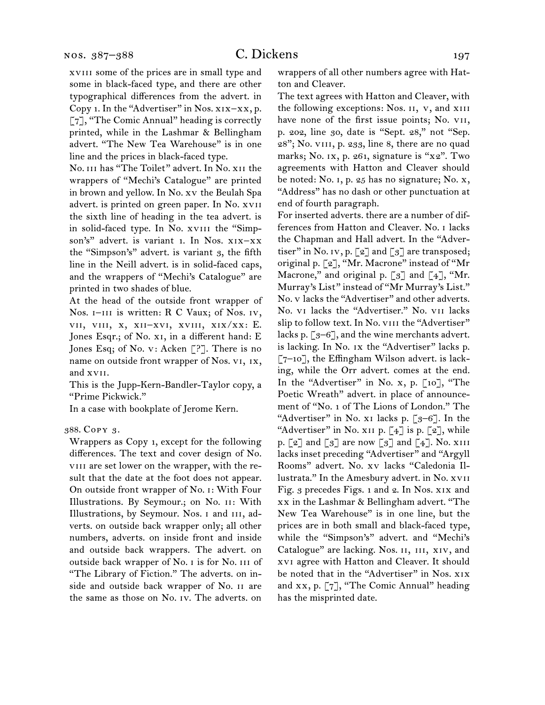xviii some of the prices are in small type and some in black-faced type, and there are other typographical differences from the advert. in Copy 1. In the "Advertiser" in Nos. xix–xx, p. [7], "The Comic Annual" heading is correctly printed, while in the Lashmar & Bellingham advert. "The New Tea Warehouse" is in one line and the prices in black-faced type.

No. iii has "The Toilet" advert. In No. xii the wrappers of "Mechi's Catalogue" are printed in brown and yellow. In No. xv the Beulah Spa advert. is printed on green paper. In No. xvii the sixth line of heading in the tea advert. is in solid-faced type. In No. xviii the "Simpson's" advert. is variant 1. In Nos. xix–xx the "Simpson's" advert. is variant 3, the fifth line in the Neill advert. is in solid-faced caps, and the wrappers of "Mechi's Catalogue" are printed in two shades of blue.

At the head of the outside front wrapper of Nos. I-III is written: R C Vaux; of Nos. IV, vii, viii, x, xii–xvi, xviii, xix/xx: E. Jones Esqr.; of No. x1, in a different hand: E Jones Esq; of No. v: Acken [?]. There is no name on outside front wrapper of Nos. vi, ix, and xvii.

This is the Jupp-Kern-Bandler-Taylor copy, a "Prime Pickwick."

In a case with bookplate of Jerome Kern.

Wrappers as Copy 1, except for the following differences. The text and cover design of No. viii are set lower on the wrapper, with the result that the date at the foot does not appear. On outside front wrapper of No. i: With Four Illustrations. By Seymour.; on No. ii: With Illustrations, by Seymour. Nos. i and iii, adverts. on outside back wrapper only; all other numbers, adverts. on inside front and inside and outside back wrappers. The advert. on outside back wrapper of No. i is for No. iii of "The Library of Fiction." The adverts. on inside and outside back wrapper of No. ii are the same as those on No. iv. The adverts. on

wrappers of all other numbers agree with Hatton and Cleaver.

The text agrees with Hatton and Cleaver, with the following exceptions: Nos. II, v, and XIII have none of the first issue points; No. vii, p. 202, line 30, date is "Sept. 28," not "Sep. 28"; No. viii, p. 233, line 8, there are no quad marks; No. ix, p. 261, signature is "x2". Two agreements with Hatton and Cleaver should be noted: No. i, p. 25 has no signature; No. x, "Address" has no dash or other punctuation at end of fourth paragraph.

For inserted adverts. there are a number of differences from Hatton and Cleaver. No. i lacks the Chapman and Hall advert. In the "Advertiser" in No. 1v, p.  $\lbrack 2 \rbrack$  and  $\lbrack 3 \rbrack$  are transposed; original p. [2], "Mr. Macrone" instead of "Mr Macrone," and original p.  $\lceil 3 \rceil$  and  $\lceil 4 \rceil$ , "Mr. Murray's List" instead of "Mr Murray's List." No. v lacks the "Advertiser" and other adverts. No. vi lacks the "Advertiser." No. vii lacks slip to follow text. In No. VIII the "Advertiser" lacks p.  $\lceil 3-6 \rceil$ , and the wine merchants advert. is lacking. In No. ix the "Advertiser" lacks p. [7–10], the Effingham Wilson advert. is lacking, while the Orr advert. comes at the end. In the "Advertiser" in No. x, p.  $\lceil 10 \rceil$ , "The Poetic Wreath" advert. in place of announcement of "No. 1 of The Lions of London." The "Advertiser" in No. x<sub>1</sub> lacks p.  $\lceil 3-6 \rceil$ . In the "Advertiser" in No. XII p.  $\lbrack 4 \rbrack$  is p.  $\lbrack 2 \rbrack$ , while p.  $\lbrack 2 \rbrack$  and  $\lbrack 3 \rbrack$  are now  $\lbrack 3 \rbrack$  and  $\lbrack 4 \rbrack$ . No. XIII lacks inset preceding "Advertiser" and "Argyll Rooms" advert. No. xv lacks "Caledonia Illustrata." In the Amesbury advert. in No. xvii Fig. 3 precedes Figs. 1 and 2. In Nos. xix and xx in the Lashmar & Bellingham advert. "The New Tea Warehouse" is in one line, but the prices are in both small and black-faced type, while the "Simpson's" advert. and "Mechi's Catalogue" are lacking. Nos. ii, iii, xiv, and xvi agree with Hatton and Cleaver. It should be noted that in the "Advertiser" in Nos. XIX and xx, p. [7], "The Comic Annual" heading has the misprinted date.

<sup>388.</sup>Copy 3.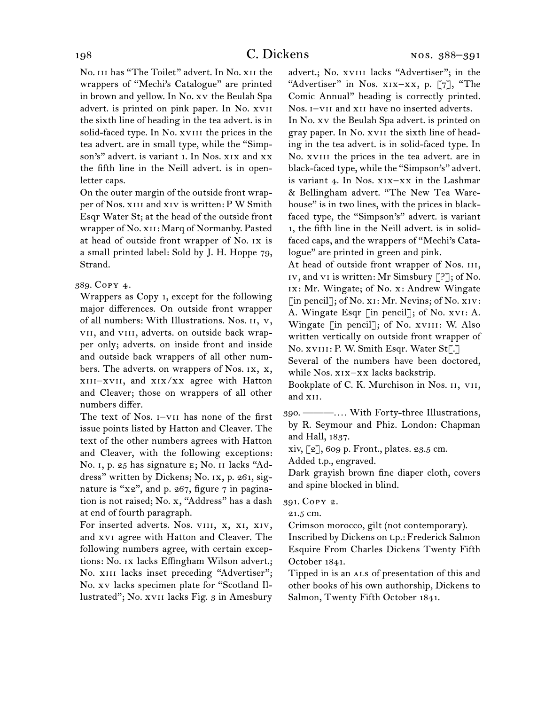No. iii has "The Toilet" advert. In No. xii the wrappers of "Mechi's Catalogue" are printed in brown and yellow. In No. xv the Beulah Spa advert. is printed on pink paper. In No. xvii the sixth line of heading in the tea advert. is in solid-faced type. In No. xvIII the prices in the tea advert. are in small type, while the "Simpson's" advert. is variant 1. In Nos. xix and xx the fifth line in the Neill advert. is in openletter caps.

On the outer margin of the outside front wrapper of Nos. xiii and xiv is written: P W Smith Esqr Water St; at the head of the outside front wrapper of No. xii: Marq of Normanby. Pasted at head of outside front wrapper of No. ix is a small printed label: Sold by J. H. Hoppe 79, Strand.

#### 389.  Copy 4.

Wrappers as Copy 1, except for the following major differences. On outside front wrapper of all numbers: With Illustrations. Nos. ii, v, vii, and viii, adverts. on outside back wrapper only; adverts. on inside front and inside and outside back wrappers of all other numbers. The adverts. on wrappers of Nos. ix, x, xiii–xvii, and xix/xx agree with Hatton and Cleaver; those on wrappers of all other numbers differ.

The text of Nos. i–vii has none of the first issue points listed by Hatton and Cleaver. The text of the other numbers agrees with Hatton and Cleaver, with the following exceptions: No. i, p. 25 has signature e; No. ii lacks "Address" written by Dickens; No. ix, p. 261, signature is " $x_2$ ", and p. 267, figure 7 in pagination is not raised; No. x, "Address" has a dash at end of fourth paragraph.

For inserted adverts. Nos. VIII, X, XI, XIV, and xvi agree with Hatton and Cleaver. The following numbers agree, with certain exceptions: No. ix lacks Effingham Wilson advert.; No. XIII lacks inset preceding "Advertiser"; No. xv lacks specimen plate for "Scotland Illustrated"; No. xvii lacks Fig. 3 in Amesbury

advert.; No. xviii lacks "Advertiser"; in the "Advertiser" in Nos. xix–xx, p. [7], "The Comic Annual" heading is correctly printed. Nos. i–vii and xii have no inserted adverts.

In No. xv the Beulah Spa advert. is printed on gray paper. In No. xvii the sixth line of heading in the tea advert. is in solid-faced type. In No. xviii the prices in the tea advert. are in black-faced type, while the "Simpson's" advert. is variant 4. In Nos. xix–xx in the Lashmar & Bellingham advert. "The New Tea Warehouse" is in two lines, with the prices in blackfaced type, the "Simpson's" advert. is variant 1, the fifth line in the Neill advert. is in solidfaced caps, and the wrappers of "Mechi's Catalogue" are printed in green and pink.

At head of outside front wrapper of Nos. III, iv, and vi is written: Mr Simsbury [?]; of No. ix: Mr. Wingate; of No. x: Andrew Wingate [in pencil]; of No. x<sub>1</sub>: Mr. Nevins; of No. x<sub>1</sub>v: A. Wingate Esqr [in pencil]; of No. xvi: A. Wingate [in pencil]; of No. XVIII: W. Also written vertically on outside front wrapper of No. xvIII: P. W. Smith Esqr. Water St[.]

Several of the numbers have been doctored, while Nos. xix–xx lacks backstrip.

Bookplate of C. K. Murchison in Nos. 11, VII, and xii.

390.  ———*. . . .* With Forty-three Illustrations, by R. Seymour and Phiz. London: Chapman and Hall, 1837.

xiv, [2], 609 p. Front., plates. 23.5 cm.

Added t.p., engraved.

Dark grayish brown fine diaper cloth, covers and spine blocked in blind.

391.  Copy 2.

21.5 cm.

Crimson morocco, gilt (not contemporary).

Inscribed by Dickens on t.p.: Frederick Salmon Esquire From Charles Dickens Twenty Fifth October 1841.

Tipped in is an ALS of presentation of this and other books of his own authorship, Dickens to Salmon, Twenty Fifth October 1841.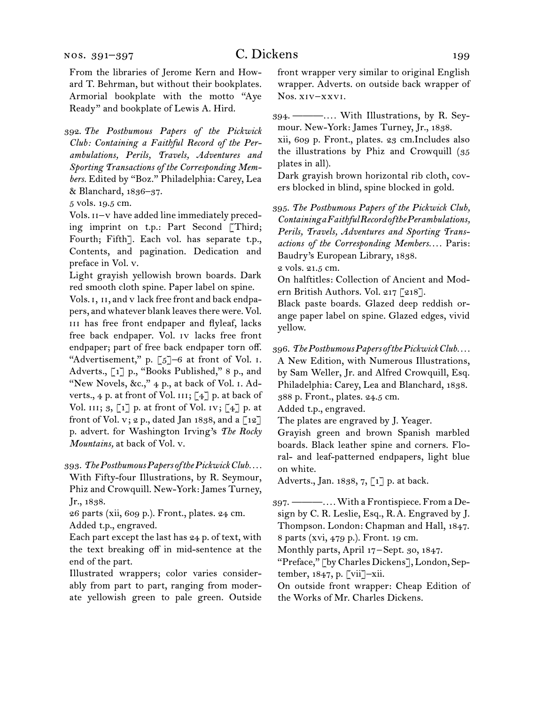From the libraries of Jerome Kern and Howard T. Behrman, but without their bookplates. Armorial bookplate with the motto "Aye Ready" and bookplate of Lewis A. Hird.

392.  *The Posthumous Papers of the Pickwick Club: Containing a Faithful Record of the Perambulations, Perils, Travels, Adventures and Sporting Transactions of the Corresponding Members.* Edited by "Boz." Philadelphia: Carey, Lea & Blanchard, 1836–37.

5 vols. 19.5 cm.

Vols. ii–v have added line immediately preceding imprint on t.p.: Part Second [Third; Fourth; Fifth]. Each vol. has separate t.p., Contents, and pagination. Dedication and preface in Vol. v.

Light grayish yellowish brown boards. Dark red smooth cloth spine. Paper label on spine.

Vols. I, II, and v lack free front and back endpapers, and whatever blank leaves there were. Vol. iii has free front endpaper and flyleaf, lacks free back endpaper. Vol. iv lacks free front endpaper; part of free back endpaper torn off. "Advertisement," p. [5]–6 at front of Vol. i. Adverts., [1] p., "Books Published," 8 p., and "New Novels, &c.," 4 p., at back of Vol. I. Adverts., 4 p. at front of Vol.  $III$ ; [4] p. at back of Vol. III;  $3, [1]$  p. at front of Vol. IV;  $[4]$  p. at front of Vol. v; 2 p., dated Jan 1838, and a  $\lceil 12 \rceil$ p. advert. for Washington Irving's *The Rocky Mountains,* at back of Vol. v.

393.  *The Posthumous Papers of the Pickwick Club. . . .* With Fifty-four Illustrations, by R. Seymour, Phiz and Crowquill. New-York: James Turney, Jr., 1838.

26 parts (xii, 609 p.). Front., plates. 24 cm. Added t.p., engraved.

Each part except the last has 24 p. of text, with the text breaking off in mid-sentence at the end of the part.

Illustrated wrappers; color varies considerably from part to part, ranging from moderate yellowish green to pale green. Outside front wrapper very similar to original English wrapper. Adverts. on outside back wrapper of Nos. xiv–xxvi.

394.  ———*. . . .* With Illustrations, by R. Seymour. New-York: James Turney, Jr., 1838. xii, 609 p. Front., plates. 23 cm.Includes also the illustrations by Phiz and Crowquill (35 plates in all).

Dark grayish brown horizontal rib cloth, covers blocked in blind, spine blocked in gold.

395.  *The Posthumous Papers of the Pickwick Club, Containing a Faithful Record of the Perambulations, Perils, Travels, Adventures and Sporting Transactions of the Corresponding Members. . . .* Paris: Baudry's European Library, 1838.

2 vols. 21.5 cm.

On halftitles: Collection of Ancient and Modern British Authors. Vol. 217 [218].

Black paste boards. Glazed deep reddish orange paper label on spine. Glazed edges, vivid yellow.

396.  *The Posthumous Papers of the Pickwick Club. . . .* A New Edition, with Numerous Illustrations, by Sam Weller, Jr. and Alfred Crowquill, Esq. Philadelphia: Carey, Lea and Blanchard, 1838. 388 p. Front., plates. 24.5 cm.

Added t.p., engraved.

The plates are engraved by J. Yeager.

Grayish green and brown Spanish marbled boards. Black leather spine and corners. Floral- and leaf-patterned endpapers, light blue on white.

Adverts., Jan. 1838, 7, [1] p. at back.

397.  ———*. . . .*With a Frontispiece. From a Design by C. R. Leslie, Esq., R. A. Engraved by J. Thompson. London: Chapman and Hall, 1847. 8 parts (xvi, 479 p.). Front. 19 cm.

Monthly parts, April 17 – Sept. 30, 1847.

"Preface," [by Charles Dickens], London, September, 1847, p. [vii]–xii.

On outside front wrapper: Cheap Edition of the Works of Mr. Charles Dickens.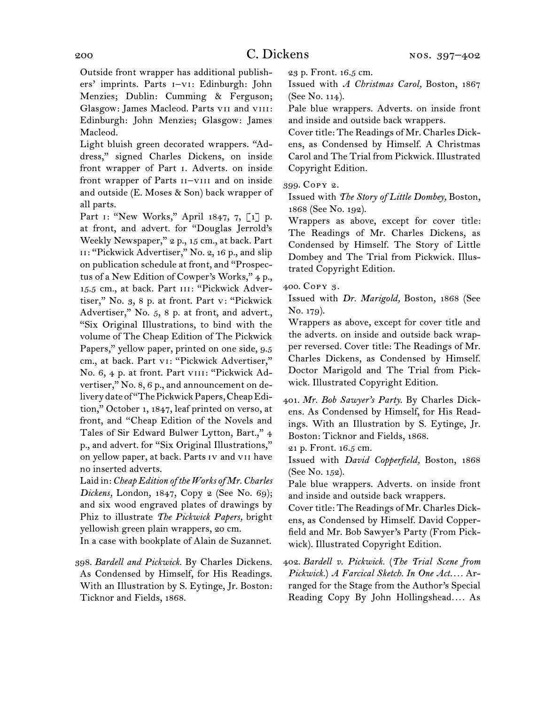Outside front wrapper has additional publishers' imprints. Parts i–vi: Edinburgh: John Menzies; Dublin: Cumming & Ferguson; Glasgow: James Macleod. Parts vii and viii: Edinburgh: John Menzies; Glasgow: James Macleod.

Light bluish green decorated wrappers. "Address," signed Charles Dickens, on inside front wrapper of Part i. Adverts. on inside front wrapper of Parts II-VIII and on inside and outside (E. Moses & Son) back wrapper of all parts.

Part 1: "New Works," April 1847, 7, [1] p. at front, and advert. for "Douglas Jerrold's Weekly Newspaper," 2 p., 15 cm., at back. Part ii: "Pickwick Advertiser," No. 2, 16 p., and slip on publication schedule at front, and "Prospectus of a New Edition of Cowper's Works," 4 p., 15.5 cm., at back. Part III: "Pickwick Advertiser," No. 3, 8 p. at front. Part v: "Pickwick Advertiser," No. 5, 8 p. at front, and advert., "Six Original Illustrations, to bind with the volume of The Cheap Edition of The Pickwick Papers," yellow paper, printed on one side, 9.5 cm., at back. Part vi: "Pickwick Advertiser," No. 6, 4 p. at front. Part VIII: "Pickwick Advertiser," No. 8, 6 p., and announcement on delivery date of "The Pickwick Papers, Cheap Edition," October 1, 1847, leaf printed on verso, at front, and "Cheap Edition of the Novels and Tales of Sir Edward Bulwer Lytton, Bart.," 4 p., and advert. for "Six Original Illustrations," on yellow paper, at back. Parts iv and vii have no inserted adverts.

Laid in: *Cheap Edition of the Works of Mr. Charles Dickens,* London, 1847, Copy 2 (See No. 69); and six wood engraved plates of drawings by Phiz to illustrate *The Pickwick Papers,* bright yellowish green plain wrappers, 20 cm.

In a case with bookplate of Alain de Suzannet.

398.  *Bardell and Pickwick.* By Charles Dickens. As Condensed by Himself, for His Readings. With an Illustration by S. Eytinge, Jr. Boston: Ticknor and Fields, 1868.

23 p. Front. 16.5 cm. Issued with *A Christmas Carol,* Boston, 1867

(See No. 114). Pale blue wrappers. Adverts. on inside front

and inside and outside back wrappers.

Cover title: The Readings of Mr. Charles Dickens, as Condensed by Himself. A Christmas Carol and The Trial from Pickwick. Illustrated Copyright Edition.

399.  Copy 2.

Issued with *The Story of Little Dombey,* Boston, 1868 (See No. 192).

Wrappers as above, except for cover title: The Readings of Mr. Charles Dickens, as Condensed by Himself. The Story of Little Dombey and The Trial from Pickwick. Illustrated Copyright Edition.

400.  Copy 3.

Issued with *Dr. Marigold,* Boston, 1868 (See No. 179).

Wrappers as above, except for cover title and the adverts. on inside and outside back wrapper reversed. Cover title: The Readings of Mr. Charles Dickens, as Condensed by Himself. Doctor Marigold and The Trial from Pickwick. Illustrated Copyright Edition.

401.  *Mr. Bob Sawyer's Party.* By Charles Dickens. As Condensed by Himself, for His Readings. With an Illustration by S. Eytinge, Jr. Boston: Ticknor and Fields, 1868.

21 p. Front. 16.5 cm.

Issued with *David Copperfield,* Boston, 1868 (See No. 152).

Pale blue wrappers. Adverts. on inside front and inside and outside back wrappers.

Cover title: The Readings of Mr. Charles Dickens, as Condensed by Himself. David Copperfield and Mr. Bob Sawyer's Party (From Pickwick). Illustrated Copyright Edition.

402.  *Bardell v. Pickwick.* (*The Trial Scene from Pickwick.*) *A Farcical Sketch. In One Act. . . .* Arranged for the Stage from the Author's Special Reading Copy By John Hollingshead*. . . .* As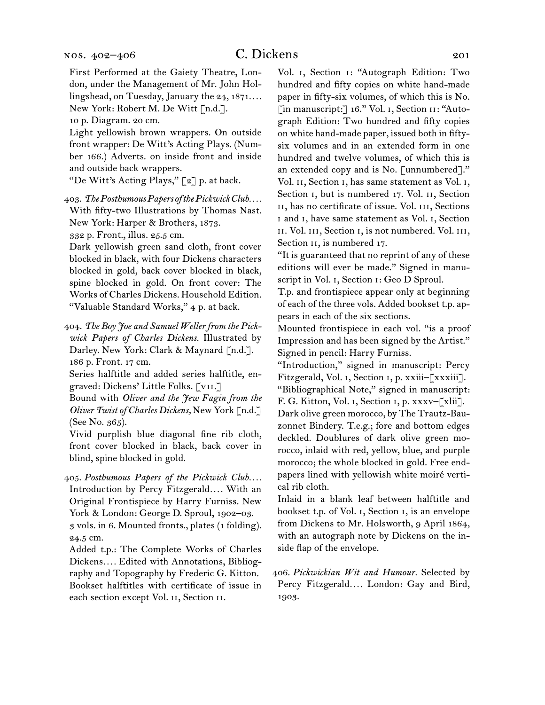#### nos. 402–406

First Performed at the Gaiety Theatre, London, under the Management of Mr. John Hollingshead, on Tuesday, January the 24, 1871*. . . .* New York: Robert M. De Witt [n.d.].

10 p. Diagram. 20 cm.

Light yellowish brown wrappers. On outside front wrapper: De Witt's Acting Plays. (Number 166.) Adverts. on inside front and inside and outside back wrappers.

"De Witt's Acting Plays," [2] p. at back.

403.  *The Posthumous Papers of the Pickwick Club. . . .* With fifty-two Illustrations by Thomas Nast. New York: Harper & Brothers, 1873.

332 p. Front., illus. 25.5 cm.

Dark yellowish green sand cloth, front cover blocked in black, with four Dickens characters blocked in gold, back cover blocked in black, spine blocked in gold. On front cover: The Works of Charles Dickens. Household Edition. "Valuable Standard Works," 4 p. at back.

404.  *The Boy Joe and Samuel Weller from the Pickwick Papers of Charles Dickens.* Illustrated by Darley. New York: Clark & Maynard [n.d.]. 186 p. Front. 17 cm.

Series halftitle and added series halftitle, engraved: Dickens' Little Folks. [vii.]

Bound with *Oliver and the Jew Fagin from the Oliver Twist of Charles Dickens,* New York [n.d.] (See No. 365).

Vivid purplish blue diagonal fine rib cloth, front cover blocked in black, back cover in blind, spine blocked in gold.

405.  *Posthumous Papers of the Pickwick Club. . . .* Introduction by Percy Fitzgerald*. . . .* With an Original Frontispiece by Harry Furniss. New York & London: George D. Sproul, 1902–03. 3 vols. in 6. Mounted fronts., plates (1 folding). 24.5 cm.

Added t.p.: The Complete Works of Charles Dickens*. . . .* Edited with Annotations, Bibliography and Topography by Frederic G. Kitton. Bookset halftitles with certificate of issue in each section except Vol. ii, Section ii.

Vol. i, Section i: "Autograph Edition: Two hundred and fifty copies on white hand-made paper in fifty-six volumes, of which this is No. [in manuscript:] 16." Vol. 1, Section 11: "Autograph Edition: Two hundred and fifty copies on white hand-made paper, issued both in fiftysix volumes and in an extended form in one hundred and twelve volumes, of which this is an extended copy and is No. [unnumbered]." Vol. II, Section I, has same statement as Vol. I, Section I, but is numbered 17. Vol. II, Section ii, has no certificate of issue. Vol. iii, Sections i and i, have same statement as Vol. i, Section ii. Vol. iii, Section i, is not numbered. Vol. iii, Section II, is numbered 17.

"It is guaranteed that no reprint of any of these editions will ever be made." Signed in manuscript in Vol. i, Section i: Geo D Sproul.

T.p. and frontispiece appear only at beginning of each of the three vols. Added bookset t.p. appears in each of the six sections.

Mounted frontispiece in each vol. "is a proof Impression and has been signed by the Artist." Signed in pencil: Harry Furniss.

"Introduction," signed in manuscript: Percy Fitzgerald, Vol. i, Section i, p. xxiii–[xxxiii]. "Bibliographical Note," signed in manuscript:

F. G. Kitton, Vol. i, Section i, p. xxxv–[xlii]. Dark olive green morocco, by The Trautz-Bauzonnet Bindery. T.e.g.; fore and bottom edges deckled. Doublures of dark olive green morocco, inlaid with red, yellow, blue, and purple morocco; the whole blocked in gold. Free endpapers lined with yellowish white moiré vertical rib cloth.

Inlaid in a blank leaf between halftitle and bookset t.p. of Vol. i, Section i, is an envelope from Dickens to Mr. Holsworth, 9 April 1864, with an autograph note by Dickens on the inside flap of the envelope.

406.  *Pickwickian Wit and Humour.* Selected by Percy Fitzgerald*. . . .* London: Gay and Bird, 1903.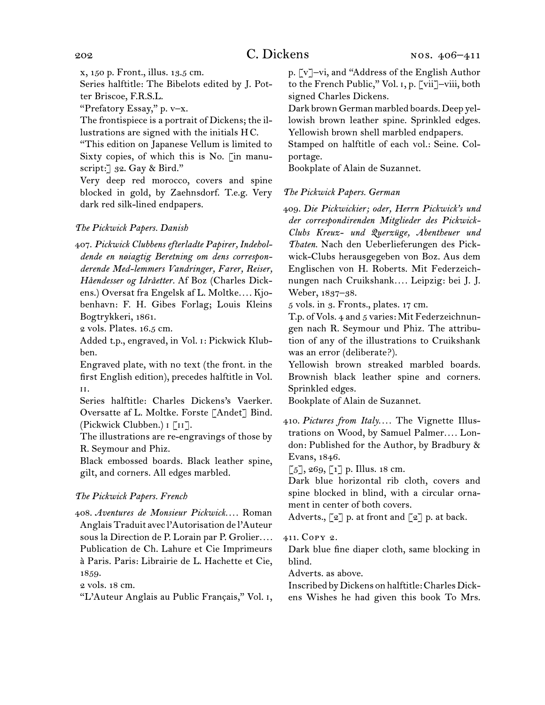x, 150 p. Front., illus. 13.5 cm.

Series halftitle: The Bibelots edited by J. Potter Briscoe, F.R.S.L.

"Prefatory Essay," p. v–x.

The frontispiece is a portrait of Dickens; the illustrations are signed with the initials H C.

"This edition on Japanese Vellum is limited to Sixty copies, of which this is No. [in manuscript: 32. Gay & Bird."

Very deep red morocco, covers and spine blocked in gold, by Zaehnsdorf. T.e.g. Very dark red silk-lined endpapers.

# *The Pickwick Papers. Danish*

407.  *Pickwick Clubbens efterladte Papirer, Indeholdende en nøiagtig Beretning om dens corresponderende Med-lemmers Vandringer, Farer, Reiser, Håendesser og Idråetter.* Af Boz (Charles Dickens.) Oversat fra Engelsk af L. Moltke*. . . .* Kjobenhavn: F. H. Gibes Forlag; Louis Kleins Bogtrykkeri, 1861.

2 vols. Plates. 16.5 cm.

Added t.p., engraved, in Vol. i: Pickwick Klubben.

Engraved plate, with no text (the front. in the first English edition), precedes halftitle in Vol. ii.

Series halftitle: Charles Dickens's Vaerker. Oversatte af L. Moltke. Forste [Andet] Bind. (Pickwick Clubben.) i [ii].

The illustrations are re-engravings of those by R. Seymour and Phiz.

Black embossed boards. Black leather spine, gilt, and corners. All edges marbled.

# *The Pickwick Papers. French*

408.  *Aventures de Monsieur Pickwick. . . .* Roman Anglais Traduit avec l'Autorisation de l'Auteur sous la Direction de P. Lorain par P. Grolier*. . . .* Publication de Ch. Lahure et Cie Imprimeurs à Paris. Paris: Librairie de L. Hachette et Cie, 1859.

2 vols. 18 cm.

"L'Auteur Anglais au Public Français," Vol. i,

p. [v]–vi, and "Address of the English Author to the French Public," Vol. i, p. [vii]–viii, both signed Charles Dickens.

Dark brown German marbled boards. Deep yellowish brown leather spine. Sprinkled edges. Yellowish brown shell marbled endpapers.

Stamped on halftitle of each vol.: Seine. Colportage.

Bookplate of Alain de Suzannet.

# *The Pickwick Papers. German*

409.  *Die Pickwickier; oder, Herrn Pickwick's und der correspondirenden Mitglieder des Pickwick-Clubs Kreuz- und Querzüge, Abentheuer und Thaten.* Nach den Ueberlieferungen des Pickwick-Clubs herausgegeben von Boz. Aus dem Englischen von H. Roberts. Mit Federzeichnungen nach Cruikshank*. . . .* Leipzig: bei J. J. Weber, 1837–38.

5 vols. in 3. Fronts., plates. 17 cm.

T.p. of Vols. 4 and 5 varies: Mit Federzeichnungen nach R. Seymour und Phiz. The attribution of any of the illustrations to Cruikshank was an error (deliberate?).

Yellowish brown streaked marbled boards. Brownish black leather spine and corners. Sprinkled edges.

Bookplate of Alain de Suzannet.

410.  *Pictures from Italy. . . .* The Vignette Illustrations on Wood, by Samuel Palmer*. . . .* London: Published for the Author, by Bradbury & Evans, 1846.

 $\lceil 5 \rceil$ , 269,  $\lceil 1 \rceil$  p. Illus. 18 cm.

Dark blue horizontal rib cloth, covers and spine blocked in blind, with a circular ornament in center of both covers.

Adverts.,  $\lbrack 2 \rbrack$  p. at front and  $\lbrack 2 \rbrack$  p. at back.

411.  Copy 2.

Dark blue fine diaper cloth, same blocking in blind.

Adverts. as above.

Inscribed byDickens on halftitle:CharlesDickens Wishes he had given this book To Mrs.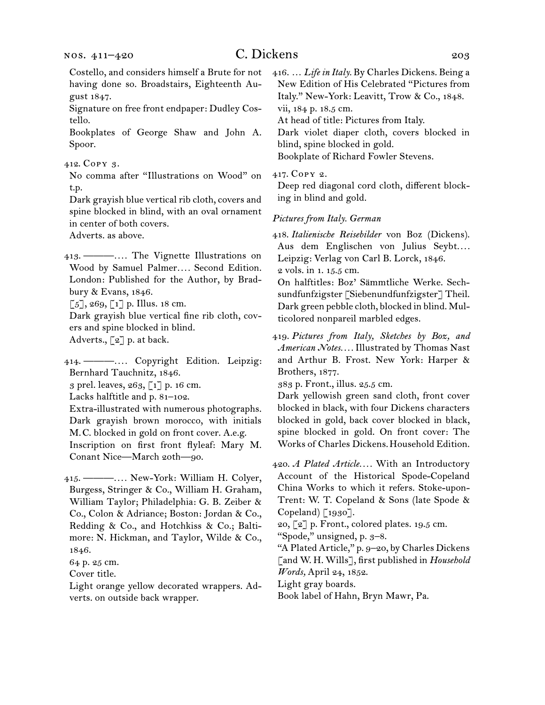Costello, and considers himself a Brute for not having done so. Broadstairs, Eighteenth August 1847.

Signature on free front endpaper: Dudley Costello.

Bookplates of George Shaw and John A. Spoor.

#### 412.  Copy 3.

No comma after "Illustrations on Wood" on t.p.

Dark grayish blue vertical rib cloth, covers and spine blocked in blind, with an oval ornament in center of both covers.

Adverts. as above.

413.  ———*. . . .* The Vignette Illustrations on Wood by Samuel Palmer*. . . .* Second Edition. London: Published for the Author, by Bradbury & Evans, 1846.

 $\lceil 5 \rceil$ , 269,  $\lceil 1 \rceil$  p. Illus. 18 cm.

Dark grayish blue vertical fine rib cloth, covers and spine blocked in blind.

Adverts., [2] p. at back.

414.  ———*. . . .* Copyright Edition. Leipzig: Bernhard Tauchnitz, 1846.

3 prel. leaves, 263, [1] p. 16 cm.

Lacks halftitle and p. 81–102.

Extra-illustrated with numerous photographs. Dark grayish brown morocco, with initials M. C. blocked in gold on front cover. A.e.g. Inscription on first front flyleaf: Mary M. Conant Nice—March 20th—90.

415.  ———*. . . .* New-York: William H. Colyer, Burgess, Stringer & Co., William H. Graham, William Taylor; Philadelphia: G. B. Zeiber & Co., Colon & Adriance; Boston: Jordan & Co., Redding & Co., and Hotchkiss & Co.; Baltimore: N. Hickman, and Taylor, Wilde & Co., 1846.

64 p. 25 cm.

Cover title.

Light orange yellow decorated wrappers. Adverts. on outside back wrapper.

416.  … *Life in Italy.* By Charles Dickens. Being a New Edition of His Celebrated "Pictures from Italy." New-York: Leavitt, Trow & Co., 1848. vii, 184 p. 18.5 cm. At head of title: Pictures from Italy.

Dark violet diaper cloth, covers blocked in blind, spine blocked in gold. Bookplate of Richard Fowler Stevens.

417.  Copy 2.

Deep red diagonal cord cloth, different blocking in blind and gold.

#### *Pictures from Italy. German*

418.  *Italienische Reisebilder* von Boz (Dickens). Aus dem Englischen von Julius Seybt*. . . .* Leipzig: Verlag von Carl B. Lorck, 1846. 2 vols. in 1. 15.5 cm.

On halftitles: Boz' Sämmtliche Werke. Sechsundfunfzigster [Siebenundfunfzigster] Theil. Dark green pebble cloth, blocked in blind. Multicolored nonpareil marbled edges.

419.  *Pictures from Italy, Sketches by Boz, and American Notes. . . .* Illustrated by Thomas Nast and Arthur B. Frost. New York: Harper & Brothers, 1877.

383 p. Front., illus. 25.5 cm.

Dark yellowish green sand cloth, front cover blocked in black, with four Dickens characters blocked in gold, back cover blocked in black, spine blocked in gold. On front cover: The Works of Charles Dickens.Household Edition.

420.  *A Plated Article. . . .* With an Introductory Account of the Historical Spode-Copeland China Works to which it refers. Stoke-upon-Trent: W. T. Copeland & Sons (late Spode & Copeland) [1930].

20, [2] p. Front., colored plates. 19.5 cm.

"Spode," unsigned, p. 3–8.

"A Plated Article," p. 9–20, by Charles Dickens [and W. H. Wills], first published in *Household Words,* April 24, 1852.

Light gray boards.

Book label of Hahn, Bryn Mawr, Pa.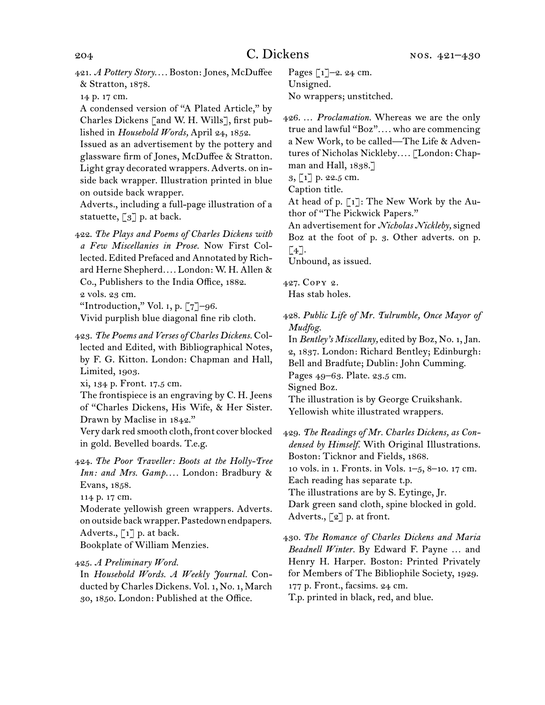421.  *A Pottery Story. . . .* Boston: Jones, McDuffee & Stratton, 1878.

14 p. 17 cm.

A condensed version of "A Plated Article," by Charles Dickens [and W. H. Wills], first published in *Household Words,* April 24, 1852.

Issued as an advertisement by the pottery and glassware firm of Jones, McDuffee & Stratton. Light gray decorated wrappers. Adverts. on inside back wrapper. Illustration printed in blue on outside back wrapper.

Adverts., including a full-page illustration of a statuette,  $\lceil 3 \rceil$  p. at back.

422.  *The Plays and Poems of Charles Dickens with a Few Miscellanies in Prose.* Now First Collected. Edited Prefaced and Annotated by Richard Herne Shepherd*. . . .* London: W. H. Allen & Co., Publishers to the India Office, 1882. 2 vols. 23 cm.

"Introduction," Vol. i, p. [7]–96.

Vivid purplish blue diagonal fine rib cloth.

423.  *The Poems and Verses of Charles Dickens.* Collected and Edited, with Bibliographical Notes, by F. G. Kitton. London: Chapman and Hall, Limited, 1903.

xi, 134 p. Front. 17.5 cm.

The frontispiece is an engraving by C. H. Jeens of "Charles Dickens, His Wife, & Her Sister. Drawn by Maclise in 1842."

Very dark red smooth cloth, front cover blocked in gold. Bevelled boards. T.e.g.

424.  *The Poor Traveller: Boots at the Holly-Tree Inn: and Mrs. Gamp. . . .* London: Bradbury & Evans, 1858.

114 p. 17 cm.

Moderate yellowish green wrappers. Adverts. onoutside backwrapper.Pastedownendpapers. Adverts.,  $\begin{bmatrix} 1 \end{bmatrix}$  p. at back. Bookplate of William Menzies.

425.  *A Preliminary Word.*

In *Household Words. A Weekly Journal.* Conducted by Charles Dickens. Vol. 1, No. 1, March 30, 1850. London: Published at the Office.

Pages [1]–2. 24 cm. Unsigned. No wrappers; unstitched.

426.  … *Proclamation.* Whereas we are the only true and lawful "Boz"*. . . .* who are commencing a New Work, to be called—The Life & Adventures of Nicholas Nickleby*. . . .* [London: Chapman and Hall, 1838.]

 $3, 1]$  p. 22.5 cm.

Caption title.

At head of p.  $\lceil 1 \rceil$ : The New Work by the Author of "The Pickwick Papers."

An advertisement for *Nicholas Nickleby,* signed Boz at the foot of p. 3. Other adverts. on p.  $[4]$ .

Unbound, as issued.

427.  Copy 2. Has stab holes.

428.  *Public Life of Mr. Tulrumble, Once Mayor of Mudfog.*

In *Bentley's Miscellany,* edited by Boz, No. 1,Jan. 2, 1837. London: Richard Bentley; Edinburgh: Bell and Bradfute; Dublin: John Cumming. Pages 49–63. Plate. 23.5 cm. Signed Boz.

The illustration is by George Cruikshank. Yellowish white illustrated wrappers.

429.  *The Readings of Mr. Charles Dickens, as Condensed by Himself.* With Original Illustrations. Boston: Ticknor and Fields, 1868. 10 vols. in 1. Fronts. in Vols. 1–5, 8–10. 17 cm. Each reading has separate t.p. The illustrations are by S. Eytinge, Jr. Dark green sand cloth, spine blocked in gold. Adverts., [2] p. at front.

430.  *The Romance of Charles Dickens and Maria Beadnell Winter.* By Edward F. Payne … and Henry H. Harper. Boston: Printed Privately for Members of The Bibliophile Society, 1929. 177 p. Front., facsims. 24 cm. T.p. printed in black, red, and blue.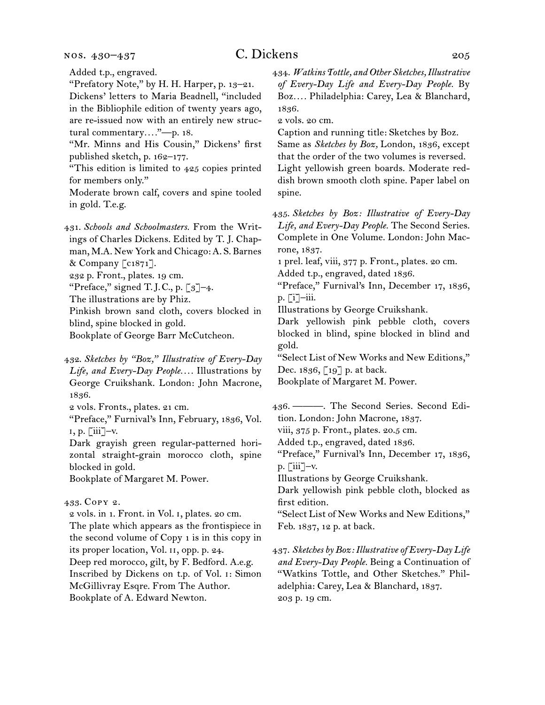nos. 430–437

Added t.p., engraved.

"Prefatory Note," by H. H. Harper, p. 13–21. Dickens' letters to Maria Beadnell, "included in the Bibliophile edition of twenty years ago, are re-issued now with an entirely new structural commentary*. . . .*"—p. 18.

"Mr. Minns and His Cousin," Dickens' first published sketch, p. 162–177.

"This edition is limited to 425 copies printed for members only."

Moderate brown calf, covers and spine tooled in gold. T.e.g.

431.  *Schools and Schoolmasters.* From the Writings of Charles Dickens. Edited by T. J. Chapman, M.A. New York and Chicago: A. S. Barnes & Company [c1871].

232 p. Front., plates. 19 cm.

"Preface," signed T.J.C., p.  $\lceil 3 \rceil$ -4.

The illustrations are by Phiz.

Pinkish brown sand cloth, covers blocked in blind, spine blocked in gold.

Bookplate of George Barr McCutcheon.

432.  *Sketches by "Boz," Illustrative of Every-Day Life, and Every-Day People. . . .* Illustrations by George Cruikshank. London: John Macrone, 1836.

2 vols. Fronts., plates. 21 cm.

"Preface," Furnival's Inn, February, 1836, Vol.  $i, p. \lceil ii \rceil - v.$ 

Dark grayish green regular-patterned horizontal straight-grain morocco cloth, spine blocked in gold.

Bookplate of Margaret M. Power.

433.  Copy 2.

2 vols. in 1. Front. in Vol. i, plates. 20 cm. The plate which appears as the frontispiece in the second volume of Copy 1 is in this copy in its proper location, Vol. ii, opp. p. 24. Deep red morocco, gilt, by F. Bedford. A.e.g. Inscribed by Dickens on t.p. of Vol. i: Simon McGillivray Esqre. From The Author. Bookplate of A. Edward Newton.

434.  *Watkins Tottle, and Other Sketches, Illustrative of Every-Day Life and Every-Day People.* By Boz*. . . .* Philadelphia: Carey, Lea & Blanchard, 1836.

2 vols. 20 cm.

Caption and running title: Sketches by Boz.

Same as *Sketches by Boz,* London, 1836, except that the order of the two volumes is reversed. Light yellowish green boards. Moderate reddish brown smooth cloth spine. Paper label on spine.

435.  *Sketches by Boz: Illustrative of Every-Day Life, and Every-Day People.* The Second Series. Complete in One Volume. London: John Macrone, 1837.

1 prel. leaf, viii, 377 p. Front., plates. 20 cm.

Added t.p., engraved, dated 1836.

"Preface," Furnival's Inn, December 17, 1836, p. [i]–iii.

Illustrations by George Cruikshank.

Dark yellowish pink pebble cloth, covers blocked in blind, spine blocked in blind and gold.

"Select List of New Works and New Editions," Dec. 1836, [19] p. at back.

Bookplate of Margaret M. Power.

436.  ———. The Second Series. Second Edition. London: John Macrone, 1837.

viii, 375 p. Front., plates. 20.5 cm.

Added t.p., engraved, dated 1836.

"Preface," Furnival's Inn, December 17, 1836, p.  $\lceil$ iii]–v.

Illustrations by George Cruikshank.

Dark yellowish pink pebble cloth, blocked as first edition.

"Select List of New Works and New Editions," Feb. 1837, 12 p. at back.

437.  *Sketches by Boz: Illustrative of Every-Day Life and Every-Day People.* Being a Continuation of "Watkins Tottle, and Other Sketches." Philadelphia: Carey, Lea & Blanchard, 1837. 203 p. 19 cm.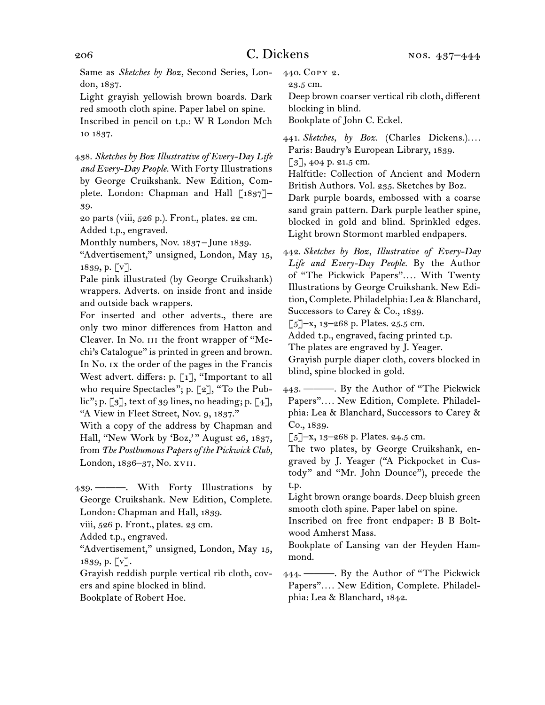Same as *Sketches by Boz,* Second Series, London, 1837.

Light grayish yellowish brown boards. Dark red smooth cloth spine. Paper label on spine.

Inscribed in pencil on t.p.: W R London Mch 10 1837.

438.  *Sketches by Boz Illustrative of Every-Day Life and Every-Day People.* With Forty Illustrations by George Cruikshank. New Edition, Complete. London: Chapman and Hall [1837]– 39.

20 parts (viii, 526 p.). Front., plates. 22 cm. Added t.p., engraved.

Monthly numbers, Nov. 1837-June 1839.

"Advertisement," unsigned, London, May 15, 1839, p. [v].

Pale pink illustrated (by George Cruikshank) wrappers. Adverts. on inside front and inside and outside back wrappers.

For inserted and other adverts., there are only two minor differences from Hatton and Cleaver. In No. iii the front wrapper of "Mechi's Catalogue" is printed in green and brown. In No. ix the order of the pages in the Francis West advert. differs: p. [1], "Important to all who require Spectacles"; p. [2], "To the Public"; p.  $\lceil 3 \rceil$ , text of 39 lines, no heading; p.  $\lceil 4 \rceil$ , "A View in Fleet Street, Nov. 9, 1837."

With a copy of the address by Chapman and Hall, "New Work by 'Boz,'" August 26, 1837, from *The Posthumous Papers of the Pickwick Club,* London, 1836–37, No. xvii.

439.  ———. With Forty Illustrations by George Cruikshank. New Edition, Complete. London: Chapman and Hall, 1839.

viii, 526 p. Front., plates. 23 cm.

"Advertisement," unsigned, London, May 15, 1839, p. [v].

Grayish reddish purple vertical rib cloth, covers and spine blocked in blind.

Bookplate of Robert Hoe.

440.  Copy 2.

23.5 cm.

Deep brown coarser vertical rib cloth, different blocking in blind.

Bookplate of John C. Eckel.

441.  *Sketches, by Boz.* (Charles Dickens.)*. . . .* Paris: Baudry's European Library, 1839.  $\lceil 3 \rceil$ , 404 p. 21.5 cm.

Halftitle: Collection of Ancient and Modern British Authors. Vol. 235. Sketches by Boz.

Dark purple boards, embossed with a coarse sand grain pattern. Dark purple leather spine, blocked in gold and blind. Sprinkled edges. Light brown Stormont marbled endpapers.

442.  *Sketches by Boz, Illustrative of Every-Day Life and Every-Day People.* By the Author of "The Pickwick Papers"*. . . .* With Twenty Illustrations by George Cruikshank. New Edition, Complete. Philadelphia: Lea & Blanchard, Successors to Carey & Co., 1839.

 $\lceil 5 \rceil$ –x, 13–268 p. Plates. 25.5 cm.

Added t.p., engraved, facing printed t.p.

The plates are engraved by J. Yeager.

Grayish purple diaper cloth, covers blocked in blind, spine blocked in gold.

443.  ———. By the Author of "The Pickwick Papers"*. . . .* New Edition, Complete. Philadelphia: Lea & Blanchard, Successors to Carey & Co., 1839.

 $\lceil 5 \rceil$ –x, 13–268 p. Plates. 24.5 cm.

The two plates, by George Cruikshank, engraved by J. Yeager ("A Pickpocket in Custody" and "Mr. John Dounce"), precede the t.p.

Light brown orange boards. Deep bluish green smooth cloth spine. Paper label on spine.

Inscribed on free front endpaper: B B Boltwood Amherst Mass.

Bookplate of Lansing van der Heyden Hammond.

444.  ———. By the Author of "The Pickwick Papers"*. . . .* New Edition, Complete. Philadelphia: Lea & Blanchard, 1842.

Added t.p., engraved.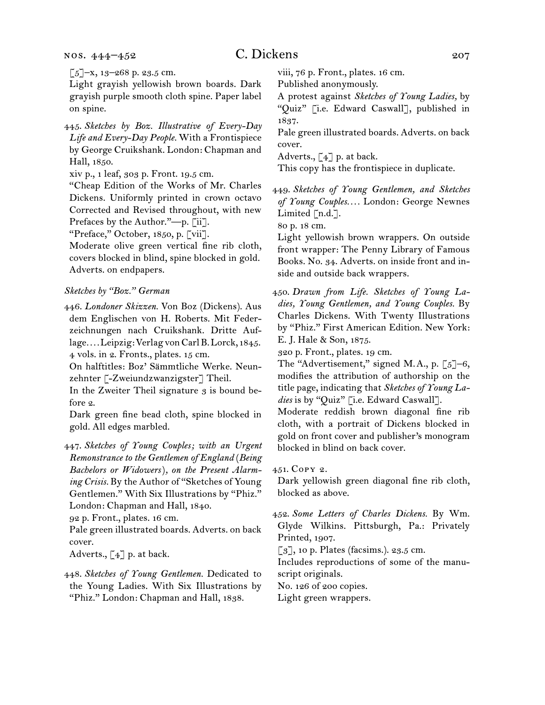$\left[\sub{5}\right]$ -x, 13-268 p. 23.5 cm.

Light grayish yellowish brown boards. Dark grayish purple smooth cloth spine. Paper label on spine.

445.  *Sketches by Boz. Illustrative of Every-Day Life and Every-Day People.* With a Frontispiece by George Cruikshank. London: Chapman and Hall, 1850.

xiv p., 1 leaf, 303 p. Front. 19.5 cm.

"Cheap Edition of the Works of Mr. Charles Dickens. Uniformly printed in crown octavo Corrected and Revised throughout, with new Prefaces by the Author."—p. [ii].

"Preface," October, 1850, p. [vii].

Moderate olive green vertical fine rib cloth, covers blocked in blind, spine blocked in gold. Adverts. on endpapers.

#### *Sketches by "Boz." German*

446.  *Londoner Skizzen.* Von Boz (Dickens). Aus dem Englischen von H. Roberts. Mit Federzeichnungen nach Cruikshank. Dritte Auflage*. . . .*Leipzig:VerlagvonCarlB.Lorck, 1845. 4 vols. in 2. Fronts., plates. 15 cm.

On halftitles: Boz' Sämmtliche Werke. Neunzehnter [-Zweiundzwanzigster] Theil.

In the Zweiter Theil signature  $3$  is bound before 2.

Dark green fine bead cloth, spine blocked in gold. All edges marbled.

447.  *Sketches of Young Couples; with an Urgent Remonstrance to the Gentlemen of England* (*Being Bachelors or Widowers*)*, on the Present Alarming Crisis.* By the Author of "Sketches of Young Gentlemen." With Six Illustrations by "Phiz." London: Chapman and Hall, 1840.

92 p. Front., plates. 16 cm.

Pale green illustrated boards. Adverts. on back cover.

Adverts.,  $\lceil 4 \rceil$  p. at back.

448.  *Sketches of Young Gentlemen.* Dedicated to the Young Ladies. With Six Illustrations by "Phiz." London: Chapman and Hall, 1838.

viii, 76 p. Front., plates. 16 cm.

Published anonymously.

A protest against *Sketches of Young Ladies,* by "Quiz" [i.e. Edward Caswall], published in 1837.

Pale green illustrated boards. Adverts. on back cover.

Adverts.,  $\lceil 4 \rceil$  p. at back.

This copy has the frontispiece in duplicate.

449.  *Sketches of Young Gentlemen, and Sketches of Young Couples. . . .* London: George Newnes Limited [n.d.].

80 p. 18 cm.

Light yellowish brown wrappers. On outside front wrapper: The Penny Library of Famous Books. No. 34. Adverts. on inside front and inside and outside back wrappers.

450.  *Drawn from Life. Sketches of Young Ladies, Young Gentlemen, and Young Couples.* By Charles Dickens. With Twenty Illustrations by "Phiz." First American Edition. New York: E. J. Hale & Son, 1875.

320 p. Front., plates. 19 cm.

The "Advertisement," signed M.A., p.  $\lbrack 5 \rbrack -6,$ modifies the attribution of authorship on the title page, indicating that *Sketches of Young Ladies* is by "Quiz" [i.e. Edward Caswall].

Moderate reddish brown diagonal fine rib cloth, with a portrait of Dickens blocked in gold on front cover and publisher's monogram blocked in blind on back cover.

451.  Copy 2.

Dark yellowish green diagonal fine rib cloth, blocked as above.

452.  *Some Letters of Charles Dickens.* By Wm. Glyde Wilkins. Pittsburgh, Pa.: Privately Printed, 1907.

 $\lceil 3 \rceil$ , 10 p. Plates (facsims.). 23.5 cm.

Includes reproductions of some of the manuscript originals.

No. 126 of 200 copies.

Light green wrappers.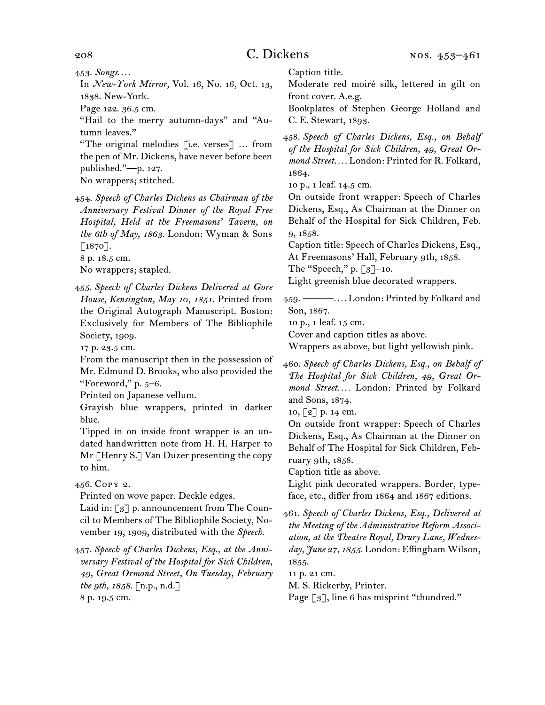453.  *Songs. . . .*

In *New-York Mirror,* Vol. 16, No. 16, Oct. 13, 1838. New-York.

Page 122. 36.5 cm.

"Hail to the merry autumn-days" and "Autumn leaves."

"The original melodies [i.e. verses] … from the pen of Mr. Dickens, have never before been published."—p. 127.

No wrappers; stitched.

454.  *Speech of Charles Dickens as Chairman of the Anniversary Festival Dinner of the Royal Free Hospital, Held at the Freemasons' Tavern, on the 6th of May, 1863.* London: Wyman & Sons  $\lceil 1870 \rceil$ .

8 p. 18.5 cm.

No wrappers; stapled.

455. *Speech of Charles Dickens Delivered at Gore House, Kensington, May 10, 1851.* Printed from the Original Autograph Manuscript. Boston: Exclusively for Members of The Bibliophile Society, 1909.

17 p. 23.5 cm.

From the manuscript then in the possession of Mr. Edmund D. Brooks, who also provided the "Foreword," p.  $5-6$ .

Printed on Japanese vellum.

Grayish blue wrappers, printed in darker blue.

Tipped in on inside front wrapper is an undated handwritten note from H. H. Harper to Mr [Henry S.] Van Duzer presenting the copy to him.

456.  Copy 2.

Printed on wove paper. Deckle edges.

Laid in: [3] p. announcement from The Council to Members of The Bibliophile Society, November 19, 1909, distributed with the *Speech.*

457.  *Speech of Charles Dickens, Esq., at the Anniversary Festival of the Hospital for Sick Children, 49, Great Ormond Street, On Tuesday, February the 9th, 1858.* [n.p., n.d.] 8 p. 19.5 cm.

Caption title.

Moderate red moiré silk, lettered in gilt on front cover. A.e.g.

Bookplates of Stephen George Holland and C. E. Stewart, 1893.

458.  *Speech of Charles Dickens, Esq., on Behalf of the Hospital for Sick Children, 49, Great Ormond Street. . . .* London: Printed for R. Folkard, 1864.

10 p., 1 leaf. 14.5 cm.

On outside front wrapper: Speech of Charles Dickens, Esq., As Chairman at the Dinner on Behalf of the Hospital for Sick Children, Feb. 9, 1858.

Caption title: Speech of Charles Dickens, Esq., At Freemasons' Hall, February 9th, 1858.

The "Speech," p.  $\lceil 3 \rceil$ –10.

Light greenish blue decorated wrappers.

459.  ———*. . . .* London: Printed by Folkard and Son, 1867.

10 p., 1 leaf. 15 cm.

Cover and caption titles as above.

Wrappers as above, but light yellowish pink.

460.  *Speech of Charles Dickens, Esq., on Behalf of The Hospital for Sick Children, 49, Great Ormond Street. . . .* London: Printed by Folkard and Sons, 1874.

10, [2] p. 14 cm.

On outside front wrapper: Speech of Charles Dickens, Esq., As Chairman at the Dinner on Behalf of The Hospital for Sick Children, February 9th, 1858.

Caption title as above.

Light pink decorated wrappers. Border, typeface, etc., differ from 1864 and 1867 editions.

461.  *Speech of Charles Dickens, Esq., Delivered at the Meeting of the Administrative Reform Association, at the Theatre Royal, Drury Lane, Wednesday, June 27, 1855.* London: Effingham Wilson, 1855.

11 p. 21 cm.

M. S. Rickerby, Printer.

Page [3], line 6 has misprint "thundred."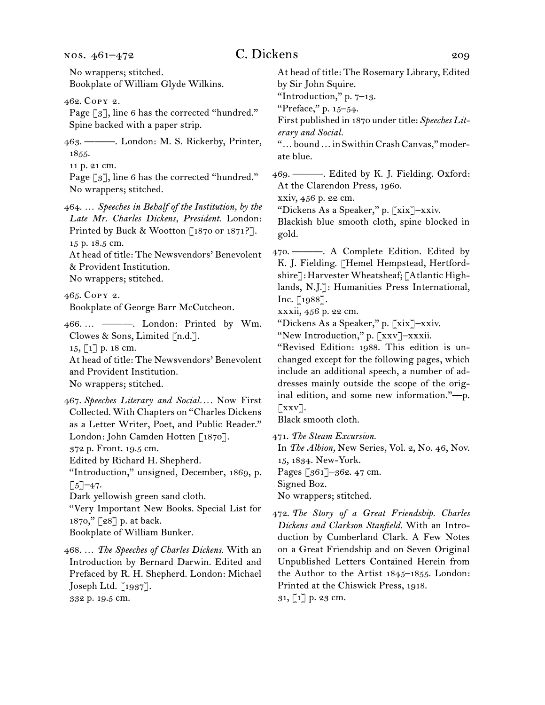# C. Dickens 209

No wrappers; stitched. Bookplate of William Glyde Wilkins. 462.  Copy 2. Page [3], line 6 has the corrected "hundred." Spine backed with a paper strip. 463.  ———. London: M. S. Rickerby, Printer, 1855. 11 p. 21 cm. Page [3], line 6 has the corrected "hundred." No wrappers; stitched. 464.  … *Speeches in Behalf of the Institution, by the Late Mr. Charles Dickens, President.* London: Printed by Buck & Wootton  $\lceil 1870 \text{ or } 1871 \rceil$ . 15 p. 18.5 cm. At head of title: The Newsvendors' Benevolent & Provident Institution. No wrappers; stitched. 465.  Copy 2. Bookplate of George Barr McCutcheon. 466.  … ———. London: Printed by Wm. Clowes & Sons, Limited [n.d.]. 15, [1] p. 18 cm. At head of title: The Newsvendors' Benevolent and Provident Institution. No wrappers; stitched. 467.  *Speeches Literary and Social. . . .* Now First Collected. With Chapters on "Charles Dickens as a Letter Writer, Poet, and Public Reader." London: John Camden Hotten [1870]. 372 p. Front. 19.5 cm. Edited by Richard H. Shepherd. "Introduction," unsigned, December, 1869, p.  $\lceil 5 \rceil$ –47. Dark yellowish green sand cloth. "Very Important New Books. Special List for 1870," [28] p. at back. Bookplate of William Bunker. 468.  … *The Speeches of Charles Dickens.* With an Introduction by Bernard Darwin. Edited and At head of title: The Rosemary Library, Edited by Sir John Squire. "Introduction," p. 7–13. "Preface," p. 15–54. First published in 1870 under title: Speeches Lit*erary and Social.*  "…bound…inSwithinCrashCanvas,"moderate blue. 469.  ———. Edited by K. J. Fielding. Oxford: At the Clarendon Press, 1960. xxiv, 456 p. 22 cm. "Dickens As a Speaker," p. [xix]–xxiv. Blackish blue smooth cloth, spine blocked in gold. 470.  ———. A Complete Edition. Edited by K. J. Fielding. [Hemel Hempstead, Hertfordshire]: Harvester Wheatsheaf; [Atlantic Highlands, N.J.]: Humanities Press International, Inc. [1988]. xxxii, 456 p. 22 cm. "Dickens As a Speaker," p. [xix]–xxiv. "New Introduction," p. [xxv]–xxxii. "Revised Edition: 1988. This edition is unchanged except for the following pages, which include an additional speech, a number of addresses mainly outside the scope of the original edition, and some new information."—p.  $\lceil$ xxv]. Black smooth cloth. 471.  *The Steam Excursion.* In *The Albion,* New Series, Vol. 2, No. 46, Nov. 15, 1834. New-York. Pages [361]–362. 47 cm. Signed Boz. No wrappers; stitched. 472.  *The Story of a Great Friendship. Charles Dickens and Clarkson Stanfield.* With an Introduction by Cumberland Clark. A Few Notes on a Great Friendship and on Seven Original Unpublished Letters Contained Herein from

31, [1] p. 23 cm.

the Author to the Artist 1845–1855. London:

Printed at the Chiswick Press, 1918.

Prefaced by R. H. Shepherd. London: Michael

Joseph Ltd. [1937]. 332 p. 19.5 cm.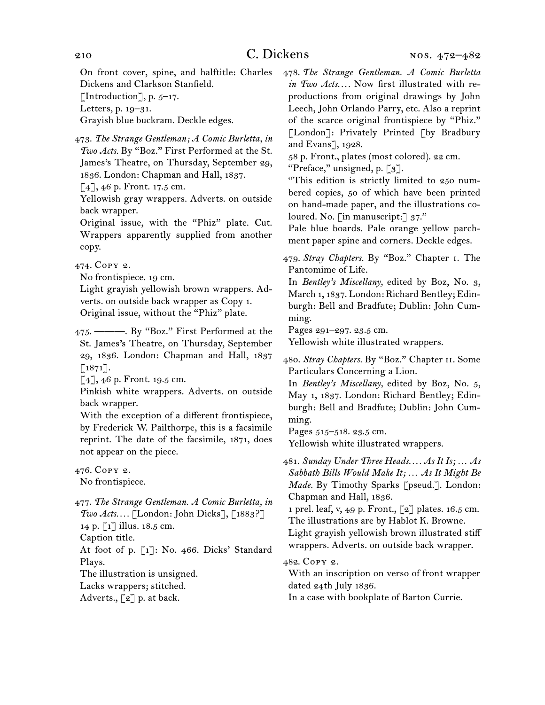On front cover, spine, and halftitle: Charles Dickens and Clarkson Stanfield.

[Introduction], p.  $5-17$ .

Letters, p. 19–31.

Grayish blue buckram. Deckle edges.

473.  *The Strange Gentleman; A Comic Burletta, in Two Acts.* By "Boz." First Performed at the St. James's Theatre, on Thursday, September 29, 1836. London: Chapman and Hall, 1837.

 $\lceil 4 \rceil$ , 46 p. Front. 17.5 cm.

Yellowish gray wrappers. Adverts. on outside back wrapper.

Original issue, with the "Phiz" plate. Cut. Wrappers apparently supplied from another copy.

474.  Copy 2.

No frontispiece. 19 cm.

Light grayish yellowish brown wrappers. Adverts. on outside back wrapper as Copy 1. Original issue, without the "Phiz" plate.

475.  ———. By "Boz." First Performed at the St. James's Theatre, on Thursday, September 29, 1836. London: Chapman and Hall, 1837  $\lceil 1871 \rceil$ .

 $[4]$ , 46 p. Front. 19.5 cm.

Pinkish white wrappers. Adverts. on outside back wrapper.

With the exception of a different frontispiece, by Frederick W. Pailthorpe, this is a facsimile reprint. The date of the facsimile, 1871, does not appear on the piece.

476.  Copy 2. No frontispiece.

477.  *The Strange Gentleman. A Comic Burletta, in Two Acts. . . .* [London: John Dicks], [1883?] 14 p. [1] illus. 18.5 cm.

Caption title.

At foot of p. [1]: No. 466. Dicks' Standard Plays.

The illustration is unsigned.

Lacks wrappers; stitched.

Adverts.,  $\lceil 2 \rceil$  p. at back.

478.  *The Strange Gentleman. A Comic Burletta in Two Acts. . . .* Now first illustrated with reproductions from original drawings by John Leech, John Orlando Parry, etc. Also a reprint of the scarce original frontispiece by "Phiz." [London]: Privately Printed [by Bradbury and Evans], 1928.

58 p. Front., plates (most colored). 22 cm.

"Preface," unsigned, p. [3].

"This edition is strictly limited to 250 numbered copies, 50 of which have been printed on hand-made paper, and the illustrations coloured. No. [in manuscript:] 37."

Pale blue boards. Pale orange yellow parchment paper spine and corners. Deckle edges.

479.  *Stray Chapters.* By "Boz." Chapter i. The Pantomime of Life.

In *Bentley's Miscellany,* edited by Boz, No. 3, March 1, 1837. London: Richard Bentley; Edinburgh: Bell and Bradfute; Dublin: John Cumming.

Pages 291–297. 23.5 cm.

Yellowish white illustrated wrappers.

480.  *Stray Chapters.* By "Boz." Chapter ii. Some Particulars Concerning a Lion.

In *Bentley's Miscellany,* edited by Boz, No. 5, May 1, 1837. London: Richard Bentley; Edinburgh: Bell and Bradfute; Dublin: John Cumming.

Pages 515–518. 23.5 cm. Yellowish white illustrated wrappers.

481.  *Sunday Under Three Heads. . . . As It Is; … As Sabbath Bills Would Make It; … As It Might Be Made.* By Timothy Sparks [pseud.]. London: Chapman and Hall, 1836.

1 prel. leaf, v, 49 p. Front., [2] plates. 16.5 cm. The illustrations are by Hablot K. Browne.

Light grayish yellowish brown illustrated stiff wrappers. Adverts. on outside back wrapper.

482.  Copy 2.

With an inscription on verso of front wrapper dated 24th July 1836.

In a case with bookplate of Barton Currie.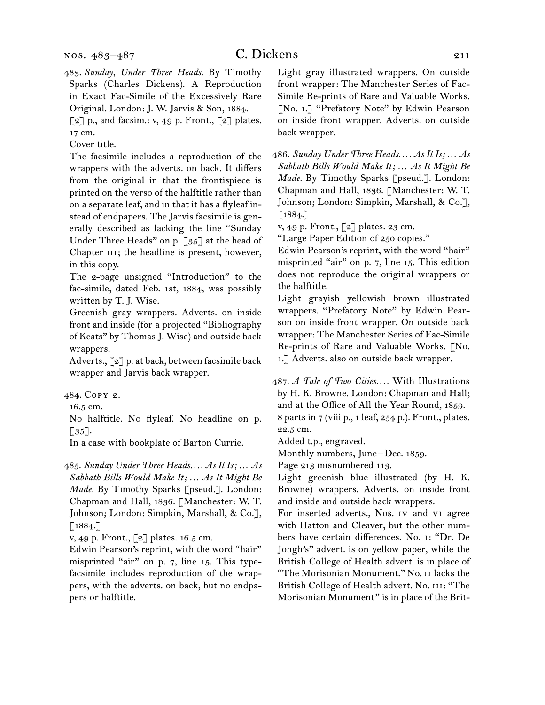483.  *Sunday, Under Three Heads.* By Timothy Sparks (Charles Dickens). A Reproduction in Exact Fac-Simile of the Excessively Rare Original. London: J. W. Jarvis & Son, 1884.

 $\lceil 2 \rceil$  p., and facsim.: v, 49 p. Front.,  $\lceil 2 \rceil$  plates. 17 cm.

Cover title.

The facsimile includes a reproduction of the wrappers with the adverts. on back. It differs from the original in that the frontispiece is printed on the verso of the halftitle rather than on a separate leaf, and in that it has a flyleaf instead of endpapers. The Jarvis facsimile is generally described as lacking the line "Sunday Under Three Heads" on p. [35] at the head of Chapter III; the headline is present, however, in this copy.

The 2-page unsigned "Introduction" to the fac-simile, dated Feb. 1st, 1884, was possibly written by T. J. Wise.

Greenish gray wrappers. Adverts. on inside front and inside (for a projected "Bibliography of Keats" by Thomas J. Wise) and outside back wrappers.

Adverts., [2] p. at back, between facsimile back wrapper and Jarvis back wrapper.

484.  Copy 2.

16.5 cm.

No halftitle. No flyleaf. No headline on p.  $\lceil 35 \rceil$ .

In a case with bookplate of Barton Currie.

485.  *Sunday Under Three Heads. . . . As It Is; … As Sabbath Bills Would Make It; … As It Might Be Made.* By Timothy Sparks [pseud.]. London: Chapman and Hall, 1836. [Manchester: W. T. Johnson; London: Simpkin, Marshall, & Co.],  $[1884.]$ 

v, 49 p. Front., [2] plates. 16.5 cm.

Edwin Pearson's reprint, with the word "hair" misprinted "air" on p. 7, line 15. This typefacsimile includes reproduction of the wrappers, with the adverts. on back, but no endpapers or halftitle.

Light gray illustrated wrappers. On outside front wrapper: The Manchester Series of Fac-Simile Re-prints of Rare and Valuable Works. [No. 1.] "Prefatory Note" by Edwin Pearson on inside front wrapper. Adverts. on outside back wrapper.

486.  *Sunday Under Three Heads. . . . As It Is; … As Sabbath Bills Would Make It; … As It Might Be Made.* By Timothy Sparks [pseud.]. London: Chapman and Hall, 1836. [Manchester: W. T. Johnson; London: Simpkin, Marshall, & Co.], [1884.]

v, 49 p. Front., [2] plates. 23 cm.

"Large Paper Edition of 250 copies."

Edwin Pearson's reprint, with the word "hair" misprinted "air" on p. 7, line 15. This edition does not reproduce the original wrappers or the halftitle.

Light grayish yellowish brown illustrated wrappers. "Prefatory Note" by Edwin Pearson on inside front wrapper. On outside back wrapper: The Manchester Series of Fac-Simile Re-prints of Rare and Valuable Works. [No. 1.] Adverts. also on outside back wrapper.

487.  *A Tale of Two Cities. . . .* With Illustrations by H. K. Browne. London: Chapman and Hall; and at the Office of All the Year Round, 1859. 8 parts in 7 (viii p., 1 leaf, 254 p.). Front., plates. 22.5 cm.

Added t.p., engraved.

Monthly numbers, June – Dec. 1859.

Page 213 misnumbered 113.

Light greenish blue illustrated (by H. K. Browne) wrappers. Adverts. on inside front and inside and outside back wrappers.

For inserted adverts., Nos. iv and vi agree with Hatton and Cleaver, but the other numbers have certain differences. No. i: "Dr. De Jongh's" advert. is on yellow paper, while the British College of Health advert. is in place of "The Morisonian Monument." No. ii lacks the British College of Health advert. No. III: "The Morisonian Monument" is in place of the Brit-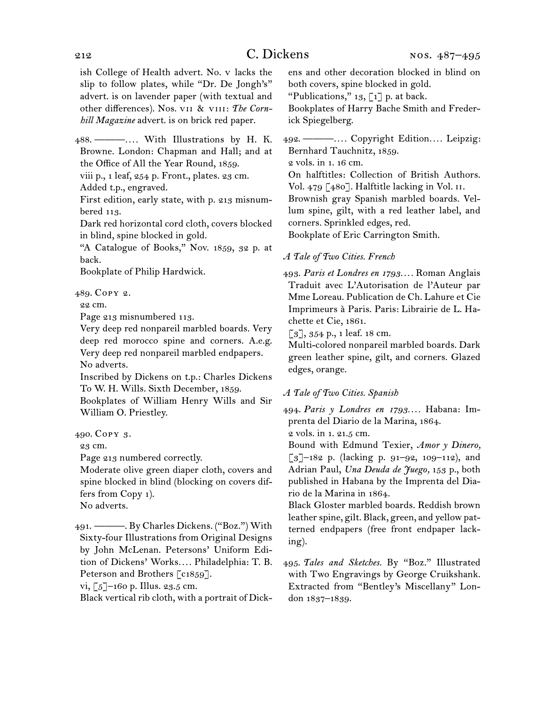# 212 C. Dickens

ish College of Health advert. No. v lacks the slip to follow plates, while "Dr. De Jongh's" advert. is on lavender paper (with textual and other differences). Nos. vii & viii: *The Cornhill Magazine* advert. is on brick red paper.

488.  ———*. . . .* With Illustrations by H. K. Browne. London: Chapman and Hall; and at the Office of All the Year Round, 1859.

viii p., 1 leaf, 254 p. Front., plates. 23 cm.

Added t.p., engraved.

First edition, early state, with p. 213 misnumbered 113.

Dark red horizontal cord cloth, covers blocked in blind, spine blocked in gold.

"A Catalogue of Books," Nov. 1859, 32 p. at back.

Bookplate of Philip Hardwick.

489.  Copy 2.

22 cm.

Page 213 misnumbered 113.

Very deep red nonpareil marbled boards. Very deep red morocco spine and corners. A.e.g. Very deep red nonpareil marbled endpapers. No adverts.

Inscribed by Dickens on t.p.: Charles Dickens To W. H. Wills. Sixth December, 1859.

Bookplates of William Henry Wills and Sir William O. Priestley.

23 cm.

Page 213 numbered correctly.

Moderate olive green diaper cloth, covers and spine blocked in blind (blocking on covers differs from Copy 1).

No adverts.

491.  ———. By Charles Dickens. ("Boz.") With Sixty-four Illustrations from Original Designs by John McLenan. Petersons' Uniform Edition of Dickens' Works*. . . .* Philadelphia: T. B. Peterson and Brothers [c1859].

vi,  $\lceil 5 \rceil$ –160 p. Illus. 23.5 cm.

Black vertical rib cloth, with a portrait of Dick-

ens and other decoration blocked in blind on both covers, spine blocked in gold.

"Publications,"  $13$ , [1] p. at back.

Bookplates of Harry Bache Smith and Frederick Spiegelberg.

492.  ———*. . . .* Copyright Edition*. . . .* Leipzig: Bernhard Tauchnitz, 1859.

2 vols. in 1. 16 cm.

On halftitles: Collection of British Authors. Vol. 479 [480]. Halftitle lacking in Vol. II.

Brownish gray Spanish marbled boards. Vellum spine, gilt, with a red leather label, and corners. Sprinkled edges, red.

Bookplate of Eric Carrington Smith.

## *A Tale of Two Cities. French*

493.  *Paris et Londres en 1793. . . .* Roman Anglais Traduit avec L'Autorisation de l'Auteur par Mme Loreau. Publication de Ch. Lahure et Cie Imprimeurs à Paris. Paris: Librairie de L. Hachette et Cie, 1861.

 $\lceil 3 \rceil$ , 354 p., 1 leaf. 18 cm.

Multi-colored nonpareil marbled boards. Dark green leather spine, gilt, and corners. Glazed edges, orange.

## *A Tale of Two Cities. Spanish*

494.  *Paris y Londres en 1793. . . .* Habana: Imprenta del Diario de la Marina, 1864.

2 vols. in 1. 21.5 cm.

Bound with Edmund Texier, *Amor y Dinero,*   $\lceil 3 \rceil$ –182 p. (lacking p. 91–92, 109–112), and Adrian Paul, *Una Deuda de Juego,* 153 p., both published in Habana by the Imprenta del Diario de la Marina in 1864.

Black Gloster marbled boards. Reddish brown leather spine, gilt. Black, green, and yellow patterned endpapers (free front endpaper lacking).

495.  *Tales and Sketches.* By "Boz." Illustrated with Two Engravings by George Cruikshank. Extracted from "Bentley's Miscellany" London 1837–1839.

<sup>490.</sup>Copy 3.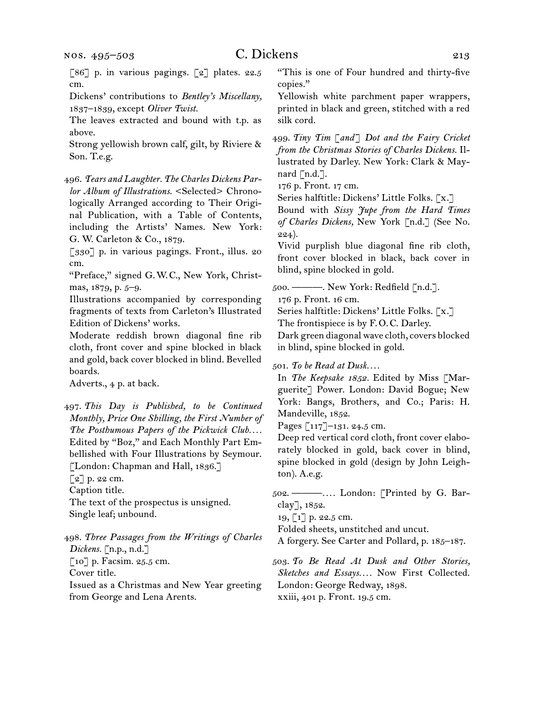[86] p. in various pagings. [2] plates. 22.5 cm.

Dickens' contributions to *Bentley's Miscellany,*  1837–1839, except *Oliver Twist.*

The leaves extracted and bound with t.p. as above.

Strong yellowish brown calf, gilt, by Riviere & Son. T.e.g.

496.  *Tears and Laughter. The Charles Dickens Parlor Album of Illustrations.* <Selected> Chronologically Arranged according to Their Original Publication, with a Table of Contents, including the Artists' Names. New York: G. W. Carleton & Co., 1879.

[330] p. in various pagings. Front., illus. 20 cm.

"Preface," signed G. W. C., New York, Christmas, 1879, p. 5–9.

Illustrations accompanied by corresponding fragments of texts from Carleton's Illustrated Edition of Dickens' works.

Moderate reddish brown diagonal fine rib cloth, front cover and spine blocked in black and gold, back cover blocked in blind. Bevelled boards.

Adverts., 4 p. at back.

497.  *This Day is Published, to be Continued Monthly, Price One Shilling, the First Number of The Posthumous Papers of the Pickwick Club. . . .* Edited by "Boz," and Each Monthly Part Embellished with Four Illustrations by Seymour. [London: Chapman and Hall, 1836.]

 $\lceil 2 \rceil$  p. 22 cm.

Caption title.

The text of the prospectus is unsigned. Single leaf; unbound.

498.  *Three Passages from the Writings of Charles Dickens.* [n.p., n.d.] [10] p. Facsim. 25.5 cm. Cover title. Issued as a Christmas and New Year greeting from George and Lena Arents.

"This is one of Four hundred and thirty-five copies."

Yellowish white parchment paper wrappers, printed in black and green, stitched with a red silk cord.

499.  *Tiny Tim* [*and*] *Dot and the Fairy Cricket from the Christmas Stories of Charles Dickens.* Illustrated by Darley. New York: Clark & Maynard  $\lceil n.d.\rceil$ .

176 p. Front. 17 cm.

Series halftitle: Dickens' Little Folks. [x.]

Bound with *Sissy Jupe from the Hard Times of Charles Dickens,* New York [n.d.] (See No. 224).

Vivid purplish blue diagonal fine rib cloth, front cover blocked in black, back cover in blind, spine blocked in gold.

500.  ———. New York: Redfield [n.d.].

176 p. Front. 16 cm.

Series halftitle: Dickens' Little Folks. [x.]

The frontispiece is by F. O. C. Darley.

Dark green diagonal wave cloth, covers blocked in blind, spine blocked in gold.

501.  *To be Read at Dusk. . . .* 

In *The Keepsake 1852.* Edited by Miss [Marguerite] Power. London: David Bogue; New York: Bangs, Brothers, and Co.; Paris: H. Mandeville, 1852.

Pages [117]–131. 24.5 cm.

Deep red vertical cord cloth, front cover elaborately blocked in gold, back cover in blind, spine blocked in gold (design by John Leighton). A.e.g.

502.  ———*. . . .* London: [Printed by G. Barclay], 1852.

19, [1] p. 22.5 cm.

Folded sheets, unstitched and uncut.

A forgery. See Carter and Pollard, p. 185–187.

503.  *To Be Read At Dusk and Other Stories, Sketches and Essays. . . .* Now First Collected. London: George Redway, 1898. xxiii, 401 p. Front. 19.5 cm.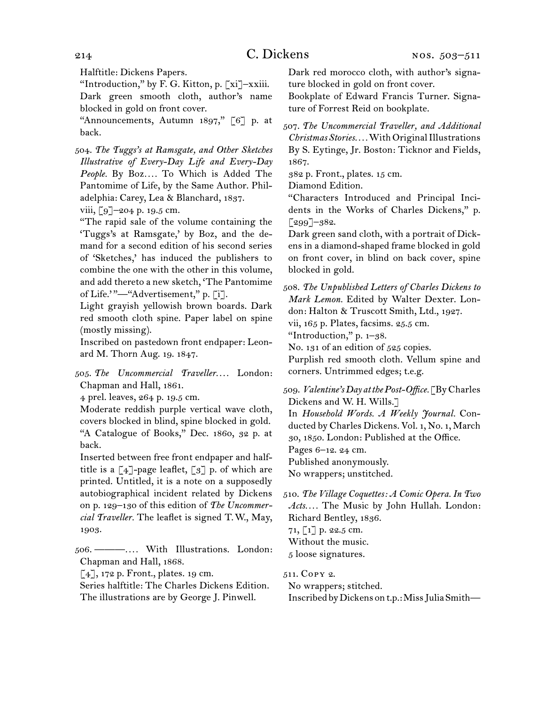Halftitle: Dickens Papers.

"Introduction," by F. G. Kitton, p. [xi]–xxiii. Dark green smooth cloth, author's name blocked in gold on front cover.

"Announcements, Autumn 1897," [6] p. at back.

504.  *The Tuggs's at Ramsgate, and Other Sketches Illustrative of Every-Day Life and Every-Day People.* By Boz*. . . .* To Which is Added The Pantomime of Life, by the Same Author. Philadelphia: Carey, Lea & Blanchard, 1837.

viii, [9]–204 p. 19.5 cm.

"The rapid sale of the volume containing the 'Tuggs's at Ramsgate,' by Boz, and the demand for a second edition of his second series of 'Sketches,' has induced the publishers to combine the one with the other in this volume, and add thereto a new sketch, 'The Pantomime of Life.<sup>'</sup>"—"Advertisement," p. [i].

Light grayish yellowish brown boards. Dark red smooth cloth spine. Paper label on spine (mostly missing).

Inscribed on pastedown front endpaper: Leonard M. Thorn Aug. 19. 1847.

505.  *The Uncommercial Traveller. . . .* London: Chapman and Hall, 1861.

4 prel. leaves, 264 p. 19.5 cm.

Moderate reddish purple vertical wave cloth, covers blocked in blind, spine blocked in gold. "A Catalogue of Books," Dec. 1860, 32 p. at back.

Inserted between free front endpaper and halftitle is a  $[4]$ -page leaflet,  $[3]$  p. of which are printed. Untitled, it is a note on a supposedly autobiographical incident related by Dickens on p. 129–130 of this edition of *The Uncommercial Traveller.* The leaflet is signed T. W., May, 1903.

506.  ———*. . . .* With Illustrations. London: Chapman and Hall, 1868.

 $[4]$ , 172 p. Front., plates. 19 cm.

Series halftitle: The Charles Dickens Edition. The illustrations are by George J. Pinwell.

Dark red morocco cloth, with author's signature blocked in gold on front cover.

Bookplate of Edward Francis Turner. Signature of Forrest Reid on bookplate.

507.  *The Uncommercial Traveller, and Additional Christmas Stories. . . .*WithOriginalIllustrations By S. Eytinge, Jr. Boston: Ticknor and Fields, 1867.

382 p. Front., plates. 15 cm.

Diamond Edition.

"Characters Introduced and Principal Incidents in the Works of Charles Dickens," p. [299]–382.

Dark green sand cloth, with a portrait of Dickens in a diamond-shaped frame blocked in gold on front cover, in blind on back cover, spine blocked in gold.

508.  *The Unpublished Letters of Charles Dickens to Mark Lemon.* Edited by Walter Dexter. London: Halton & Truscott Smith, Ltd., 1927.

vii, 165 p. Plates, facsims. 25.5 cm.

"Introduction," p. 1–38.

No. 131 of an edition of 525 copies.

Purplish red smooth cloth. Vellum spine and corners. Untrimmed edges; t.e.g.

509.  *Valentine's Day at the Post-Office.* [ByCharles Dickens and W. H. Wills.] In *Household Words. A Weekly Journal.* Conducted by Charles Dickens. Vol. 1, No. 1, March 30, 1850. London: Published at the Office. Pages 6–12. 24 cm. Published anonymously.

No wrappers; unstitched.

510.  *The Village Coquettes: A Comic Opera. In Two Acts. . . .* The Music by John Hullah. London: Richard Bentley, 1836.

71, [1] p. 22.5 cm. Without the music.

5 loose signatures.

511.  Copy 2.

No wrappers; stitched. InscribedbyDickens ont.p.:MissJuliaSmith—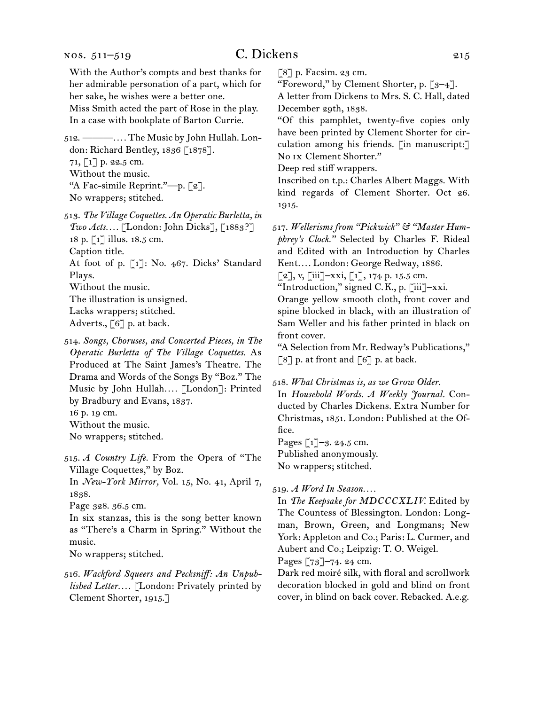512.  ———*. . . .* The Music by John Hullah. London: Richard Bentley, 1836 [1878]. 71, [1] p. 22.5 cm. Without the music. "A Fac-simile Reprint."—p. [2]. No wrappers; stitched.

513.  *The Village Coquettes. An Operatic Burletta, in Two Acts. . . .* [London: John Dicks], [1883?] 18 p. [1] illus. 18.5 cm. Caption title. At foot of p. [1]: No. 467. Dicks' Standard Plays. Without the music. The illustration is unsigned. Lacks wrappers; stitched. Adverts., [6] p. at back.

514.  *Songs, Choruses, and Concerted Pieces, in The Operatic Burletta of The Village Coquettes.* As Produced at The Saint James's Theatre. The Drama and Words of the Songs By "Boz." The Music by John Hullah*. . . .* [London]: Printed by Bradbury and Evans, 1837.

16 p. 19 cm.

In *New-York Mirror,* Vol. 15, No. 41, April 7, 1838.

Page 328. 36.5 cm.

In six stanzas, this is the song better known as "There's a Charm in Spring." Without the music.

No wrappers; stitched.

516.  *Wackford Squeers and Pecksniff: An Unpublished Letter. . . .* [London: Privately printed by Clement Shorter, 1915.]

 $\lceil 8 \rceil$  p. Facsim. 23 cm.

"Foreword," by Clement Shorter, p. [3–4]. A letter from Dickens to Mrs. S. C. Hall, dated

December 29th, 1838.

"Of this pamphlet, twenty-five copies only have been printed by Clement Shorter for circulation among his friends. [in manuscript:] No ix Clement Shorter."

Deep red stiff wrappers.

Inscribed on t.p.: Charles Albert Maggs. With kind regards of Clement Shorter. Oct 26. 1915.

517.  *Wellerisms from "Pickwick" & "Master Humphrey's Clock."* Selected by Charles F. Rideal and Edited with an Introduction by Charles Kent*. . . .* London: George Redway, 1886.

 $[2]$ , v,  $[iii]$ -xxi,  $[1]$ , 174 p. 15.5 cm.

"Introduction," signed C. K., p. [iii]–xxi.

Orange yellow smooth cloth, front cover and spine blocked in black, with an illustration of Sam Weller and his father printed in black on front cover.

"A Selection from Mr. Redway's Publications,"  $\lceil 8 \rceil$  p. at front and  $\lceil 6 \rceil$  p. at back.

#### 518.  *What Christmas is, as we Grow Older.*

In *Household Words. A Weekly Journal.* Conducted by Charles Dickens. Extra Number for Christmas, 1851. London: Published at the Office.

Pages [1]–3. 24.5 cm. Published anonymously. No wrappers; stitched.

519.  *A Word In Season. . . .*

In *The Keepsake for MDCCCXLIV.* Edited by The Countess of Blessington. London: Longman, Brown, Green, and Longmans; New York: Appleton and Co.; Paris: L. Curmer, and Aubert and Co.; Leipzig: T. O. Weigel.

Pages [73]–74. 24 cm.

Dark red moiré silk, with floral and scrollwork decoration blocked in gold and blind on front cover, in blind on back cover. Rebacked. A.e.g.

Without the music.

No wrappers; stitched.

<sup>515.</sup>*A Country Life.* From the Opera of "The Village Coquettes," by Boz.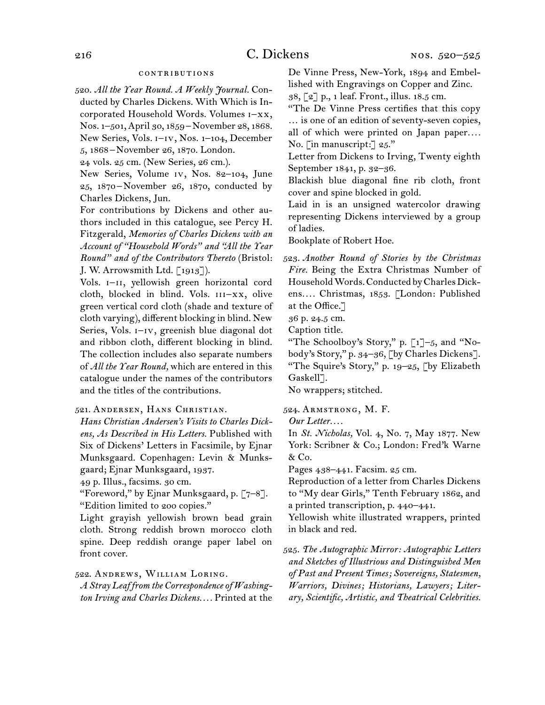#### contributions

520.  *All the Year Round. A Weekly Journal.* Conducted by Charles Dickens. With Which is Incorporated Household Words. Volumes i–xx, Nos. 1–501,April 30, 1859 – November 28, 1868. New Series, Vols. i–iv, Nos. 1–104, December

5, 1868 – November 26, 1870. London.

24 vols. 25 cm. (New Series, 26 cm.).

New Series, Volume iv, Nos. 82–104, June 25, 1870 – November 26, 1870, conducted by Charles Dickens, Jun.

For contributions by Dickens and other authors included in this catalogue, see Percy H. Fitzgerald, *Memories of Charles Dickens with an Account of "Household Words" and "All the Year Round" and of the Contributors Thereto* (Bristol: J. W. Arrowsmith Ltd. [1913]).

Vols. I-II, yellowish green horizontal cord cloth, blocked in blind. Vols. III-XX, olive green vertical cord cloth (shade and texture of cloth varying), different blocking in blind. New Series, Vols.  $I-V$ , greenish blue diagonal dot and ribbon cloth, different blocking in blind. The collection includes also separate numbers of *All the Year Round,* which are entered in this catalogue under the names of the contributors and the titles of the contributions.

## 521.  Andersen, Hans Christian.

*Hans Christian Andersen's Visits to Charles Dickens, As Described in His Letters.* Published with Six of Dickens' Letters in Facsimile, by Ejnar Munksgaard. Copenhagen: Levin & Munksgaard; Ejnar Munksgaard, 1937.

49 p. Illus., facsims. 30 cm.

"Foreword," by Ejnar Munksgaard, p. [7–8]. "Edition limited to 200 copies."

Light grayish yellowish brown bead grain cloth. Strong reddish brown morocco cloth spine. Deep reddish orange paper label on front cover.

522.  Andrews, William Loring.

*A Stray Leaf from the Correspondence of Washington Irving and Charles Dickens. . . .* Printed at the

De Vinne Press, New-York, 1894 and Embellished with Engravings on Copper and Zinc.

38, [2] p., 1 leaf. Front., illus. 18.5 cm.

"The De Vinne Press certifies that this copy … is one of an edition of seventy-seven copies, all of which were printed on Japan paper.... No. [in manuscript:] 25."

Letter from Dickens to Irving, Twenty eighth September 1841, p. 32–36.

Blackish blue diagonal fine rib cloth, front cover and spine blocked in gold.

Laid in is an unsigned watercolor drawing representing Dickens interviewed by a group of ladies.

Bookplate of Robert Hoe.

523.  *Another Round of Stories by the Christmas Fire.* Being the Extra Christmas Number of Household Words. Conducted by Charles Dickens*. . . .* Christmas, 1853. [London: Published at the Office.]

36 p. 24.5 cm.

Caption title.

"The Schoolboy's Story," p.  $\left[\begin{smallmatrix}1\end{smallmatrix}\right]$  -5, and "Nobody's Story," p. 34–36, [by Charles Dickens]. "The Squire's Story," p. 19–25, [by Elizabeth Gaskell<sup>7</sup>.

No wrappers; stitched.

524.  Armstrong, M. F.

*Our Letter. . . .*

In *St. Nicholas,* Vol. 4, No. 7, May 1877. New York: Scribner & Co.; London: Fred'k Warne & Co.

Pages 438–441. Facsim. 25 cm.

Reproduction of a letter from Charles Dickens to "My dear Girls," Tenth February 1862, and a printed transcription, p. 440–441.

Yellowish white illustrated wrappers, printed in black and red.

525.  *The Autographic Mirror: Autographic Letters and Sketches of Illustrious and Distinguished Men of Past and Present Times; Sovereigns, Statesmen, Warriors, Divines; Historians, Lawyers; Literary, Scientific, Artistic, and Theatrical Celebrities.*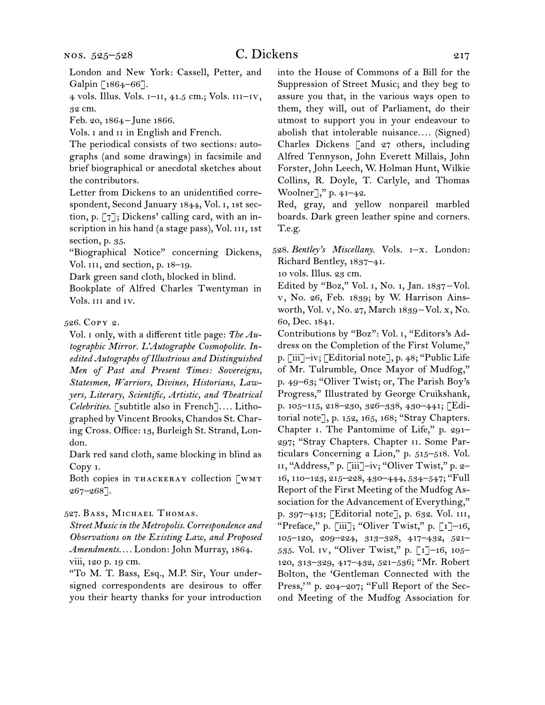## C. Dickens 217

London and New York: Cassell, Petter, and Galpin [1864-66].

4 vols. Illus. Vols. i–ii, 41.5 cm.; Vols. iii–iv, 32 cm.

Feb. 20, 1864 – June 1866.

Vols. I and II in English and French.

The periodical consists of two sections: autographs (and some drawings) in facsimile and brief biographical or anecdotal sketches about the contributors.

Letter from Dickens to an unidentified correspondent, Second January 1844, Vol. i, 1st section, p. [7]; Dickens' calling card, with an inscription in his hand (a stage pass), Vol. III, 1st section, p. 35.

"Biographical Notice" concerning Dickens, Vol. III, 2nd section, p. 18-19.

Dark green sand cloth, blocked in blind.

Bookplate of Alfred Charles Twentyman in Vols. iii and iv.

## 526.  Copy 2.

Vol. i only, with a different title page: *The Autographic Mirror. L'Autographe Cosmopolite. Inedited Autographs of Illustrious and Distinguished Men of Past and Present Times: Sovereigns, Statesmen, Warriors, Divines, Historians, Lawyers, Literary, Scientific, Artistic, and Theatrical Celebrities.* [subtitle also in French]*. . . .* Lithographed by Vincent Brooks, Chandos St. Charing Cross. Office: 13, Burleigh St. Strand, London.

Dark red sand cloth, same blocking in blind as Copy 1.

Both copies in THACKERAY collection [WMT 267–268].

## 527.  Bass, Michael Thomas.

*Street Music in the Metropolis. Correspondence and Observations on the Existing Law, and Proposed Amendments. . . .* London: John Murray, 1864. viii, 120 p. 19 cm.

"To M. T. Bass, Esq., M.P. Sir, Your undersigned correspondents are desirous to offer you their hearty thanks for your introduction

into the House of Commons of a Bill for the Suppression of Street Music; and they beg to assure you that, in the various ways open to them, they will, out of Parliament, do their utmost to support you in your endeavour to abolish that intolerable nuisance*. . . .* (Signed) Charles Dickens [and 27 others, including Alfred Tennyson, John Everett Millais, John Forster, John Leech, W. Holman Hunt, Wilkie Collins, R. Doyle, T. Carlyle, and Thomas Woolner]," p. 41–42.

Red, gray, and yellow nonpareil marbled boards. Dark green leather spine and corners. T.e.g.

528.  *Bentley's Miscellany.* Vols. i–x. London: Richard Bentley, 1837–41.

10 vols. Illus. 23 cm.

Edited by "Boz," Vol. 1, No. 1, Jan.  $1837 -$ Vol. v, No. 26, Feb. 1839; by W. Harrison Ainsworth, Vol. v, No. 27, March 1839 – Vol. x, No. 60, Dec. 1841.

Contributions by "Boz": Vol. i, "Editors's Address on the Completion of the First Volume," p. [iii]–iv; [Editorial note], p. 48; "Public Life of Mr. Tulrumble, Once Mayor of Mudfog," p. 49–63; "Oliver Twist; or, The Parish Boy's Progress," Illustrated by George Cruikshank, p. 105–115, 218–230, 326–338, 430–441; [Editorial note], p. 152, 165, 168; "Stray Chapters. Chapter i. The Pantomime of Life," p. 291– 297; "Stray Chapters. Chapter ii. Some Particulars Concerning a Lion," p. 515–518. Vol. ii, "Address," p. [iii]–iv; "Oliver Twist," p. 2– 16, 110–123, 215–228, 430–444, 534–547; "Full Report of the First Meeting of the Mudfog Association for the Advancement of Everything," p. 397–413; [Editorial note], p. 632. Vol. iii, "Preface," p. [iii]; "Oliver Twist," p. [1]-16, 105–120, 209–224, 313–328, 417–432, 521– 535. Vol. iv, "Oliver Twist," p. [1]–16, 105– 120, 313–329, 417–432, 521–536; "Mr. Robert Bolton, the 'Gentleman Connected with the Press," p. 204-207; "Full Report of the Second Meeting of the Mudfog Association for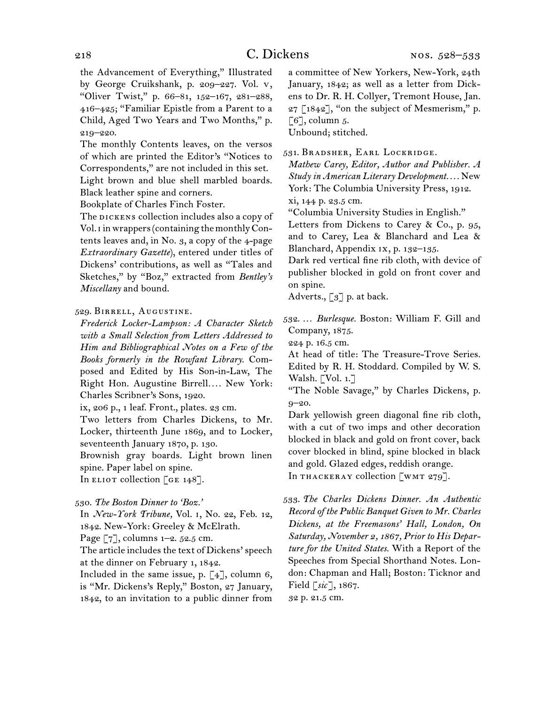the Advancement of Everything," Illustrated by George Cruikshank, p. 209–227. Vol. v, "Oliver Twist," p. 66–81, 152–167, 281–288, 416–425; "Familiar Epistle from a Parent to a Child, Aged Two Years and Two Months," p. 219–220.

The monthly Contents leaves, on the versos of which are printed the Editor's "Notices to Correspondents," are not included in this set. Light brown and blue shell marbled boards. Black leather spine and corners.

Bookplate of Charles Finch Foster.

The DICKENS collection includes also a copy of Vol. I in wrappers (containing the monthly Contents leaves and, in No.  $3$ , a copy of the 4-page *Extraordinary Gazette*), entered under titles of Dickens' contributions, as well as "Tales and Sketches," by "Boz," extracted from *Bentley's Miscellany* and bound.

## 529.  Birrell, Augustine.

*Frederick Locker-Lampson: A Character Sketch with a Small Selection from Letters Addressed to Him and Bibliographical Notes on a Few of the Books formerly in the Rowfant Library.* Composed and Edited by His Son-in-Law, The Right Hon. Augustine Birrell.... New York: Charles Scribner's Sons, 1920.

ix, 206 p., 1 leaf. Front., plates. 23 cm.

Two letters from Charles Dickens, to Mr. Locker, thirteenth June 1869, and to Locker, seventeenth January 1870, p. 130.

Brownish gray boards. Light brown linen spine. Paper label on spine.

In ELIOT collection [GE 148].

```
530.  The Boston Dinner to 'Boz.'
```
In *New-York Tribune,* Vol. i, No. 22, Feb. 12, 1842. New-York: Greeley & McElrath.

Page [7], columns 1–2. 52.5 cm.

The article includes the text of Dickens' speech at the dinner on February 1, 1842.

Included in the same issue, p.  $\lceil 4 \rceil$ , column 6, is "Mr. Dickens's Reply," Boston, 27 January, 1842, to an invitation to a public dinner from

a committee of New Yorkers, New-York, 24th January, 1842; as well as a letter from Dickens to Dr. R. H. Collyer, Tremont House, Jan.  $27$  [1842], "on the subject of Mesmerism," p.  $\lceil 6 \rceil$ , column 5.

Unbound; stitched.

531.  Bradsher, Earl Lockridge.

*Mathew Carey, Editor, Author and Publisher. A Study in American Literary Development. . . .* New York: The Columbia University Press, 1912. xi, 144 p. 23.5 cm.

"Columbia University Studies in English."

Letters from Dickens to Carey & Co., p. 95, and to Carey, Lea & Blanchard and Lea & Blanchard, Appendix ix, p. 132–135.

Dark red vertical fine rib cloth, with device of publisher blocked in gold on front cover and on spine.

Adverts., [3] p. at back.

532.  … *Burlesque.* Boston: William F. Gill and Company, 1875.

224 p. 16.5 cm.

At head of title: The Treasure-Trove Series. Edited by R. H. Stoddard. Compiled by W. S. Walsh. [Vol. 1.]

"The Noble Savage," by Charles Dickens, p. 9–20.

Dark yellowish green diagonal fine rib cloth, with a cut of two imps and other decoration blocked in black and gold on front cover, back cover blocked in blind, spine blocked in black and gold. Glazed edges, reddish orange.

In THACKERAY collection [WMT 279].

533.  *The Charles Dickens Dinner. An Authentic Record of the Public Banquet Given to Mr. Charles Dickens, at the Freemasons' Hall, London, On Saturday, November 2, 1867, Prior to His Departure for the United States.* With a Report of the Speeches from Special Shorthand Notes. London: Chapman and Hall; Boston: Ticknor and Field [*sic*], 1867.

32 p. 21.5 cm.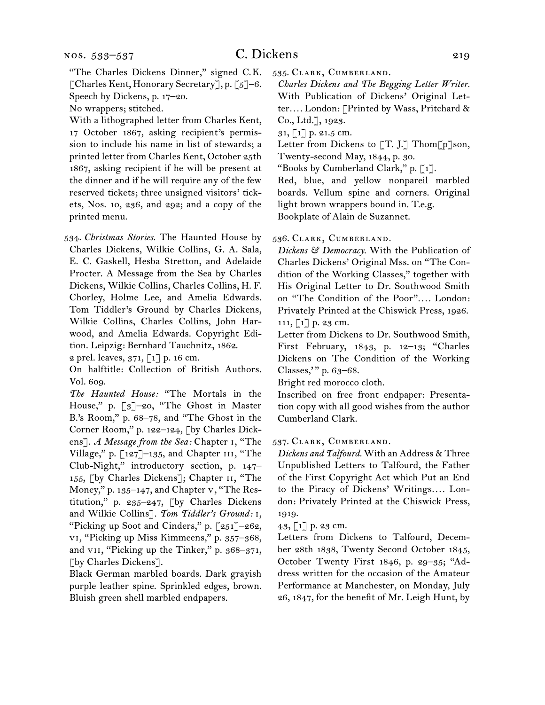"The Charles Dickens Dinner," signed C. K. [Charles Kent, Honorary Secretary], p. [5]–6. Speech by Dickens, p. 17–20.

No wrappers; stitched.

With a lithographed letter from Charles Kent, 17 October 1867, asking recipient's permission to include his name in list of stewards; a printed letter from Charles Kent, October 25th 1867, asking recipient if he will be present at the dinner and if he will require any of the few reserved tickets; three unsigned visitors' tickets, Nos. 10, 236, and 292; and a copy of the printed menu.

534.  *Christmas Stories.* The Haunted House by Charles Dickens, Wilkie Collins, G. A. Sala, E. C. Gaskell, Hesba Stretton, and Adelaide Procter. A Message from the Sea by Charles Dickens, Wilkie Collins, Charles Collins, H. F. Chorley, Holme Lee, and Amelia Edwards. Tom Tiddler's Ground by Charles Dickens, Wilkie Collins, Charles Collins, John Harwood, and Amelia Edwards. Copyright Edition. Leipzig: Bernhard Tauchnitz, 1862.

2 prel. leaves,  $371, 71$  p. 16 cm.

On halftitle: Collection of British Authors. Vol. 609.

*The Haunted House:* "The Mortals in the House," p. [3]–20, "The Ghost in Master B.'s Room," p. 68–78, and "The Ghost in the Corner Room," p. 122–124, [by Charles Dickens]. *A Message from the Sea:* Chapter i, "The Village," p.  $\lceil 127 \rceil$ -135, and Chapter III, "The Club-Night," introductory section, p. 147– 155, [by Charles Dickens]; Chapter ii, "The Money," p. 135–147, and Chapter v, "The Restitution," p. 235–247, [by Charles Dickens and Wilkie Collins]. *Tom Tiddler's Ground:* i, "Picking up Soot and Cinders," p. [251]–262, vi, "Picking up Miss Kimmeens," p. 357–368, and VII, "Picking up the Tinker," p. 368-371, [by Charles Dickens].

Black German marbled boards. Dark grayish purple leather spine. Sprinkled edges, brown. Bluish green shell marbled endpapers.

535.  Clark, Cumberland.

*Charles Dickens and The Begging Letter Writer.* With Publication of Dickens' Original Letter*. . . .* London: [Printed by Wass, Pritchard & Co., Ltd.], 1923.

31, [1] p. 21.5 cm.

Letter from Dickens to [T. J.] Thom[p]son, Twenty-second May, 1844, p. 30.

"Books by Cumberland Clark," p. [1].

Red, blue, and yellow nonpareil marbled boards. Vellum spine and corners. Original light brown wrappers bound in. T.e.g. Bookplate of Alain de Suzannet.

536.  Clark, Cumberland.

*Dickens & Democracy.* With the Publication of Charles Dickens' Original Mss. on "The Condition of the Working Classes," together with His Original Letter to Dr. Southwood Smith on "The Condition of the Poor"*. . . .* London: Privately Printed at the Chiswick Press, 1926. 111, [1] p. 23 cm.

Letter from Dickens to Dr. Southwood Smith, First February, 1843, p. 12–13; "Charles Dickens on The Condition of the Working Classes,' " p. 63–68.

Bright red morocco cloth.

Inscribed on free front endpaper: Presentation copy with all good wishes from the author Cumberland Clark.

537.  Clark, Cumberland.

*Dickens and Talfourd.* With an Address & Three Unpublished Letters to Talfourd, the Father of the First Copyright Act which Put an End to the Piracy of Dickens' Writings*. . . .* London: Privately Printed at the Chiswick Press, 1919.

 $43, 1]$  p. 23 cm.

Letters from Dickens to Talfourd, December 28th 1838, Twenty Second October 1845, October Twenty First 1846, p. 29–35; "Address written for the occasion of the Amateur Performance at Manchester, on Monday, July 26, 1847, for the benefit of Mr. Leigh Hunt, by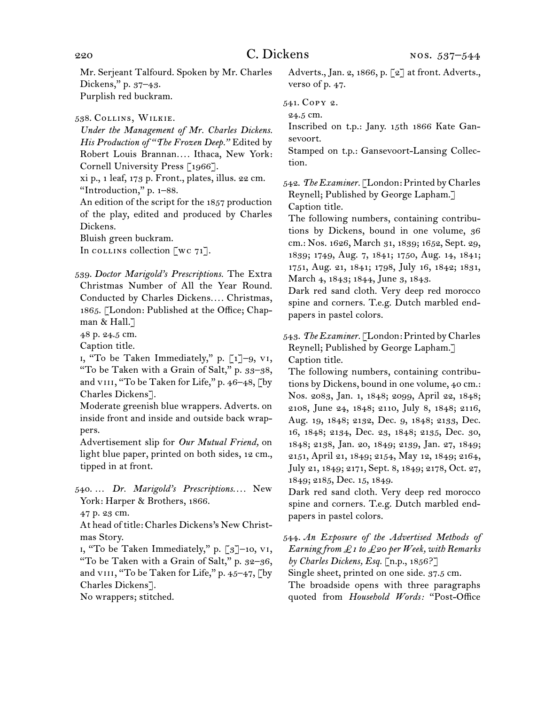Mr. Serjeant Talfourd. Spoken by Mr. Charles Dickens," p. 37–43. Purplish red buckram.

538.  Collins, Wilkie.

*Under the Management of Mr. Charles Dickens. His Production of "The Frozen Deep."* Edited by Robert Louis Brannan*. . . .* Ithaca, New York: Cornell University Press [1966].

xi p., 1 leaf, 173 p. Front., plates, illus. 22 cm. "Introduction," p. 1–88.

An edition of the script for the 1857 production of the play, edited and produced by Charles Dickens.

Bluish green buckram.

In collection  $\lceil \text{wc } 71 \rceil$ .

539.  *Doctor Marigold's Prescriptions.* The Extra Christmas Number of All the Year Round. Conducted by Charles Dickens*. . . .* Christmas, 1865. [London: Published at the Office; Chapman & Hall.]

48 p. 24.5 cm.

Caption title.

i, "To be Taken Immediately," p. [1]–9, vi, "To be Taken with a Grain of Salt," p. 33–38, and VIII, "To be Taken for Life," p. 46-48, [by Charles Dickens].

Moderate greenish blue wrappers. Adverts. on inside front and inside and outside back wrappers.

Advertisement slip for *Our Mutual Friend,* on light blue paper, printed on both sides, 12 cm., tipped in at front.

540.  … *Dr. Marigold's Prescriptions. . . .* New York: Harper & Brothers, 1866.

47 p. 23 cm.

At head of title: Charles Dickens's New Christmas Story.

i, "To be Taken Immediately," p. [3]–10, vi, "To be Taken with a Grain of Salt," p. 32–36, and VIII, "To be Taken for Life," p. 45-47, [by Charles Dickens].

No wrappers; stitched.

Adverts., Jan. 2, 1866, p. [2] at front. Adverts., verso of p. 47.

541.  Copy 2.

24.5 cm.

Inscribed on t.p.: Jany. 15th 1866 Kate Gansevoort.

Stamped on t.p.: Gansevoort-Lansing Collection.

542.  *The Examiner.* [London: Printed by Charles Reynell; Published by George Lapham.] Caption title.

The following numbers, containing contributions by Dickens, bound in one volume, 36 cm.: Nos. 1626, March 31, 1839; 1652, Sept. 29, 1839; 1749, Aug. 7, 1841; 1750, Aug. 14, 1841; 1751, Aug. 21, 1841; 1798, July 16, 1842; 1831, March 4, 1843; 1844, June 3, 1843.

Dark red sand cloth. Very deep red morocco spine and corners. T.e.g. Dutch marbled endpapers in pastel colors.

543.  *The Examiner.* [London: Printed byCharles Reynell; Published by George Lapham.] Caption title.

The following numbers, containing contributions by Dickens, bound in one volume, 40 cm.: Nos. 2083, Jan. 1, 1848; 2099, April 22, 1848; 2108, June 24, 1848; 2110, July 8, 1848; 2116, Aug. 19, 1848; 2132, Dec. 9, 1848; 2133, Dec. 16, 1848; 2134, Dec. 23, 1848; 2135, Dec. 30, 1848; 2138, Jan. 20, 1849; 2139, Jan. 27, 1849; 2151, April 21, 1849; 2154, May 12, 1849; 2164, July 21, 1849; 2171, Sept. 8, 1849; 2178, Oct. 27, 1849; 2185, Dec. 15, 1849.

Dark red sand cloth. Very deep red morocco spine and corners. T.e.g. Dutch marbled endpapers in pastel colors.

544.  *An Exposure of the Advertised Methods of Earning from £1 to £20 per Week, with Remarks by Charles Dickens, Esq.* [n.p., 1856?] Single sheet, printed on one side. 37.5 cm. The broadside opens with three paragraphs quoted from *Household Words:* "Post-Office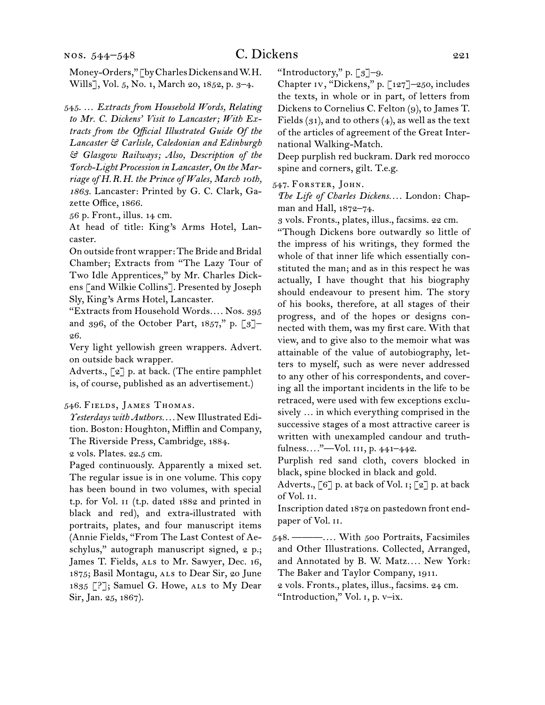Money-Orders," [by Charles Dickens and W.H. Wills], Vol. 5, No. 1, March 20, 1852, p. 3–4.

545.  … *Extracts from Household Words, Relating to Mr. C. Dickens' Visit to Lancaster; With Extracts from the Official Illustrated Guide Of the Lancaster & Carlisle, Caledonian and Edinburgh & Glasgow Railways; Also, Description of the Torch-Light Procession in Lancaster, On the Marriage of H.R.H. the Prince of Wales, March 10th, 1863.* Lancaster: Printed by G. C. Clark, Gazette Office, 1866.

56 p. Front., illus. 14 cm.

At head of title: King's Arms Hotel, Lancaster.

On outside front wrapper: The Bride and Bridal Chamber; Extracts from "The Lazy Tour of Two Idle Apprentices," by Mr. Charles Dickens [and Wilkie Collins]. Presented by Joseph Sly, King's Arms Hotel, Lancaster.

"Extracts from Household Words*. . . .* Nos. 395 and 396, of the October Part,  $1857$ ," p. [3]-26.

Very light yellowish green wrappers. Advert. on outside back wrapper.

Adverts., [2] p. at back. (The entire pamphlet is, of course, published as an advertisement.)

#### 546.  Fields, James Thomas.

*Yesterdays with Authors. . . .* New Illustrated Edition. Boston: Houghton, Mifflin and Company, The Riverside Press, Cambridge, 1884.

2 vols. Plates. 22.5 cm.

Paged continuously. Apparently a mixed set. The regular issue is in one volume. This copy has been bound in two volumes, with special t.p. for Vol. ii (t.p. dated 1882 and printed in black and red), and extra-illustrated with portraits, plates, and four manuscript items (Annie Fields, "From The Last Contest of Aeschylus," autograph manuscript signed, 2 p.; James T. Fields, als to Mr. Sawyer, Dec. 16, 1875; Basil Montagu, ALS to Dear Sir, 20 June 1835  $[?]$ ; Samuel G. Howe, ALS to My Dear Sir, Jan. 25, 1867).

"Introductory," p. [3]–9.

Chapter iv, "Dickens," p. [127]–250, includes the texts, in whole or in part, of letters from Dickens to Cornelius C. Felton (9), to James T. Fields  $(31)$ , and to others  $(4)$ , as well as the text of the articles of agreement of the Great International Walking-Match.

Deep purplish red buckram. Dark red morocco spine and corners, gilt. T.e.g.

547.  Forster, John.

*The Life of Charles Dickens. . . .* London: Chapman and Hall, 1872–74.

3 vols. Fronts., plates, illus., facsims. 22 cm.

"Though Dickens bore outwardly so little of the impress of his writings, they formed the whole of that inner life which essentially constituted the man; and as in this respect he was actually, I have thought that his biography should endeavour to present him. The story of his books, therefore, at all stages of their progress, and of the hopes or designs connected with them, was my first care. With that view, and to give also to the memoir what was attainable of the value of autobiography, letters to myself, such as were never addressed to any other of his correspondents, and covering all the important incidents in the life to be retraced, were used with few exceptions exclusively … in which everything comprised in the successive stages of a most attractive career is written with unexampled candour and truthfulness*. . . .*"—Vol. iii, p. 441–442.

Purplish red sand cloth, covers blocked in black, spine blocked in black and gold.

Adverts.,  $\lceil 6 \rceil$  p. at back of Vol. 1;  $\lceil 2 \rceil$  p. at back of Vol. ii.

Inscription dated 1872 on pastedown front endpaper of Vol. ii.

548.  ———*. . . .* With 500 Portraits, Facsimiles and Other Illustrations. Collected, Arranged, and Annotated by B. W. Matz*. . . .* New York: The Baker and Taylor Company, 1911. 2 vols. Fronts., plates, illus., facsims. 24 cm.

"Introduction," Vol. i, p. v–ix.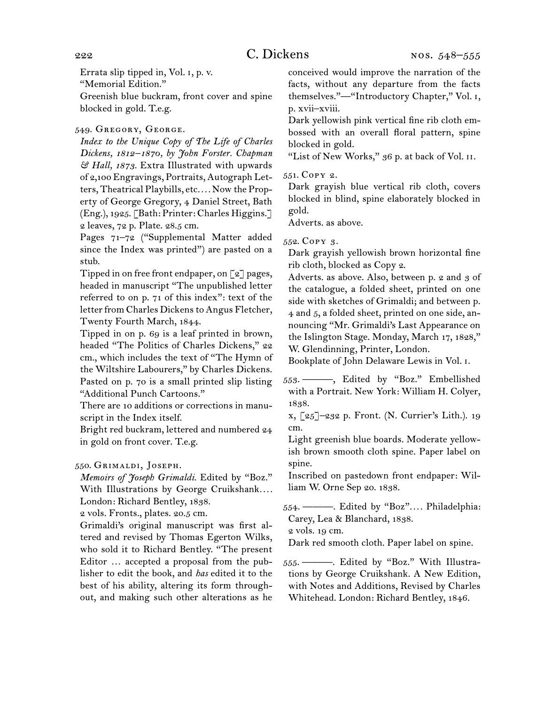Errata slip tipped in, Vol. i, p. v. "Memorial Edition." Greenish blue buckram, front cover and spine blocked in gold. T.e.g.

549.  Gregory, George.

*Index to the Unique Copy of The Life of Charles Dickens, 1812–1870, by John Forster. Chapman & Hall, 1873.* Extra Illustrated with upwards of 2,100 Engravings, Portraits, Autograph Letters, Theatrical Playbills, etc*. . . .* Now the Property of George Gregory, 4 Daniel Street, Bath (Eng.), 1925. [Bath: Printer: Charles Higgins.] 2 leaves, 72 p. Plate. 28.5 cm.

Pages 71-72 ("Supplemental Matter added since the Index was printed") are pasted on a stub.

Tipped in on free front endpaper, on [2] pages, headed in manuscript "The unpublished letter referred to on p. 71 of this index": text of the letter from Charles Dickens to Angus Fletcher, Twenty Fourth March, 1844.

Tipped in on p. 69 is a leaf printed in brown, headed "The Politics of Charles Dickens," 22 cm., which includes the text of "The Hymn of the Wiltshire Labourers," by Charles Dickens. Pasted on p. 70 is a small printed slip listing "Additional Punch Cartoons."

There are 10 additions or corrections in manuscript in the Index itself.

Bright red buckram, lettered and numbered 24 in gold on front cover. T.e.g.

## 550.  Grimaldi, Joseph.

*Memoirs of Joseph Grimaldi.* Edited by "Boz." With Illustrations by George Cruikshank*. . . .* London: Richard Bentley, 1838.

2 vols. Fronts., plates. 20.5 cm.

Grimaldi's original manuscript was first altered and revised by Thomas Egerton Wilks, who sold it to Richard Bentley. "The present Editor … accepted a proposal from the publisher to edit the book, and *has* edited it to the best of his ability, altering its form throughout, and making such other alterations as he conceived would improve the narration of the facts, without any departure from the facts themselves."—"Introductory Chapter," Vol. i, p. xvii–xviii.

Dark yellowish pink vertical fine rib cloth embossed with an overall floral pattern, spine blocked in gold.

"List of New Works," 36 p. at back of Vol. ii.

## 551.  Copy 2.

Dark grayish blue vertical rib cloth, covers blocked in blind, spine elaborately blocked in gold.

Adverts. as above.

552.  Copy 3.

Dark grayish yellowish brown horizontal fine rib cloth, blocked as Copy 2.

Adverts. as above. Also, between p. 2 and 3 of the catalogue, a folded sheet, printed on one side with sketches of Grimaldi; and between p. 4 and 5, a folded sheet, printed on one side, announcing "Mr. Grimaldi's Last Appearance on the Islington Stage. Monday, March 17, 1828," W. Glendinning, Printer, London.

Bookplate of John Delaware Lewis in Vol. i.

553.  ———, Edited by "Boz." Embellished with a Portrait. New York: William H. Colyer, 1838.

x, [25]–232 p. Front. (N. Currier's Lith.). 19 cm.

Light greenish blue boards. Moderate yellowish brown smooth cloth spine. Paper label on spine.

Inscribed on pastedown front endpaper: William W. Orne Sep 20. 1838.

554.  ———. Edited by "Boz"*. . . .* Philadelphia: Carey, Lea & Blanchard, 1838.

2 vols. 19 cm.

Dark red smooth cloth. Paper label on spine.

555.  ———. Edited by "Boz." With Illustrations by George Cruikshank. A New Edition, with Notes and Additions, Revised by Charles Whitehead. London: Richard Bentley, 1846.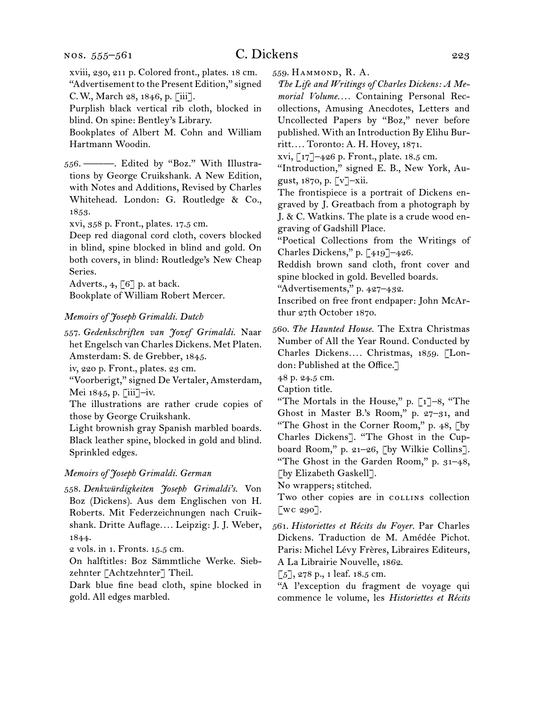xviii, 230, 211 p. Colored front., plates. 18 cm. "Advertisement to the Present Edition," signed C. W., March 28, 1846, p. [iii].

Purplish black vertical rib cloth, blocked in blind. On spine: Bentley's Library.

Bookplates of Albert M. Cohn and William Hartmann Woodin.

556.  ———. Edited by "Boz." With Illustrations by George Cruikshank. A New Edition, with Notes and Additions, Revised by Charles Whitehead. London: G. Routledge & Co., 1853.

xvi, 358 p. Front., plates. 17.5 cm.

Deep red diagonal cord cloth, covers blocked in blind, spine blocked in blind and gold. On both covers, in blind: Routledge's New Cheap Series.

Adverts.,  $4$ , [6] p. at back.

Bookplate of William Robert Mercer.

#### *Memoirs of Joseph Grimaldi. Dutch*

557.  *Gedenkschriften van Jozef Grimaldi.* Naar het Engelsch van Charles Dickens. Met Platen. Amsterdam: S. de Grebber, 1845.

iv, 220 p. Front., plates. 23 cm.

"Voorberigt," signed De Vertaler, Amsterdam, Mei 1845, p. [iii]–iv.

The illustrations are rather crude copies of those by George Cruikshank.

Light brownish gray Spanish marbled boards. Black leather spine, blocked in gold and blind. Sprinkled edges.

#### *Memoirs of Joseph Grimaldi. German*

558.  *Denkwürdigkeiten Joseph Grimaldi's.* Von Boz (Dickens). Aus dem Englischen von H. Roberts. Mit Federzeichnungen nach Cruikshank. Dritte Auflage*. . . .* Leipzig: J. J. Weber, 1844.

2 vols. in 1. Fronts. 15.5 cm.

On halftitles: Boz Sämmtliche Werke. Siebzehnter [Achtzehnter] Theil.

Dark blue fine bead cloth, spine blocked in gold. All edges marbled.

559.  Hammond, R. A.

*The Life and Writings of Charles Dickens: A Memorial Volume. . . .* Containing Personal Recollections, Amusing Anecdotes, Letters and Uncollected Papers by "Boz," never before published. With an Introduction By Elihu Burritt*. . . .* Toronto: A. H. Hovey, 1871.

xvi, [17]–426 p. Front., plate. 18.5 cm.

"Introduction," signed E. B., New York, August, 1870, p. [v]–xii.

The frontispiece is a portrait of Dickens engraved by J. Greatbach from a photograph by J. & C. Watkins. The plate is a crude wood engraving of Gadshill Place.

"Poetical Collections from the Writings of Charles Dickens," p. [419]–426.

Reddish brown sand cloth, front cover and spine blocked in gold. Bevelled boards.

"Advertisements," p. 427–432.

Inscribed on free front endpaper: John McArthur 27th October 1870.

560.  *The Haunted House.* The Extra Christmas Number of All the Year Round. Conducted by Charles Dickens*. . . .* Christmas, 1859. [London: Published at the Office.]

48 p. 24.5 cm.

Caption title.

"The Mortals in the House," p.  $\lceil 1 \rceil - 8$ , "The Ghost in Master B.'s Room," p. 27–31, and "The Ghost in the Corner Room," p. 48, [by Charles Dickens]. "The Ghost in the Cupboard Room," p. 21–26, [by Wilkie Collins]. "The Ghost in the Garden Room," p. 31–48, [by Elizabeth Gaskell].

No wrappers; stitched.

Two other copies are in collines collection [wc 290].

561.  *Historiettes et Récits du Foyer.* Par Charles Dickens. Traduction de M. Amédée Pichot. Paris: Michel Lévy Frères, Libraires Editeurs, A La Librairie Nouvelle, 1862.

 $\lceil 5 \rceil$ , 278 p., 1 leaf. 18.5 cm.

"A l'exception du fragment de voyage qui commence le volume, les *Historiettes et Récits*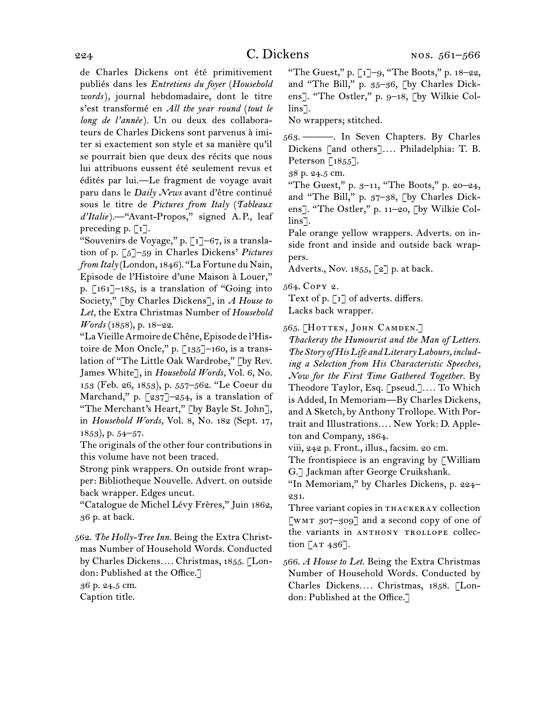de Charles Dickens ont été primitivement publiés dans les *Entretiens du foyer* (*Household words*)*,* journal hebdomadaire, dont le titre s'est transformé en *All the year round* (*tout le long de l'année*)*.* Un ou deux des collaborateurs de Charles Dickens sont parvenus à imiter si exactement son style et sa manière qu'il se pourrait bien que deux des récits que nous lui attribuons eussent été seulement revus et édités par lui.—Le fragment de voyage avait paru dans le *Daily News* avant d'être continué sous le titre de *Pictures from Italy* (*Tableaux d'Italie*)*.—*"Avant-Propos," signed A. P., leaf preceding p.  $\lceil 1 \rceil$ .

"Souvenirs de Voyage," p. [1]–67, is a translation of p. [5]–59 in Charles Dickens' *Pictures from Italy* (London, 1846). "LaFortune du Nain, Episode de l'Histoire d'une Maison à Louer," p. [161]–185, is a translation of "Going into Society," [by Charles Dickens], in *A House to Let,* the Extra Christmas Number of *Household Words* (1858), p. 18–22.

"LaVieilleArmoire deChêne,Episode de l'Histoire de Mon Oncle," p. [135]–160, is a translation of "The Little Oak Wardrobe," [by Rev. James White], in *Household Words,* Vol. 6, No. 153 (Feb. 26, 1853), p. 557–562. "Le Coeur du Marchand," p.  $\left[237\right]-254$ , is a translation of "The Merchant's Heart," [by Bayle St. John], in *Household Words,* Vol. 8, No. 182 (Sept. 17,  $1853$ , p.  $54-57$ .

The originals of the other four contributions in this volume have not been traced.

Strong pink wrappers. On outside front wrapper: Bibliotheque Nouvelle. Advert. on outside back wrapper. Edges uncut.

"Catalogue de Michel Lévy Frères," Juin 1862, 36 p. at back.

562.  *The Holly-Tree Inn.* Being the Extra Christmas Number of Household Words. Conducted by Charles Dickens*. . . .* Christmas, 1855. [London: Published at the Office.]

36 p. 24.5 cm.

Caption title.

"The Guest," p. [1]–9, "The Boots," p. 18–22, and "The Bill," p. 35–36, [by Charles Dickens]. "The Ostler," p. 9–18, [by Wilkie Collins<sup>7</sup>.

No wrappers; stitched.

563.  ———. In Seven Chapters. By Charles Dickens [and others]*. . . .* Philadelphia: T. B. Peterson [1855].

38 p. 24.5 cm.

"The Guest," p. 3–11, "The Boots," p. 20–24, and "The Bill," p. 37–38, [by Charles Dickens]. "The Ostler," p. 11–20, [by Wilkie Collins].

Pale orange yellow wrappers. Adverts. on inside front and inside and outside back wrappers.

Adverts., Nov. 1855,  $\lceil 2 \rceil$  p. at back.

564.  Copy 2.

Text of p. [1] of adverts. differs. Lacks back wrapper.

565.  [Hotten, John Camden.]

*Thackeray the Humourist and the Man of Letters. The Story of His Life and Literary Labours, including a Selection from His Characteristic Speeches, Now for the First Time Gathered Together.* By Theodore Taylor, Esq. [pseud.]*. . . .* To Which is Added, In Memoriam—By Charles Dickens, and A Sketch, by Anthony Trollope. With Portrait and Illustrations*. . . .* New York: D. Appleton and Company, 1864.

viii, 242 p. Front., illus., facsim. 20 cm.

The frontispiece is an engraving by [William G.] Jackman after George Cruikshank.

"In Memoriam," by Charles Dickens, p. 224– 231.

Three variant copies in THACKERAY collection [WMT  $307-309$ ] and a second copy of one of the variants in ANTHONY TROLLOPE collection  $[AT 436]$ .

566.  *A House to Let.* Being the Extra Christmas Number of Household Words. Conducted by Charles Dickens*. . . .* Christmas, 1858. [London: Published at the Office.]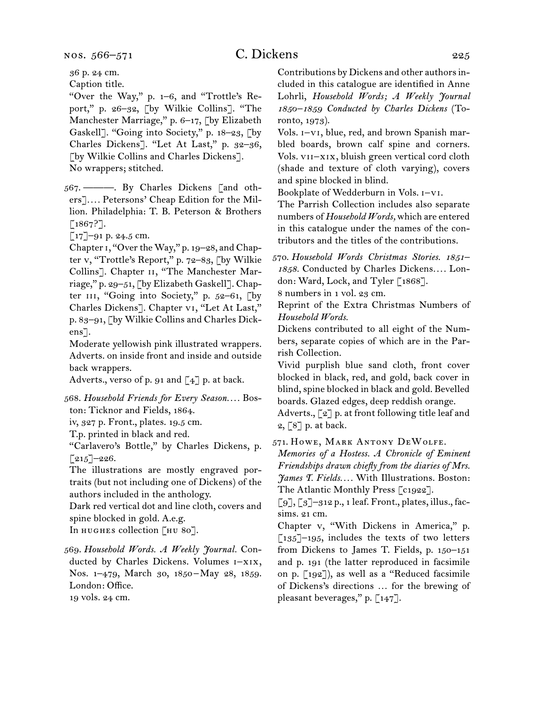# C. Dickens 225

36 p. 24 cm.

Caption title.

"Over the Way," p. 1–6, and "Trottle's Report," p. 26–32, [by Wilkie Collins]. "The Manchester Marriage," p. 6-17, [by Elizabeth Gaskell]. "Going into Society," p. 18–23, [by Charles Dickens]. "Let At Last," p. 32–36, [by Wilkie Collins and Charles Dickens]. No wrappers; stitched.

567.  ———. By Charles Dickens [and others]*. . . .* Petersons' Cheap Edition for the Million. Philadelphia: T. B. Peterson & Brothers [1867?].

[17]–91 p. 24.5 cm.

Chapter 1, "Over the Way," p. 19–28, and Chapter v, "Trottle's Report," p. 72–83, [by Wilkie Collins]. Chapter ii, "The Manchester Marriage," p. 29–51, [by Elizabeth Gaskell]. Chapter III, "Going into Society," p. 52-61, [by Charles Dickens]. Chapter vi, "Let At Last," p. 83–91, [by Wilkie Collins and Charles Dickens].

Moderate yellowish pink illustrated wrappers. Adverts. on inside front and inside and outside back wrappers.

Adverts., verso of p. 91 and  $\left[\begin{smallmatrix} 4 \end{smallmatrix}\right]$  p. at back.

568.  *Household Friends for Every Season. . . .* Boston: Ticknor and Fields, 1864.

iv, 327 p. Front., plates. 19.5 cm.

T.p. printed in black and red.

"Carlavero's Bottle," by Charles Dickens, p.  $[215]$ –226.

The illustrations are mostly engraved portraits (but not including one of Dickens) of the authors included in the anthology.

Dark red vertical dot and line cloth, covers and spine blocked in gold. A.e.g.

In HUGHES collection [HU 80].

569.  *Household Words. A Weekly Journal.* Conducted by Charles Dickens. Volumes i–xix, Nos. 1-479, March 30, 1850–May 28, 1859. London: Office.

19 vols. 24 cm.

Contributions by Dickens and other authorsincluded in this catalogue are identified in Anne Lohrli, *Household Words; A Weekly Journal 1850–1859 Conducted by Charles Dickens* (Toronto, 1973).

Vols. i–vi, blue, red, and brown Spanish marbled boards, brown calf spine and corners. Vols. vii–xix, bluish green vertical cord cloth (shade and texture of cloth varying), covers and spine blocked in blind.

Bookplate of Wedderburn in Vols. i–vi.

The Parrish Collection includes also separate numbers of *Household Words,* which are entered in this catalogue under the names of the contributors and the titles of the contributions.

570.  *Household Words Christmas Stories. 1851– 1858.* Conducted by Charles Dickens*. . . .* London: Ward, Lock, and Tyler [1868].

8 numbers in 1 vol. 23 cm.

Reprint of the Extra Christmas Numbers of *Household Words.*

Dickens contributed to all eight of the Numbers, separate copies of which are in the Parrish Collection.

Vivid purplish blue sand cloth, front cover blocked in black, red, and gold, back cover in blind, spine blocked in black and gold. Bevelled boards. Glazed edges, deep reddish orange.

Adverts., [2] p. at front following title leaf and 2, [8] p. at back.

571.  Howe, Mark Antony DeWolfe.

*Memories of a Hostess. A Chronicle of Eminent Friendships drawn chiefly from the diaries of Mrs. James T. Fields. . . .* With Illustrations. Boston: The Atlantic Monthly Press [c1922].

 $\lceil 9 \rceil, \lceil 3 \rceil$ -312 p., 1 leaf. Front., plates, illus., facsims. 21 cm.

Chapter v, "With Dickens in America," p.  $\left[135\right]-195$ , includes the texts of two letters from Dickens to James T. Fields, p. 150–151 and p. 191 (the latter reproduced in facsimile on p. [192]), as well as a "Reduced facsimile of Dickens's directions … for the brewing of pleasant beverages," p.  $\lceil 147 \rceil$ .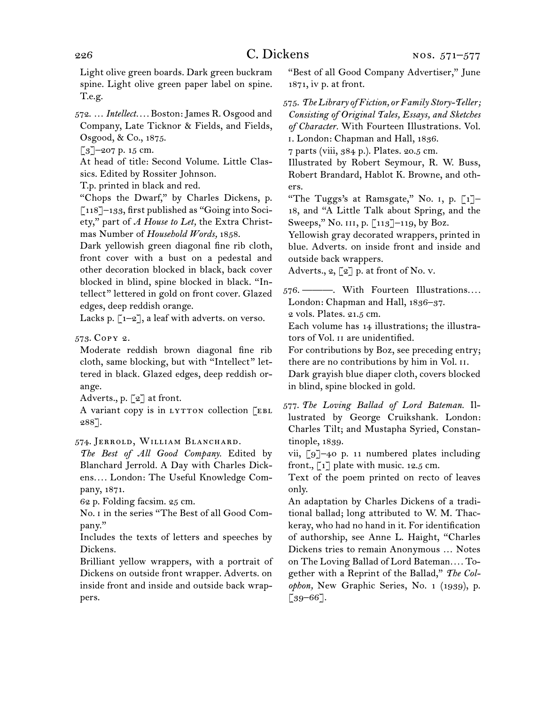Light olive green boards. Dark green buckram spine. Light olive green paper label on spine. T.e.g.

572.  … *Intellect. . . .* Boston:James R. Osgood and Company, Late Ticknor & Fields, and Fields, Osgood, & Co., 1875.

 $\lceil 3 \rceil$ –207 p. 15 cm.

At head of title: Second Volume. Little Classics. Edited by Rossiter Johnson.

T.p. printed in black and red.

"Chops the Dwarf," by Charles Dickens, p. [118]–133, first published as "Going into Society," part of *A House to Let,* the Extra Christmas Number of *Household Words,* 1858.

Dark yellowish green diagonal fine rib cloth, front cover with a bust on a pedestal and other decoration blocked in black, back cover blocked in blind, spine blocked in black. "Intellect" lettered in gold on front cover. Glazed edges, deep reddish orange.

Lacks p.  $\lbrack 1-2 \rbrack$ , a leaf with adverts. on verso.

573.  Copy 2.

Moderate reddish brown diagonal fine rib cloth, same blocking, but with "Intellect" lettered in black. Glazed edges, deep reddish orange.

Adverts., p. [2] at front.

A variant copy is in LYTTON collection [EBL 288].

574.  Jerrold, William Blanchard.

*The Best of All Good Company.* Edited by Blanchard Jerrold. A Day with Charles Dickens*. . . .* London: The Useful Knowledge Company, 1871.

62 p. Folding facsim. 25 cm.

No. i in the series "The Best of all Good Company."

Includes the texts of letters and speeches by Dickens.

Brilliant yellow wrappers, with a portrait of Dickens on outside front wrapper. Adverts. on inside front and inside and outside back wrappers.

"Best of all Good Company Advertiser," June 1871, iv p. at front.

575.  *The Library of Fiction, or Family Story-Teller; Consisting of Original Tales, Essays, and Sketches of Character.* With Fourteen Illustrations. Vol. i. London: Chapman and Hall, 1836.

7 parts (viii, 384 p.). Plates. 20.5 cm.

Illustrated by Robert Seymour, R. W. Buss, Robert Brandard, Hablot K. Browne, and others.

"The Tuggs's at Ramsgate," No. 1, p.  $\lceil 1 \rceil$ -18, and "A Little Talk about Spring, and the Sweeps," No. 111, p. [113]–119, by Boz.

Yellowish gray decorated wrappers, printed in blue. Adverts. on inside front and inside and outside back wrappers.

Adverts.,  $2, \lceil 2 \rceil$  p. at front of No. v.

576.  ———. With Fourteen Illustrations*. . . .* London: Chapman and Hall, 1836–37.

2 vols. Plates. 21.5 cm.

Each volume has 14 illustrations; the illustrators of Vol. ii are unidentified.

For contributions by Boz, see preceding entry; there are no contributions by him in Vol. ii.

Dark grayish blue diaper cloth, covers blocked in blind, spine blocked in gold.

577.  *The Loving Ballad of Lord Bateman.* Illustrated by George Cruikshank. London: Charles Tilt; and Mustapha Syried, Constantinople, 1839.

vii, [9]–40 p. 11 numbered plates including front.,  $\begin{bmatrix} 1 \end{bmatrix}$  plate with music. 12.5 cm.

Text of the poem printed on recto of leaves only.

An adaptation by Charles Dickens of a traditional ballad; long attributed to W. M. Thackeray, who had no hand in it. For identification of authorship, see Anne L. Haight, "Charles Dickens tries to remain Anonymous … Notes on The Loving Ballad of Lord Bateman*. . . .* Together with a Reprint of the Ballad," *The Colophon,* New Graphic Series, No. 1 (1939), p. [39–66].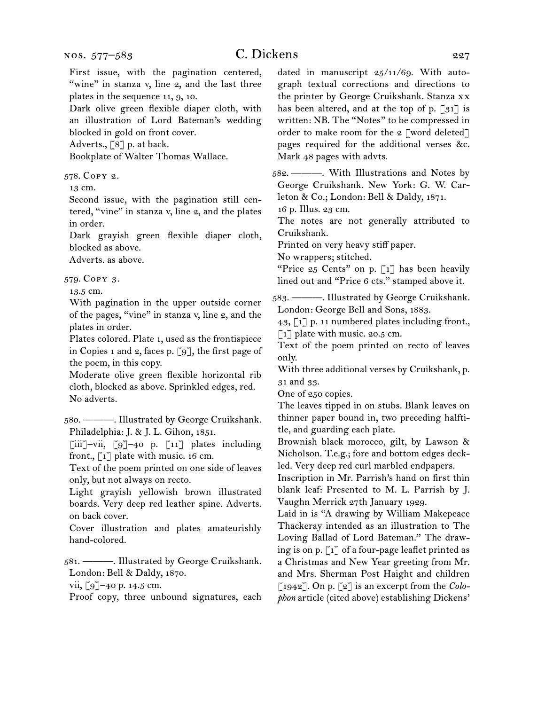# C. Dickens 227

First issue, with the pagination centered, "wine" in stanza v, line 2, and the last three plates in the sequence 11, 9, 10. Dark olive green flexible diaper cloth, with an illustration of Lord Bateman's wedding blocked in gold on front cover. Adverts., [8] p. at back. Bookplate of Walter Thomas Wallace. 578.  Copy 2. 13 cm. Second issue, with the pagination still centered, "vine" in stanza v, line 2, and the plates in order. Dark grayish green flexible diaper cloth, blocked as above. Adverts. as above. 579.  Copy 3. 13.5 cm.

With pagination in the upper outside corner of the pages, "vine" in stanza v, line 2, and the plates in order.

Plates colored. Plate 1, used as the frontispiece in Copies 1 and 2, faces p. [9], the first page of the poem, in this copy.

Moderate olive green flexible horizontal rib cloth, blocked as above. Sprinkled edges, red. No adverts.

580.  ———. Illustrated by George Cruikshank. Philadelphia: J. & J. L. Gihon, 1851.

[iii]–vii, [9]–40 p. [11] plates including front.,  $\begin{bmatrix} 1 \end{bmatrix}$  plate with music. 16 cm.

Text of the poem printed on one side of leaves only, but not always on recto.

Light grayish yellowish brown illustrated boards. Very deep red leather spine. Adverts. on back cover.

Cover illustration and plates amateurishly hand-colored.

581.  ———. Illustrated by George Cruikshank. London: Bell & Daldy, 1870.

vii, [9]–40 p. 14.5 cm.

Proof copy, three unbound signatures, each

dated in manuscript 25/11/69. With autograph textual corrections and directions to the printer by George Cruikshank. Stanza xx has been altered, and at the top of p. [31] is written: NB. The "Notes" to be compressed in order to make room for the 2 [word deleted] pages required for the additional verses &c. Mark 48 pages with advts.

582.  ———. With Illustrations and Notes by George Cruikshank. New York: G. W. Carleton & Co.; London: Bell & Daldy, 1871.

16 p. Illus. 23 cm.

The notes are not generally attributed to Cruikshank.

Printed on very heavy stiff paper.

No wrappers; stitched.

"Price  $25$  Cents" on p. [1] has been heavily lined out and "Price 6 cts." stamped above it.

583.  ———. Illustrated by George Cruikshank. London: George Bell and Sons, 1883.

43, [1] p. 11 numbered plates including front.,  $\lceil 1 \rceil$  plate with music. 20.5 cm.

Text of the poem printed on recto of leaves only.

With three additional verses by Cruikshank, p. 31 and 33.

One of 250 copies.

The leaves tipped in on stubs. Blank leaves on thinner paper bound in, two preceding halftitle, and guarding each plate.

Brownish black morocco, gilt, by Lawson & Nicholson. T.e.g.; fore and bottom edges deckled. Very deep red curl marbled endpapers.

Inscription in Mr. Parrish's hand on first thin blank leaf: Presented to M. L. Parrish by J. Vaughn Merrick 27th January 1929.

Laid in is "A drawing by William Makepeace Thackeray intended as an illustration to The Loving Ballad of Lord Bateman." The drawing is on p. [1] of a four-page leaflet printed as a Christmas and New Year greeting from Mr. and Mrs. Sherman Post Haight and children [1942]. On p. [2] is an excerpt from the *Colophon* article (cited above) establishing Dickens'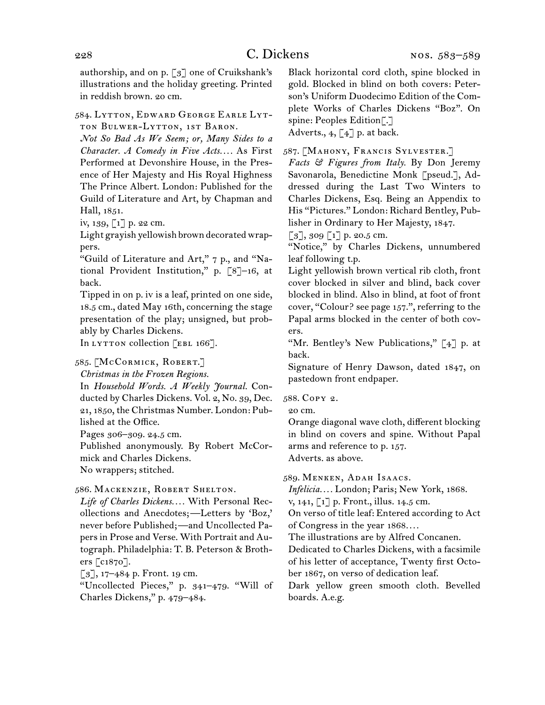authorship, and on p. [3] one of Cruikshank's illustrations and the holiday greeting. Printed in reddish brown. 20 cm.

584.  Lytton, Edward George Earle Lytton Bulwer-Lytton, 1st Baron.

*Not So Bad As We Seem; or, Many Sides to a Character. A Comedy in Five Acts. . . .* As First Performed at Devonshire House, in the Presence of Her Majesty and His Royal Highness The Prince Albert. London: Published for the Guild of Literature and Art, by Chapman and Hall, 1851.

iv, 139, [1] p. 22 cm.

Light grayish yellowish brown decorated wrappers.

"Guild of Literature and Art," 7 p., and "National Provident Institution," p. [8]–16, at back.

Tipped in on p. iv is a leaf, printed on one side, 18.5 cm., dated May 16th, concerning the stage presentation of the play; unsigned, but probably by Charles Dickens.

In LYTTON collection [EBL 166].

585.  [McCormick, Robert.]

*Christmas in the Frozen Regions.*

In *Household Words. A Weekly Journal.* Conducted by Charles Dickens. Vol. 2, No. 39, Dec. 21, 1850, the Christmas Number. London: Published at the Office.

Pages 306–309. 24.5 cm.

Published anonymously. By Robert McCormick and Charles Dickens.

No wrappers; stitched.

586.  Mackenzie, Robert Shelton.

*Life of Charles Dickens. . . .* With Personal Recollections and Anecdotes; —Letters by 'Boz,' never before Published; —and Uncollected Papersin Prose and Verse. With Portrait and Autograph. Philadelphia: T. B. Peterson & Brothers [c1870].

 $\lceil 3 \rceil$ , 17–484 p. Front. 19 cm.

"Uncollected Pieces," p. 341–479. "Will of Charles Dickens," p. 479–484.

Black horizontal cord cloth, spine blocked in gold. Blocked in blind on both covers: Peterson's Uniform Duodecimo Edition of the Complete Works of Charles Dickens "Boz". On spine: Peoples Edition[.]

Adverts.,  $4, 4$ ] p. at back.

587.  [Mahony, Francis Sylvester.]

*Facts & Figures from Italy.* By Don Jeremy Savonarola, Benedictine Monk [pseud.], Addressed during the Last Two Winters to Charles Dickens, Esq. Being an Appendix to His "Pictures." London: Richard Bentley, Publisher in Ordinary to Her Majesty, 1847.

 $\lceil 3 \rceil$ , 309  $\lceil 1 \rceil$  p. 20.5 cm.

"Notice," by Charles Dickens, unnumbered leaf following t.p.

Light yellowish brown vertical rib cloth, front cover blocked in silver and blind, back cover blocked in blind. Also in blind, at foot of front cover, "Colour? see page 157.", referring to the Papal arms blocked in the center of both covers.

"Mr. Bentley's New Publications,"  $\lceil 4 \rceil$  p. at back.

Signature of Henry Dawson, dated 1847, on pastedown front endpaper.

588.  Copy 2.

20 cm.

Orange diagonal wave cloth, different blocking in blind on covers and spine. Without Papal arms and reference to p. 157. Adverts. as above.

589.  Menken, Adah Isaacs.

*Infelicia. . . .* London; Paris; New York, 1868.

v, 141, [1] p. Front., illus. 14.5 cm.

On verso of title leaf: Entered according to Act of Congress in the year 1868*. . . .*

The illustrations are by Alfred Concanen.

Dedicated to Charles Dickens, with a facsimile of his letter of acceptance, Twenty first October 1867, on verso of dedication leaf.

Dark yellow green smooth cloth. Bevelled boards. A.e.g.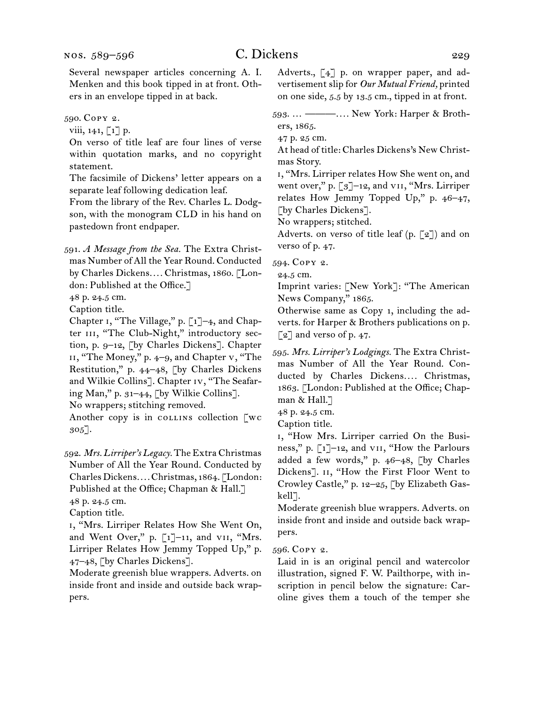Several newspaper articles concerning A. I. Menken and this book tipped in at front. Others in an envelope tipped in at back.

590.  Copy 2.

viii,  $141$ ,  $\lceil 1 \rceil$  p.

On verso of title leaf are four lines of verse within quotation marks, and no copyright statement.

The facsimile of Dickens' letter appears on a separate leaf following dedication leaf.

From the library of the Rev. Charles L. Dodgson, with the monogram CLD in his hand on pastedown front endpaper.

591.  *A Message from the Sea.* The Extra Christmas Number of All the Year Round. Conducted by Charles Dickens*. . . .* Christmas, 1860. [London: Published at the Office.]

48 p. 24.5 cm.

Caption title.

Chapter i, "The Village," p. [1]–4, and Chapter III, "The Club-Night," introductory section, p. 9–12, [by Charles Dickens]. Chapter ii, "The Money," p. 4–9, and Chapter v, "The Restitution," p. 44–48, [by Charles Dickens and Wilkie Collins]. Chapter iv, "The Seafaring Man," p. 31–44, [by Wilkie Collins].

No wrappers; stitching removed.

Another copy is in collection [wc 305].

592.  *Mrs. Lirriper's Legacy.* The Extra Christmas Number of All the Year Round. Conducted by CharlesDickens*. . . .*Christmas, 1864. [London: Published at the Office; Chapman & Hall.] 48 p. 24.5 cm.

Caption title.

i, "Mrs. Lirriper Relates How She Went On, and Went Over," p. [1]-11, and VII, "Mrs. Lirriper Relates How Jemmy Topped Up," p. 47–48, [by Charles Dickens].

Moderate greenish blue wrappers. Adverts. on inside front and inside and outside back wrappers.

Adverts., [4] p. on wrapper paper, and advertisement slip for *Our Mutual Friend,* printed on one side, 5.5 by 13.5 cm., tipped in at front.

593.  … ———*. . . .* New York: Harper & Brothers, 1865.

47 p. 25 cm.

At head of title: Charles Dickens's New Christmas Story.

i, "Mrs. Lirriper relates How She went on, and went over," p. [3]-12, and VII, "Mrs. Lirriper relates How Jemmy Topped Up," p. 46–47, [by Charles Dickens].

No wrappers; stitched.

Adverts. on verso of title leaf (p. [2]) and on verso of p. 47.

594.  Copy 2.

24.5 cm.

Imprint varies: [New York]: "The American News Company," 1865.

Otherwise same as Copy 1, including the adverts. for Harper & Brothers publications on p.  $\lceil 2 \rceil$  and verso of p. 47.

595.  *Mrs. Lirriper's Lodgings.* The Extra Christmas Number of All the Year Round. Conducted by Charles Dickens.... Christmas, 1863. [London: Published at the Office; Chapman & Hall.]

48 p. 24.5 cm.

Caption title.

i, "How Mrs. Lirriper carried On the Business," p. [1]–12, and vii, "How the Parlours added a few words," p. 46–48, [by Charles Dickens]. II, "How the First Floor Went to Crowley Castle," p. 12–25, [by Elizabeth Gaskell<sup>-</sup>].

Moderate greenish blue wrappers. Adverts. on inside front and inside and outside back wrappers.

596.  Copy 2.

Laid in is an original pencil and watercolor illustration, signed F. W. Pailthorpe, with inscription in pencil below the signature: Caroline gives them a touch of the temper she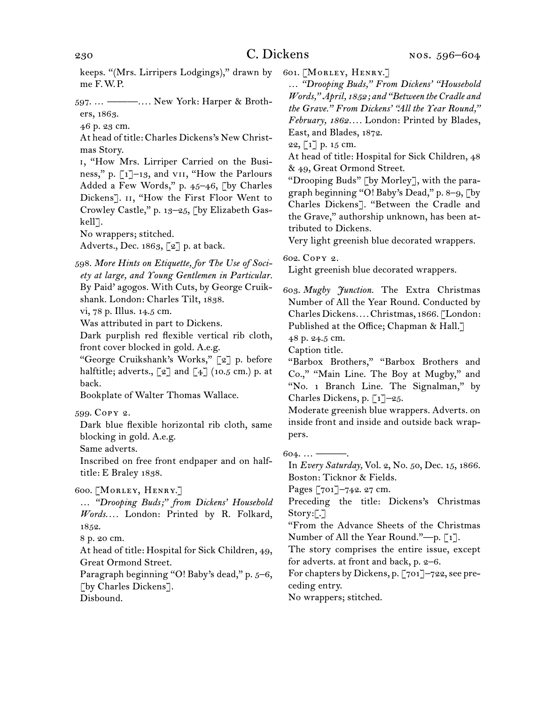keeps. "(Mrs. Lirripers Lodgings)," drawn by me F. W. P.

597.  … ———*. . . .* New York: Harper & Brothers, 1863.

46 p. 23 cm.

At head of title: Charles Dickens's New Christmas Story.

i, "How Mrs. Lirriper Carried on the Business," p. [1]–13, and vii, "How the Parlours Added a Few Words," p. 45–46, [by Charles Dickens]. II, "How the First Floor Went to Crowley Castle," p. 13–25, [by Elizabeth Gaskell].

No wrappers; stitched.

Adverts., Dec. 1863, [2] p. at back.

598.  *More Hints on Etiquette, for The Use of Society at large, and Young Gentlemen in Particular.* By Paid' agogos. With Cuts, by George Cruikshank. London: Charles Tilt, 1838.

vi, 78 p. Illus. 14.5 cm.

Was attributed in part to Dickens.

Dark purplish red flexible vertical rib cloth, front cover blocked in gold. A.e.g.

"George Cruikshank's Works," [2] p. before halftitle; adverts.,  $\lbrack 2 \rbrack$  and  $\lbrack 4 \rbrack$  (10.5 cm.) p. at back.

Bookplate of Walter Thomas Wallace.

599.  Copy 2.

Dark blue flexible horizontal rib cloth, same blocking in gold. A.e.g.

Same adverts.

Inscribed on free front endpaper and on halftitle: E Braley 1838.

600.  [Morley, Henry.]

… *"Drooping Buds;" from Dickens' Household Words. . . .* London: Printed by R. Folkard, 1852.

8 p. 20 cm.

At head of title: Hospital for Sick Children, 49, Great Ormond Street.

Paragraph beginning "O! Baby's dead," p. 5–6, [by Charles Dickens].

Disbound.

601.  [Morley, Henry.]

… *"Drooping Buds," From Dickens' "Household Words," April, 1852; and "Between the Cradle and the Grave." From Dickens' "All the Year Round," February, 1862. . . .* London: Printed by Blades, East, and Blades, 1872.

22,  $\lceil 1 \rceil$  p. 15 cm.

At head of title: Hospital for Sick Children, 48 & 49, Great Ormond Street.

"Drooping Buds" [by Morley], with the paragraph beginning "O! Baby's Dead," p. 8–9, [by Charles Dickens]. "Between the Cradle and the Grave," authorship unknown, has been attributed to Dickens.

Very light greenish blue decorated wrappers.

602.  Copy 2.

Light greenish blue decorated wrappers.

603.  *Mugby Junction.* The Extra Christmas Number of All the Year Round. Conducted by Charles Dickens*. . . .*Christmas, 1866. [London: Published at the Office; Chapman & Hall.]

48 p. 24.5 cm.

Caption title.

"Barbox Brothers," "Barbox Brothers and Co.," "Main Line. The Boy at Mugby," and "No. 1 Branch Line. The Signalman," by Charles Dickens, p. [1]–25.

Moderate greenish blue wrappers. Adverts. on inside front and inside and outside back wrappers.

604.  … ———. In *Every Saturday,* Vol. 2, No. 50, Dec. 15, 1866. Boston: Ticknor & Fields.

Pages [701]–742. 27 cm.

Preceding the title: Dickens's Christmas Story:[.]

"From the Advance Sheets of the Christmas Number of All the Year Round."—p. [1].

The story comprises the entire issue, except for adverts. at front and back, p. 2–6.

For chapters by Dickens, p. [701]–722, see preceding entry.

No wrappers; stitched.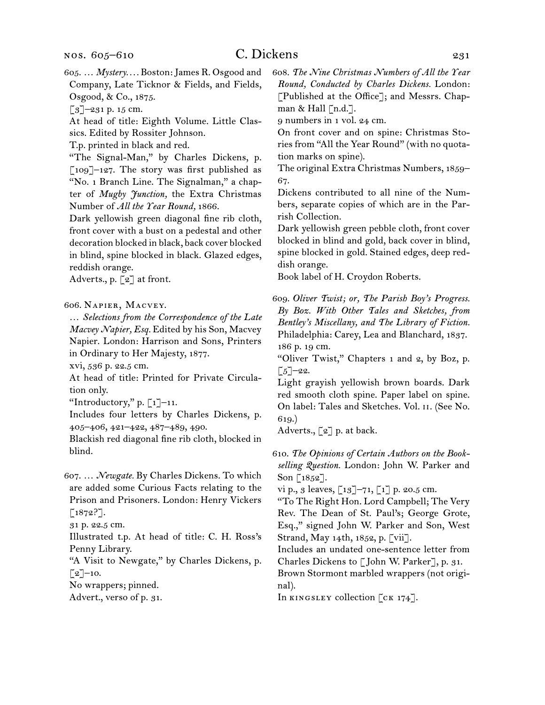605.  … *Mystery. . . .* Boston:James R. Osgood and Company, Late Ticknor & Fields, and Fields, Osgood, & Co., 1875.

[3]–231 p. 15 cm.

At head of title: Eighth Volume. Little Classics. Edited by Rossiter Johnson.

T.p. printed in black and red.

"The Signal-Man," by Charles Dickens, p. [109]–127. The story was first published as "No. 1 Branch Line. The Signalman," a chapter of *Mugby Junction,* the Extra Christmas Number of *All the Year Round,* 1866.

Dark yellowish green diagonal fine rib cloth, front cover with a bust on a pedestal and other decoration blocked in black, back cover blocked in blind, spine blocked in black. Glazed edges, reddish orange.

Adverts., p. [2] at front.

### 606.  Napier, Macvey.

… *Selections from the Correspondence of the Late Macvey Napier, Esq.* Edited by his Son, Macvey Napier. London: Harrison and Sons, Printers in Ordinary to Her Majesty, 1877.

xvi, 536 p. 22.5 cm.

At head of title: Printed for Private Circulation only.

"Introductory," p.  $\lceil 1 \rceil$ –11.

Includes four letters by Charles Dickens, p. 405–406, 421–422, 487–489, 490.

Blackish red diagonal fine rib cloth, blocked in blind.

607.  … *Newgate.* By Charles Dickens. To which are added some Curious Facts relating to the Prison and Prisoners. London: Henry Vickers

[1872?].

31 p. 22.5 cm.

Illustrated t.p. At head of title: C. H. Ross's Penny Library.

"A Visit to Newgate," by Charles Dickens, p.  $\lceil 2 \rceil$ –10.

No wrappers; pinned.

Advert., verso of p. 31.

608.  *The Nine Christmas Numbers of All the Year Round, Conducted by Charles Dickens.* London: [Published at the Office]; and Messrs. Chapman & Hall  $\lceil n.d.\rceil$ .

9 numbers in 1 vol. 24 cm.

On front cover and on spine: Christmas Stories from "All the Year Round" (with no quotation marks on spine).

The original Extra Christmas Numbers, 1859– 67.

Dickens contributed to all nine of the Numbers, separate copies of which are in the Parrish Collection.

Dark yellowish green pebble cloth, front cover blocked in blind and gold, back cover in blind, spine blocked in gold. Stained edges, deep reddish orange.

Book label of H. Croydon Roberts.

609.  *Oliver Twist; or, The Parish Boy's Progress. By Boz. With Other Tales and Sketches, from Bentley's Miscellany, and The Library of Fiction.* Philadelphia: Carey, Lea and Blanchard, 1837. 186 p. 19 cm.

"Oliver Twist," Chapters 1 and 2, by Boz, p.  $\lceil 5 \rceil$ –22.

Light grayish yellowish brown boards. Dark red smooth cloth spine. Paper label on spine. On label: Tales and Sketches. Vol. ii. (See No. 619.)

Adverts.,  $\lbrack 2 \rbrack$  p. at back.

610.  *The Opinions of Certain Authors on the Bookselling Question.* London: John W. Parker and Son [1852].

vi p., 3 leaves,  $[13]$ –71,  $[1]$  p. 20.5 cm.

"To The Right Hon. Lord Campbell; The Very Rev. The Dean of St. Paul's; George Grote, Esq.," signed John W. Parker and Son, West Strand, May 14th, 1852, p. [vii].

Includes an undated one-sentence letter from Charles Dickens to [ John W. Parker], p. 31.

Brown Stormont marbled wrappers (not original).

In KINGSLEY collection [CK 174].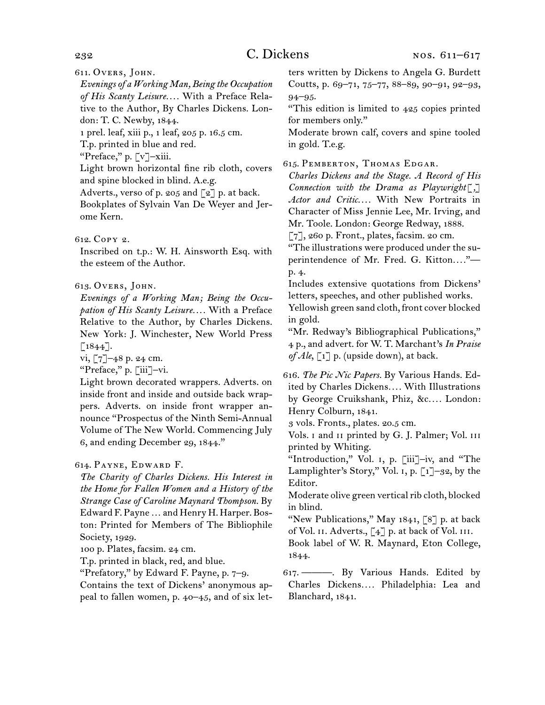611.  Overs, John.

*Evenings of a Working Man, Being the Occupation of His Scanty Leisure. . . .* With a Preface Relative to the Author, By Charles Dickens. London: T. C. Newby, 1844.

1 prel. leaf, xiii p., 1 leaf, 205 p. 16.5 cm.

T.p. printed in blue and red.

"Preface," p. [v]–xiii.

Light brown horizontal fine rib cloth, covers and spine blocked in blind. A.e.g.

Adverts., verso of p. 205 and  $\lceil 2 \rceil$  p. at back.

Bookplates of Sylvain Van De Weyer and Jerome Kern.

## 612.  Copy 2.

Inscribed on t.p.: W. H. Ainsworth Esq. with the esteem of the Author.

## 613.  Overs, John.

*Evenings of a Working Man; Being the Occupation of His Scanty Leisure. . . .* With a Preface Relative to the Author, by Charles Dickens. New York: J. Winchester, New World Press  $\lceil 1844 \rceil$ .

vi,  $[7]$ –48 p. 24 cm.

"Preface," p. [iii]–vi.

Light brown decorated wrappers. Adverts. on inside front and inside and outside back wrappers. Adverts. on inside front wrapper announce "Prospectus of the Ninth Semi-Annual Volume of The New World. Commencing July 6, and ending December 29, 1844."

## 614.  Payne, Edward F.

*The Charity of Charles Dickens. His Interest in the Home for Fallen Women and a History of the Strange Case of Caroline Maynard Thompson.* By Edward F. Payne…and Henry H. Harper. Boston: Printed for Members of The Bibliophile Society, 1929.

100 p. Plates, facsim. 24 cm.

T.p. printed in black, red, and blue.

"Prefatory," by Edward F. Payne, p. 7–9.

Contains the text of Dickens' anonymous appeal to fallen women, p. 40–45, and of six letters written by Dickens to Angela G. Burdett Coutts, p. 69–71, 75–77, 88–89, 90–91, 92–93, 94–95.

"This edition is limited to 425 copies printed for members only."

Moderate brown calf, covers and spine tooled in gold. T.e.g.

615.  Pemberton, Thomas Edgar.

*Charles Dickens and the Stage. A Record of His Connection with the Drama as Playwright*[*,*] *Actor and Critic. . . .* With New Portraits in Character of Miss Jennie Lee, Mr. Irving, and Mr. Toole. London: George Redway, 1888.

[7], 260 p. Front., plates, facsim. 20 cm.

"The illustrations were produced under the superintendence of Mr. Fred. G. Kitton...."p. 4.

Includes extensive quotations from Dickens' letters, speeches, and other published works.

Yellowish green sand cloth, front cover blocked in gold.

"Mr. Redway's Bibliographical Publications," 4 p., and advert. for W. T. Marchant's *In Praise of Ale*, [1] p. (upside down), at back.

616.  *The Pic Nic Papers.* By Various Hands. Edited by Charles Dickens*. . . .* With Illustrations by George Cruikshank, Phiz, &c*. . . .* London: Henry Colburn, 1841.

3 vols. Fronts., plates. 20.5 cm.

Vols. I and II printed by G. J. Palmer; Vol. III printed by Whiting.

"Introduction," Vol. i, p. [iii]–iv, and "The Lamplighter's Story," Vol. 1, p.  $\lceil 1 \rceil$ –32, by the Editor.

Moderate olive green vertical rib cloth, blocked in blind.

"New Publications," May  $1841, 78$  p. at back of Vol. II. Adverts., [4] p. at back of Vol. III.

Book label of W. R. Maynard, Eton College, 1844.

617.  ———. By Various Hands. Edited by Charles Dickens*. . . .* Philadelphia: Lea and Blanchard, 1841.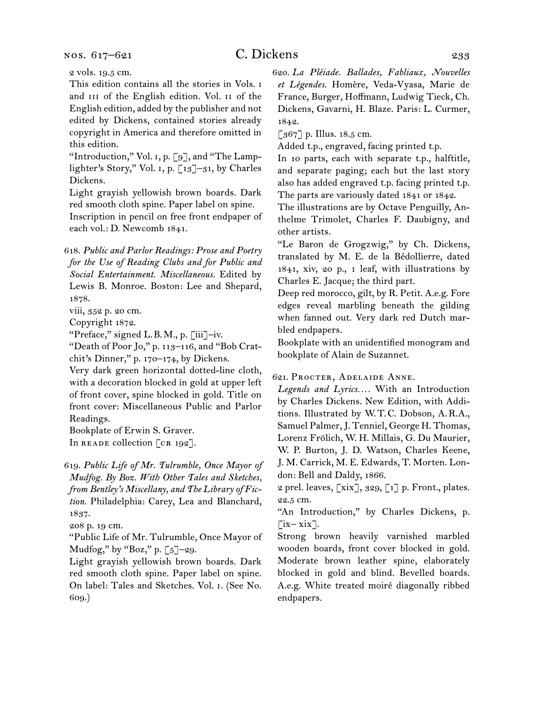nos. 617–621

# C. Dickens 233

2 vols. 19.5 cm.

This edition contains all the stories in Vols. i and III of the English edition. Vol. II of the English edition, added by the publisher and not edited by Dickens, contained stories already copyright in America and therefore omitted in this edition.

"Introduction," Vol. 1, p. [9], and "The Lamplighter's Story," Vol. i, p. [13]–31, by Charles Dickens.

Light grayish yellowish brown boards. Dark red smooth cloth spine. Paper label on spine. Inscription in pencil on free front endpaper of

each vol.: D. Newcomb 1841.

618.  *Public and Parlor Readings: Prose and Poetry for the Use of Reading Clubs and for Public and Social Entertainment. Miscellaneous.* Edited by Lewis B. Monroe. Boston: Lee and Shepard, 1878.

viii, 352 p. 20 cm.

Copyright 1872.

"Preface," signed L. B. M., p. [iii]–iv.

"Death of Poor Jo," p. 113–116, and "Bob Cratchit's Dinner," p. 170–174, by Dickens.

Very dark green horizontal dotted-line cloth, with a decoration blocked in gold at upper left of front cover, spine blocked in gold. Title on front cover: Miscellaneous Public and Parlor Readings.

Bookplate of Erwin S. Graver.

In READE collection [CR 192].

619.  *Public Life of Mr. Tulrumble, Once Mayor of Mudfog. By Boz. With Other Tales and Sketches, from Bentley's Miscellany, and The Library of Fiction.* Philadelphia: Carey, Lea and Blanchard, 1837.

208 p. 19 cm.

"Public Life of Mr. Tulrumble, Once Mayor of Mudfog," by "Boz," p. [5]–29.

Light grayish yellowish brown boards. Dark red smooth cloth spine. Paper label on spine. On label: Tales and Sketches. Vol. i. (See No. 609.)

620.  *La Pléiade. Ballades, Fabliaux, Nouvelles et Légendes.* Homère, Veda-Vyasa, Marie de France, Burger, Hoffmann, Ludwig Tieck, Ch. Dickens, Gavarni, H. Blaze. Paris: L. Curmer, 1842.

 $\lceil 367 \rceil$  p. Illus. 18.5 cm.

Added t.p., engraved, facing printed t.p.

In 10 parts, each with separate t.p., halftitle, and separate paging; each but the last story also has added engraved t.p. facing printed t.p. The parts are variously dated 1841 or 1842.

The illustrations are by Octave Penguilly, Anthelme Trimolet, Charles F. Daubigny, and other artists.

"Le Baron de Grogzwig," by Ch. Dickens, translated by M. E. de la Bédollierre, dated 1841, xiv, 20 p., 1 leaf, with illustrations by Charles E. Jacque; the third part.

Deep red morocco, gilt, by R. Petit. A.e.g. Fore edges reveal marbling beneath the gilding when fanned out. Very dark red Dutch marbled endpapers.

Bookplate with an unidentified monogram and bookplate of Alain de Suzannet.

621.  Procter, Adelaide Anne.

*Legends and Lyrics. . . .* With an Introduction by Charles Dickens. New Edition, with Additions. Illustrated by W. T. C. Dobson, A. R.A., Samuel Palmer,J. Tenniel, George H. Thomas, Lorenz Frölich, W. H. Millais, G. Du Maurier, W. P. Burton, J. D. Watson, Charles Keene, J. M. Carrick, M. E. Edwards, T. Morten. London: Bell and Daldy, 1866.

2 prel. leaves,  $[xix]$ , 329,  $[i]$  p. Front., plates. 22.5 cm.

"An Introduction," by Charles Dickens, p.  $\left[\text{i}x-\text{i}x\right]$ .

Strong brown heavily varnished marbled wooden boards, front cover blocked in gold. Moderate brown leather spine, elaborately blocked in gold and blind. Bevelled boards. A.e.g. White treated moiré diagonally ribbed endpapers.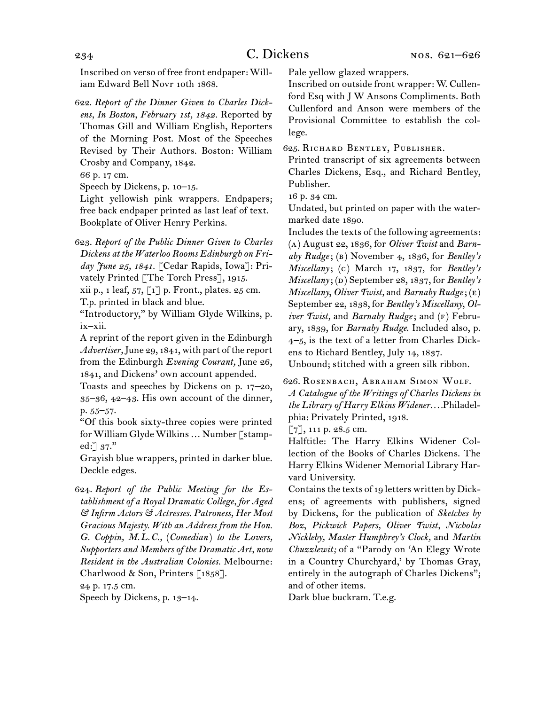Inscribed on verso of free front endpaper: William Edward Bell Novr 10th 1868.

622.  *Report of the Dinner Given to Charles Dickens, In Boston, February 1st, 1842.* Reported by Thomas Gill and William English, Reporters of the Morning Post. Most of the Speeches Revised by Their Authors. Boston: William Crosby and Company, 1842.

66 p. 17 cm.

Speech by Dickens, p. 10–15.

Light yellowish pink wrappers. Endpapers; free back endpaper printed as last leaf of text. Bookplate of Oliver Henry Perkins.

623.  *Report of the Public Dinner Given to Charles Dickens at the Waterloo Rooms Edinburgh on Friday June 25, 1841.* [Cedar Rapids, Iowa]: Privately Printed [The Torch Press], 1915.

xii p., 1 leaf,  $57, \lceil 1 \rceil$  p. Front., plates.  $25 \text{ cm}$ .

T.p. printed in black and blue.

"Introductory," by William Glyde Wilkins, p. ix–xii.

A reprint of the report given in the Edinburgh Advertiser, June 29, 1841, with part of the report from the Edinburgh *Evening Courant,* June 26, 1841, and Dickens' own account appended.

Toasts and speeches by Dickens on p. 17–20, 35–36, 42–43. His own account of the dinner, p. 55–57.

"Of this book sixty-three copies were printed for William Glyde Wilkins ... Number [stamped: $\lceil 37.^"$ 

Grayish blue wrappers, printed in darker blue. Deckle edges.

624.  *Report of the Public Meeting for the Establishment of a Royal Dramatic College, for Aged & Infirm Actors & Actresses. Patroness, Her Most Gracious Majesty. With an Address from the Hon. G. Coppin, M.L.C.,* (*Comedian* ) *to the Lovers, Supporters and Members of the Dramatic Art, now Resident in the Australian Colonies.* Melbourne: Charlwood & Son, Printers [1858].

24 p. 17.5 cm.

Speech by Dickens, p. 13–14.

Pale yellow glazed wrappers.

Inscribed on outside front wrapper: W. Cullenford Esq with J W Ansons Compliments. Both Cullenford and Anson were members of the Provisional Committee to establish the college.

625.  Richard Bentley, Publisher.

Printed transcript of six agreements between Charles Dickens, Esq., and Richard Bentley, Publisher.

16 p. 34 cm.

Undated, but printed on paper with the watermarked date 1890.

Includes the texts of the following agreements: (a) August 22, 1836, for *Oliver Twist* and *Barnaby Rudge*; (b) November 4, 1836, for *Bentley's Miscellany*; (c) March 17, 1837, for *Bentley's Miscellany*; (d) September 28, 1837, for *Bentley's Miscellany*, *Oliver Twist,* and *Barnaby Rudge*; (e) September 22, 1838, for *Bentley's Miscellany*, *Oliver Twist,* and *Barnaby Rudge*; and (f) February, 1839, for *Barnaby Rudge*. Included also, p. 4–5, is the text of a letter from Charles Dickens to Richard Bentley, July 14, 1837.

Unbound; stitched with a green silk ribbon.

626.  Rosenbach, Abraham Simon Wolf.

*A Catalogue of the Writings of Charles Dickens in the Library of Harry Elkins Widener. . . .*Philadelphia: Privately Printed, 1918.

[7], 111 p. 28.5 cm.

Halftitle: The Harry Elkins Widener Collection of the Books of Charles Dickens. The Harry Elkins Widener Memorial Library Harvard University.

Contains the texts of 19 letters written by Dickens; of agreements with publishers, signed by Dickens, for the publication of *Sketches by Boz*, *Pickwick Papers, Oliver Twist, Nicholas Nickleby, Master Humphrey's Clock,* and *Martin Chuzzlewit;* of a "Parody on 'An Elegy Wrote in a Country Churchyard,' by Thomas Gray, entirely in the autograph of Charles Dickens"; and of other items.

Dark blue buckram. T.e.g.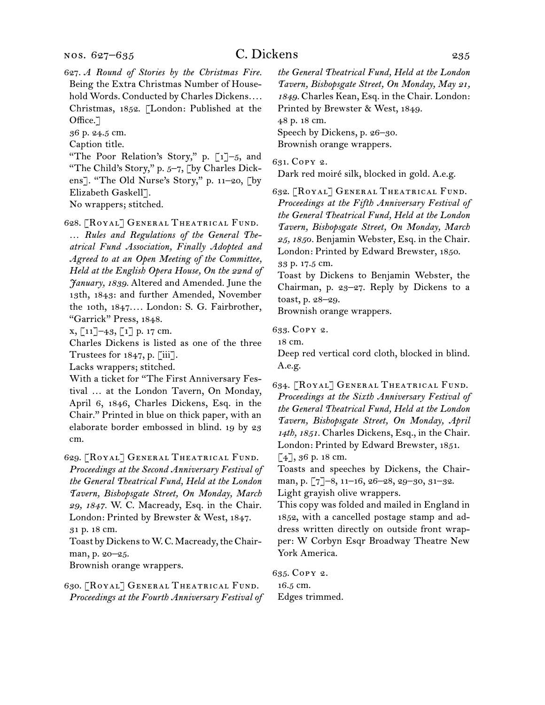627.  *A Round of Stories by the Christmas Fire.*  Being the Extra Christmas Number of Household Words. Conducted by Charles Dickens*. . . .* Christmas, 1852. [London: Published at the Office.<sup>7</sup>

36 p. 24.5 cm.

Caption title.

"The Poor Relation's Story," p. [1]-5, and "The Child's Story," p. 5–7, [by Charles Dickens]. "The Old Nurse's Story," p. 11–20, [by Elizabeth Gaskell].

No wrappers; stitched.

628.  [Royal] General Theatrical Fund. *… Rules and Regulations of the General Theatrical Fund Association, Finally Adopted and Agreed to at an Open Meeting of the Committee, Held at the English Opera House, On the 22nd of January, 1839.* Altered and Amended. June the 13th, 1843: and further Amended, November the 10th, 1847*. . . .* London: S. G. Fairbrother, "Garrick" Press, 1848.

 $x, \lceil 11 \rceil - 43, \lceil 1 \rceil$  p. 17 cm.

Charles Dickens is listed as one of the three Trustees for 1847, p. [iii].

Lacks wrappers; stitched.

With a ticket for "The First Anniversary Festival … at the London Tavern, On Monday, April 6, 1846, Charles Dickens, Esq. in the Chair." Printed in blue on thick paper, with an elaborate border embossed in blind. 19 by 23 cm.

629.  [Royal] General Theatrical Fund. *Proceedings at the Second Anniversary Festival of the General Theatrical Fund, Held at the London Tavern, Bishopsgate Street, On Monday, March 29, 1847.* W. C. Macready, Esq. in the Chair. London: Printed by Brewster & West, 1847. 31 p. 18 cm.

Toast by Dickens to W.C. Macready, the Chairman, p. 20–25.

Brownish orange wrappers.

630.  [Royal] General Theatrical Fund. *Proceedings at the Fourth Anniversary Festival of*  *the General Theatrical Fund, Held at the London Tavern, Bishopsgate Street, On Monday, May 21, 1849.* Charles Kean, Esq. in the Chair. London: Printed by Brewster & West, 1849. 48 p. 18 cm.

Speech by Dickens, p. 26–30.

Brownish orange wrappers.

631.  Copy 2.

Dark red moiré silk, blocked in gold. A.e.g.

632.  [Royal] General Theatrical Fund. *Proceedings at the Fifth Anniversary Festival of the General Theatrical Fund, Held at the London Tavern, Bishopsgate Street, On Monday, March 25, 1850.* Benjamin Webster, Esq. in the Chair. London: Printed by Edward Brewster, 1850. 33 p. 17.5 cm.

Toast by Dickens to Benjamin Webster, the Chairman, p. 23–27. Reply by Dickens to a toast, p. 28–29.

Brownish orange wrappers.

633.  Copy 2.

18 cm.

Deep red vertical cord cloth, blocked in blind. A.e.g.

634.  [Royal] General Theatrical Fund. *Proceedings at the Sixth Anniversary Festival of the General Theatrical Fund, Held at the London Tavern, Bishopsgate Street, On Monday, April 14th, 1851.* Charles Dickens, Esq., in the Chair. London: Printed by Edward Brewster, 1851.

 $[4]$ , 36 p. 18 cm.

Toasts and speeches by Dickens, the Chairman, p. [7]–8, 11–16, 26–28, 29–30, 31–32. Light grayish olive wrappers.

This copy was folded and mailed in England in 1852, with a cancelled postage stamp and address written directly on outside front wrapper: W Corbyn Esqr Broadway Theatre New York America.

635.  Copy 2. 16.5 cm. Edges trimmed.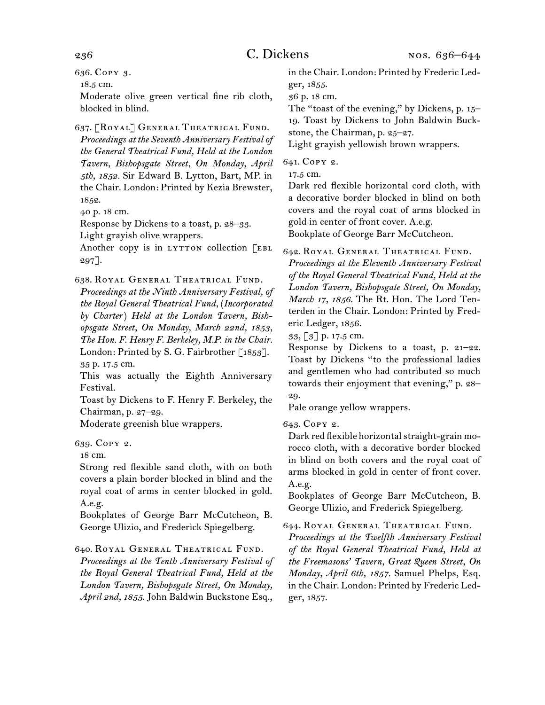636.  Copy 3.

18.5 cm.

Moderate olive green vertical fine rib cloth, blocked in blind.

637.  [Royal] General Theatrical Fund. *Proceedings at the Seventh Anniversary Festival of the General Theatrical Fund, Held at the London Tavern, Bishopsgate Street, On Monday, April 5th, 1852.* Sir Edward B. Lytton, Bart, MP. in the Chair. London: Printed by Kezia Brewster, 1852.

40 p. 18 cm.

Response by Dickens to a toast, p. 28–33.

Light grayish olive wrappers.

Another copy is in LYTTON collection [EBL  $297$ ].

638.  Royal General Theatrical Fund.

*Proceedings at the Ninth Anniversary Festival, of the Royal General Theatrical Fund,* (*Incorporated by Charter*) *Held at the London Tavern, Bishopsgate Street, On Monday, March 22nd, 1853, The Hon. F. Henry F. Berkeley, M.P. in the Chair.* London: Printed by S. G. Fairbrother [1853]. 35 p. 17.5 cm.

This was actually the Eighth Anniversary Festival.

Toast by Dickens to F. Henry F. Berkeley, the Chairman, p. 27–29.

Moderate greenish blue wrappers.

639.  Copy 2.

18 cm.

Strong red flexible sand cloth, with on both covers a plain border blocked in blind and the royal coat of arms in center blocked in gold. A.e.g.

Bookplates of George Barr McCutcheon, B. George Ulizio, and Frederick Spiegelberg.

640.  Royal General Theatrical Fund. *Proceedings at the Tenth Anniversary Festival of the Royal General Theatrical Fund, Held at the London Tavern, Bishopsgate Street, On Monday, April 2nd, 1855.* John Baldwin Buckstone Esq.,

in the Chair. London: Printed by Frederic Ledger, 1855.

36 p. 18 cm.

The "toast of the evening," by Dickens, p. 15– 19. Toast by Dickens to John Baldwin Buckstone, the Chairman, p. 25–27.

Light grayish yellowish brown wrappers.

641.  Copy 2.

17.5 cm.

Dark red flexible horizontal cord cloth, with a decorative border blocked in blind on both covers and the royal coat of arms blocked in gold in center of front cover. A.e.g.

Bookplate of George Barr McCutcheon.

642.  Royal General Theatrical Fund.

*Proceedings at the Eleventh Anniversary Festival of the Royal General Theatrical Fund, Held at the London Tavern, Bishopsgate Street, On Monday, March 17, 1856.* The Rt. Hon. The Lord Tenterden in the Chair. London: Printed by Frederic Ledger, 1856.

33, [3] p. 17.5 cm.

Response by Dickens to a toast, p. 21–22. Toast by Dickens "to the professional ladies and gentlemen who had contributed so much towards their enjoyment that evening," p. 28– 29.

Pale orange yellow wrappers.

643.  Copy 2.

Dark red flexible horizontal straight-grain morocco cloth, with a decorative border blocked in blind on both covers and the royal coat of arms blocked in gold in center of front cover. A.e.g.

Bookplates of George Barr McCutcheon, B. George Ulizio, and Frederick Spiegelberg.

644.  Royal General Theatrical Fund.

*Proceedings at the Twelfth Anniversary Festival of the Royal General Theatrical Fund, Held at the Freemasons' Tavern, Great Queen Street, On Monday, April 6th, 1857.* Samuel Phelps, Esq. in the Chair. London: Printed by Frederic Ledger, 1857.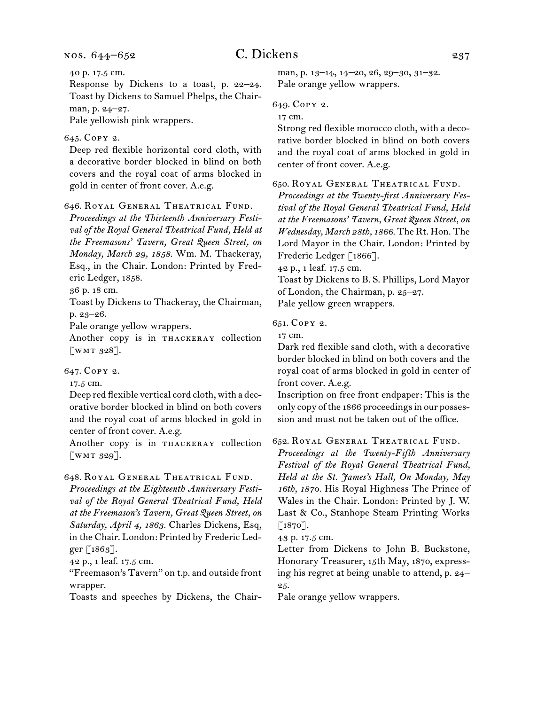nos. 644–652

40 p. 17.5 cm.

Response by Dickens to a toast, p. 22–24. Toast by Dickens to Samuel Phelps, the Chairman, p. 24–27.

Pale yellowish pink wrappers.

### 645.  Copy 2.

Deep red flexible horizontal cord cloth, with a decorative border blocked in blind on both covers and the royal coat of arms blocked in gold in center of front cover. A.e.g.

646.  Royal General Theatrical Fund.

*Proceedings at the Thirteenth Anniversary Festival of the Royal General Theatrical Fund, Held at the Freemasons' Tavern, Great Queen Street, on Monday, March 29, 1858.* Wm. M. Thackeray, Esq., in the Chair. London: Printed by Frederic Ledger, 1858.

36 p. 18 cm.

Toast by Dickens to Thackeray, the Chairman, p. 23–26.

Pale orange yellow wrappers.

Another copy is in THACKERAY collection [WMT  $328$ ].

## 647.  Copy 2.

17.5 cm.

Deep red flexible vertical cord cloth, with a decorative border blocked in blind on both covers and the royal coat of arms blocked in gold in center of front cover. A.e.g.

Another copy is in THACKERAY collection  $\left[\text{WMT 329}\right]$ .

#### 648.  Royal General Theatrical Fund.

*Proceedings at the Eighteenth Anniversary Festival of the Royal General Theatrical Fund, Held at the Freemason's Tavern, Great Queen Street, on Saturday, April 4, 1863.* Charles Dickens, Esq, in the Chair. London: Printed by Frederic Ledger [1863].

42 p., 1 leaf. 17.5 cm.

"Freemason's Tavern" on t.p. and outside front wrapper.

Toasts and speeches by Dickens, the Chair-

man, p. 13-14, 14-20, 26, 29-30, 31-32. Pale orange yellow wrappers.

649.  Copy 2.

17 cm.

Strong red flexible morocco cloth, with a decorative border blocked in blind on both covers and the royal coat of arms blocked in gold in center of front cover. A.e.g.

650.  Royal General Theatrical Fund.

*Proceedings at the Twenty-first Anniversary Festival of the Royal General Theatrical Fund, Held at the Freemasons' Tavern, Great Queen Street, on Wednesday, March 28th, 1866.* The Rt. Hon. The Lord Mayor in the Chair. London: Printed by Frederic Ledger [1866].

42 p., 1 leaf. 17.5 cm.

Toast by Dickens to B. S. Phillips, Lord Mayor of London, the Chairman, p. 25–27.

Pale yellow green wrappers.

651.  Copy 2.

17 cm.

Dark red flexible sand cloth, with a decorative border blocked in blind on both covers and the royal coat of arms blocked in gold in center of front cover. A.e.g.

Inscription on free front endpaper: This is the only copy of the 1866 proceedings in our possession and must not be taken out of the office.

652.  Royal General Theatrical Fund.

*Proceedings at the Twenty-Fifth Anniversary Festival of the Royal General Theatrical Fund, Held at the St. James's Hall, On Monday, May 16th, 1870.* His Royal Highness The Prince of Wales in the Chair. London: Printed by J. W. Last & Co., Stanhope Steam Printing Works  $\lceil 1870 \rceil$ .

43 p. 17.5 cm.

Letter from Dickens to John B. Buckstone, Honorary Treasurer, 15th May, 1870, expressing his regret at being unable to attend, p. 24– 25.

Pale orange yellow wrappers.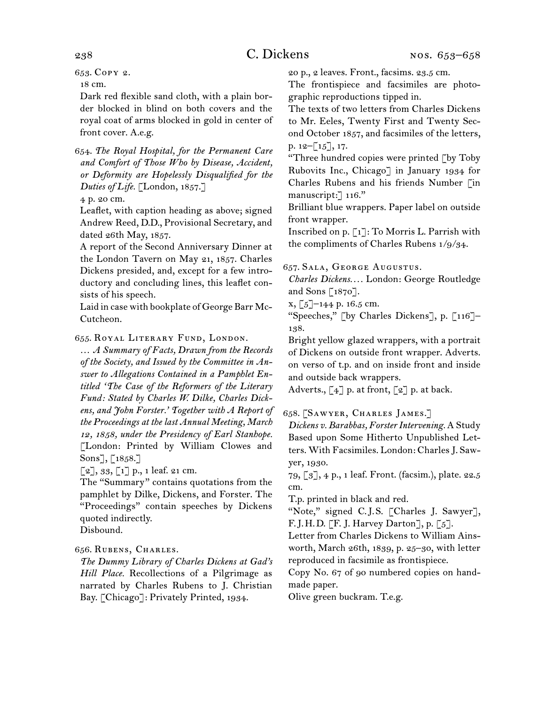653.  Copy 2.

18 cm.

Dark red flexible sand cloth, with a plain border blocked in blind on both covers and the royal coat of arms blocked in gold in center of front cover. A.e.g.

654.  *The Royal Hospital, for the Permanent Care and Comfort of Those Who by Disease, Accident, or Deformity are Hopelessly Disqualified for the Duties of Life.* [London, 1857.]

4 p. 20 cm.

Leaflet, with caption heading as above; signed Andrew Reed, D.D., Provisional Secretary, and dated 26th May, 1857.

A report of the Second Anniversary Dinner at the London Tavern on May 21, 1857. Charles Dickens presided, and, except for a few introductory and concluding lines, this leaflet consists of his speech.

Laid in case with bookplate of George Barr Mc-Cutcheon.

655.  Royal Literary Fund, London.

… *A Summary of Facts, Drawn from the Records of the Society, and Issued by the Committee in Answer to Allegations Contained in a Pamphlet Entitled 'The Case of the Reformers of the Literary Fund: Stated by Charles W. Dilke, Charles Dickens, and John Forster.' Together with A Report of the Proceedings at the last Annual Meeting, March 12, 1858, under the Presidency of Earl Stanhope.* [London: Printed by William Clowes and Sons], [1858.]

[2], 33, [1] p., 1 leaf. 21 cm.

The "Summary" contains quotations from the pamphlet by Dilke, Dickens, and Forster. The "Proceedings" contain speeches by Dickens quoted indirectly.

Disbound.

## 656.  Rubens, Charles.

*The Dummy Library of Charles Dickens at Gad's Hill Place.* Recollections of a Pilgrimage as narrated by Charles Rubens to J. Christian Bay. [Chicago]: Privately Printed, 1934.

20 p., 2 leaves. Front., facsims. 23.5 cm.

The frontispiece and facsimiles are photographic reproductions tipped in.

The texts of two letters from Charles Dickens to Mr. Eeles, Twenty First and Twenty Second October 1857, and facsimiles of the letters, p. 12–[15], 17.

"Three hundred copies were printed [by Toby Rubovits Inc., Chicago] in January 1934 for Charles Rubens and his friends Number [in manuscript:<sup>7</sup> 116."

Brilliant blue wrappers. Paper label on outside front wrapper.

Inscribed on p. [1]: To Morris L. Parrish with the compliments of Charles Rubens 1/9/34.

657.  Sala, George Augustus.

*Charles Dickens. . . .* London: George Routledge and Sons [1870].

 $x, [5]-144$  p. 16.5 cm.

"Speeches," [by Charles Dickens], p. [116]– 138.

Bright yellow glazed wrappers, with a portrait of Dickens on outside front wrapper. Adverts. on verso of t.p. and on inside front and inside and outside back wrappers.

Adverts.,  $\begin{bmatrix} 4 \end{bmatrix}$  p. at front,  $\begin{bmatrix} 2 \end{bmatrix}$  p. at back.

## 658.  [Sawyer, Charles James.]

*Dickens v. Barabbas, Forster Intervening.* A Study Based upon Some Hitherto Unpublished Letters. With Facsimiles. London: Charles J. Sawyer, 1930.

79, [3], 4 p., 1 leaf. Front. (facsim.), plate. 22.5 cm.

T.p. printed in black and red.

"Note," signed C.J.S. [Charles J. Sawyer], F. J. H. D. [F. J. Harvey Darton], p. [5].

Letter from Charles Dickens to William Ainsworth, March 26th, 1839, p. 25–30, with letter reproduced in facsimile as frontispiece.

Copy No. 67 of 90 numbered copies on handmade paper.

Olive green buckram. T.e.g.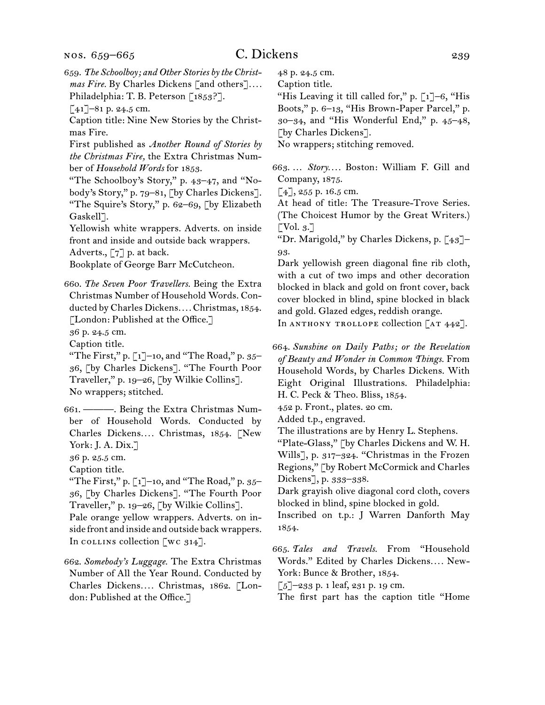659.  *The Schoolboy; and Other Stories by the Christmas Fire.* By Charles Dickens [and others]*. . . .* Philadelphia: T. B. Peterson [1853?].

 $\lceil 41 \rceil$ –81 p. 24.5 cm.

Caption title: Nine New Stories by the Christmas Fire.

First published as *Another Round of Stories by the Christmas Fire,* the Extra Christmas Number of *Household Words* for 1853.

"The Schoolboy's Story," p. 43–47, and "Nobody's Story," p. 79–81, [by Charles Dickens]. "The Squire's Story," p. 62–69, [by Elizabeth Gaskell<sup>7</sup>.

Yellowish white wrappers. Adverts. on inside front and inside and outside back wrappers. Adverts., [7] p. at back.

Bookplate of George Barr McCutcheon.

660.  *The Seven Poor Travellers.* Being the Extra Christmas Number of Household Words. Conducted by Charles Dickens*. . . .* Christmas, 1854. [London: Published at the Office.]

36 p. 24.5 cm.

Caption title.

"The First," p.  $\lceil 1 \rceil$ –10, and "The Road," p. 35– 36, [by Charles Dickens]. "The Fourth Poor Traveller," p. 19–26, [by Wilkie Collins]. No wrappers; stitched.

661.  ———. Being the Extra Christmas Number of Household Words. Conducted by Charles Dickens*. . . .* Christmas, 1854. [New York: J. A. Dix.]

36 p. 25.5 cm.

Caption title.

"The First," p.  $\lceil 1 \rceil$ –10, and "The Road," p. 35– 36, [by Charles Dickens]. "The Fourth Poor Traveller," p. 19–26, [by Wilkie Collins].

Pale orange yellow wrappers. Adverts. on inside front and inside and outside back wrappers. In collection  $\alpha$  314].

662.  *Somebody's Luggage.* The Extra Christmas Number of All the Year Round. Conducted by Charles Dickens*. . . .* Christmas, 1862. [London: Published at the Office.]

48 p. 24.5 cm.

Caption title.

"His Leaving it till called for," p.  $\lceil 1 \rceil$ –6, "His Boots," p. 6–13, "His Brown-Paper Parcel," p. 30–34, and "His Wonderful End," p. 45–48, [by Charles Dickens].

No wrappers; stitching removed.

663.  … *Story. . . .* Boston: William F. Gill and Company, 1875.

 $[4]$ , 255 p. 16.5 cm.

At head of title: The Treasure-Trove Series. (The Choicest Humor by the Great Writers.)  $\lceil \text{Vol. } 3. \rceil$ 

"Dr. Marigold," by Charles Dickens, p. [43]– 93.

Dark yellowish green diagonal fine rib cloth, with a cut of two imps and other decoration blocked in black and gold on front cover, back cover blocked in blind, spine blocked in black and gold. Glazed edges, reddish orange.

In ANTHONY TROLLOPE collection  $[AT 442]$ .

664.  *Sunshine on Daily Paths; or the Revelation of Beauty and Wonder in Common Things.* From Household Words, by Charles Dickens. With Eight Original Illustrations. Philadelphia: H. C. Peck & Theo. Bliss, 1854.

452 p. Front., plates. 20 cm.

Added t.p., engraved.

The illustrations are by Henry L. Stephens.

"Plate-Glass," [by Charles Dickens and W. H. Wills], p. 317–324. "Christmas in the Frozen Regions," [by Robert McCormick and Charles Dickens], p. 333–338.

Dark grayish olive diagonal cord cloth, covers blocked in blind, spine blocked in gold.

Inscribed on t.p.: J Warren Danforth May 1854.

665.  *Tales and Travels.* From "Household Words." Edited by Charles Dickens*. . . .* New-York: Bunce & Brother, 1854.

 $\lceil 5 \rceil$ –233 p. 1 leaf, 231 p. 19 cm.

The first part has the caption title "Home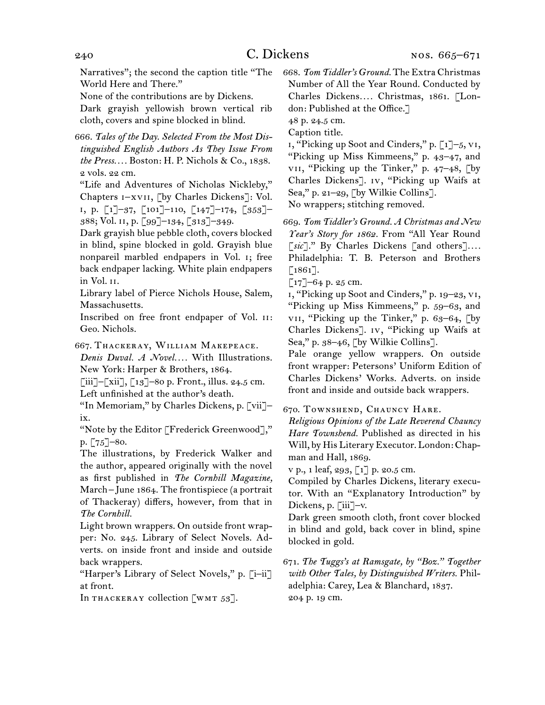Narratives"; the second the caption title "The World Here and There."

None of the contributions are by Dickens.

Dark grayish yellowish brown vertical rib cloth, covers and spine blocked in blind.

666.  *Tales of the Day. Selected From the Most Distinguished English Authors As They Issue From the Press. . . .* Boston: H. P. Nichols & Co., 1838. 2 vols. 22 cm.

"Life and Adventures of Nicholas Nickleby," Chapters i–xvii, [by Charles Dickens]: Vol. i, p. [1]–37, [101]–110, [147]–174, [353]– 388; Vol. ii, p. [99]–134, [313]–349.

Dark grayish blue pebble cloth, covers blocked in blind, spine blocked in gold. Grayish blue nonpareil marbled endpapers in Vol. i; free back endpaper lacking. White plain endpapers in Vol. ii.

Library label of Pierce Nichols House, Salem, Massachusetts.

Inscribed on free front endpaper of Vol. ii: Geo. Nichols.

667.  Thackeray, William Makepeace.

*Denis Duval. A Novel. . . .* With Illustrations. New York: Harper & Brothers, 1864.

 $\lceil$ iii]– $\lceil$ xii],  $\lceil$ 13]–80 p. Front., illus. 24.5 cm. Left unfinished at the author's death.

"In Memoriam," by Charles Dickens, p. [vii]– ix.

"Note by the Editor [Frederick Greenwood]," p. [75]–80.

The illustrations, by Frederick Walker and the author, appeared originally with the novel as first published in *The Cornhill Magazine,*  March – June 1864. The frontispiece (a portrait of Thackeray) differs, however, from that in *The Cornhill.*

Light brown wrappers. On outside front wrapper: No. 245. Library of Select Novels. Adverts. on inside front and inside and outside back wrappers.

"Harper's Library of Select Novels," p. [i-ii] at front.

In THACKERAY collection  $\lceil w \rceil$  53].

668.  *Tom Tiddler's Ground.* The Extra Christmas Number of All the Year Round. Conducted by Charles Dickens*. . . .* Christmas, 1861. [London: Published at the Office.]

48 p. 24.5 cm.

Caption title.

 $i,$  "Picking up Soot and Cinders," p. [1]–5, vi, "Picking up Miss Kimmeens," p. 43–47, and vii, "Picking up the Tinker," p. 47–48, [by Charles Dickens]. iv, "Picking up Waifs at Sea," p. 21–29, [by Wilkie Collins]. No wrappers; stitching removed.

669.  *Tom Tiddler's Ground. A Christmas and New Year's Story for 1862.* From "All Year Round [*sic*]." By Charles Dickens [and others]*. . . .* Philadelphia: T. B. Peterson and Brothers  $[1861]$ .

 $\lceil 17 \rceil$ –64 p. 25 cm.

i, "Picking up Soot and Cinders," p. 19–23, vi, "Picking up Miss Kimmeens," p. 59–63, and vii, "Picking up the Tinker," p. 63–64, [by Charles Dickens]. iv, "Picking up Waifs at Sea," p. 38–46, [by Wilkie Collins].

Pale orange yellow wrappers. On outside front wrapper: Petersons' Uniform Edition of Charles Dickens' Works. Adverts. on inside front and inside and outside back wrappers.

670.  Townshend, Chauncy Hare.

*Religious Opinions of the Late Reverend Chauncy Hare Townshend.* Published as directed in his Will, by His Literary Executor. London: Chapman and Hall, 1869.

v p., 1 leaf, 293, [1] p. 20.5 cm.

Compiled by Charles Dickens, literary executor. With an "Explanatory Introduction" by Dickens, p. [iii]–v.

Dark green smooth cloth, front cover blocked in blind and gold, back cover in blind, spine blocked in gold.

671.  *The Tuggs's at Ramsgate, by "Boz." Together with Other Tales, by Distinguished Writers.* Philadelphia: Carey, Lea & Blanchard, 1837. 204 p. 19 cm.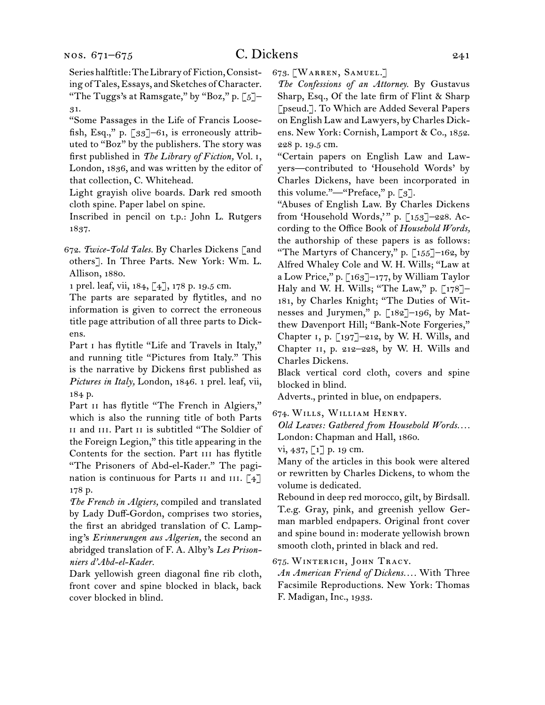Serieshalftitle:TheLibraryof Fiction,Consisting of Tales,Essays, and Sketches ofCharacter. "The Tuggs's at Ramsgate," by "Boz," p.  $[5]$ -31.

"Some Passages in the Life of Francis Loosefish, Esq.," p.  $\lceil 33 \rceil$ –61, is erroneously attributed to "Boz" by the publishers. The story was first published in *The Library of Fiction,* Vol. i, London, 1836, and was written by the editor of that collection, C. Whitehead.

Light grayish olive boards. Dark red smooth cloth spine. Paper label on spine.

Inscribed in pencil on t.p.: John L. Rutgers 1837.

672.  *Twice-Told Tales.* By Charles Dickens [and others]. In Three Parts. New York: Wm. L. Allison, 1880.

1 prel. leaf, vii, 184, [4], 178 p. 19.5 cm.

The parts are separated by flytitles, and no information is given to correct the erroneous title page attribution of all three parts to Dickens.

Part I has flytitle "Life and Travels in Italy," and running title "Pictures from Italy." This is the narrative by Dickens first published as *Pictures in Italy,* London, 1846. 1 prel. leaf, vii, 184 p.

Part II has flytitle "The French in Algiers," which is also the running title of both Parts ii and iii. Part ii is subtitled "The Soldier of the Foreign Legion," this title appearing in the Contents for the section. Part III has flytitle "The Prisoners of Abd-el-Kader." The pagination is continuous for Parts  $\overline{11}$  and  $\overline{111}$ . [4] 178 p.

*The French in Algiers,* compiled and translated by Lady Duff-Gordon, comprises two stories, the first an abridged translation of C. Lamping's *Erinnerungen aus Algerien,* the second an abridged translation of F. A. Alby's *Les Prisonniers d'Abd-el-Kader.*

Dark yellowish green diagonal fine rib cloth, front cover and spine blocked in black, back cover blocked in blind.

673.  [Warren, Samuel.]

*The Confessions of an Attorney.* By Gustavus Sharp, Esq., Of the late firm of Flint & Sharp [pseud.]. To Which are Added Several Papers on English Law and Lawyers, by Charles Dickens. New York: Cornish, Lamport & Co., 1852. 228 p. 19.5 cm.

"Certain papers on English Law and Lawyers—contributed to 'Household Words' by Charles Dickens, have been incorporated in this volume."—"Preface," p. [3].

"Abuses of English Law. By Charles Dickens from 'Household Words,'" p. [153]-228. According to the Office Book of *Household Words,* the authorship of these papers is as follows: "The Martyrs of Chancery," p. [155]–162, by Alfred Whaley Cole and W. H. Wills; "Law at a Low Price," p. [163]–177, by William Taylor Haly and W. H. Wills; "The Law," p. [178]– 181, by Charles Knight; "The Duties of Witnesses and Jurymen," p. [182]–196, by Matthew Davenport Hill; "Bank-Note Forgeries," Chapter 1, p.  $\left[\right.197\right]$ -212, by W. H. Wills, and Chapter  $II$ , p. 212–228, by W. H. Wills and Charles Dickens.

Black vertical cord cloth, covers and spine blocked in blind.

Adverts., printed in blue, on endpapers.

674.  Wills, William Henry.

*Old Leaves: Gathered from Household Words. . . .* London: Chapman and Hall, 1860.

vi, 437,  $\lbrack 1 \rbrack$  p. 19 cm.

Many of the articles in this book were altered or rewritten by Charles Dickens, to whom the volume is dedicated.

Rebound in deep red morocco, gilt, by Birdsall. T.e.g. Gray, pink, and greenish yellow German marbled endpapers. Original front cover and spine bound in: moderate yellowish brown smooth cloth, printed in black and red.

675.  Winterich, John Tracy.

*An American Friend of Dickens. . . .* With Three Facsimile Reproductions. New York: Thomas F. Madigan, Inc., 1933.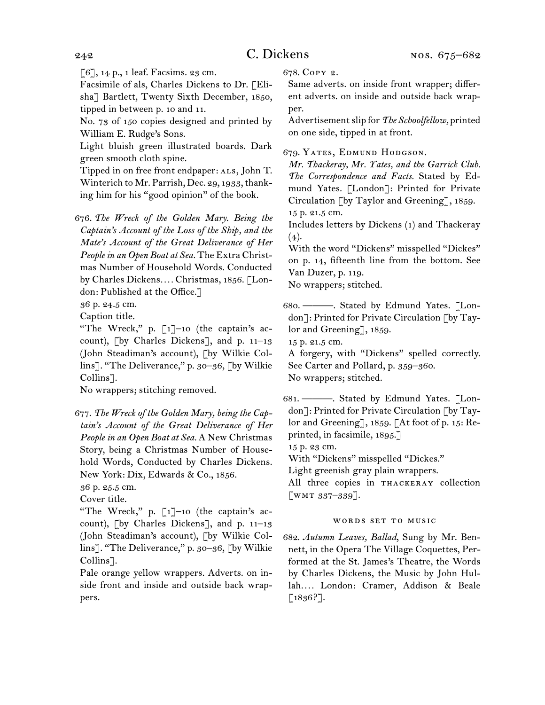[6], 14 p., 1 leaf. Facsims. 23 cm.

Facsimile of als, Charles Dickens to Dr. [Elisha] Bartlett, Twenty Sixth December, 1850, tipped in between p. 10 and 11.

No. 73 of 150 copies designed and printed by William E. Rudge's Sons.

Light bluish green illustrated boards. Dark green smooth cloth spine.

Tipped in on free front endpaper: ALS, John T. Winterich to Mr. Parrish, Dec. 29, 1933, thanking him for his "good opinion" of the book.

676.  *The Wreck of the Golden Mary. Being the Captain's Account of the Loss of the Ship, and the Mate's Account of the Great Deliverance of Her People in an Open Boat at Sea.* The Extra Christmas Number of Household Words. Conducted by Charles Dickens*. . . .* Christmas, 1856. [London: Published at the Office.]

36 p. 24.5 cm.

Caption title.

"The Wreck," p. [1]–10 (the captain's account), [by Charles Dickens], and p. 11–13 (John Steadiman's account), [by Wilkie Collins]. "The Deliverance," p. 30–36, [by Wilkie Collins<sup>7</sup>.

No wrappers; stitching removed.

677.  *The Wreck of the Golden Mary, being the Captain's Account of the Great Deliverance of Her People in an Open Boat at Sea.* A New Christmas Story, being a Christmas Number of Household Words, Conducted by Charles Dickens. New York: Dix, Edwards & Co., 1856.

36 p. 25.5 cm.

Cover title.

"The Wreck," p. [1]–10 (the captain's account), [by Charles Dickens], and p. 11–13 (John Steadiman's account), [by Wilkie Collins]. "The Deliverance," p. 30–36, [by Wilkie Collins<sup>7</sup>.

Pale orange yellow wrappers. Adverts. on inside front and inside and outside back wrappers.

678.  Copy 2.

Same adverts. on inside front wrapper; different adverts. on inside and outside back wrapper.

Advertisementslip for *The Schoolfellow,* printed on one side, tipped in at front.

### 679.  Yates, Edmund Hodgson.

*Mr. Thackeray, Mr. Yates, and the Garrick Club. The Correspondence and Facts.* Stated by Edmund Yates. [London]: Printed for Private Circulation [by Taylor and Greening], 1859. 15 p. 21.5 cm.

Includes letters by Dickens (1) and Thackeray  $(4).$ 

With the word "Dickens" misspelled "Dickes" on p. 14, fifteenth line from the bottom. See Van Duzer, p. 119.

No wrappers; stitched.

680.  ———. Stated by Edmund Yates. [London]: Printed for Private Circulation [by Taylor and Greening], 1859.

15 p. 21.5 cm.

A forgery, with "Dickens" spelled correctly. See Carter and Pollard, p. 359–360. No wrappers; stitched.

681.  ———. Stated by Edmund Yates. [London]: Printed for Private Circulation [by Taylor and Greening], 1859. [At foot of p. 15: Reprinted, in facsimile, 1895.]

15 p. 23 cm.

With "Dickens" misspelled "Dickes."

Light greenish gray plain wrappers.

All three copies in thackeray collection [wmt 337–339].

#### words set to music

682.  *Autumn Leaves, Ballad*, Sung by Mr. Bennett, in the Opera The Village Coquettes, Performed at the St. James's Theatre, the Words by Charles Dickens, the Music by John Hullah*. . . .* London: Cramer, Addison & Beale [1836?].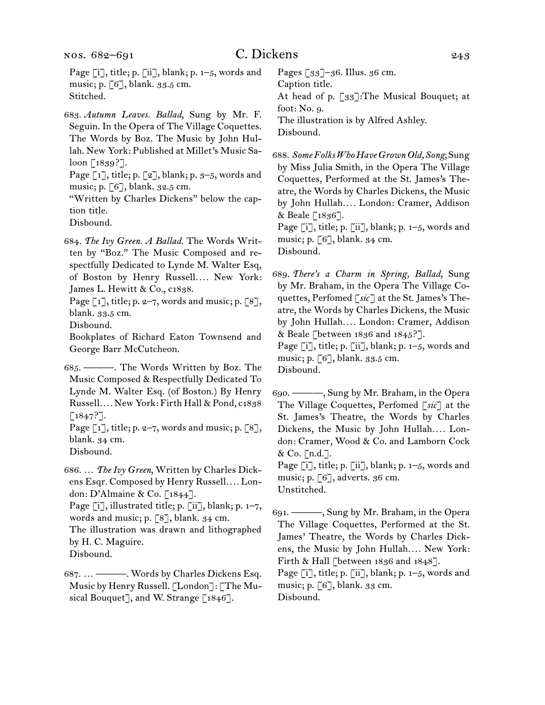Page [i], title; p. [ii], blank; p. 1-5, words and music; p. [6], blank. 33.5 cm. Stitched.

683.  *Autumn Leaves. Ballad*, Sung by Mr. F. Seguin. In the Opera of The Village Coquettes. The Words by Boz. The Music by John Hullah. New York: Published at Millet's Music Saloon [1839?].

Page [1], title; p. [2], blank; p. 3-5, words and music; p. [6], blank. 32.5 cm.

"Written by Charles Dickens" below the caption title.

Disbound.

684.  *The Ivy Green. A Ballad.* The Words Written by "Boz." The Music Composed and respectfully Dedicated to Lynde M. Walter Esq, of Boston by Henry Russell*. . . .* New York: James L. Hewitt & Co., c1838.

Page  $\lceil 1 \rceil$ , title; p. 2–7, words and music; p.  $\lceil 8 \rceil$ , blank. 33.5 cm.

Disbound.

Bookplates of Richard Eaton Townsend and George Barr McCutcheon.

685.  ———. The Words Written by Boz. The Music Composed & Respectfully Dedicated To Lynde M. Walter Esq. (of Boston.) By Henry Russell*. . . .* New York: Firth Hall & Pond, c1838  $[1847?].$ 

Page  $\lceil 1 \rceil$ , title; p. 2–7, words and music; p.  $\lceil 8 \rceil$ , blank. 34 cm.

Disbound.

686.  … *The Ivy Green*, Written by Charles Dickens Esqr. Composed by Henry Russell*. . . .* London: D'Almaine & Co. [1844].

Page  $[i]$ , illustrated title; p.  $[i]$ , blank; p.  $1-7$ , words and music; p. [8], blank. 34 cm.

The illustration was drawn and lithographed by H. C. Maguire. Disbound.

687.  … ———. Words by Charles Dickens Esq. Music by Henry Russell. [London]: [The Musical Bouquet], and W. Strange  $\lceil 1846 \rceil$ .

Pages [33]–36. Illus. 36 cm. Caption title. At head of p. [33]: The Musical Bouquet; at foot: No. 9. The illustration is by Alfred Ashley. Disbound.

688.  *Some Folks Who Have Grown Old, Song*,Sung by Miss Julia Smith, in the Opera The Village Coquettes, Performed at the St. James's Theatre, the Words by Charles Dickens, the Music by John Hullah*. . . .* London: Cramer, Addison & Beale [1836].

Page  $[i]$ , title; p.  $[i]$ , blank; p.  $1-5$ , words and music; p. [6], blank. 34 cm. Disbound.

689.  *There's a Charm in Spring, Ballad*, Sung by Mr. Braham, in the Opera The Village Coquettes, Perfomed [*sic*] at the St. James's Theatre, the Words by Charles Dickens, the Music by John Hullah*. . . .* London: Cramer, Addison & Beale [between 1836 and 1845?]. Page  $[i]$ , title; p.  $[i]$ , blank; p.  $1-5$ , words and

music; p. [6], blank. 33.5 cm. Disbound.

690.  ———, Sung by Mr. Braham, in the Opera The Village Coquettes, Perfomed [*sic*] at the St. James's Theatre, the Words by Charles Dickens, the Music by John Hullah.... London: Cramer, Wood & Co. and Lamborn Cock & Co. [n.d.].

Page  $[i]$ , title; p.  $[i]$ , blank; p.  $1-5$ , words and music; p.  $\lceil 6 \rceil$ , adverts. 36 cm. Unstitched.

691.  ———, Sung by Mr. Braham, in the Opera The Village Coquettes, Performed at the St. James' Theatre, the Words by Charles Dickens, the Music by John Hullah*. . . .* New York: Firth & Hall [between 1836 and 1848]. Page [i], title; p. [ii], blank; p. 1-5, words and

music; p. [6], blank. 33 cm.

Disbound.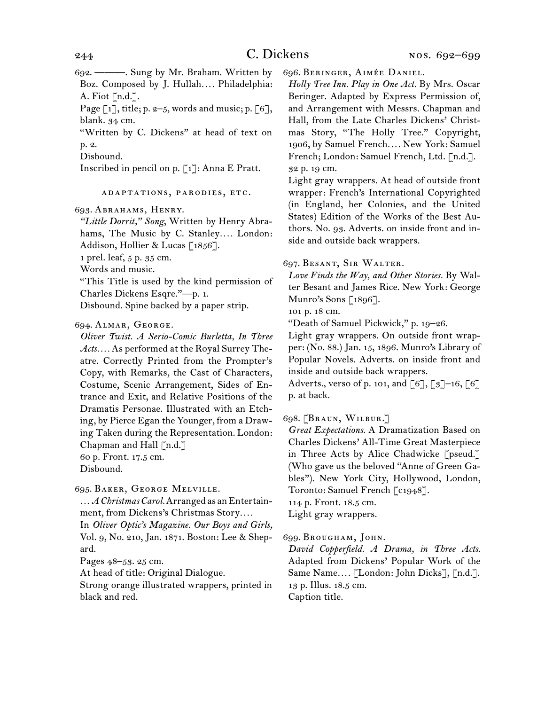692.  ———. Sung by Mr. Braham. Written by Boz. Composed by J. Hullah*. . . .* Philadelphia: A. Fiot  $\lceil n.d.\rceil$ .

Page  $\lceil 1 \rceil$ , title; p. 2–5, words and music; p.  $\lceil 6 \rceil$ , blank. 34 cm.

"Written by C. Dickens" at head of text on p. 2.

Disbound.

Inscribed in pencil on p. [1]: Anna E Pratt.

adaptations, parodies, etc.

693.  Abrahams, Henry.

*"Little Dorrit," Song*, Written by Henry Abrahams, The Music by C. Stanley.... London: Addison, Hollier & Lucas [1856].

1 prel. leaf, 5 p. 35 cm.

Words and music.

"This Title is used by the kind permission of Charles Dickens Esqre."—p. 1.

Disbound. Spine backed by a paper strip.

#### 694.  Almar, George.

*Oliver Twist. A Serio-Comic Burletta, In Three Acts. . . .* As performed at the Royal Surrey Theatre. Correctly Printed from the Prompter's Copy, with Remarks, the Cast of Characters, Costume, Scenic Arrangement, Sides of Entrance and Exit, and Relative Positions of the Dramatis Personae. Illustrated with an Etching, by Pierce Egan the Younger, from a Drawing Taken during the Representation. London: Chapman and Hall [n.d.] 60 p. Front. 17.5 cm.

Disbound.

## 695.  Baker, George Melville.

... *A Christmas Carol.* Arranged as an Entertainment, from Dickens's Christmas Story*. . . .* In *Oliver Optic's Magazine. Our Boys and Girls,*  Vol. 9, No. 210, Jan. 1871. Boston: Lee & Shepard.

Pages 48–53. 25 cm.

At head of title: Original Dialogue.

Strong orange illustrated wrappers, printed in black and red.

696. BERINGER, AIMÉE DANIEL.

*Holly Tree Inn. Play in One Act.* By Mrs. Oscar Beringer. Adapted by Express Permission of, and Arrangement with Messrs. Chapman and Hall, from the Late Charles Dickens' Christmas Story, "The Holly Tree." Copyright, 1906, by Samuel French*. . . .* New York: Samuel French; London: Samuel French, Ltd. [n.d.]. 32 p. 19 cm.

Light gray wrappers. At head of outside front wrapper: French's International Copyrighted (in England, her Colonies, and the United States) Edition of the Works of the Best Authors. No. 93. Adverts. on inside front and inside and outside back wrappers.

### 697.  Besant, Sir Walter.

*Love Finds the Way, and Other Stories.* By Walter Besant and James Rice. New York: George Munro's Sons [1896].

101 p. 18 cm.

"Death of Samuel Pickwick," p. 19–26.

Light gray wrappers. On outside front wrapper: (No. 88.) Jan. 15, 1896. Munro's Library of Popular Novels. Adverts. on inside front and inside and outside back wrappers.

Adverts., verso of p. 101, and  $\lceil 6 \rceil$ ,  $\lceil 3 \rceil$ –16,  $\lceil 6 \rceil$ p. at back.

## 698.  [Braun, Wilbur.]

*Great Expectations.* A Dramatization Based on Charles Dickens' All-Time Great Masterpiece in Three Acts by Alice Chadwicke [pseud.] (Who gave us the beloved "Anne of Green Gables"). New York City, Hollywood, London, Toronto: Samuel French [c1948].

114 p. Front. 18.5 cm.

Light gray wrappers.

## 699.  Brougham, John.

*David Copperfield. A Drama, in Three Acts.*  Adapted from Dickens' Popular Work of the Same Name*. . . .* [London: John Dicks], [n.d.]. 13 p. Illus. 18.5 cm. Caption title.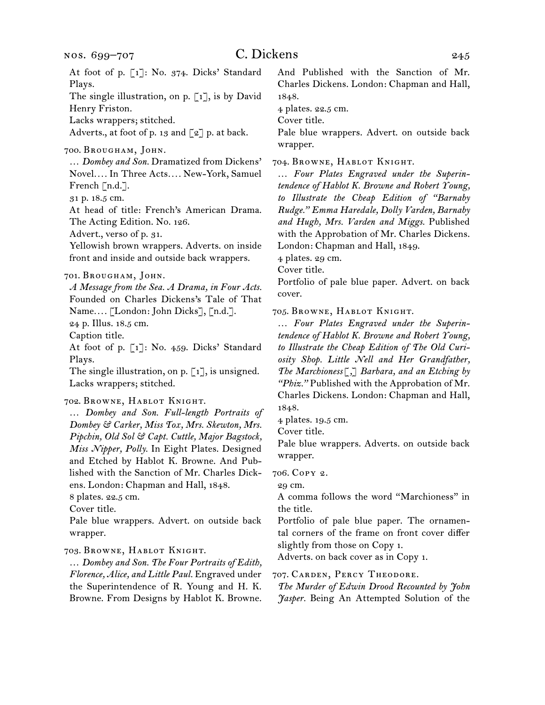At foot of p. [1]: No. 374. Dicks' Standard Plays. The single illustration, on p. [1], is by David Henry Friston. Lacks wrappers; stitched. Adverts., at foot of p. 13 and  $\lceil 2 \rceil$  p. at back. 700.  Brougham, John. … *Dombey and Son.* Dramatized from Dickens' Novel*. . . .* In Three Acts*. . . .* New-York, Samuel French [n.d.]. 31 p. 18.5 cm. At head of title: French's American Drama. The Acting Edition. No. 126. Advert., verso of p. 31.

Yellowish brown wrappers. Adverts. on inside front and inside and outside back wrappers.

*A Message from the Sea. A Drama, in Four Acts.* Founded on Charles Dickens's Tale of That Name*. . . .* [London: John Dicks], [n.d.].

24 p. Illus. 18.5 cm.

Caption title.

At foot of p. [1]: No. 459. Dicks' Standard Plays.

The single illustration, on p. [1], is unsigned. Lacks wrappers; stitched.

702.  Browne, Hablot Knight.

… *Dombey and Son. Full-length Portraits of Dombey & Carker, Miss Tox, Mrs. Skewton, Mrs. Pipchin, Old Sol & Capt. Cuttle, Major Bagstock, Miss Nipper, Polly.* In Eight Plates. Designed and Etched by Hablot K. Browne. And Published with the Sanction of Mr. Charles Dickens. London: Chapman and Hall, 1848.

8 plates. 22.5 cm.

Cover title.

Pale blue wrappers. Advert. on outside back wrapper.

703.  Browne, Hablot Knight.

… *Dombey and Son. The Four Portraits of Edith, Florence, Alice, and Little Paul.* Engraved under the Superintendence of R. Young and H. K. Browne. From Designs by Hablot K. Browne. And Published with the Sanction of Mr. Charles Dickens. London: Chapman and Hall, 1848.

4 plates. 22.5 cm.

Cover title.

Pale blue wrappers. Advert. on outside back wrapper.

704.  Browne, Hablot Knight.

… *Four Plates Engraved under the Superintendence of Hablot K. Browne and Robert Young, to Illustrate the Cheap Edition of "Barnaby Rudge." Emma Haredale, Dolly Varden, Barnaby and Hugh, Mrs. Varden and Miggs.* Published with the Approbation of Mr. Charles Dickens. London: Chapman and Hall, 1849.

4 plates. 29 cm.

Cover title.

Portfolio of pale blue paper. Advert. on back cover.

705.  Browne, Hablot Knight.

… *Four Plates Engraved under the Superintendence of Hablot K. Browne and Robert Young, to Illustrate the Cheap Edition of The Old Curiosity Shop. Little Nell and Her Grandfather, The Marchioness*[*,*] *Barbara, and an Etching by "Phiz."* Published with the Approbation of Mr. Charles Dickens. London: Chapman and Hall, 1848.

4 plates. 19.5 cm.

Cover title.

Pale blue wrappers. Adverts. on outside back wrapper.

706.  Copy 2.

29 cm.

A comma follows the word "Marchioness" in the title.

Portfolio of pale blue paper. The ornamental corners of the frame on front cover differ slightly from those on Copy 1.

Adverts. on back cover as in Copy 1.

707.  Carden, Percy Theodore.

*The Murder of Edwin Drood Recounted by John Jasper.* Being An Attempted Solution of the

<sup>701.</sup>Brougham, John.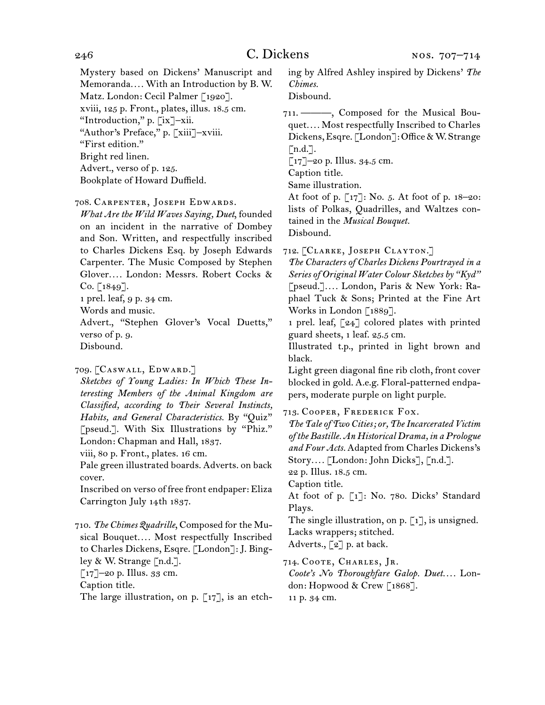Mystery based on Dickens' Manuscript and Memoranda*. . . .* With an Introduction by B. W. Matz. London: Cecil Palmer [1920]. xviii, 125 p. Front., plates, illus. 18.5 cm. "Introduction," p. [ix]–xii. "Author's Preface," p. [xiii]–xviii. "First edition." Bright red linen. Advert., verso of p. 125. Bookplate of Howard Duffield.

708.  Carpenter, Joseph Edwards.

*What Are the Wild Waves Saying, Duet*, founded on an incident in the narrative of Dombey and Son. Written, and respectfully inscribed to Charles Dickens Esq. by Joseph Edwards Carpenter. The Music Composed by Stephen Glover*. . . .* London: Messrs. Robert Cocks &  $Co. [1849].$ 

1 prel. leaf, 9 p. 34 cm.

Words and music.

Advert., "Stephen Glover's Vocal Duetts," verso of p. 9. Disbound.

709.  [Caswall, Edward.]

*Sketches of Young Ladies: In Which These Interesting Members of the Animal Kingdom are Classified, according to Their Several Instincts, Habits, and General Characteristics.* By "Quiz" [pseud.]. With Six Illustrations by "Phiz." London: Chapman and Hall, 1837.

viii, 80 p. Front., plates. 16 cm.

Pale green illustrated boards. Adverts. on back cover.

Inscribed on verso of free front endpaper: Eliza Carrington July 14th 1837.

710. *The Chimes Quadrille*, Composed forthe Musical Bouquet*. . . .* Most respectfully Inscribed to Charles Dickens, Esqre. [London]: J. Bingley & W. Strange [n.d.].  $\lceil 17 \rceil$ –20 p. Illus. 33 cm. Caption title.

The large illustration, on p. [17], is an etch-

ing by Alfred Ashley inspired by Dickens' *The Chimes.*

Disbound.

711.  ———, Composed for the Musical Bouquet*. . . .* Most respectfully Inscribed to Charles Dickens, Esqre. [London]: Office & W. Strange  $\lceil$ n.d.].

[17]–20 p. Illus. 34.5 cm.

Caption title.

Same illustration.

At foot of p. [17]: No. 5. At foot of p. 18–20: lists of Polkas, Quadrilles, and Waltzes contained in the *Musical Bouquet.* Disbound.

712.  [Clarke, Joseph Clayton.]

*The Characters of Charles Dickens Pourtrayed in a Series of Original Water Colour Sketches by "Kyd"* [pseud.]*. . . .* London, Paris & New York: Raphael Tuck & Sons; Printed at the Fine Art Works in London [1889].

1 prel. leaf, [24] colored plates with printed guard sheets, 1 leaf. 25.5 cm.

Illustrated t.p., printed in light brown and black.

Light green diagonal fine rib cloth, front cover blocked in gold. A.e.g. Floral-patterned endpapers, moderate purple on light purple.

713.  Cooper, Frederick Fox.

*The Tale of Two Cities; or, The Incarcerated Victim of the Bastille. An Historical Drama, in a Prologue and Four Acts.* Adapted from Charles Dickens's Story*. . . .* [London: John Dicks], [n.d.].

22 p. Illus. 18.5 cm.

Caption title.

At foot of p. [1]: No. 780. Dicks' Standard Plays.

The single illustration, on p.  $\lceil 1 \rceil$ , is unsigned. Lacks wrappers; stitched.

Adverts., [2] p. at back.

714.  Coote, Charles, Jr.

*Coote's No Thoroughfare Galop. Duet. . . .* London: Hopwood & Crew [1868]. 11 p. 34 cm.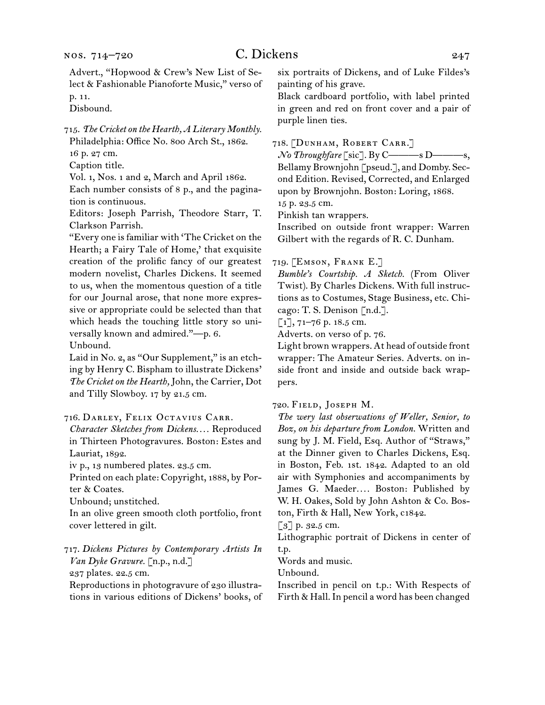Advert., "Hopwood & Crew's New List of Select & Fashionable Pianoforte Music," verso of p. 11.

Disbound.

715.  *The Cricket on the Hearth, A Literary Monthly.*

Philadelphia: Office No. 800 Arch St., 1862.

16 p. 27 cm. Caption title.

Vol. 1, Nos. 1 and 2, March and April 1862.

Each number consists of 8 p., and the pagination is continuous.

Editors: Joseph Parrish, Theodore Starr, T. Clarkson Parrish.

"Every one isfamiliar with 'The Cricket on the Hearth; a Fairy Tale of Home,' that exquisite creation of the prolific fancy of our greatest modern novelist, Charles Dickens. It seemed to us, when the momentous question of a title for our Journal arose, that none more expressive or appropriate could be selected than that which heads the touching little story so universally known and admired."—p. 6.

Unbound.

Laid in No. 2, as "Our Supplement," is an etching by Henry C. Bispham to illustrate Dickens' *The Cricket on the Hearth,* John, the Carrier, Dot and Tilly Slowboy. 17 by 21.5 cm.

716.  Darley, Felix Octavius Carr.

*Character Sketches from Dickens. . . .* Reproduced in Thirteen Photogravures. Boston: Estes and Lauriat, 1892.

iv p., 13 numbered plates. 23.5 cm.

Printed on each plate: Copyright, 1888, by Porter & Coates.

Unbound; unstitched.

In an olive green smooth cloth portfolio, front cover lettered in gilt.

717.  *Dickens Pictures by Contemporary Artists In Van Dyke Gravure.* [n.p., n.d.]

237 plates. 22.5 cm.

Reproductions in photogravure of 230 illustrations in various editions of Dickens' books, of six portraits of Dickens, and of Luke Fildes's painting of his grave.

Black cardboard portfolio, with label printed in green and red on front cover and a pair of purple linen ties.

## 718.  [Dunham, Robert Carr.]

*No Throughfare* [sic]. By C———s D———s, Bellamy Brownjohn [pseud.], and Domby. Second Edition. Revised, Corrected, and Enlarged upon by Brownjohn. Boston: Loring, 1868. 15 p. 23.5 cm.

Pinkish tan wrappers.

Inscribed on outside front wrapper: Warren Gilbert with the regards of R. C. Dunham.

#### 719.  [Emson, Frank E.]

*Bumble's Courtship. A Sketch.* (From Oliver Twist). By Charles Dickens. With full instructions as to Costumes, Stage Business, etc. Chicago: T. S. Denison [n.d.].

 $[1]$ , 71-76 p. 18.5 cm.

Adverts. on verso of p. 76.

Light brown wrappers. At head of outside front wrapper: The Amateur Series. Adverts. on inside front and inside and outside back wrappers.

720.  Field, Joseph M.

*The wery last obserwations of Weller, Senior, to Boz, on his departure from London.* Written and sung by J. M. Field, Esq. Author of "Straws," at the Dinner given to Charles Dickens, Esq. in Boston, Feb. 1st. 1842. Adapted to an old air with Symphonies and accompaniments by James G. Maeder.... Boston: Published by W. H. Oakes, Sold by John Ashton & Co. Boston, Firth & Hall, New York, c1842.

[3] p. 32.5 cm.

Lithographic portrait of Dickens in center of t.p.

Words and music.

Unbound.

Inscribed in pencil on t.p.: With Respects of Firth & Hall. In pencil a word has been changed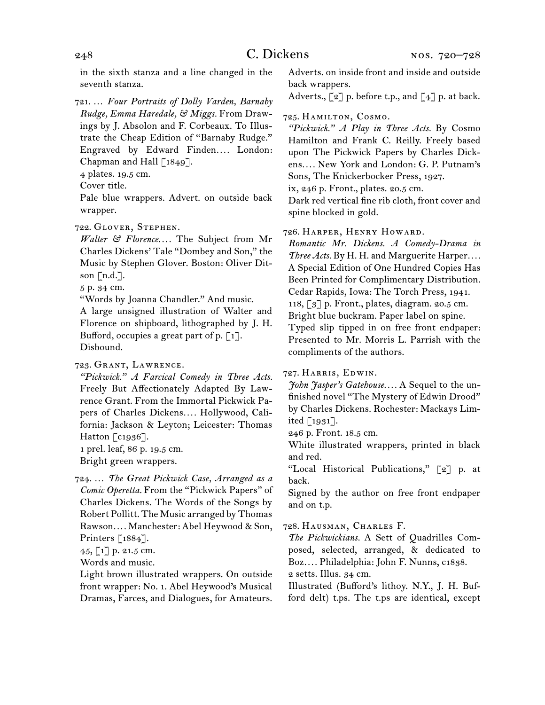in the sixth stanza and a line changed in the seventh stanza.

721.  … *Four Portraits of Dolly Varden, Barnaby Rudge, Emma Haredale, & Miggs.* From Drawings by J. Absolon and F. Corbeaux. To Illustrate the Cheap Edition of "Barnaby Rudge." Engraved by Edward Finden*. . . .* London: Chapman and Hall  $\lceil 1849 \rceil$ .

4 plates. 19.5 cm.

Cover title.

Pale blue wrappers. Advert. on outside back wrapper.

722.  Glover, Stephen.

*Walter & Florence. . . .* The Subject from Mr Charles Dickens' Tale "Dombey and Son," the Music by Stephen Glover. Boston: Oliver Ditson  $\lceil n.d.\rceil$ .

5 p. 34 cm.

"Words by Joanna Chandler." And music.

A large unsigned illustration of Walter and Florence on shipboard, lithographed by J. H. Bufford, occupies a great part of p.  $\lceil 1 \rceil$ . Disbound.

723.  Grant, Lawrence.

*"Pickwick." A Farcical Comedy in Three Acts.*  Freely But Affectionately Adapted By Lawrence Grant. From the Immortal Pickwick Papers of Charles Dickens*. . . .* Hollywood, California: Jackson & Leyton; Leicester: Thomas Hatton [c1936].

1 prel. leaf, 86 p. 19.5 cm.

Bright green wrappers.

724.  … *The Great Pickwick Case, Arranged as a Comic Operetta.* From the "Pickwick Papers" of Charles Dickens. The Words of the Songs by Robert Pollitt. The Music arranged by Thomas Rawson*. . . .* Manchester: Abel Heywood & Son, Printers [1884].

 $45, 1$ ] p. 21.5 cm.

Words and music.

Light brown illustrated wrappers. On outside front wrapper: No. 1. Abel Heywood's Musical Dramas, Farces, and Dialogues, for Amateurs. Adverts. on inside front and inside and outside back wrappers.

Adverts.,  $\lbrack 2 \rbrack$  p. before t.p., and  $\lbrack 4 \rbrack$  p. at back.

#### 725.  Hamilton, Cosmo.

*"Pickwick." A Play in Three Acts.* By Cosmo Hamilton and Frank C. Reilly. Freely based upon The Pickwick Papers by Charles Dickens*. . . .* New York and London: G. P. Putnam's Sons, The Knickerbocker Press, 1927.

ix, 246 p. Front., plates. 20.5 cm.

Dark red vertical fine rib cloth, front cover and spine blocked in gold.

726.  Harper, Henry Howard.

*Romantic Mr. Dickens. A Comedy-Drama in Three Acts.* By H. H. and Marguerite Harper*. . . .* A Special Edition of One Hundred Copies Has Been Printed for Complimentary Distribution. Cedar Rapids, Iowa: The Torch Press, 1941. 118, [3] p. Front., plates, diagram. 20.5 cm. Bright blue buckram. Paper label on spine. Typed slip tipped in on free front endpaper: Presented to Mr. Morris L. Parrish with the compliments of the authors.

#### 727.  Harris, Edwin.

*John Jasper's Gatehouse. . . .* A Sequel to the unfinished novel "The Mystery of Edwin Drood" by Charles Dickens. Rochester: Mackays Limited [1931].

246 p. Front. 18.5 cm.

White illustrated wrappers, printed in black and red.

"Local Historical Publications," [2] p. at back.

Signed by the author on free front endpaper and on t.p.

728.  Hausman, Charles F.

*The Pickwickians.* A Sett of Quadrilles Composed, selected, arranged, & dedicated to Boz*. . . .* Philadelphia: John F. Nunns, c1838.

2 setts. Illus. 34 cm.

Illustrated (Bufford's lithoy. N.Y., J. H. Bufford delt) t.ps. The t.ps are identical, except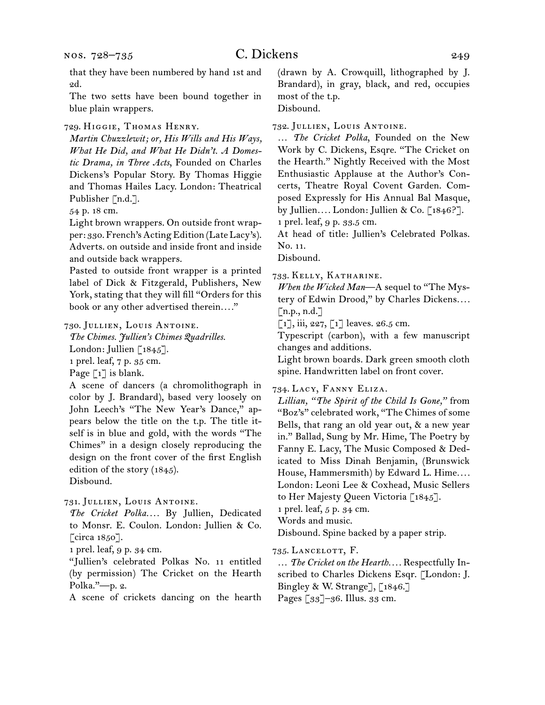2d.

The two setts have been bound together in blue plain wrappers.

729.  Higgie, Thomas Henry.

*Martin Chuzzlewit; or, His Wills and His Ways, What He Did, and What He Didn't. A Domestic Drama, in Three Acts*, Founded on Charles Dickens's Popular Story. By Thomas Higgie and Thomas Hailes Lacy. London: Theatrical Publisher [n.d.].

54 p. 18 cm.

Light brown wrappers. On outside front wrapper: 330. French's Acting Edition (Late Lacy's). Adverts. on outside and inside front and inside and outside back wrappers.

Pasted to outside front wrapper is a printed label of Dick & Fitzgerald, Publishers, New York, stating that they will fill "Orders for this book or any other advertised therein*. . . .*"

#### 730.  Jullien, Louis Antoine.

*The Chimes. Jullien's Chimes Quadrilles.*

London: Jullien [1845].

1 prel. leaf, 7 p. 35 cm.

Page [1] is blank.

A scene of dancers (a chromolithograph in color by J. Brandard), based very loosely on John Leech's "The New Year's Dance," appears below the title on the t.p. The title itself is in blue and gold, with the words "The Chimes" in a design closely reproducing the design on the front cover of the first English edition of the story (1845). Disbound.

731.  Jullien, Louis Antoine.

*The Cricket Polka. . . .* By Jullien, Dedicated to Monsr. E. Coulon. London: Jullien & Co. [circa 1850].

1 prel. leaf, 9 p. 34 cm.

"Jullien's celebrated Polkas No. 11 entitled (by permission) The Cricket on the Hearth Polka."—p. 2.

A scene of crickets dancing on the hearth

(drawn by A. Crowquill, lithographed by J. Brandard), in gray, black, and red, occupies most of the t.p.

Disbound.

732.  Jullien, Louis Antoine.

… *The Cricket Polka*, Founded on the New Work by C. Dickens, Esqre. "The Cricket on the Hearth." Nightly Received with the Most Enthusiastic Applause at the Author's Concerts, Theatre Royal Covent Garden. Composed Expressly for His Annual Bal Masque, by Jullien*. . . .* London: Jullien & Co. [1846?]. 1 prel. leaf, 9 p. 33.5 cm.

At head of title: Jullien's Celebrated Polkas. No. 11.

Disbound.

733.  Kelly, Katharine.

*When the Wicked Man*—A sequel to "The Mystery of Edwin Drood," by Charles Dickens*. . . .*  $\lceil$ n.p., n.d.]

 $[1]$ , iii, 227,  $[1]$  leaves. 26.5 cm.

Typescript (carbon), with a few manuscript changes and additions.

Light brown boards. Dark green smooth cloth spine. Handwritten label on front cover.

734.  Lacy, Fanny Eliza.

*Lillian, "The Spirit of the Child Is Gone,"* from "Boz's" celebrated work, "The Chimes of some Bells, that rang an old year out, & a new year in." Ballad, Sung by Mr. Hime, The Poetry by Fanny E. Lacy, The Music Composed & Dedicated to Miss Dinah Benjamin, (Brunswick House, Hammersmith) by Edward L. Hime*. . . .* London: Leoni Lee & Coxhead, Music Sellers to Her Majesty Queen Victoria [1845].

1 prel. leaf, 5 p. 34 cm.

Words and music.

Disbound. Spine backed by a paper strip.

735.  Lancelott, F.

… *The Cricket on the Hearth. . . .* Respectfully Inscribed to Charles Dickens Esqr. [London: J. Bingley & W. Strange], [1846.]

Pages [33]–36. Illus. 33 cm.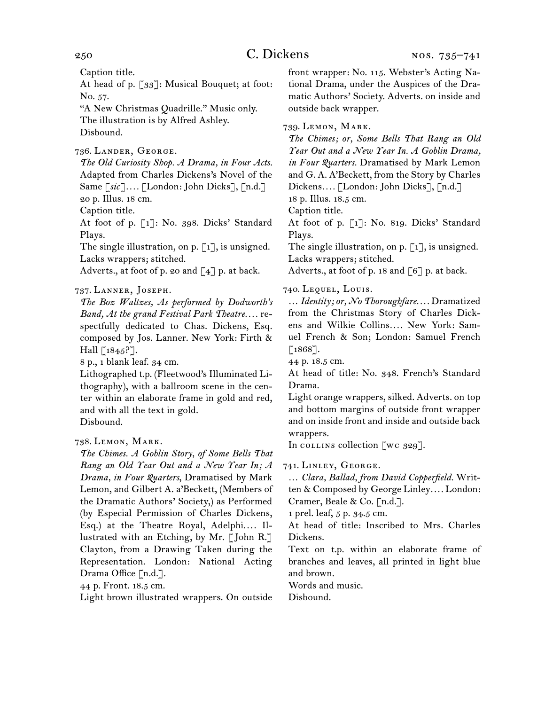Caption title.

At head of p. [33]: Musical Bouquet; at foot: No. 57.

"A New Christmas Quadrille." Music only. The illustration is by Alfred Ashley. Disbound.

736.  Lander, George.

*The Old Curiosity Shop. A Drama, in Four Acts.* Adapted from Charles Dickens's Novel of the Same [*sic*]*. . . .* [London: John Dicks], [n.d.] 20 p. Illus. 18 cm.

Caption title.

At foot of p. [1]: No. 398. Dicks' Standard Plays.

The single illustration, on p.  $\lceil 1 \rceil$ , is unsigned. Lacks wrappers; stitched.

Adverts., at foot of p. 20 and  $\lceil 4 \rceil$  p. at back.

737.  Lanner, Joseph.

*The Boz Waltzes, As performed by Dodworth's Band, At the grand Festival Park Theatre. . . .* respectfully dedicated to Chas. Dickens, Esq. composed by Jos. Lanner. New York: Firth & Hall  $\lceil 1845 \rceil$ .

8 p., 1 blank leaf. 34 cm.

Lithographed t.p. (Fleetwood's Illuminated Lithography), with a ballroom scene in the center within an elaborate frame in gold and red, and with all the text in gold. Disbound.

738.  Lemon, Mark.

*The Chimes. A Goblin Story, of Some Bells That Rang an Old Year Out and a New Year In; A Drama, in Four Quarters*, Dramatised by Mark Lemon, and Gilbert A. a'Beckett, (Members of the Dramatic Authors' Society,) as Performed (by Especial Permission of Charles Dickens, Esq.) at the Theatre Royal, Adelphi.... Illustrated with an Etching, by Mr. [ John R.] Clayton, from a Drawing Taken during the Representation. London: National Acting Drama Office [n.d.].

44 p. Front. 18.5 cm.

Light brown illustrated wrappers. On outside

front wrapper: No. 115. Webster's Acting National Drama, under the Auspices of the Dramatic Authors' Society. Adverts. on inside and outside back wrapper.

739.  Lemon, Mark.

*The Chimes; or, Some Bells That Rang an Old Year Out and a New Year In. A Goblin Drama, in Four Quarters.* Dramatised by Mark Lemon and G. A. A'Beckett, from the Story by Charles Dickens*. . . .* [London: John Dicks], [n.d.]

18 p. Illus. 18.5 cm.

Caption title.

At foot of p. [1]: No. 819. Dicks' Standard Plays.

The single illustration, on p.  $\lceil 1 \rceil$ , is unsigned. Lacks wrappers; stitched.

Adverts., at foot of p. 18 and  $\lceil 6 \rceil$  p. at back.

740.  Lequel, Louis.

… *Identity; or, No Thoroughfare. . . .* Dramatized from the Christmas Story of Charles Dickens and Wilkie Collins*. . . .* New York: Samuel French & Son; London: Samuel French  $[1868]$ .

44 p. 18.5 cm.

At head of title: No. 348. French's Standard Drama.

Light orange wrappers, silked. Adverts. on top and bottom margins of outside front wrapper and on inside front and inside and outside back wrappers.

In collins collection [wc 329].

741.  Linley, George.

… *Clara, Ballad, from David Copperfield.* Written & Composed by George Linley*. . . .* London: Cramer, Beale & Co. [n.d.].

1 prel. leaf, 5 p. 34.5 cm.

At head of title: Inscribed to Mrs. Charles Dickens.

Text on t.p. within an elaborate frame of branches and leaves, all printed in light blue and brown.

Words and music.

Disbound.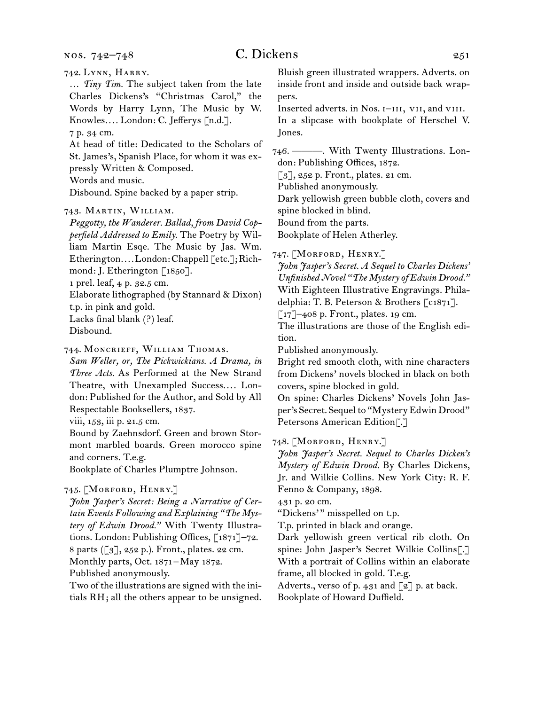nos. 742–748

# $C.$  Dickens  $251$

742.  Lynn, Harry.

… *Tiny Tim.* The subject taken from the late Charles Dickens's "Christmas Carol," the Words by Harry Lynn, The Music by W. Knowles*. . . .* London: C. Jefferys [n.d.].

7 p. 34 cm.

At head of title: Dedicated to the Scholars of St. James's, Spanish Place, for whom it was expressly Written & Composed.

Words and music.

Disbound. Spine backed by a paper strip.

## 743.  Martin, William.

*Peggotty, the Wanderer. Ballad, from David Copperfield Addressed to Emily.* The Poetry by William Martin Esqe. The Music by Jas. Wm. Etherington*. . . .*London:Chappell [etc.];Richmond: J. Etherington [1850].

1 prel. leaf, 4 p. 32.5 cm.

Elaborate lithographed (by Stannard & Dixon)

t.p. in pink and gold.

Lacks final blank (?) leaf.

Disbound.

## 744.  Moncrieff, William Thomas.

*Sam Weller, or, The Pickwickians. A Drama, in Three Acts.* As Performed at the New Strand Theatre, with Unexampled Success.... London: Published for the Author, and Sold by All Respectable Booksellers, 1837.

viii, 153, iii p. 21.5 cm.

Bound by Zaehnsdorf. Green and brown Stormont marbled boards. Green morocco spine and corners. T.e.g.

Bookplate of Charles Plumptre Johnson.

## 745.  [Morford, Henry.]

*John Jasper's Secret: Being a Narrative of Certain Events Following and Explaining "The Mystery of Edwin Drood."* With Twenty Illustrations. London: Publishing Offices, [1871]–72. 8 parts ([3], 252 p.). Front., plates. 22 cm. Monthly parts, Oct. 1871 – May 1872. Published anonymously.

Two of the illustrations are signed with the initials RH; all the others appear to be unsigned. Bluish green illustrated wrappers. Adverts. on inside front and inside and outside back wrappers.

Inserted adverts. in Nos. I-III, VII, and VIII. In a slipcase with bookplate of Herschel V. Jones.

746.  ———. With Twenty Illustrations. London: Publishing Offices, 1872.

 $\lceil 3 \rceil$ , 252 p. Front., plates. 21 cm.

Published anonymously.

Dark yellowish green bubble cloth, covers and spine blocked in blind.

Bound from the parts.

Bookplate of Helen Atherley.

747.  [Morford, Henry.]

*John Jasper's Secret. A Sequel to Charles Dickens' Unfinished Novel "The Mystery of Edwin Drood."* With Eighteen Illustrative Engravings. Philadelphia: T. B. Peterson & Brothers [c1871].

 $\lceil 17 \rceil$ –408 p. Front., plates. 19 cm.

The illustrations are those of the English edition.

Published anonymously.

Bright red smooth cloth, with nine characters from Dickens' novels blocked in black on both covers, spine blocked in gold.

On spine: Charles Dickens' Novels John Jasper's Secret. Sequel to "Mystery Edwin Drood" Petersons American Edition[.]

748.  [Morford, Henry.]

*John Jasper's Secret. Sequel to Charles Dicken's Mystery of Edwin Drood.* By Charles Dickens, Jr. and Wilkie Collins. New York City: R. F. Fenno & Company, 1898.

431 p. 20 cm.

"Dickens'" misspelled on t.p.

T.p. printed in black and orange.

Dark yellowish green vertical rib cloth. On spine: John Jasper's Secret Wilkie Collins[.] With a portrait of Collins within an elaborate frame, all blocked in gold. T.e.g.

Adverts., verso of p. 431 and [2] p. at back. Bookplate of Howard Duffield.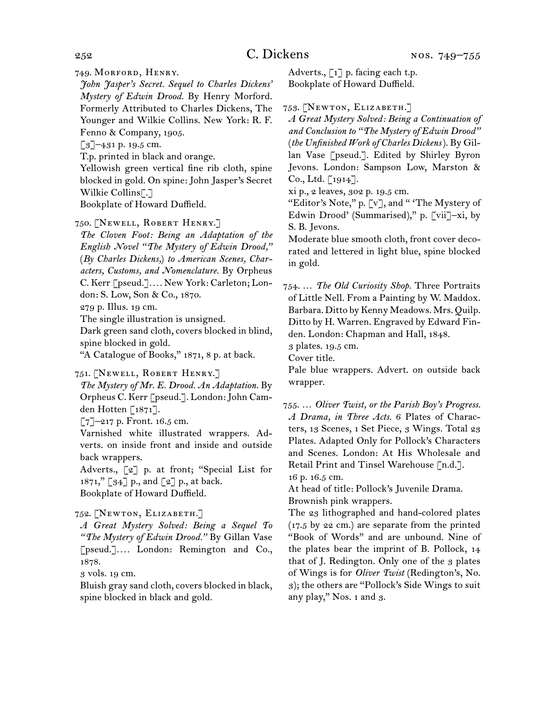749.  Morford, Henry.

*John Jasper's Secret. Sequel to Charles Dickens' Mystery of Edwin Drood.* By Henry Morford. Formerly Attributed to Charles Dickens, The Younger and Wilkie Collins. New York: R. F. Fenno & Company, 1905.

[3]-431 p. 19.5 cm.

T.p. printed in black and orange.

Yellowish green vertical fine rib cloth, spine blocked in gold. On spine: John Jasper's Secret Wilkie Collins[.]

Bookplate of Howard Duffield.

750.  [Newell, Robert Henry.]

*The Cloven Foot: Being an Adaptation of the English Novel "The Mystery of Edwin Drood,"*  (*By Charles Dickens,*) *to American Scenes, Characters, Customs, and Nomenclature.* By Orpheus C. Kerr [pseud.]*. . . .* New York: Carleton; Lon-

don: S. Low, Son & Co., 1870.

279 p. Illus. 19 cm.

The single illustration is unsigned.

Dark green sand cloth, covers blocked in blind, spine blocked in gold.

"A Catalogue of Books," 1871, 8 p. at back.

751.  [Newell, Robert Henry.]

*The Mystery of Mr. E. Drood. An Adaptation.* By Orpheus C. Kerr [pseud.]. London:John Camden Hotten [1871].

 $[7]$ –217 p. Front. 16.5 cm.

Varnished white illustrated wrappers. Adverts. on inside front and inside and outside back wrappers.

Adverts., [2] p. at front; "Special List for 1871," [34] p., and [2] p., at back.

Bookplate of Howard Duffield.

752.  [Newton, Elizabeth.]

*A Great Mystery Solved: Being a Sequel To "The Mystery of Edwin Drood."* By Gillan Vase [pseud.]*. . . .* London: Remington and Co., 1878.

3 vols. 19 cm.

Bluish gray sand cloth, covers blocked in black, spine blocked in black and gold.

Adverts., [1] p. facing each t.p. Bookplate of Howard Duffield.

753.  [Newton, Elizabeth.]

*A Great Mystery Solved: Being a Continuation of and Conclusion to "The Mystery of Edwin Drood"*  (*the Unfinished Work of Charles Dickens*). By Gillan Vase [pseud.]. Edited by Shirley Byron Jevons. London: Sampson Low, Marston & Co., Ltd. [1914].

xi p., 2 leaves, 302 p. 19.5 cm.

"Editor's Note," p. [v], and " 'The Mystery of Edwin Drood' (Summarised)," p. [vii]–xi, by S. B. Jevons.

Moderate blue smooth cloth, front cover decorated and lettered in light blue, spine blocked in gold.

754.  … *The Old Curiosity Shop.* Three Portraits of Little Nell. From a Painting by W. Maddox. Barbara. Ditto by Kenny Meadows. Mrs. Quilp. Ditto by H. Warren. Engraved by Edward Finden. London: Chapman and Hall, 1848.

3 plates. 19.5 cm.

Cover title.

Pale blue wrappers. Advert. on outside back wrapper.

755.  … *Oliver Twist, or the Parish Boy's Progress. A Drama, in Three Acts.* 6 Plates of Characters, 13 Scenes, 1 Set Piece, 3 Wings. Total 23 Plates. Adapted Only for Pollock's Characters and Scenes. London: At His Wholesale and Retail Print and Tinsel Warehouse [n.d.].

16 p. 16.5 cm.

At head of title: Pollock's Juvenile Drama. Brownish pink wrappers.

The 23 lithographed and hand-colored plates (17.5 by 22 cm.) are separate from the printed "Book of Words" and are unbound. Nine of the plates bear the imprint of B. Pollock, 14 that of J. Redington. Only one of the 3 plates of Wings is for *Oliver Twist* (Redington's, No. 3); the others are "Pollock's Side Wings to suit any play," Nos. 1 and 3.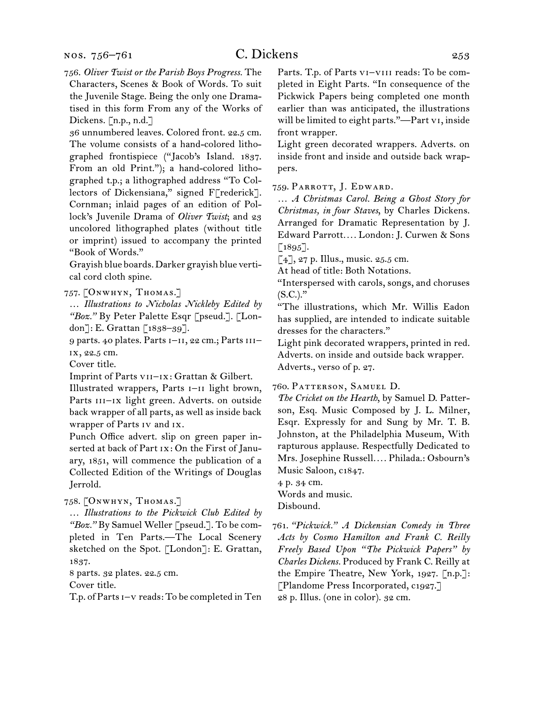#### nos. 756–761

756.  *Oliver Twist or the Parish Boys Progress.* The Characters, Scenes & Book of Words. To suit the Juvenile Stage. Being the only one Dramatised in this form From any of the Works of Dickens. [n.p., n.d.]

36 unnumbered leaves. Colored front. 22.5 cm. The volume consists of a hand-colored lithographed frontispiece ("Jacob's Island. 1837. From an old Print."); a hand-colored lithographed t.p.; a lithographed address "To Collectors of Dickensiana," signed F[rederick]. Cornman; inlaid pages of an edition of Pollock's Juvenile Drama of *Oliver Twist*; and 23 uncolored lithographed plates (without title or imprint) issued to accompany the printed "Book of Words."

Grayish blue boards.Darker grayish blue vertical cord cloth spine.

757.  [Onwhyn, Thomas.]

… *Illustrations to Nicholas Nickleby Edited by "Boz."* By Peter Palette Esqr [pseud.]. [London]: E. Grattan [1838–39].

9 parts. 40 plates. Parts i–ii, 22 cm.; Parts iii– ix, 22.5 cm.

Cover title.

Imprint of Parts vii–ix: Grattan & Gilbert.

Illustrated wrappers, Parts i–ii light brown, Parts III–Ix light green. Adverts. on outside back wrapper of all parts, as well as inside back wrapper of Parts iv and ix.

Punch Office advert. slip on green paper inserted at back of Part ix: On the First of January, 1851, will commence the publication of a Collected Edition of the Writings of Douglas Jerrold.

758.  [Onwhyn, Thomas.]

… *Illustrations to the Pickwick Club Edited by*  "Boz." By Samuel Weller [pseud.]. To be completed in Ten Parts.—The Local Scenery sketched on the Spot. [London]: E. Grattan, 1837.

8 parts. 32 plates. 22.5 cm.

Cover title.

T.p. of Parts I-v reads: To be completed in Ten

Parts. T.p. of Parts vI-VIII reads: To be completed in Eight Parts. "In consequence of the Pickwick Papers being completed one month earlier than was anticipated, the illustrations will be limited to eight parts."—Part vi, inside front wrapper.

Light green decorated wrappers. Adverts. on inside front and inside and outside back wrappers.

759.  Parrott, J. Edward.

… *A Christmas Carol. Being a Ghost Story for Christmas, in four Staves*, by Charles Dickens. Arranged for Dramatic Representation by J. Edward Parrott*. . . .* London: J. Curwen & Sons  $[1895]$ .

 $[4]$ , 27 p. Illus., music. 25.5 cm.

At head of title: Both Notations.

"Interspersed with carols, songs, and choruses  $(S.C.).$ "

"The illustrations, which Mr. Willis Eadon has supplied, are intended to indicate suitable dresses for the characters."

Light pink decorated wrappers, printed in red. Adverts. on inside and outside back wrapper. Adverts., verso of p. 27.

760.  Patterson, Samuel D.

*The Cricket on the Hearth*, by Samuel D. Patterson, Esq. Music Composed by J. L. Milner, Esqr. Expressly for and Sung by Mr. T. B. Johnston, at the Philadelphia Museum, With rapturous applause. Respectfully Dedicated to Mrs. Josephine Russell*. . . .* Philada.: Osbourn's Music Saloon, c1847.

4 p. 34 cm. Words and music. Disbound.

761.  *"Pickwick." A Dickensian Comedy in Three Acts by Cosmo Hamilton and Frank C. Reilly Freely Based Upon "The Pickwick Papers" by Charles Dickens.* Produced by Frank C. Reilly at the Empire Theatre, New York, 1927. [n.p.]: [Plandome Press Incorporated, c1927.] 28 p. Illus. (one in color). 32 cm.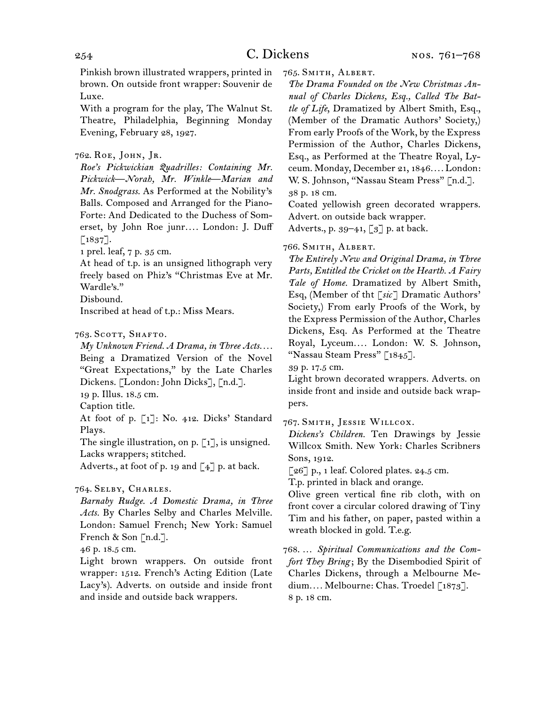Pinkish brown illustrated wrappers, printed in brown. On outside front wrapper: Souvenir de Luxe.

With a program for the play, The Walnut St. Theatre, Philadelphia, Beginning Monday Evening, February 28, 1927.

## 762.  Roe, John, Jr.

*Roe's Pickwickian Quadrilles: Containing Mr. Pickwick—Norah, Mr. Winkle—Marian and Mr. Snodgrass.* As Performed at the Nobility's Balls. Composed and Arranged for the Piano-Forte: And Dedicated to the Duchess of Somerset, by John Roe junr*. . . .* London: J. Duff  $[1837]$ .

1 prel. leaf, 7 p. 35 cm.

At head of t.p. is an unsigned lithograph very freely based on Phiz's "Christmas Eve at Mr. Wardle's."

Disbound.

Inscribed at head of t.p.: Miss Mears.

## 763. SCOTT, SHAFTO.

*My Unknown Friend. A Drama, in Three Acts. . . .* Being a Dramatized Version of the Novel "Great Expectations," by the Late Charles Dickens. [London: John Dicks], [n.d.].

19 p. Illus. 18.5 cm.

Caption title.

At foot of p. [1]: No. 412. Dicks' Standard Plays.

The single illustration, on p.  $\lceil 1 \rceil$ , is unsigned. Lacks wrappers; stitched.

Adverts., at foot of p. 19 and  $\lceil 4 \rceil$  p. at back.

## 764.  Selby, Charles.

*Barnaby Rudge. A Domestic Drama, in Three Acts.* By Charles Selby and Charles Melville. London: Samuel French; New York: Samuel French & Son [n.d.].

46 p. 18.5 cm.

Light brown wrappers. On outside front wrapper: 1512. French's Acting Edition (Late Lacy's). Adverts. on outside and inside front and inside and outside back wrappers.

765.  Smith, Albert.

*The Drama Founded on the New Christmas Annual of Charles Dickens, Esq., Called The Battle of Life*, Dramatized by Albert Smith, Esq., (Member of the Dramatic Authors' Society,) From early Proofs of the Work, by the Express Permission of the Author, Charles Dickens, Esq., as Performed at the Theatre Royal, Lyceum. Monday, December 21, 1846*. . . .* London: W. S. Johnson, "Nassau Steam Press" [n.d.]. 38 p. 18 cm.

Coated yellowish green decorated wrappers. Advert. on outside back wrapper.

Adverts., p. 39–41, [3] p. at back.

#### 766.  Smith, Albert.

*The Entirely New and Original Drama, in Three Parts, Entitled the Cricket on the Hearth. A Fairy Tale of Home.* Dramatized by Albert Smith, Esq, (Member of tht [*sic*] Dramatic Authors' Society,) From early Proofs of the Work, by the Express Permission of the Author, Charles Dickens, Esq. As Performed at the Theatre Royal, Lyceum*. . . .* London: W. S. Johnson, "Nassau Steam Press" [1845].

39 p. 17.5 cm.

Light brown decorated wrappers. Adverts. on inside front and inside and outside back wrappers.

767.  Smith, Jessie Willcox.

*Dickens's Children.* Ten Drawings by Jessie Willcox Smith. New York: Charles Scribners Sons, 1912.

 $\lceil 26 \rceil$  p., 1 leaf. Colored plates. 24.5 cm.

T.p. printed in black and orange.

Olive green vertical fine rib cloth, with on front cover a circular colored drawing of Tiny Tim and his father, on paper, pasted within a wreath blocked in gold. T.e.g.

768.  … *Spiritual Communications and the Comfort They Bring* ; By the Disembodied Spirit of Charles Dickens, through a Melbourne Medium*. . . .* Melbourne: Chas. Troedel [1873]. 8 p. 18 cm.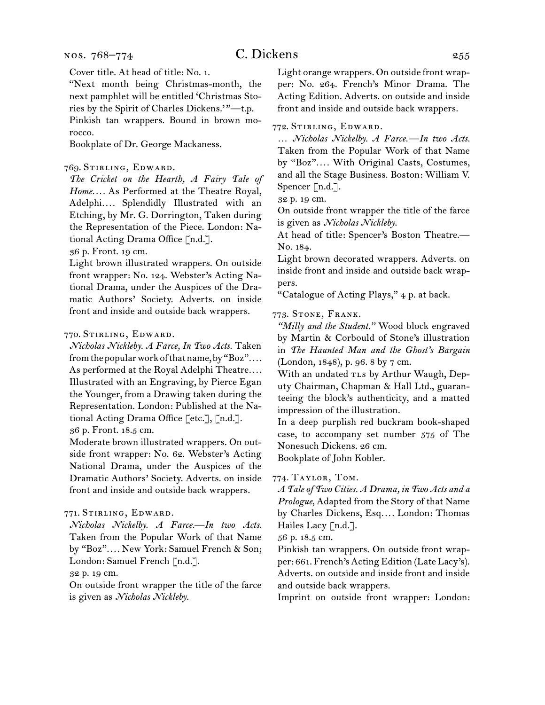#### nos. 768–774

# C. Dickens 255

Cover title. At head of title: No. 1.

"Next month being Christmas-month, the next pamphlet will be entitled 'Christmas Stories by the Spirit of Charles Dickens.' "—t.p. Pinkish tan wrappers. Bound in brown morocco.

Bookplate of Dr. George Mackaness.

### 769.  Stirling, Edward.

*The Cricket on the Hearth, A Fairy Tale of Home. . . .* As Performed at the Theatre Royal, Adelphi*. . . .* Splendidly Illustrated with an Etching, by Mr. G. Dorrington, Taken during the Representation of the Piece. London: National Acting Drama Office [n.d.].

36 p. Front. 19 cm.

Light brown illustrated wrappers. On outside front wrapper: No. 124. Webster's Acting National Drama, under the Auspices of the Dramatic Authors' Society. Adverts. on inside front and inside and outside back wrappers.

## 770.  Stirling, Edward.

*Nicholas Nickleby. A Farce, In Two Acts.* Taken fromthepopularworkofthatname,by"Boz"*. . . .* As performed at the Royal Adelphi Theatre*. . . .* Illustrated with an Engraving, by Pierce Egan the Younger, from a Drawing taken during the Representation. London: Published at the National Acting Drama Office [etc.], [n.d.]. 36 p. Front. 18.5 cm.

Moderate brown illustrated wrappers. On outside front wrapper: No. 62. Webster's Acting National Drama, under the Auspices of the Dramatic Authors' Society. Adverts. on inside front and inside and outside back wrappers.

## 771.  Stirling, Edward.

*Nicholas Nickelby. A Farce.—In two Acts.*  Taken from the Popular Work of that Name by "Boz"*. . . .* New York: Samuel French & Son; London: Samuel French [n.d.].

32 p. 19 cm.

On outside front wrapper the title of the farce is given as *Nicholas Nickleby*.

Light orange wrappers. On outside front wrapper: No. 264. French's Minor Drama. The Acting Edition. Adverts. on outside and inside front and inside and outside back wrappers.

772.  Stirling, Edward.

… *Nicholas Nickelby. A Farce.—In two Acts.*  Taken from the Popular Work of that Name by "Boz"*. . . .* With Original Casts, Costumes, and all the Stage Business. Boston: William V. Spencer [n.d.].

32 p. 19 cm.

On outside front wrapper the title of the farce is given as *Nicholas Nickleby*.

At head of title: Spencer's Boston Theatre.— No. 184.

Light brown decorated wrappers. Adverts. on inside front and inside and outside back wrappers.

"Catalogue of Acting Plays," 4 p. at back.

#### 773.  Stone, Frank.

*"Milly and the Student."* Wood block engraved by Martin & Corbould of Stone's illustration in *The Haunted Man and the Ghost's Bargain*  (London, 1848), p. 96. 8 by 7 cm.

With an undated TLs by Arthur Waugh, Deputy Chairman, Chapman & Hall Ltd., guaranteeing the block's authenticity, and a matted impression of the illustration.

In a deep purplish red buckram book-shaped case, to accompany set number 575 of The Nonesuch Dickens. 26 cm.

Bookplate of John Kobler.

774.  Taylor, Tom.

*A Tale of Two Cities. A Drama, in Two Acts and a Prologue*, Adapted from the Story of that Name by Charles Dickens, Esq*. . . .* London: Thomas Hailes Lacy [n.d.].

56 p. 18.5 cm.

Pinkish tan wrappers. On outside front wrapper: 661. French's Acting Edition (Late Lacy's). Adverts. on outside and inside front and inside and outside back wrappers.

Imprint on outside front wrapper: London: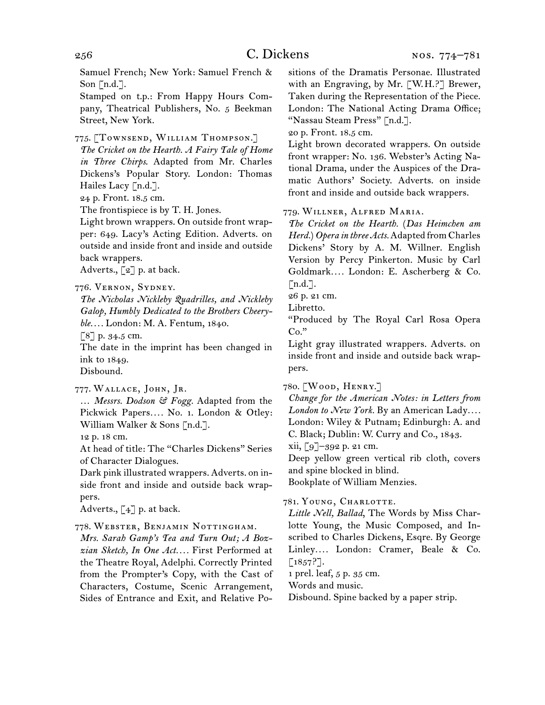Samuel French; New York: Samuel French & Son  $\lceil n.d. \rceil$ .

Stamped on t.p.: From Happy Hours Company, Theatrical Publishers, No. 5 Beekman Street, New York.

775.  [Townsend, William Thompson.]

*The Cricket on the Hearth. A Fairy Tale of Home in Three Chirps*. Adapted from Mr. Charles Dickens's Popular Story. London: Thomas Hailes Lacy [n.d.].

24 p. Front. 18.5 cm.

The frontispiece is by T. H. Jones.

Light brown wrappers. On outside front wrapper: 649. Lacy's Acting Edition. Adverts. on outside and inside front and inside and outside back wrappers.

Adverts.,  $\lceil 2 \rceil$  p. at back.

776.  Vernon, Sydney.

*The Nicholas Nickleby Quadrilles, and Nickleby Galop, Humbly Dedicated to the Brothers Cheeryble. . . .* London: M. A. Fentum, 1840.

 $\lceil 8 \rceil$  p. 34.5 cm.

The date in the imprint has been changed in ink to 1849.

Disbound.

777.  Wallace, John, Jr.

… *Messrs. Dodson & Fogg.* Adapted from the Pickwick Papers.... No. 1. London & Otley: William Walker & Sons [n.d.].

12 p. 18 cm.

At head of title: The "Charles Dickens" Series of Character Dialogues.

Dark pink illustrated wrappers. Adverts. on inside front and inside and outside back wrappers.

Adverts.,  $\begin{bmatrix} 4 \end{bmatrix}$  p. at back.

## 778.  Webster, Benjamin Nottingham.

*Mrs. Sarah Gamp's Tea and Turn Out; A Bozzian Sketch, In One Act. . . .* First Performed at the Theatre Royal, Adelphi. Correctly Printed from the Prompter's Copy, with the Cast of Characters, Costume, Scenic Arrangement, Sides of Entrance and Exit, and Relative Positions of the Dramatis Personae. Illustrated with an Engraving, by Mr. [W.H.?] Brewer, Taken during the Representation of the Piece. London: The National Acting Drama Office; "Nassau Steam Press" [n.d.].

20 p. Front. 18.5 cm.

Light brown decorated wrappers. On outside front wrapper: No. 136. Webster's Acting National Drama, under the Auspices of the Dramatic Authors' Society. Adverts. on inside front and inside and outside back wrappers.

779.  Willner, Alfred Maria.

*The Cricket on the Hearth.* (*Das Heimchen am Herd.*)*Opera in three Acts.*Adapted fromCharles Dickens' Story by A. M. Willner. English Version by Percy Pinkerton. Music by Carl Goldmark*. . . .* London: E. Ascherberg & Co.  $[n.d.]$ .

26 p. 21 cm.

Libretto.

"Produced by The Royal Carl Rosa Opera  $Co.$ "

Light gray illustrated wrappers. Adverts. on inside front and inside and outside back wrappers.

780.  [Wood, Henry.]

*Change for the American Notes: in Letters from London to New York.* By an American Lady*. . . .* London: Wiley & Putnam; Edinburgh: A. and C. Black; Dublin: W. Curry and Co., 1843.

xii, [9]–392 p. 21 cm.

Deep yellow green vertical rib cloth, covers and spine blocked in blind.

Bookplate of William Menzies.

## 781.  Young, Charlotte.

*Little Nell, Ballad*, The Words by Miss Charlotte Young, the Music Composed, and Inscribed to Charles Dickens, Esqre. By George Linley*. . . .* London: Cramer, Beale & Co.  $[1857?].$ 

1 prel. leaf, 5 p. 35 cm.

Words and music.

Disbound. Spine backed by a paper strip.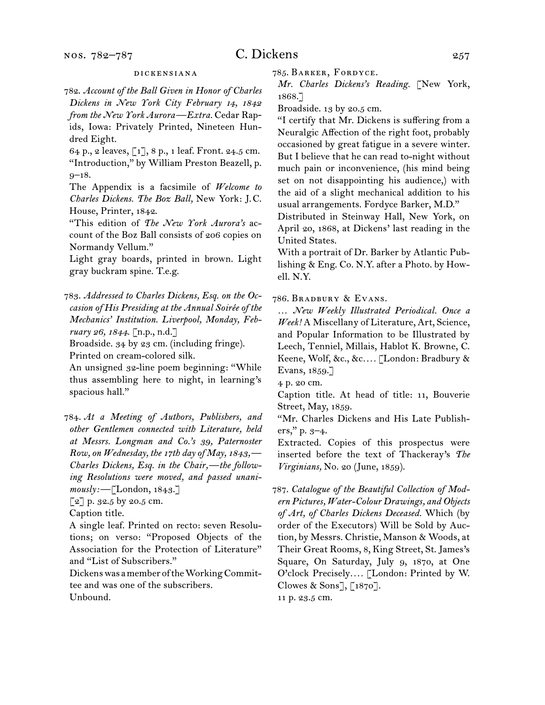#### dickensiana

782.  *Account of the Ball Given in Honor of Charles Dickens in New York City February 14, 1842 from the New York Aurora—Extra.* Cedar Rapids, Iowa: Privately Printed, Nineteen Hundred Eight.

64 p., 2 leaves, [1], 8 p., 1 leaf. Front. 24.5 cm. "Introduction," by William Preston Beazell, p. 9–18.

The Appendix is a facsimile of *Welcome to Charles Dickens. The Boz Ball,* New York: J. C. House, Printer, 1842.

"This edition of *The New York Aurora's* account of the Boz Ball consists of 206 copies on Normandy Vellum."

Light gray boards, printed in brown. Light gray buckram spine. T.e.g.

783.  *Addressed to Charles Dickens, Esq. on the Occasion of His Presiding at the Annual Soirée of the Mechanics' Institution. Liverpool, Monday, February 26, 1844.* [n.p., n.d.]

Broadside. 34 by 23 cm. (including fringe). Printed on cream-colored silk.

An unsigned 32-line poem beginning: "While thus assembling here to night, in learning's spacious hall."

784.  *At a Meeting of Authors, Publishers, and other Gentlemen connected with Literature, held at Messrs. Longman and Co.'s 39, Paternoster Row, on Wednesday, the 17th day of May, 1843,— Charles Dickens, Esq. in the Chair,—the following Resolutions were moved, and passed unanimously:* —[London, 1843.]

 $\lceil 2 \rceil$  p. 32.5 by 20.5 cm.

Caption title.

A single leaf. Printed on recto: seven Resolutions; on verso: "Proposed Objects of the Association for the Protection of Literature" and "List of Subscribers."

Dickenswas amemberoftheWorkingCommittee and was one of the subscribers. Unbound.

785.  Barker, Fordyce.

*Mr. Charles Dickens's Reading.* [New York, 1868.]

Broadside. 13 by 20.5 cm.

"I certify that Mr. Dickens is suffering from a Neuralgic Affection of the right foot, probably occasioned by great fatigue in a severe winter. But I believe that he can read to-night without much pain or inconvenience, (his mind being set on not disappointing his audience,) with the aid of a slight mechanical addition to his usual arrangements. Fordyce Barker, M.D."

Distributed in Steinway Hall, New York, on April 20, 1868, at Dickens' last reading in the United States.

With a portrait of Dr. Barker by Atlantic Publishing & Eng. Co. N.Y. after a Photo. by Howell. N.Y.

786.  Bradbury & Evans.

… *New Weekly Illustrated Periodical. Once a Week!* A Miscellany of Literature, Art, Science, and Popular Information to be Illustrated by Leech, Tenniel, Millais, Hablot K. Browne, C. Keene, Wolf, &c., &c*. . . .* [London: Bradbury & Evans, 1859.]

4 p. 20 cm.

Caption title. At head of title: 11, Bouverie Street, May, 1859.

"Mr. Charles Dickens and His Late Publishers," p. 3–4.

Extracted. Copies of this prospectus were inserted before the text of Thackeray's *The Virginians,* No. 20 (June, 1859).

787.  *Catalogue of the Beautiful Collection of Modern Pictures, Water-Colour Drawings, and Objects of Art, of Charles Dickens Deceased.* Which (by order of the Executors) Will be Sold by Auction, by Messrs. Christie, Manson & Woods, at Their Great Rooms, 8, King Street, St. James's Square, On Saturday, July 9, 1870, at One O'clock Precisely*. . . .* [London: Printed by W. Clowes & Sons], [1870].

11 p. 23.5 cm.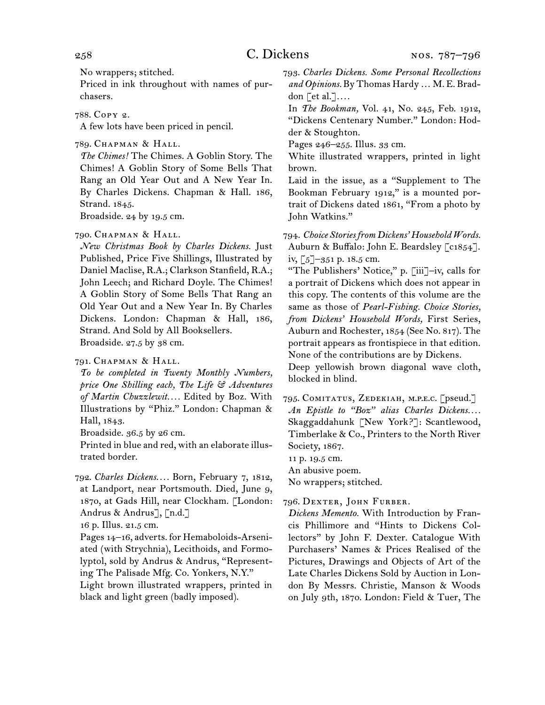No wrappers; stitched.

Priced in ink throughout with names of purchasers.

788.  Copy 2.

A few lots have been priced in pencil.

789.  Chapman & Hall.

*The Chimes!* The Chimes. A Goblin Story. The Chimes! A Goblin Story of Some Bells That Rang an Old Year Out and A New Year In. By Charles Dickens. Chapman & Hall. 186, Strand. 1845.

Broadside. 24 by 19.5 cm.

790.  Chapman & Hall.

*New Christmas Book by Charles Dickens.* Just Published, Price Five Shillings, Illustrated by Daniel Maclise, R.A.; Clarkson Stanfield, R.A.; John Leech; and Richard Doyle. The Chimes! A Goblin Story of Some Bells That Rang an Old Year Out and a New Year In. By Charles Dickens. London: Chapman & Hall, 186, Strand. And Sold by All Booksellers. Broadside. 27.5 by 38 cm.

791.  Chapman & Hall.

*To be completed in Twenty Monthly Numbers, price One Shilling each, The Life & Adventures of Martin Chuzzlewit. . . .* Edited by Boz. With Illustrations by "Phiz." London: Chapman & Hall, 1843.

Broadside. 36.5 by 26 cm.

Printed in blue and red, with an elaborate illustrated border.

792.  *Charles Dickens. . . .* Born, February 7, 1812, at Landport, near Portsmouth. Died, June 9, 1870, at Gads Hill, near Clockham. [London: Andrus & Andrus], [n.d.]

16 p. Illus. 21.5 cm.

Pages 14–16, adverts. for Hemaboloids-Arseniated (with Strychnia), Lecithoids, and Formolyptol, sold by Andrus & Andrus, "Representing The Palisade Mfg. Co. Yonkers, N.Y." Light brown illustrated wrappers, printed in black and light green (badly imposed).

793.  *Charles Dickens. Some Personal Recollections and Opinions.* By Thomas Hardy … M. E. Braddon [et al.]*. . . .*

In *The Bookman,* Vol. 41, No. 245, Feb. 1912, "Dickens Centenary Number." London: Hodder & Stoughton.

Pages 246–255. Illus. 33 cm.

White illustrated wrappers, printed in light brown.

Laid in the issue, as a "Supplement to The Bookman February 1912," is a mounted portrait of Dickens dated 1861, "From a photo by John Watkins."

794.  *Choice Stories from Dickens' Household Words.* Auburn & Buffalo: John E. Beardsley [c1854]. iv, [5]–351 p. 18.5 cm.

"The Publishers' Notice," p. [iii]–iv, calls for a portrait of Dickens which does not appear in this copy. The contents of this volume are the same as those of *Pearl-Fishing. Choice Stories, from Dickens' Household Words,* First Series, Auburn and Rochester, 1854 (See No. 817). The portrait appears as frontispiece in that edition. None of the contributions are by Dickens. Deep yellowish brown diagonal wave cloth, blocked in blind.

795.  Comitatus, Zedekiah, m.p.e.c. [pseud.] *An Epistle to "Boz" alias Charles Dickens. . . .* Skaggaddahunk [New York?]: Scantlewood, Timberlake & Co., Printers to the North River Society, 1867.

11 p. 19.5 cm.

An abusive poem.

No wrappers; stitched.

796.  Dexter, John Furber.

*Dickens Memento.* With Introduction by Francis Phillimore and "Hints to Dickens Collectors" by John F. Dexter. Catalogue With Purchasers' Names & Prices Realised of the Pictures, Drawings and Objects of Art of the Late Charles Dickens Sold by Auction in London By Messrs. Christie, Manson & Woods on July 9th, 1870. London: Field & Tuer, The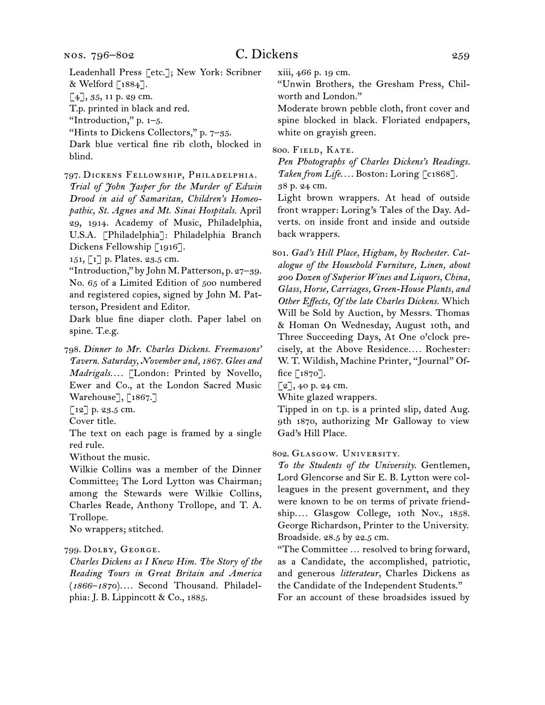Leadenhall Press [etc.]; New York: Scribner & Welford [1884].

 $[4]$ , 35, 11 p. 29 cm.

T.p. printed in black and red.

"Introduction," p. 1–5.

"Hints to Dickens Collectors," p. 7–35.

Dark blue vertical fine rib cloth, blocked in blind.

797.  Dickens Fellowship, Philadelphia.

*Trial of John Jasper for the Murder of Edwin Drood in aid of Samaritan, Children's Homeopathic, St. Agnes and Mt. Sinai Hospitals.* April 29, 1914. Academy of Music, Philadelphia, U.S.A. [Philadelphia]: Philadelphia Branch Dickens Fellowship [1916].

151, [1] p. Plates. 23.5 cm.

"Introduction," by John M.Patterson, p. 27–39. No. 65 of a Limited Edition of 500 numbered and registered copies, signed by John M. Patterson, President and Editor.

Dark blue fine diaper cloth. Paper label on spine. T.e.g.

798.  *Dinner to Mr. Charles Dickens. Freemasons' Tavern. Saturday, November 2nd, 1867. Glees and Madrigals. . . .* [London: Printed by Novello, Ewer and Co., at the London Sacred Music Warehouse], [1867.]

 $[12]$  p. 23.5 cm.

Cover title.

The text on each page is framed by a single red rule.

Without the music.

Wilkie Collins was a member of the Dinner Committee; The Lord Lytton was Chairman; among the Stewards were Wilkie Collins, Charles Reade, Anthony Trollope, and T. A. Trollope.

No wrappers; stitched.

#### 799.  Dolby, George.

*Charles Dickens as I Knew Him. The Story of the Reading Tours in Great Britain and America*  (*1866–1870*)*. . . .* Second Thousand. Philadelphia: J. B. Lippincott & Co., 1885.

xiii, 466 p. 19 cm.

"Unwin Brothers, the Gresham Press, Chilworth and London."

Moderate brown pebble cloth, front cover and spine blocked in black. Floriated endpapers, white on grayish green.

800.  Field, Kate.

*Pen Photographs of Charles Dickens's Readings. Taken from Life. . . .* Boston: Loring [c1868]. 38 p. 24 cm.

Light brown wrappers. At head of outside front wrapper: Loring's Tales of the Day. Adverts. on inside front and inside and outside back wrappers.

801.  *Gad's Hill Place, Higham, by Rochester. Catalogue of the Household Furniture, Linen, about 200 Dozen of Superior Wines and Liquors, China, Glass, Horse, Carriages, Green-House Plants, and Other Effects, Of the late Charles Dickens.* Which Will be Sold by Auction, by Messrs. Thomas & Homan On Wednesday, August 10th, and Three Succeeding Days, At One o'clock precisely, at the Above Residence*. . . .* Rochester: W. T. Wildish, Machine Printer, "Journal" Office  $\lceil 1870 \rceil$ .

 $[2]$ , 40 p. 24 cm.

White glazed wrappers.

Tipped in on t.p. is a printed slip, dated Aug. 9th 1870, authorizing Mr Galloway to view Gad's Hill Place.

#### 802.  Glasgow. University.

*To the Students of the University.* Gentlemen, Lord Glencorse and Sir E. B. Lytton were colleagues in the present government, and they were known to be on terms of private friendship*. . . .* Glasgow College, 10th Nov., 1858. George Richardson, Printer to the University. Broadside. 28.5 by 22.5 cm.

"The Committee … resolved to bring forward, as a Candidate, the accomplished, patriotic, and generous *litterateur,* Charles Dickens as the Candidate of the Independent Students." For an account of these broadsides issued by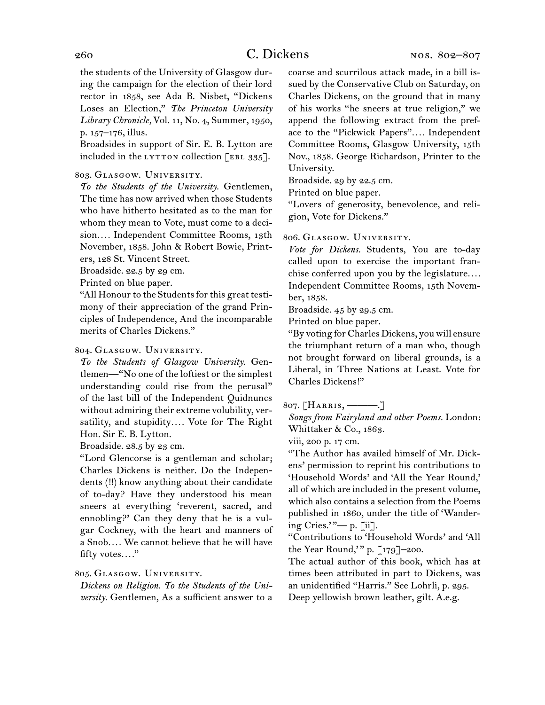the students of the University of Glasgow during the campaign for the election of their lord rector in 1858, see Ada B. Nisbet, "Dickens Loses an Election," *The Princeton University Library Chronicle,* Vol. 11, No. 4, Summer, 1950, p. 157–176, illus.

Broadsides in support of Sir. E. B. Lytton are included in the LYTTON collection  $[EBL 335]$ .

### 803.  Glasgow. University.

*To the Students of the University.* Gentlemen, The time has now arrived when those Students who have hitherto hesitated as to the man for whom they mean to Vote, must come to a decision*. . . .* Independent Committee Rooms, 13th November, 1858. John & Robert Bowie, Printers, 128 St. Vincent Street.

Broadside. 22.5 by 29 cm.

Printed on blue paper.

"All Honour to the Students for this great testimony of their appreciation of the grand Principles of Independence, And the incomparable merits of Charles Dickens."

## 804.  Glasgow. University.

*To the Students of Glasgow University.* Gentlemen—"No one of the loftiest or the simplest understanding could rise from the perusal" of the last bill of the Independent Quidnuncs without admiring their extreme volubility, versatility, and stupidity*. . . .* Vote for The Right Hon. Sir E. B. Lytton.

Broadside. 28.5 by 23 cm.

"Lord Glencorse is a gentleman and scholar; Charles Dickens is neither. Do the Independents (!!) know anything about their candidate of to-day? Have they understood his mean sneers at everything 'reverent, sacred, and ennobling?' Can they deny that he is a vulgar Cockney, with the heart and manners of a Snob*. . . .* We cannot believe that he will have fifty votes*. . . .*"

## 805.  Glasgow. University.

*Dickens on Religion. To the Students of the University.* Gentlemen, As a sufficient answer to a

coarse and scurrilous attack made, in a bill issued by the Conservative Club on Saturday, on Charles Dickens, on the ground that in many of his works "he sneers at true religion," we append the following extract from the preface to the "Pickwick Papers"*. . . .* Independent Committee Rooms, Glasgow University, 15th Nov., 1858. George Richardson, Printer to the University.

Broadside. 29 by 22.5 cm.

Printed on blue paper.

"Lovers of generosity, benevolence, and religion, Vote for Dickens."

#### 806.  Glasgow. University.

*Vote for Dickens.* Students, You are to-day called upon to exercise the important franchise conferred upon you by the legislature*. . . .* Independent Committee Rooms, 15th November, 1858.

Broadside. 45 by 29.5 cm.

Printed on blue paper.

"By voting forCharlesDickens, you will ensure the triumphant return of a man who, though not brought forward on liberal grounds, is a Liberal, in Three Nations at Least. Vote for Charles Dickens!"

## 807.  [Harris, ———.]

*Songs from Fairyland and other Poems.* London: Whittaker & Co., 1863.

viii, 200 p. 17 cm.

"The Author has availed himself of Mr. Dickens' permission to reprint his contributions to 'Household Words' and 'All the Year Round,' all of which are included in the present volume, which also contains a selection from the Poems published in 1860, under the title of 'Wandering Cries.' "— p. [ii].

"Contributions to 'Household Words' and 'All the Year Round,' " p. [179]–200.

The actual author of this book, which has at times been attributed in part to Dickens, was an unidentified "Harris." See Lohrli, p. 295. Deep yellowish brown leather, gilt. A.e.g.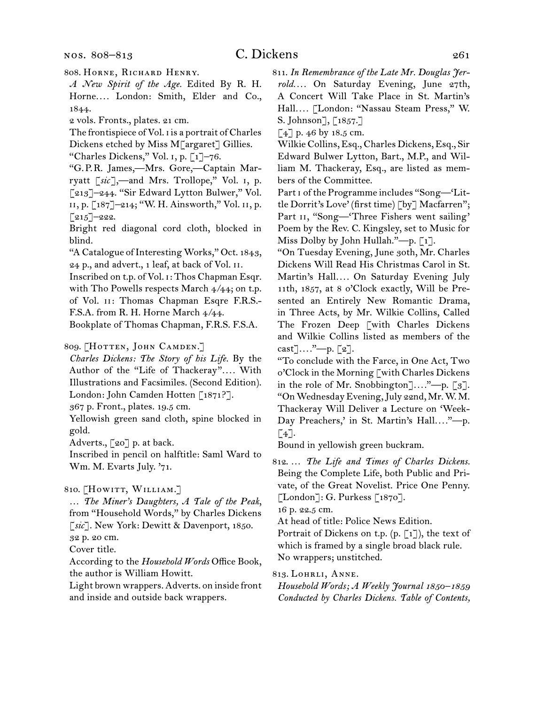808.  Horne, Richard Henry.

*A New Spirit of the Age.* Edited By R. H. Horne*. . . .* London: Smith, Elder and Co., 1844.

2 vols. Fronts., plates. 21 cm.

The frontispiece of Vol. i is a portrait of Charles

Dickens etched by Miss M[argaret] Gillies. "Charles Dickens," Vol. i, p. [1]–76.

"G. P. R. James,—Mrs. Gore,—Captain Marryatt [*sic*],—and Mrs. Trollope," Vol. i, p. [213]–244. "Sir Edward Lytton Bulwer," Vol. ii, p. [187]–214; "W. H. Ainsworth," Vol. ii, p.  $\lceil 215 \rceil$ -222.

Bright red diagonal cord cloth, blocked in blind.

"A Catalogue of Interesting Works," Oct. 1843, 24 p., and advert., 1 leaf, at back of Vol. ii.

Inscribed on t.p. of Vol. i: Thos Chapman Esqr. with Tho Powells respects March 4/44; on t.p. of Vol. ii: Thomas Chapman Esqre F.R.S.- F.S.A. from R. H. Horne March 4/44.

Bookplate of Thomas Chapman, F.R.S. F.S.A.

- 809. [HOTTEN, JOHN CAMDEN.]
- *Charles Dickens: The Story of his Life.* By the Author of the "Life of Thackeray"*. . . .* With Illustrations and Facsimiles. (Second Edition). London: John Camden Hotten [1871?].

367 p. Front., plates. 19.5 cm.

Yellowish green sand cloth, spine blocked in gold.

Adverts., [20] p. at back.

Inscribed in pencil on halftitle: Saml Ward to Wm. M. Evarts July. '71.

810. [HOWITT, WILLIAM.]

- … *The Miner's Daughters, A Tale of the Peak*, from "Household Words," by Charles Dickens [*sic*]. New York: Dewitt & Davenport, 1850. 32 p. 20 cm.
- Cover title.

According to the *Household Words* Office Book, the author is William Howitt.

Light brown wrappers. Adverts. on inside front and inside and outside back wrappers.

811.  *In Remembrance of the Late Mr. Douglas Jerrold. . . .* On Saturday Evening, June 27th, A Concert Will Take Place in St. Martin's Hall*. . . .* [London: "Nassau Steam Press," W. S. Johnson], [1857.]

 $\lceil 4 \rceil$  p. 46 by 18.5 cm.

Wilkie Collins, Esq., Charles Dickens, Esq., Sir Edward Bulwer Lytton, Bart., M.P., and William M. Thackeray, Esq., are listed as members of the Committee.

Part i of the Programme includes "Song—'Little Dorrit's Love' (first time) [by] Macfarren"; Part II, "Song-'Three Fishers went sailing' Poem by the Rev. C. Kingsley, set to Music for Miss Dolby by John Hullah."-p.  $\lceil 1 \rceil$ .

"On Tuesday Evening, June 30th, Mr. Charles Dickens Will Read His Christmas Carol in St. Martin's Hall*. . . .* On Saturday Evening July 11th, 1857, at 8 o'Clock exactly, Will be Presented an Entirely New Romantic Drama, in Three Acts, by Mr. Wilkie Collins, Called The Frozen Deep [with Charles Dickens and Wilkie Collins listed as members of the cast]*. . . .*"—p. [2].

"To conclude with the Farce, in One Act, Two o'Clock in the Morning [with Charles Dickens in the role of Mr. Snobbington]*. . . .*"—p. [3]. "OnWednesdayEvening,July 22nd, Mr.W. M. Thackeray Will Deliver a Lecture on 'Week-Day Preachers,' in St. Martin's Hall...."--- p.  $\lceil 4 \rceil$ .

Bound in yellowish green buckram.

812.  … *The Life and Times of Charles Dickens.*  Being the Complete Life, both Public and Private, of the Great Novelist. Price One Penny.  $\lbrack$ London]: G. Purkess  $\lbrack$  1870].

16 p. 22.5 cm.

At head of title: Police News Edition.

Portrait of Dickens on t.p.  $(p, [1])$ , the text of which is framed by a single broad black rule. No wrappers; unstitched.

813.  Lohrli, Anne.

*Household Words; A Weekly Journal 1850–1859 Conducted by Charles Dickens. Table of Contents,*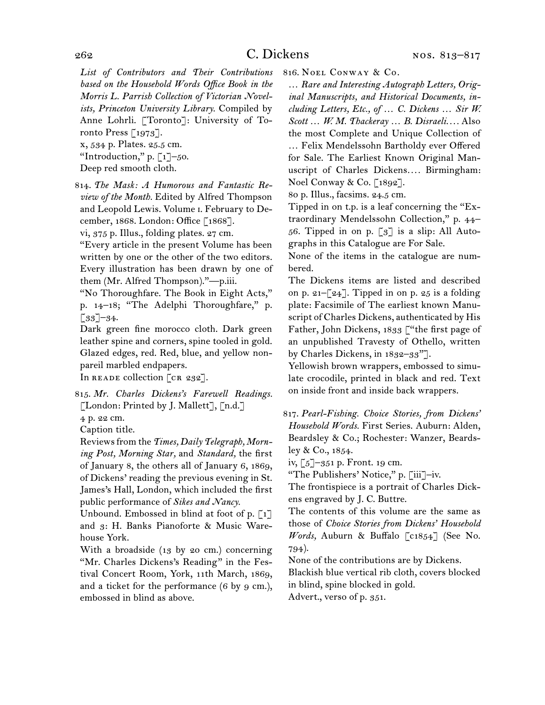*List of Contributors and Their Contributions based on the Household Words Office Book in the Morris L. Parrish Collection of Victorian Novelists, Princeton University Library.* Compiled by Anne Lohrli. [Toronto]: University of Toronto Press [1973].

x, 534 p. Plates. 25.5 cm. "Introduction," p.  $\lceil 1 \rceil$ –50.

Deep red smooth cloth.

814.  *The Mask: A Humorous and Fantastic Review of the Month.* Edited by Alfred Thompson and Leopold Lewis. Volume i. February to December, 1868. London: Office [1868].

vi, 375 p. Illus., folding plates. 27 cm.

"Every article in the present Volume has been written by one or the other of the two editors. Every illustration has been drawn by one of them (Mr. Alfred Thompson)."—p.iii.

"No Thoroughfare. The Book in Eight Acts," p. 14–18; "The Adelphi Thoroughfare," p.  $[33]$ –34.

Dark green fine morocco cloth. Dark green leather spine and corners, spine tooled in gold. Glazed edges, red. Red, blue, and yellow nonpareil marbled endpapers.

In READE collection [CR 232].

815.  *Mr. Charles Dickens's Farewell Readings.*  [London: Printed by J. Mallett], [n.d.]

4 p. 22 cm.

Caption title.

Reviewsfrom the *Times, Daily Telegraph, Morning Post, Morning Star,* and *Standard,* the first of January 8, the others all of January 6, 1869, of Dickens' reading the previous evening in St. James's Hall, London, which included the first public performance of *Sikes and Nancy.*

Unbound. Embossed in blind at foot of p.  $\lceil 1 \rceil$ and 3: H. Banks Pianoforte & Music Warehouse York.

With a broadside (13 by 20 cm.) concerning "Mr. Charles Dickens's Reading" in the Festival Concert Room, York, 11th March, 1869, and a ticket for the performance  $(6 \text{ by } 9 \text{ cm.})$ , embossed in blind as above.

816.  Noel Conway & Co.

… *Rare and Interesting Autograph Letters, Original Manuscripts, and Historical Documents, including Letters, Etc., of … C. Dickens … Sir W. Scott … W. M. Thackeray … B. Disraeli. . . .* Also the most Complete and Unique Collection of … Felix Mendelssohn Bartholdy ever Offered for Sale. The Earliest Known Original Manuscript of Charles Dickens*. . . .* Birmingham: Noel Conway & Co. [1892].

80 p. Illus., facsims. 24.5 cm.

Tipped in on t.p. is a leaf concerning the "Extraordinary Mendelssohn Collection," p. 44– 56. Tipped in on p.  $\lceil 3 \rceil$  is a slip: All Autographs in this Catalogue are For Sale.

None of the items in the catalogue are numbered.

The Dickens items are listed and described on p. 21– $\lceil 24 \rceil$ . Tipped in on p. 25 is a folding plate: Facsimile of The earliest known Manuscript of Charles Dickens, authenticated by His Father, John Dickens, 1833 ["the first page of an unpublished Travesty of Othello, written by Charles Dickens, in 1832–33"].

Yellowish brown wrappers, embossed to simulate crocodile, printed in black and red. Text on inside front and inside back wrappers.

817.  *Pearl-Fishing. Choice Stories, from Dickens' Household Words.* First Series. Auburn: Alden, Beardsley & Co.; Rochester: Wanzer, Beardsley & Co., 1854.

iv, [5]–351 p. Front. 19 cm.

"The Publishers' Notice," p. [iii]–iv.

The frontispiece is a portrait of Charles Dickens engraved by J. C. Buttre.

The contents of this volume are the same as those of *Choice Stories from Dickens' Household Words,* Auburn & Buffalo [c1854] (See No. 794).

None of the contributions are by Dickens.

Blackish blue vertical rib cloth, covers blocked in blind, spine blocked in gold.

Advert., verso of p. 351.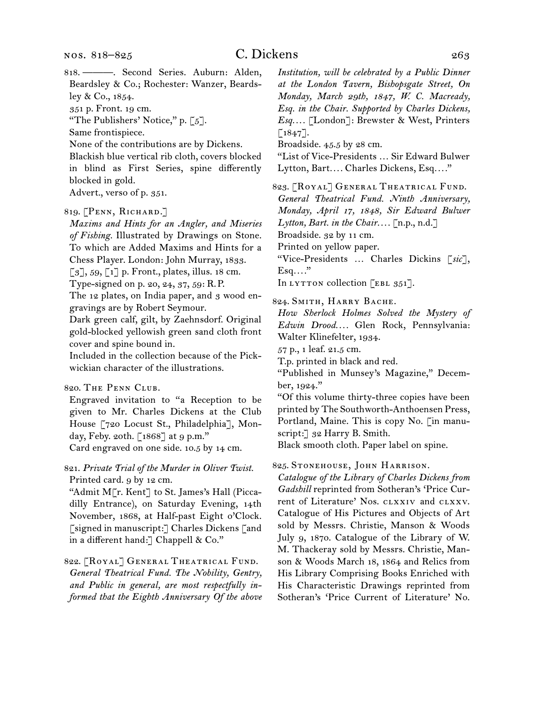818.  ———. Second Series. Auburn: Alden, Beardsley & Co.; Rochester: Wanzer, Beardsley & Co., 1854. 351 p. Front. 19 cm.

"The Publishers' Notice," p. [5].

Same frontispiece.

None of the contributions are by Dickens.

Blackish blue vertical rib cloth, covers blocked in blind as First Series, spine differently blocked in gold.

Advert., verso of p. 351.

## 819.  [Penn, Richard.]

*Maxims and Hints for an Angler, and Miseries of Fishing.* Illustrated by Drawings on Stone. To which are Added Maxims and Hints for a Chess Player. London: John Murray, 1833.

[3], 59, [1] p. Front., plates, illus. 18 cm.

Type-signed on p. 20, 24, 37, 59: R. P.

The 12 plates, on India paper, and 3 wood engravings are by Robert Seymour.

Dark green calf, gilt, by Zaehnsdorf. Original gold-blocked yellowish green sand cloth front cover and spine bound in.

Included in the collection because of the Pickwickian character of the illustrations.

### 820.  The Penn Club.

Engraved invitation to "a Reception to be given to Mr. Charles Dickens at the Club House [720 Locust St., Philadelphia], Monday, Feby. 20th. [1868] at 9 p.m." Card engraved on one side. 10.5 by 14 cm.

821.  *Private Trial of the Murder in Oliver Twist.* Printed card. 9 by 12 cm.

"Admit M[r. Kent] to St. James's Hall (Piccadilly Entrance), on Saturday Evening, 14th November, 1868, at Half-past Eight o'Clock. [signed in manuscript:] Charles Dickens [and in a different hand:] Chappell & Co."

822.  [Royal] General Theatrical Fund. *General Theatrical Fund. The Nobility, Gentry, and Public in general, are most respectfully informed that the Eighth Anniversary Of the above*  *Institution, will be celebrated by a Public Dinner at the London Tavern, Bishopsgate Street, On Monday, March 29th, 1847, W. C. Macready, Esq. in the Chair. Supported by Charles Dickens, Esq. . . .* [London]: Brewster & West, Printers  $[1847]$ .

Broadside. 45.5 by 28 cm.

"List of Vice-Presidents … Sir Edward Bulwer Lytton, Bart*. . . .* Charles Dickens, Esq*. . . .*"

823.  [Royal] General Theatrical Fund.

*General Theatrical Fund. Ninth Anniversary, Monday, April 17, 1848, Sir Edward Bulwer* 

*Lytton, Bart. in the Chair. . . .* [n.p., n.d.]

Broadside. 32 by 11 cm.

Printed on yellow paper.

"Vice-Presidents … Charles Dickins [*sic*], Esq*. . . .*"

In LYTTON collection  $[EBL 351]$ .

824.  Smith, Harry Bache.

*How Sherlock Holmes Solved the Mystery of Edwin Drood. . . .* Glen Rock, Pennsylvania: Walter Klinefelter, 1934.

57 p., 1 leaf. 21.5 cm.

T.p. printed in black and red.

"Published in Munsey's Magazine," December, 1924."

"Of this volume thirty-three copies have been printed by The Southworth-Anthoensen Press, Portland, Maine. This is copy No. [in manuscript:] 32 Harry B. Smith.

Black smooth cloth. Paper label on spine.

825.  Stonehouse, John Harrison.

*Catalogue of the Library of Charles Dickens from Gadshill* reprinted from Sotheran's 'Price Current of Literature' Nos. clxxiv and clxxv. Catalogue of His Pictures and Objects of Art sold by Messrs. Christie, Manson & Woods July 9, 1870. Catalogue of the Library of W. M. Thackeray sold by Messrs. Christie, Manson & Woods March 18, 1864 and Relics from His Library Comprising Books Enriched with His Characteristic Drawings reprinted from Sotheran's 'Price Current of Literature' No.